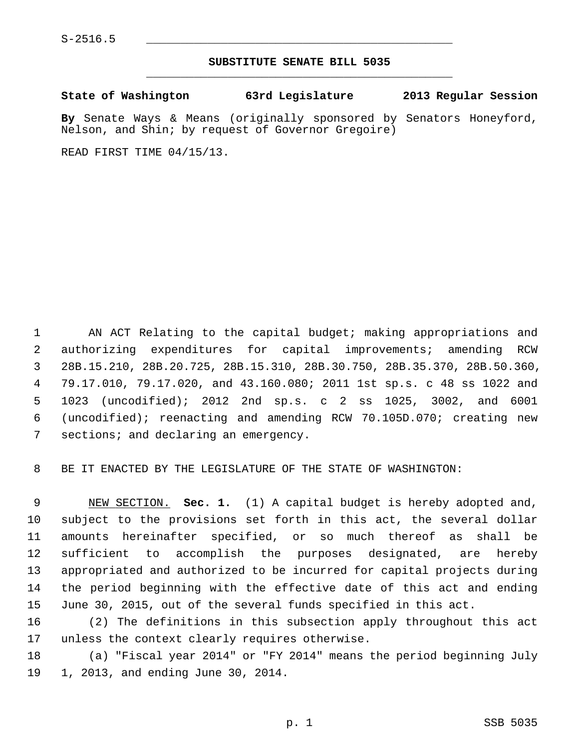## **SUBSTITUTE SENATE BILL 5035** \_\_\_\_\_\_\_\_\_\_\_\_\_\_\_\_\_\_\_\_\_\_\_\_\_\_\_\_\_\_\_\_\_\_\_\_\_\_\_\_\_\_\_\_\_

## **State of Washington 63rd Legislature 2013 Regular Session**

**By** Senate Ways & Means (originally sponsored by Senators Honeyford, Nelson, and Shin; by request of Governor Gregoire)

READ FIRST TIME 04/15/13.

 1 AN ACT Relating to the capital budget; making appropriations and 2 authorizing expenditures for capital improvements; amending RCW 3 28B.15.210, 28B.20.725, 28B.15.310, 28B.30.750, 28B.35.370, 28B.50.360, 4 79.17.010, 79.17.020, and 43.160.080; 2011 1st sp.s. c 48 ss 1022 and 5 1023 (uncodified); 2012 2nd sp.s. c 2 ss 1025, 3002, and 6001 6 (uncodified); reenacting and amending RCW 70.105D.070; creating new 7 sections; and declaring an emergency.

8 BE IT ENACTED BY THE LEGISLATURE OF THE STATE OF WASHINGTON:

 9 NEW SECTION. **Sec. 1.** (1) A capital budget is hereby adopted and, 10 subject to the provisions set forth in this act, the several dollar 11 amounts hereinafter specified, or so much thereof as shall be 12 sufficient to accomplish the purposes designated, are hereby 13 appropriated and authorized to be incurred for capital projects during 14 the period beginning with the effective date of this act and ending 15 June 30, 2015, out of the several funds specified in this act.

16 (2) The definitions in this subsection apply throughout this act 17 unless the context clearly requires otherwise.

18 (a) "Fiscal year 2014" or "FY 2014" means the period beginning July 19 1, 2013, and ending June 30, 2014.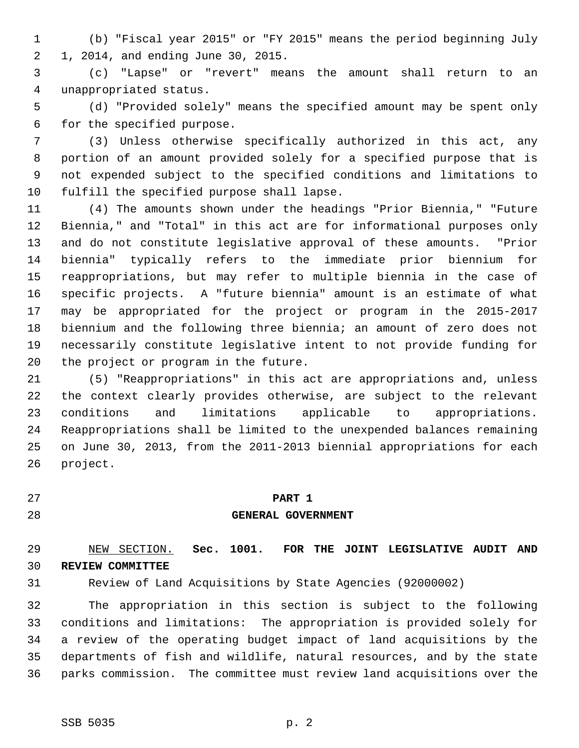1 (b) "Fiscal year 2015" or "FY 2015" means the period beginning July 2 1, 2014, and ending June 30, 2015.

 3 (c) "Lapse" or "revert" means the amount shall return to an 4 unappropriated status.

 5 (d) "Provided solely" means the specified amount may be spent only 6 for the specified purpose.

 7 (3) Unless otherwise specifically authorized in this act, any 8 portion of an amount provided solely for a specified purpose that is 9 not expended subject to the specified conditions and limitations to 10 fulfill the specified purpose shall lapse.

11 (4) The amounts shown under the headings "Prior Biennia," "Future 12 Biennia," and "Total" in this act are for informational purposes only 13 and do not constitute legislative approval of these amounts. "Prior 14 biennia" typically refers to the immediate prior biennium for 15 reappropriations, but may refer to multiple biennia in the case of 16 specific projects. A "future biennia" amount is an estimate of what 17 may be appropriated for the project or program in the 2015-2017 18 biennium and the following three biennia; an amount of zero does not 19 necessarily constitute legislative intent to not provide funding for 20 the project or program in the future.

21 (5) "Reappropriations" in this act are appropriations and, unless 22 the context clearly provides otherwise, are subject to the relevant 23 conditions and limitations applicable to appropriations. 24 Reappropriations shall be limited to the unexpended balances remaining 25 on June 30, 2013, from the 2011-2013 biennial appropriations for each 26 project.

# 27 **PART 1**

## 28 **GENERAL GOVERNMENT**

# 29 NEW SECTION. **Sec. 1001. FOR THE JOINT LEGISLATIVE AUDIT AND** 30 **REVIEW COMMITTEE**

31 Review of Land Acquisitions by State Agencies (92000002)

32 The appropriation in this section is subject to the following 33 conditions and limitations: The appropriation is provided solely for 34 a review of the operating budget impact of land acquisitions by the 35 departments of fish and wildlife, natural resources, and by the state 36 parks commission. The committee must review land acquisitions over the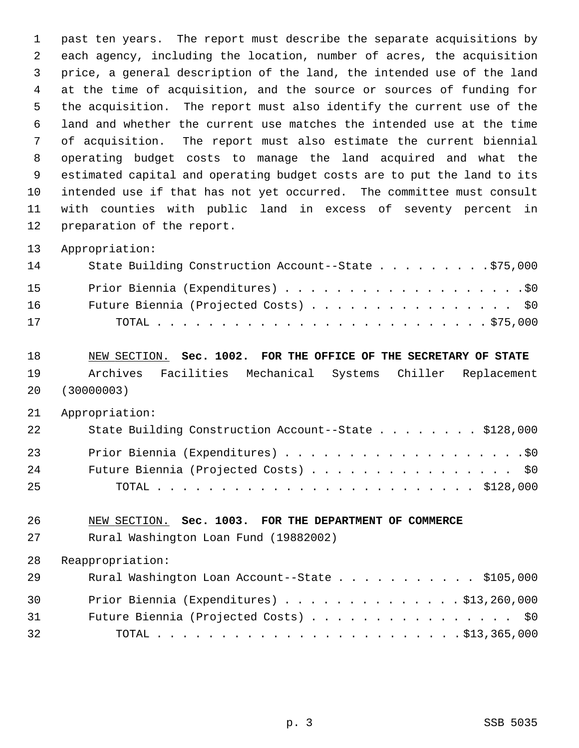1 past ten years. The report must describe the separate acquisitions by 2 each agency, including the location, number of acres, the acquisition 3 price, a general description of the land, the intended use of the land 4 at the time of acquisition, and the source or sources of funding for 5 the acquisition. The report must also identify the current use of the 6 land and whether the current use matches the intended use at the time 7 of acquisition. The report must also estimate the current biennial 8 operating budget costs to manage the land acquired and what the 9 estimated capital and operating budget costs are to put the land to its 10 intended use if that has not yet occurred. The committee must consult 11 with counties with public land in excess of seventy percent in 12 preparation of the report.

13 Appropriation:

| 14 | State Building Construction Account--State \$75,000 |
|----|-----------------------------------------------------|
| 15 |                                                     |
| 16 | Future Biennia (Projected Costs) \$0                |
| 17 |                                                     |

18 NEW SECTION. **Sec. 1002. FOR THE OFFICE OF THE SECRETARY OF STATE**

19 Archives Facilities Mechanical Systems Chiller Replacement 20 (30000003)

21 Appropriation:

| 22 | State Building Construction Account--State \$128,000 |
|----|------------------------------------------------------|
| 23 |                                                      |
| 24 | Future Biennia (Projected Costs) \$0                 |
| 25 |                                                      |

26 NEW SECTION. **Sec. 1003. FOR THE DEPARTMENT OF COMMERCE**

27 Rural Washington Loan Fund (19882002)

| 29 | Rural Washington Loan Account--State \$105,000     |
|----|----------------------------------------------------|
| 30 | Prior Biennia (Expenditures) $\ldots$ \$13,260,000 |
| 31 | Future Biennia (Projected Costs) \$0               |
| 32 |                                                    |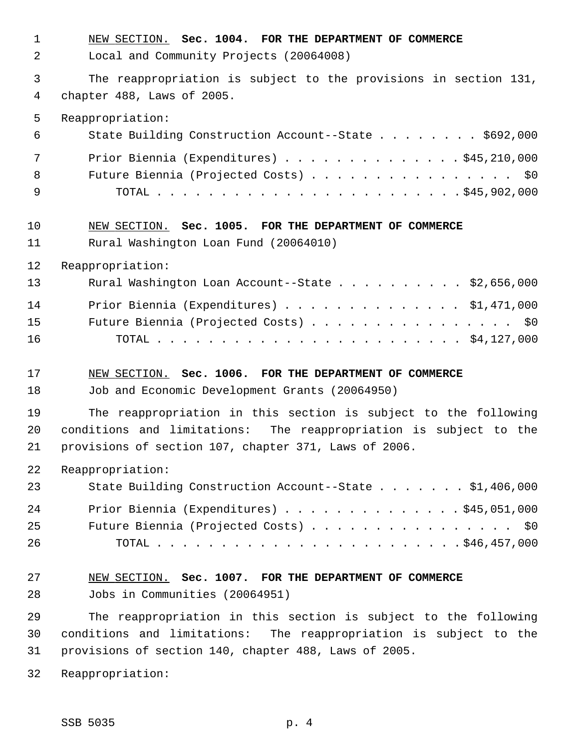| $\mathbf{1}$   | NEW SECTION. Sec. 1004. FOR THE DEPARTMENT OF COMMERCE            |
|----------------|-------------------------------------------------------------------|
| $\overline{2}$ | Local and Community Projects (20064008)                           |
| 3              | The reappropriation is subject to the provisions in section 131,  |
| $\overline{4}$ | chapter 488, Laws of 2005.                                        |
| 5              | Reappropriation:                                                  |
| 6              | State Building Construction Account--State \$692,000              |
| 7              | Prior Biennia (Expenditures) \$45,210,000                         |
| 8              | Future Biennia (Projected Costs) \$0                              |
| 9              |                                                                   |
| 10             | NEW SECTION. Sec. 1005. FOR THE DEPARTMENT OF COMMERCE            |
| 11             | Rural Washington Loan Fund (20064010)                             |
| 12             | Reappropriation:                                                  |
| 13             | Rural Washington Loan Account--State \$2,656,000                  |
| 14             | Prior Biennia (Expenditures) \$1,471,000                          |
| 15             | Future Biennia (Projected Costs) \$0                              |
| 16             |                                                                   |
| 17             | NEW SECTION. Sec. 1006. FOR THE DEPARTMENT OF COMMERCE            |
| 18             | Job and Economic Development Grants (20064950)                    |
| 19             | The reappropriation in this section is subject to the following   |
| 20             | conditions and limitations: The reappropriation is subject to the |
| 21             | provisions of section 107, chapter 371, Laws of 2006.             |
| 22             | Reappropriation:                                                  |
| 23             | State Building Construction Account--State \$1,406,000            |
| 24             | Prior Biennia (Expenditures) \$45,051,000                         |
| 25             | Future Biennia (Projected Costs) \$0                              |
| 26             |                                                                   |
| 27             | NEW SECTION. Sec. 1007. FOR THE DEPARTMENT OF COMMERCE            |
| 28             | Jobs in Communities (20064951)                                    |
| 29             | The reappropriation in this section is subject to the following   |
| 30             | conditions and limitations: The reappropriation is subject to the |
| 31             | provisions of section 140, chapter 488, Laws of 2005.             |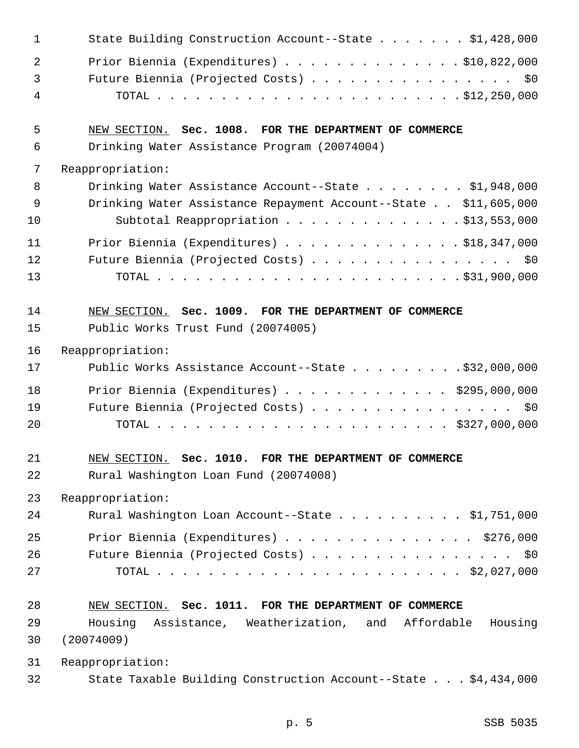| 1              | State Building Construction Account--State \$1,428,000          |
|----------------|-----------------------------------------------------------------|
| 2              | Prior Biennia (Expenditures) \$10,822,000                       |
| $\mathfrak{Z}$ | Future Biennia (Projected Costs) \$0                            |
| 4              |                                                                 |
| 5              | NEW SECTION. Sec. 1008. FOR THE DEPARTMENT OF COMMERCE          |
| 6              | Drinking Water Assistance Program (20074004)                    |
| 7              | Reappropriation:                                                |
| 8              | Drinking Water Assistance Account--State \$1,948,000            |
| 9              | Drinking Water Assistance Repayment Account--State \$11,605,000 |
| 10             | Subtotal Reappropriation \$13,553,000                           |
| 11             | Prior Biennia (Expenditures) \$18,347,000                       |
| 12             | Future Biennia (Projected Costs) \$0                            |
| 13             |                                                                 |
| 14             | NEW SECTION. Sec. 1009. FOR THE DEPARTMENT OF COMMERCE          |
| 15             | Public Works Trust Fund (20074005)                              |
| 16             | Reappropriation:                                                |
| 17             | Public Works Assistance Account--State $\ldots$ 932,000,000     |
| 18             | Prior Biennia (Expenditures) \$295,000,000                      |
| 19             | Future Biennia (Projected Costs) \$0                            |
| 20             |                                                                 |
| 21             | NEW SECTION. Sec. 1010. FOR THE DEPARTMENT OF COMMERCE          |
| 22             | Rural Washington Loan Fund (20074008)                           |
| 23             | Reappropriation:                                                |
| 24             | Rural Washington Loan Account--State \$1,751,000                |
| 25             | Prior Biennia (Expenditures) \$276,000                          |
| 26             | Future Biennia (Projected Costs) \$0                            |
| 27             |                                                                 |
| 28             | NEW SECTION. Sec. 1011. FOR THE DEPARTMENT OF COMMERCE          |
| 29             | Housing Assistance, Weatherization, and Affordable<br>Housing   |
| 30             | (20074009)                                                      |
| 31             | Reappropriation:                                                |
| 32             | State Taxable Building Construction Account--State \$4,434,000  |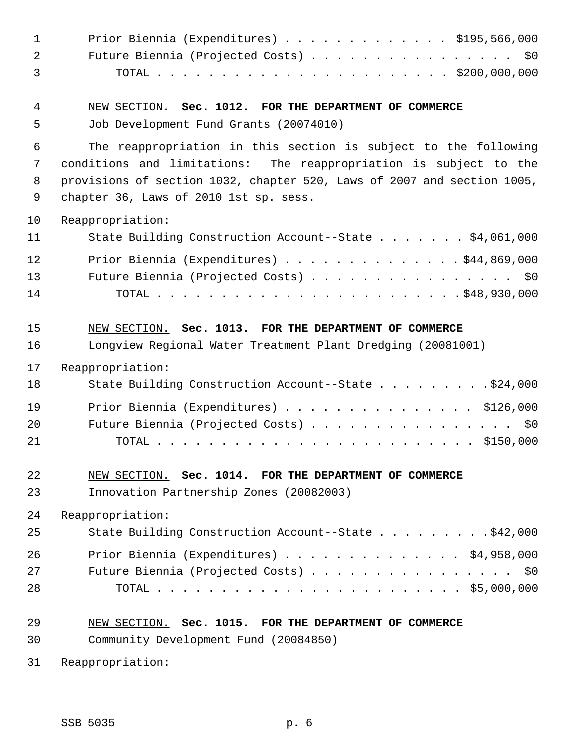| $\mathbf 1$    | Prior Biennia (Expenditures) \$195,566,000                                                                                           |
|----------------|--------------------------------------------------------------------------------------------------------------------------------------|
| $\overline{2}$ | Future Biennia (Projected Costs) \$0                                                                                                 |
| 3              |                                                                                                                                      |
| 4              | NEW SECTION. Sec. 1012. FOR THE DEPARTMENT OF COMMERCE                                                                               |
| 5              | Job Development Fund Grants (20074010)                                                                                               |
| 6<br>7         | The reappropriation in this section is subject to the following<br>conditions and limitations: The reappropriation is subject to the |
| 8              | provisions of section 1032, chapter 520, Laws of 2007 and section 1005,                                                              |
| 9              | chapter 36, Laws of 2010 1st sp. sess.                                                                                               |
| 10             | Reappropriation:                                                                                                                     |
| 11             | State Building Construction Account--State \$4,061,000                                                                               |
| 12             | Prior Biennia (Expenditures) \$44,869,000                                                                                            |
| 13             | Future Biennia (Projected Costs) \$0                                                                                                 |
| 14             |                                                                                                                                      |
|                |                                                                                                                                      |
| 15             | NEW SECTION. Sec. 1013. FOR THE DEPARTMENT OF COMMERCE                                                                               |
| 16             | Longview Regional Water Treatment Plant Dredging (20081001)                                                                          |
| 17             | Reappropriation:                                                                                                                     |
| 18             | State Building Construction Account--State \$24,000                                                                                  |
| 19             | Prior Biennia (Expenditures) \$126,000                                                                                               |
| 20             | Future Biennia (Projected Costs) \$0                                                                                                 |
| 21             |                                                                                                                                      |
| 22             | NEW SECTION. Sec. 1014. FOR THE DEPARTMENT OF COMMERCE                                                                               |
| 23             | Innovation Partnership Zones (20082003)                                                                                              |
| 24             | Reappropriation:                                                                                                                     |
| 25             | State Building Construction Account--State \$42,000                                                                                  |
| 26             | Prior Biennia (Expenditures) \$4,958,000                                                                                             |
| 27             | Future Biennia (Projected Costs) \$0                                                                                                 |
| 28             |                                                                                                                                      |
|                |                                                                                                                                      |
| 29             | NEW SECTION. Sec. 1015. FOR THE DEPARTMENT OF COMMERCE                                                                               |
| 30             | Community Development Fund (20084850)                                                                                                |
| 31             | Reappropriation:                                                                                                                     |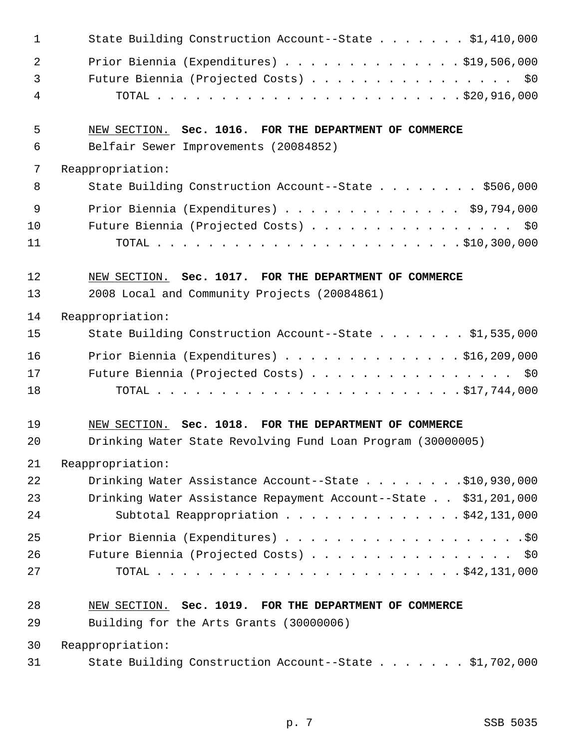| 1            | State Building Construction Account--State \$1,410,000          |
|--------------|-----------------------------------------------------------------|
| 2            | Prior Biennia (Expenditures) \$19,506,000                       |
| $\mathbf{3}$ | Future Biennia (Projected Costs) \$0                            |
| 4            |                                                                 |
| 5            | NEW SECTION. Sec. 1016. FOR THE DEPARTMENT OF COMMERCE          |
| 6            | Belfair Sewer Improvements (20084852)                           |
| 7            | Reappropriation:                                                |
| 8            | State Building Construction Account--State \$506,000            |
| 9            | Prior Biennia (Expenditures) \$9,794,000                        |
| 10           | Future Biennia (Projected Costs) \$0                            |
| 11           |                                                                 |
| 12           | NEW SECTION. Sec. 1017. FOR THE DEPARTMENT OF COMMERCE          |
| 13           | 2008 Local and Community Projects (20084861)                    |
| 14           | Reappropriation:                                                |
| 15           | State Building Construction Account--State \$1,535,000          |
| 16           | Prior Biennia (Expenditures) $\ldots$ \$16,209,000              |
| 17           | Future Biennia (Projected Costs) \$0                            |
| 18           |                                                                 |
| 19           | NEW SECTION. Sec. 1018. FOR THE DEPARTMENT OF COMMERCE          |
| 20           | Drinking Water State Revolving Fund Loan Program (30000005)     |
| 21           | Reappropriation:                                                |
| 22           | Drinking Water Assistance Account--State \$10,930,000           |
| 23           | Drinking Water Assistance Repayment Account--State \$31,201,000 |
| 24           | Subtotal Reappropriation \$42,131,000                           |
| 25           |                                                                 |
| 26           | Future Biennia (Projected Costs) \$0                            |
| 27           |                                                                 |
| 28           | NEW SECTION. Sec. 1019. FOR THE DEPARTMENT OF COMMERCE          |
| 29           | Building for the Arts Grants (30000006)                         |
| 30           | Reappropriation:                                                |
| 31           | State Building Construction Account--State \$1,702,000          |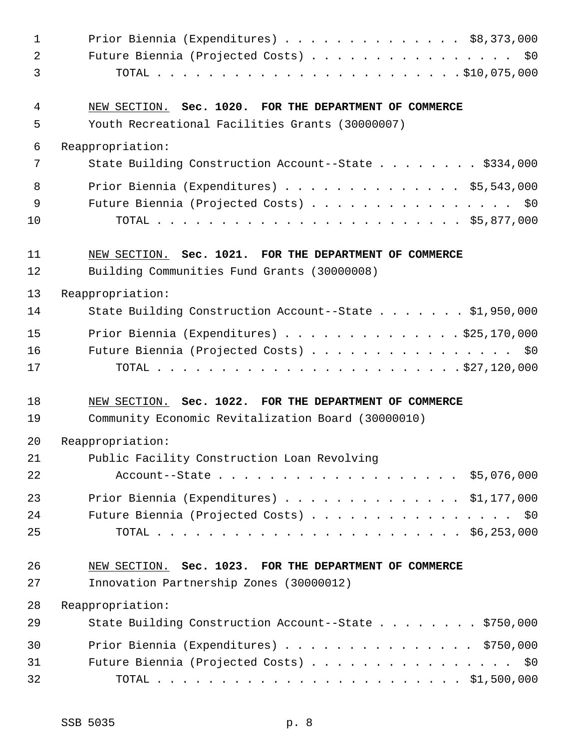| $\mathbf 1$ | Prior Biennia (Expenditures) $\ldots$ \$8,373,000                                                     |
|-------------|-------------------------------------------------------------------------------------------------------|
| 2           | Future Biennia (Projected Costs) \$0                                                                  |
| 3           |                                                                                                       |
| 4           | NEW SECTION. Sec. 1020. FOR THE DEPARTMENT OF COMMERCE                                                |
| 5           | Youth Recreational Facilities Grants (30000007)                                                       |
| 6           | Reappropriation:                                                                                      |
| 7           | State Building Construction Account--State \$334,000                                                  |
| 8           | Prior Biennia (Expenditures) \$5,543,000                                                              |
| 9           | Future Biennia (Projected Costs) \$0                                                                  |
| 10          |                                                                                                       |
| 11<br>12    | NEW SECTION. Sec. 1021. FOR THE DEPARTMENT OF COMMERCE<br>Building Communities Fund Grants (30000008) |
| 13          | Reappropriation:                                                                                      |
| 14          | State Building Construction Account--State \$1,950,000                                                |
| 15          | Prior Biennia (Expenditures) $\ldots$ \$25,170,000                                                    |
| 16          | Future Biennia (Projected Costs) \$0                                                                  |
| 17          |                                                                                                       |
| 18          | NEW SECTION. Sec. 1022. FOR THE DEPARTMENT OF COMMERCE                                                |
| 19          | Community Economic Revitalization Board (30000010)                                                    |
| 20          | Reappropriation:                                                                                      |
| 21          | Public Facility Construction Loan Revolving                                                           |
| 22          | Account--State \$5,076,000                                                                            |
| 23          | Prior Biennia (Expenditures) $\ldots$ \$1,177,000                                                     |
| 24          | Future Biennia (Projected Costs) \$0                                                                  |
| 25          |                                                                                                       |
| 26          | NEW SECTION. Sec. 1023. FOR THE DEPARTMENT OF COMMERCE                                                |
| 27          | Innovation Partnership Zones (30000012)                                                               |
| 28          | Reappropriation:                                                                                      |
| 29          | State Building Construction Account--State \$750,000                                                  |
| 30          | Prior Biennia (Expenditures) \$750,000                                                                |
| 31          | Future Biennia (Projected Costs) \$0                                                                  |
| 32          |                                                                                                       |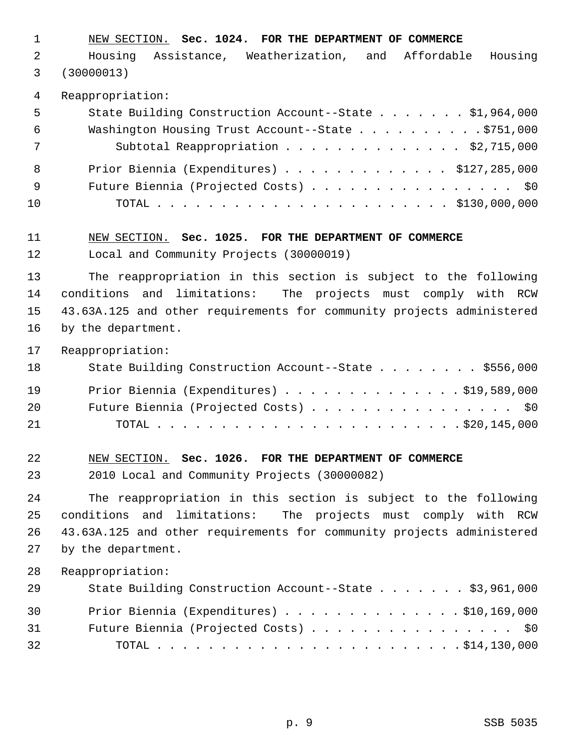1 NEW SECTION. **Sec. 1024. FOR THE DEPARTMENT OF COMMERCE**

 2 Housing Assistance, Weatherization, and Affordable Housing 3 (30000013)

4 Reappropriation:

| 5   | State Building Construction Account--State \$1,964,000 |
|-----|--------------------------------------------------------|
| - 6 | Washington Housing Trust Account--State \$751,000      |
| 7   | Subtotal Reappropriation \$2,715,000                   |
| - 8 | Prior Biennia (Expenditures) $\ldots$ \$127,285,000    |
| - 9 | Future Biennia (Projected Costs) \$0                   |
| 10  |                                                        |

11 NEW SECTION. **Sec. 1025. FOR THE DEPARTMENT OF COMMERCE** 12 Local and Community Projects (30000019)

13 The reappropriation in this section is subject to the following 14 conditions and limitations: The projects must comply with RCW 15 43.63A.125 and other requirements for community projects administered 16 by the department.

17 Reappropriation:

| 18 | State Building Construction Account--State \$556,000 |
|----|------------------------------------------------------|
| 19 | Prior Biennia (Expenditures) \$19,589,000            |
| 20 | Future Biennia (Projected Costs) \$0                 |
| 21 |                                                      |

22 NEW SECTION. **Sec. 1026. FOR THE DEPARTMENT OF COMMERCE**

23 2010 Local and Community Projects (30000082)

24 The reappropriation in this section is subject to the following 25 conditions and limitations: The projects must comply with RCW 26 43.63A.125 and other requirements for community projects administered 27 by the department.

| 29 | State Building Construction Account--State \$3,961,000 |
|----|--------------------------------------------------------|
| 30 | Prior Biennia (Expenditures) $\ldots$ \$10,169,000     |
| 31 | Future Biennia (Projected Costs) \$0                   |
| 32 |                                                        |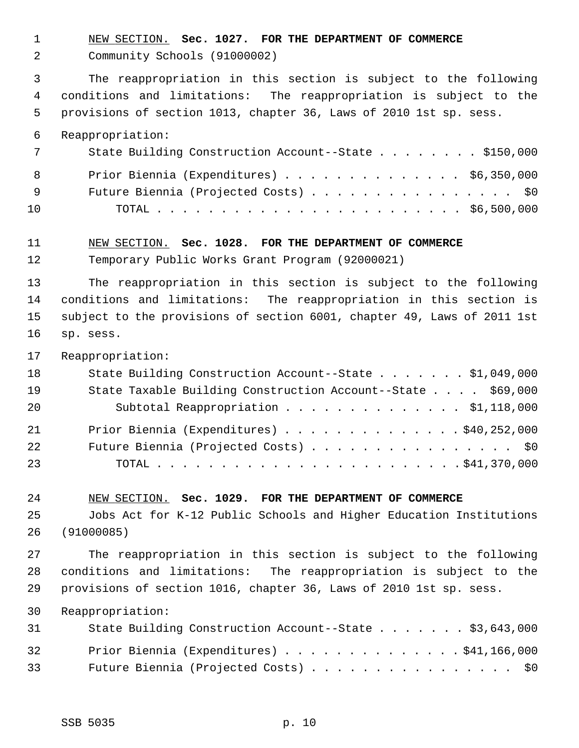- 1 NEW SECTION. **Sec. 1027. FOR THE DEPARTMENT OF COMMERCE**
- 2 Community Schools (91000002)

 3 The reappropriation in this section is subject to the following 4 conditions and limitations: The reappropriation is subject to the 5 provisions of section 1013, chapter 36, Laws of 2010 1st sp. sess.

6 Reappropriation:

|     | State Building Construction Account--State \$150,000 |
|-----|------------------------------------------------------|
| 8   | Prior Biennia (Expenditures) $\ldots$ \$6,350,000    |
| - 9 | Future Biennia (Projected Costs) \$0                 |
| 10  |                                                      |

#### 11 NEW SECTION. **Sec. 1028. FOR THE DEPARTMENT OF COMMERCE**

12 Temporary Public Works Grant Program (92000021)

13 The reappropriation in this section is subject to the following 14 conditions and limitations: The reappropriation in this section is 15 subject to the provisions of section 6001, chapter 49, Laws of 2011 1st 16 sp. sess.

17 Reappropriation:

| 18 | State Building Construction Account--State \$1,049,000      |
|----|-------------------------------------------------------------|
| 19 | State Taxable Building Construction Account--State \$69,000 |
| 20 | Subtotal Reappropriation \$1,118,000                        |
| 21 | Prior Biennia (Expenditures) $\ldots$ 940, 252, 000         |
| 22 | Future Biennia (Projected Costs) \$0                        |
| 23 |                                                             |

24 NEW SECTION. **Sec. 1029. FOR THE DEPARTMENT OF COMMERCE**

25 Jobs Act for K-12 Public Schools and Higher Education Institutions 26 (91000085)

27 The reappropriation in this section is subject to the following 28 conditions and limitations: The reappropriation is subject to the 29 provisions of section 1016, chapter 36, Laws of 2010 1st sp. sess.

| 31 | State Building Construction Account--State \$3,643,000 |
|----|--------------------------------------------------------|
| 32 | Prior Biennia (Expenditures) $\ldots$ \$41,166,000     |
| 33 | Future Biennia (Projected Costs) \$0                   |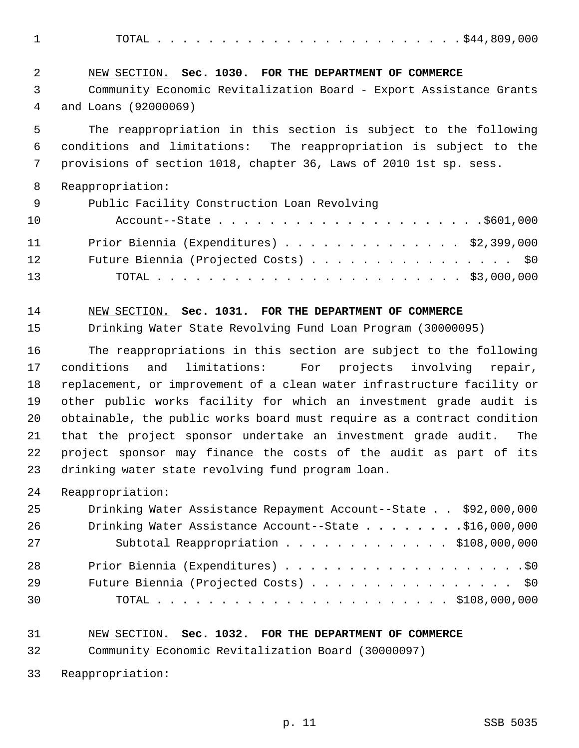1 TOTAL . . . . . . . . . . . . . . . . . . . . . . . . \$44,809,000

| 2   | NEW SECTION. Sec. 1030. FOR THE DEPARTMENT OF COMMERCE             |
|-----|--------------------------------------------------------------------|
| 3   | Community Economic Revitalization Board - Export Assistance Grants |
| 4   | and Loans (92000069)                                               |
| 5   | The reappropriation in this section is subject to the following    |
| 6   | conditions and limitations: The reappropriation is subject to the  |
| 7   | provisions of section 1018, chapter 36, Laws of 2010 1st sp. sess. |
| 8   | Reappropriation:                                                   |
| - 9 | Public Facility Construction Loan Revolving                        |
| 10  |                                                                    |
| 11  | Prior Biennia (Expenditures) $\ldots$ \$2,399,000                  |
| 12  | Future Biennia (Projected Costs) $\cdots$ \$0                      |

13 TOTAL . . . . . . . . . . . . . . . . . . . . . . . . \$3,000,000

14 NEW SECTION. **Sec. 1031. FOR THE DEPARTMENT OF COMMERCE**

15 Drinking Water State Revolving Fund Loan Program (30000095)

16 The reappropriations in this section are subject to the following 17 conditions and limitations: For projects involving repair, 18 replacement, or improvement of a clean water infrastructure facility or 19 other public works facility for which an investment grade audit is 20 obtainable, the public works board must require as a contract condition 21 that the project sponsor undertake an investment grade audit. The 22 project sponsor may finance the costs of the audit as part of its 23 drinking water state revolving fund program loan.

| 25 | Drinking Water Assistance Repayment Account--State \$92,000,000 |
|----|-----------------------------------------------------------------|
| 26 | Drinking Water Assistance Account--State \$16,000,000           |
| 27 | Subtotal Reappropriation \$108,000,000                          |
| 28 |                                                                 |
| 29 | Future Biennia (Projected Costs) \$0                            |
| 30 |                                                                 |

- 31 NEW SECTION. **Sec. 1032. FOR THE DEPARTMENT OF COMMERCE**
- 32 Community Economic Revitalization Board (30000097)
- 33 Reappropriation: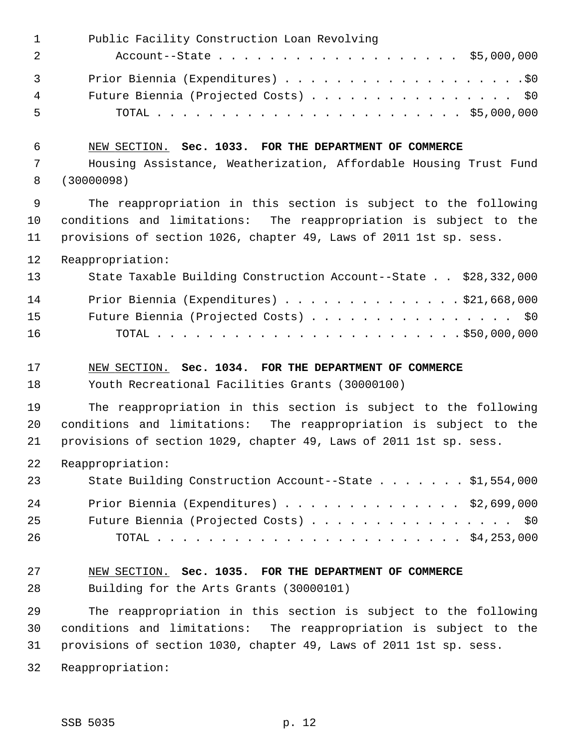| $\mathbf 1$ | Public Facility Construction Loan Revolving                        |
|-------------|--------------------------------------------------------------------|
| 2           |                                                                    |
| 3           |                                                                    |
| 4           | Future Biennia (Projected Costs) \$0                               |
| 5           |                                                                    |
| 6           | NEW SECTION. Sec. 1033. FOR THE DEPARTMENT OF COMMERCE             |
| 7           | Housing Assistance, Weatherization, Affordable Housing Trust Fund  |
| 8           | (30000098)                                                         |
| $\mathsf 9$ | The reappropriation in this section is subject to the following    |
| 10          | conditions and limitations: The reappropriation is subject to the  |
| 11          | provisions of section 1026, chapter 49, Laws of 2011 1st sp. sess. |
| 12          | Reappropriation:                                                   |
| 13          | State Taxable Building Construction Account--State \$28,332,000    |
| 14          | Prior Biennia (Expenditures) \$21,668,000                          |
| 15          | Future Biennia (Projected Costs) \$0                               |
| 16          |                                                                    |
|             |                                                                    |
| 17          | NEW SECTION. Sec. 1034. FOR THE DEPARTMENT OF COMMERCE             |
| 18          | Youth Recreational Facilities Grants (30000100)                    |
| 19          | The reappropriation in this section is subject to the following    |
| 20          | conditions and limitations: The reappropriation is subject to the  |
| 21          | provisions of section 1029, chapter 49, Laws of 2011 1st sp. sess. |
| 22          | Reappropriation:                                                   |
| 23          | State Building Construction Account--State \$1,554,000             |
| 24          | Prior Biennia (Expenditures) $\ldots$ \$2,699,000                  |
| 25          | Future Biennia (Projected Costs) \$0                               |
| 26          |                                                                    |
| 27          | NEW SECTION. Sec. 1035. FOR THE DEPARTMENT OF COMMERCE             |
| 28          | Building for the Arts Grants (30000101)                            |
| 29          | The reappropriation in this section is subject to the following    |
| 30          | conditions and limitations: The reappropriation is subject to the  |
| 31          | provisions of section 1030, chapter 49, Laws of 2011 1st sp. sess. |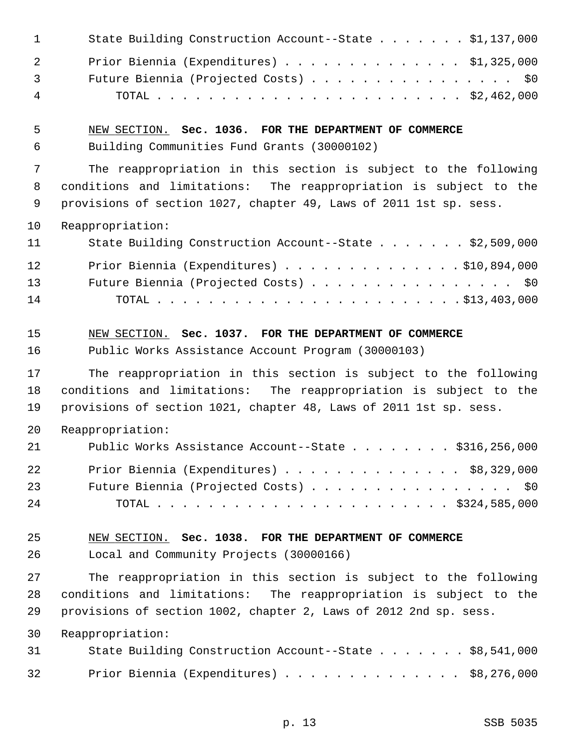| $\mathbf{1}$   | State Building Construction Account--State \$1,137,000             |
|----------------|--------------------------------------------------------------------|
| $\overline{2}$ | Prior Biennia (Expenditures) $\ldots$ \$1,325,000                  |
| 3              | Future Biennia (Projected Costs) \$0                               |
| $\overline{4}$ |                                                                    |
| 5              | NEW SECTION. Sec. 1036. FOR THE DEPARTMENT OF COMMERCE             |
| 6              | Building Communities Fund Grants (30000102)                        |
| 7              | The reappropriation in this section is subject to the following    |
| 8              | conditions and limitations: The reappropriation is subject to the  |
| 9              | provisions of section 1027, chapter 49, Laws of 2011 1st sp. sess. |
| 10             | Reappropriation:                                                   |
| 11             | State Building Construction Account--State \$2,509,000             |
| 12             | Prior Biennia (Expenditures) \$10,894,000                          |
| 13             | Future Biennia (Projected Costs) \$0                               |
| 14             |                                                                    |
| 15             | NEW SECTION. Sec. 1037. FOR THE DEPARTMENT OF COMMERCE             |
| 16             | Public Works Assistance Account Program (30000103)                 |
| 17             | The reappropriation in this section is subject to the following    |
| 18             | conditions and limitations: The reappropriation is subject to the  |
| 19             | provisions of section 1021, chapter 48, Laws of 2011 1st sp. sess. |
| 20             | Reappropriation:                                                   |
| 21             | Public Works Assistance Account--State \$316,256,000               |
| 22             | Prior Biennia (Expenditures) $\ldots$ \$8,329,000                  |
| 23             | Future Biennia (Projected Costs) \$0                               |
| 24             |                                                                    |
| 25             | NEW SECTION. Sec. 1038. FOR THE DEPARTMENT OF COMMERCE             |
| 26             | Local and Community Projects (30000166)                            |
| 27             | The reappropriation in this section is subject to the following    |
| 28             | conditions and limitations: The reappropriation is subject to the  |
| 29             | provisions of section 1002, chapter 2, Laws of 2012 2nd sp. sess.  |
| 30             | Reappropriation:                                                   |
| 31             | State Building Construction Account--State \$8,541,000             |
| 32             | Prior Biennia (Expenditures) \$8,276,000                           |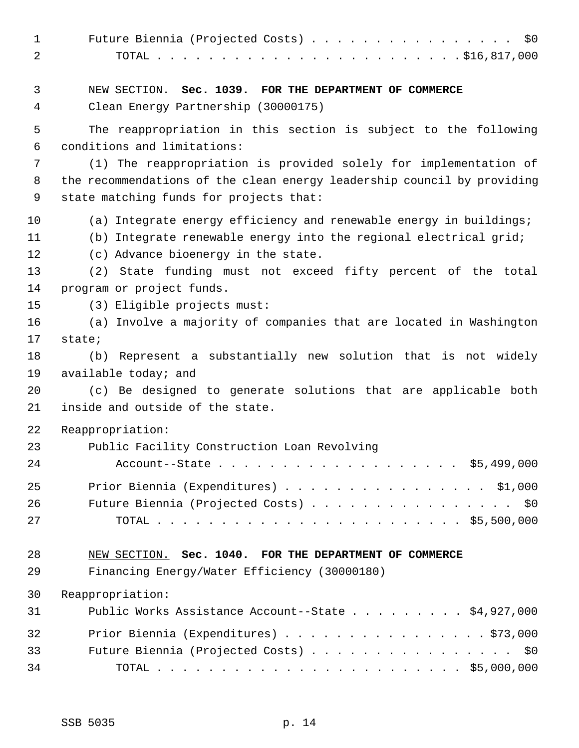| $\mathbf{1}$<br>$\overline{2}$ | Future Biennia (Projected Costs) \$0                                                   |
|--------------------------------|----------------------------------------------------------------------------------------|
|                                |                                                                                        |
| 3                              | NEW SECTION. Sec. 1039. FOR THE DEPARTMENT OF COMMERCE                                 |
| 4                              | Clean Energy Partnership (30000175)                                                    |
| 5                              | The reappropriation in this section is subject to the following                        |
| 6                              | conditions and limitations:                                                            |
| 7                              | (1) The reappropriation is provided solely for implementation of                       |
| 8                              | the recommendations of the clean energy leadership council by providing                |
| 9                              | state matching funds for projects that:                                                |
| 10                             | (a) Integrate energy efficiency and renewable energy in buildings;                     |
| 11                             | (b) Integrate renewable energy into the regional electrical grid;                      |
| 12                             | (c) Advance bioenergy in the state.                                                    |
| 13                             | (2) State funding must not exceed fifty percent of the total                           |
| 14                             | program or project funds.                                                              |
| 15                             | (3) Eligible projects must:                                                            |
| 16                             | (a) Involve a majority of companies that are located in Washington                     |
| 17                             | state;                                                                                 |
| 18                             | (b) Represent a substantially new solution that is not widely                          |
| 19<br>20                       | available today; and<br>(c) Be designed to generate solutions that are applicable both |
| 21                             | inside and outside of the state.                                                       |
|                                |                                                                                        |
| 22                             | Reappropriation:                                                                       |
| 23<br>24                       | Public Facility Construction Loan Revolving                                            |
|                                |                                                                                        |
| 25                             | Prior Biennia (Expenditures) \$1,000                                                   |
| 26                             | Future Biennia (Projected Costs) \$0                                                   |
| 27                             |                                                                                        |
| 28                             | NEW SECTION. Sec. 1040. FOR THE DEPARTMENT OF COMMERCE                                 |
| 29                             | Financing Energy/Water Efficiency (30000180)                                           |
| 30                             | Reappropriation:                                                                       |
| 31                             | Public Works Assistance Account--State \$4,927,000                                     |
| 32                             | Prior Biennia (Expenditures) \$73,000                                                  |
| 33                             | Future Biennia (Projected Costs) \$0                                                   |
| 34                             |                                                                                        |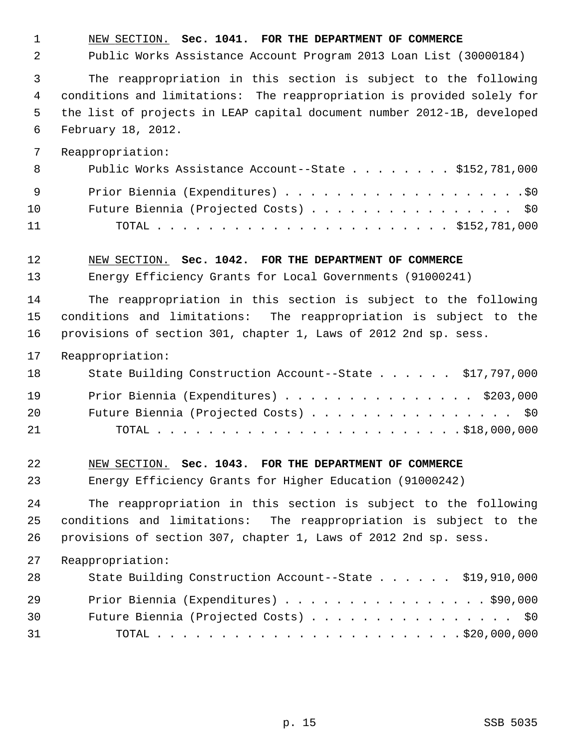1 NEW SECTION. **Sec. 1041. FOR THE DEPARTMENT OF COMMERCE**

2 Public Works Assistance Account Program 2013 Loan List (30000184)

 3 The reappropriation in this section is subject to the following 4 conditions and limitations: The reappropriation is provided solely for 5 the list of projects in LEAP capital document number 2012-1B, developed 6 February 18, 2012.

7 Reappropriation:

| - 8 | Public Works Assistance Account--State \$152,781,000 |
|-----|------------------------------------------------------|
| - 9 |                                                      |
| 10  | Future Biennia (Projected Costs) \$0                 |
| 11  |                                                      |

12 NEW SECTION. **Sec. 1042. FOR THE DEPARTMENT OF COMMERCE**

13 Energy Efficiency Grants for Local Governments (91000241)

14 The reappropriation in this section is subject to the following 15 conditions and limitations: The reappropriation is subject to the 16 provisions of section 301, chapter 1, Laws of 2012 2nd sp. sess.

17 Reappropriation:

| 18  | State Building Construction Account--State \$17,797,000 |
|-----|---------------------------------------------------------|
| 19  | Prior Biennia (Expenditures) \$203,000                  |
| 20  | Future Biennia (Projected Costs) \$0                    |
| 2.1 |                                                         |

22 NEW SECTION. **Sec. 1043. FOR THE DEPARTMENT OF COMMERCE**

23 Energy Efficiency Grants for Higher Education (91000242)

24 The reappropriation in this section is subject to the following 25 conditions and limitations: The reappropriation is subject to the 26 provisions of section 307, chapter 1, Laws of 2012 2nd sp. sess.

| 28 | State Building Construction Account--State \$19,910,000 |
|----|---------------------------------------------------------|
| 29 | Prior Biennia (Expenditures) \$90,000                   |
| 30 | Future Biennia (Projected Costs) \$0                    |
| 31 |                                                         |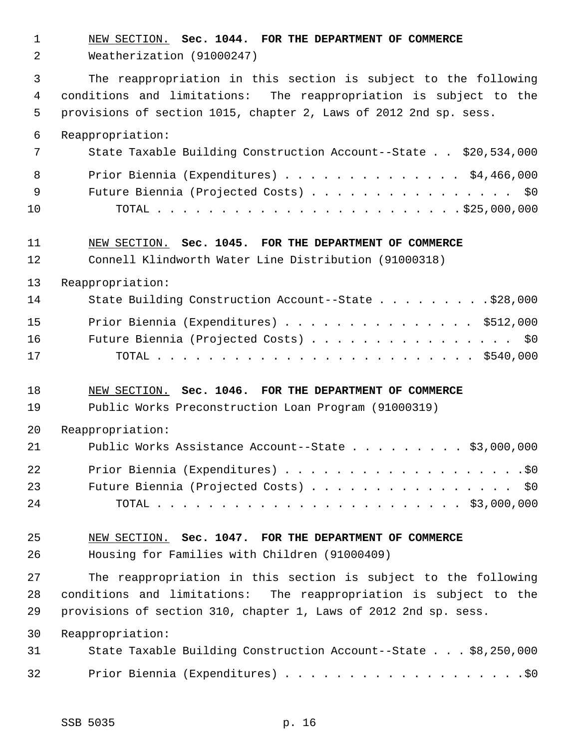1 NEW SECTION. **Sec. 1044. FOR THE DEPARTMENT OF COMMERCE** 2 Weatherization (91000247) 3 The reappropriation in this section is subject to the following 4 conditions and limitations: The reappropriation is subject to the 5 provisions of section 1015, chapter 2, Laws of 2012 2nd sp. sess. 6 Reappropriation: 7 State Taxable Building Construction Account--State . . \$20,534,000 8 Prior Biennia (Expenditures) . . . . . . . . . . . . . \$4,466,000 9 Future Biennia (Projected Costs) . . . . . . . . . . . . . . . . \$0 10 TOTAL . . . . . . . . . . . . . . . . . . . . . . . . \$25,000,000 11 NEW SECTION. **Sec. 1045. FOR THE DEPARTMENT OF COMMERCE** 12 Connell Klindworth Water Line Distribution (91000318) 13 Reappropriation: 14 State Building Construction Account--State . . . . . . . . . \$28,000 15 Prior Biennia (Expenditures) . . . . . . . . . . . . . . \$512,000 16 Future Biennia (Projected Costs) . . . . . . . . . . . . . . . . \$0 17 TOTAL . . . . . . . . . . . . . . . . . . . . . . . . . \$540,000 18 NEW SECTION. **Sec. 1046. FOR THE DEPARTMENT OF COMMERCE** 19 Public Works Preconstruction Loan Program (91000319) 20 Reappropriation: 21 Public Works Assistance Account--State . . . . . . . . . \$3,000,000 22 Prior Biennia (Expenditures) . . . . . . . . . . . . . . . . . . .\$0 23 Future Biennia (Projected Costs) . . . . . . . . . . . . . . . \$0 24 TOTAL . . . . . . . . . . . . . . . . . . . . . . . . \$3,000,000 25 NEW SECTION. **Sec. 1047. FOR THE DEPARTMENT OF COMMERCE** 26 Housing for Families with Children (91000409) 27 The reappropriation in this section is subject to the following 28 conditions and limitations: The reappropriation is subject to the 29 provisions of section 310, chapter 1, Laws of 2012 2nd sp. sess. 30 Reappropriation: 31 State Taxable Building Construction Account--State . . . \$8,250,000 32 Prior Biennia (Expenditures) . . . . . . . . . . . . . . . . . . .\$0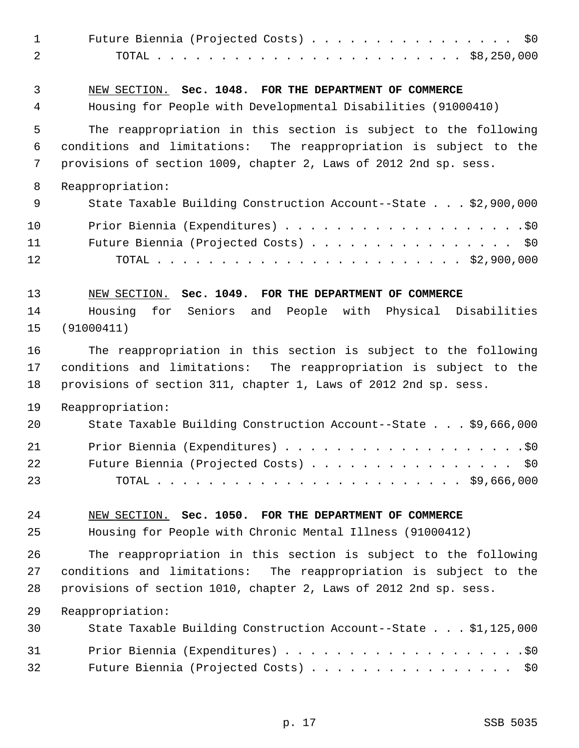| $\mathbf{1}$<br>$\overline{a}$ | Future Biennia (Projected Costs) \$0                                                                                                                                                                      |
|--------------------------------|-----------------------------------------------------------------------------------------------------------------------------------------------------------------------------------------------------------|
| 3<br>$\overline{4}$            | NEW SECTION. Sec. 1048. FOR THE DEPARTMENT OF COMMERCE<br>Housing for People with Developmental Disabilities (91000410)                                                                                   |
|                                |                                                                                                                                                                                                           |
| 5<br>6<br>7                    | The reappropriation in this section is subject to the following<br>conditions and limitations: The reappropriation is subject to the<br>provisions of section 1009, chapter 2, Laws of 2012 2nd sp. sess. |
| 8                              | Reappropriation:                                                                                                                                                                                          |
| 9                              | State Taxable Building Construction Account--State \$2,900,000                                                                                                                                            |
| 10<br>11<br>12                 | Future Biennia (Projected Costs) \$0                                                                                                                                                                      |
| 13                             | NEW SECTION. Sec. 1049. FOR THE DEPARTMENT OF COMMERCE                                                                                                                                                    |
| 14<br>15                       | Seniors and People with Physical Disabilities<br>Housing<br>for<br>(91000411)                                                                                                                             |
| 16<br>17<br>18                 | The reappropriation in this section is subject to the following<br>conditions and limitations: The reappropriation is subject to the<br>provisions of section 311, chapter 1, Laws of 2012 2nd sp. sess.  |
| 19                             | Reappropriation:                                                                                                                                                                                          |
| 20                             | State Taxable Building Construction Account--State \$9,666,000                                                                                                                                            |
| 21<br>22<br>23                 | Future Biennia (Projected Costs) \$0                                                                                                                                                                      |
| 24                             | NEW SECTION. Sec. 1050. FOR THE DEPARTMENT OF COMMERCE                                                                                                                                                    |
| 25                             | Housing for People with Chronic Mental Illness (91000412)                                                                                                                                                 |
| 26<br>27<br>28                 | The reappropriation in this section is subject to the following<br>conditions and limitations: The reappropriation is subject to the<br>provisions of section 1010, chapter 2, Laws of 2012 2nd sp. sess. |
| 29                             | Reappropriation:                                                                                                                                                                                          |
| 30                             | State Taxable Building Construction Account--State \$1,125,000                                                                                                                                            |
| 31<br>32                       | Future Biennia (Projected Costs) \$0                                                                                                                                                                      |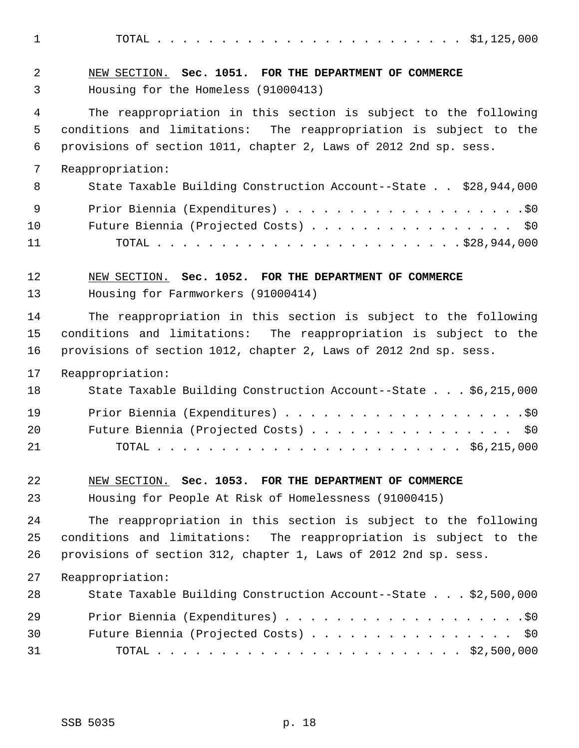1 TOTAL . . . . . . . . . . . . . . . . . . . . . . . . \$1,125,000

 2 NEW SECTION. **Sec. 1051. FOR THE DEPARTMENT OF COMMERCE** 3 Housing for the Homeless (91000413) 4 The reappropriation in this section is subject to the following 5 conditions and limitations: The reappropriation is subject to the 6 provisions of section 1011, chapter 2, Laws of 2012 2nd sp. sess. 7 Reappropriation: 8 State Taxable Building Construction Account--State . . \$28,944,000 9 Prior Biennia (Expenditures) . . . . . . . . . . . . . . . . . . .\$0 10 Future Biennia (Projected Costs) . . . . . . . . . . . . . . . . \$0 11 TOTAL . . . . . . . . . . . . . . . . . . . . . . . . \$28,944,000 12 NEW SECTION. **Sec. 1052. FOR THE DEPARTMENT OF COMMERCE** 13 Housing for Farmworkers (91000414) 14 The reappropriation in this section is subject to the following 15 conditions and limitations: The reappropriation is subject to the 16 provisions of section 1012, chapter 2, Laws of 2012 2nd sp. sess. 17 Reappropriation: 18 State Taxable Building Construction Account--State . . . \$6,215,000 19 Prior Biennia (Expenditures) . . . . . . . . . . . . . . . . . . .\$0 20 Future Biennia (Projected Costs) . . . . . . . . . . . . . . . . \$0 21 TOTAL . . . . . . . . . . . . . . . . . . . . . . . . \$6,215,000 22 NEW SECTION. **Sec. 1053. FOR THE DEPARTMENT OF COMMERCE** 23 Housing for People At Risk of Homelessness (91000415) 24 The reappropriation in this section is subject to the following 25 conditions and limitations: The reappropriation is subject to the 26 provisions of section 312, chapter 1, Laws of 2012 2nd sp. sess. 27 Reappropriation: 28 State Taxable Building Construction Account--State . . . \$2,500,000

| 29 |                                      |
|----|--------------------------------------|
| 30 | Future Biennia (Projected Costs) \$0 |
| 31 |                                      |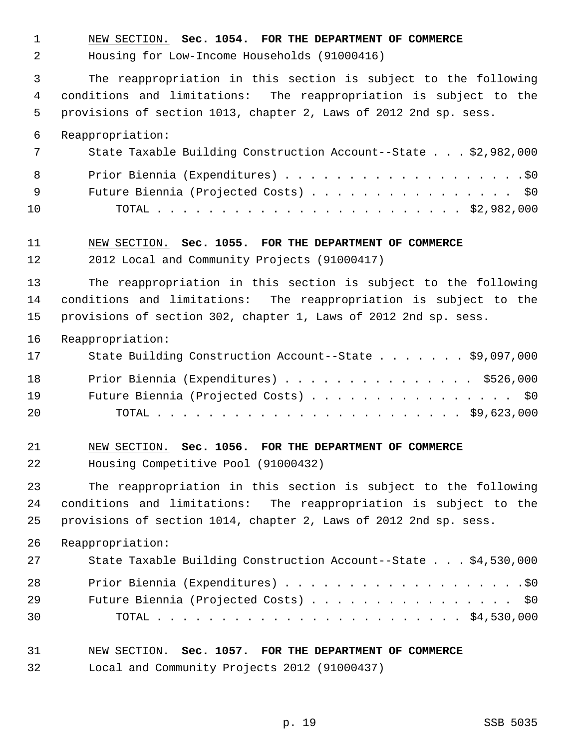1 NEW SECTION. **Sec. 1054. FOR THE DEPARTMENT OF COMMERCE**

2 Housing for Low-Income Households (91000416)

 3 The reappropriation in this section is subject to the following 4 conditions and limitations: The reappropriation is subject to the 5 provisions of section 1013, chapter 2, Laws of 2012 2nd sp. sess.

6 Reappropriation:

|     | State Taxable Building Construction Account--State \$2,982,000 |
|-----|----------------------------------------------------------------|
| 8   |                                                                |
| - 9 | Future Biennia (Projected Costs) \$0                           |
| 10  |                                                                |

#### 11 NEW SECTION. **Sec. 1055. FOR THE DEPARTMENT OF COMMERCE**

12 2012 Local and Community Projects (91000417)

13 The reappropriation in this section is subject to the following 14 conditions and limitations: The reappropriation is subject to the 15 provisions of section 302, chapter 1, Laws of 2012 2nd sp. sess.

16 Reappropriation:

| 17 | State Building Construction Account--State \$9,097,000 |
|----|--------------------------------------------------------|
| 18 | Prior Biennia (Expenditures) \$526,000                 |
| 19 | Future Biennia (Projected Costs) \$0                   |
| 20 |                                                        |

# 21 NEW SECTION. **Sec. 1056. FOR THE DEPARTMENT OF COMMERCE** 22 Housing Competitive Pool (91000432)

23 The reappropriation in this section is subject to the following 24 conditions and limitations: The reappropriation is subject to the 25 provisions of section 1014, chapter 2, Laws of 2012 2nd sp. sess.

26 Reappropriation:

| 27 | State Taxable Building Construction Account--State \$4,530,000 |
|----|----------------------------------------------------------------|
| 28 |                                                                |
| 29 | Future Biennia (Projected Costs) \$0                           |
| 30 |                                                                |

#### 31 NEW SECTION. **Sec. 1057. FOR THE DEPARTMENT OF COMMERCE**

32 Local and Community Projects 2012 (91000437)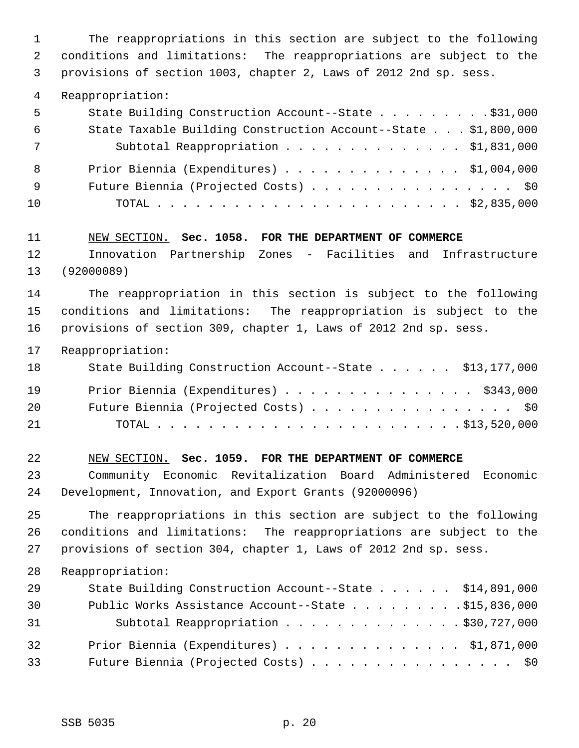1 The reappropriations in this section are subject to the following 2 conditions and limitations: The reappropriations are subject to the 3 provisions of section 1003, chapter 2, Laws of 2012 2nd sp. sess.

4 Reappropriation:

| State Building Construction Account--State \$31,000            |
|----------------------------------------------------------------|
| State Taxable Building Construction Account--State \$1,800,000 |
| Subtotal Reappropriation \$1,831,000                           |
| Prior Biennia (Expenditures) $\ldots$ \$1,004,000              |
| Future Biennia (Projected Costs) \$0                           |
|                                                                |
|                                                                |

11 NEW SECTION. **Sec. 1058. FOR THE DEPARTMENT OF COMMERCE**

12 Innovation Partnership Zones - Facilities and Infrastructure 13 (92000089)

14 The reappropriation in this section is subject to the following 15 conditions and limitations: The reappropriation is subject to the 16 provisions of section 309, chapter 1, Laws of 2012 2nd sp. sess.

17 Reappropriation:

| 18 | State Building Construction Account--State \$13,177,000 |
|----|---------------------------------------------------------|
| 19 | Prior Biennia (Expenditures) \$343,000                  |
| 20 | Future Biennia (Projected Costs) \$0                    |
| 21 |                                                         |

22 NEW SECTION. **Sec. 1059. FOR THE DEPARTMENT OF COMMERCE** 23 Community Economic Revitalization Board Administered Economic 24 Development, Innovation, and Export Grants (92000096)

25 The reappropriations in this section are subject to the following 26 conditions and limitations: The reappropriations are subject to the 27 provisions of section 304, chapter 1, Laws of 2012 2nd sp. sess.

| 29 | State Building Construction Account--State \$14,891,000 |
|----|---------------------------------------------------------|
| 30 | Public Works Assistance Account--State \$15,836,000     |
| 31 | Subtotal Reappropriation \$30,727,000                   |
| 32 | Prior Biennia (Expenditures) \$1,871,000                |
| 33 | Future Biennia (Projected Costs) \$0                    |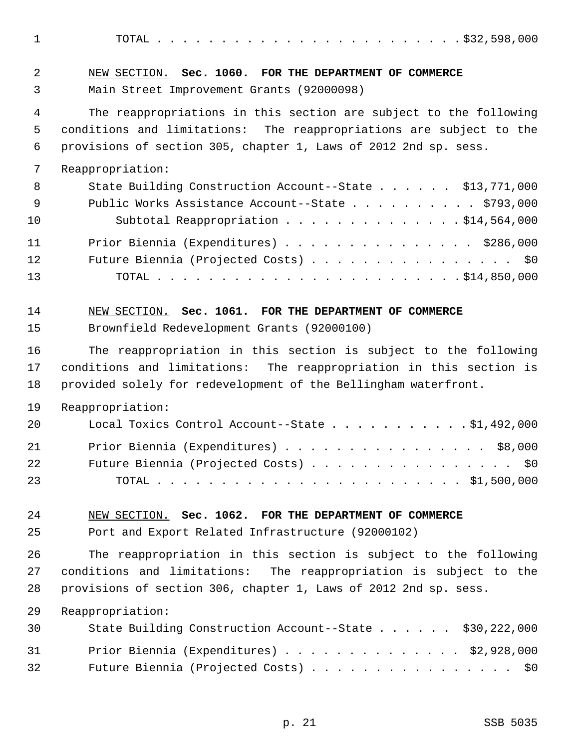1 TOTAL . . . . . . . . . . . . . . . . . . . . . . . . \$32,598,000

| $\overline{2}$ | NEW SECTION. Sec. 1060. FOR THE DEPARTMENT OF COMMERCE                                                                                   |
|----------------|------------------------------------------------------------------------------------------------------------------------------------------|
| 3              | Main Street Improvement Grants (92000098)                                                                                                |
| 4<br>5         | The reappropriations in this section are subject to the following<br>conditions and limitations: The reappropriations are subject to the |
| 6              | provisions of section 305, chapter 1, Laws of 2012 2nd sp. sess.                                                                         |
| 7              | Reappropriation:                                                                                                                         |
| 8              | State Building Construction Account--State \$13,771,000                                                                                  |
| 9              | Public Works Assistance Account--State \$793,000                                                                                         |
| 10             | Subtotal Reappropriation \$14,564,000                                                                                                    |
| 11             | Prior Biennia (Expenditures) \$286,000                                                                                                   |
| 12             | Future Biennia (Projected Costs) \$0                                                                                                     |
| 13             |                                                                                                                                          |
| 14             | NEW SECTION. Sec. 1061. FOR THE DEPARTMENT OF COMMERCE                                                                                   |
| 15             | Brownfield Redevelopment Grants (92000100)                                                                                               |
| 16             | The reappropriation in this section is subject to the following                                                                          |
| 17             | conditions and limitations: The reappropriation in this section is                                                                       |
| 18             | provided solely for redevelopment of the Bellingham waterfront.                                                                          |
| 19             | Reappropriation:                                                                                                                         |
| 20             | Local Toxics Control Account--State $\ldots$ \$1,492,000                                                                                 |
| 21             | Prior Biennia (Expenditures) \$8,000                                                                                                     |
| 22             | Future Biennia (Projected Costs)<br>\$0                                                                                                  |
| 23             | $\cdot$ \$1,500,000<br>TOTAL .                                                                                                           |
| 24             | NEW SECTION. Sec. 1062. FOR THE DEPARTMENT OF COMMERCE                                                                                   |
| 25             | Port and Export Related Infrastructure (92000102)                                                                                        |
| 26             | The reappropriation in this section is subject to the following                                                                          |
| 27             | conditions and limitations: The reappropriation is subject to the                                                                        |
| 28             | provisions of section 306, chapter 1, Laws of 2012 2nd sp. sess.                                                                         |
| 29             | Reappropriation:                                                                                                                         |
| 30             | State Building Construction Account--State \$30,222,000                                                                                  |
| 31             | Prior Biennia (Expenditures) \$2,928,000                                                                                                 |
| 32             | Future Biennia (Projected Costs) \$0                                                                                                     |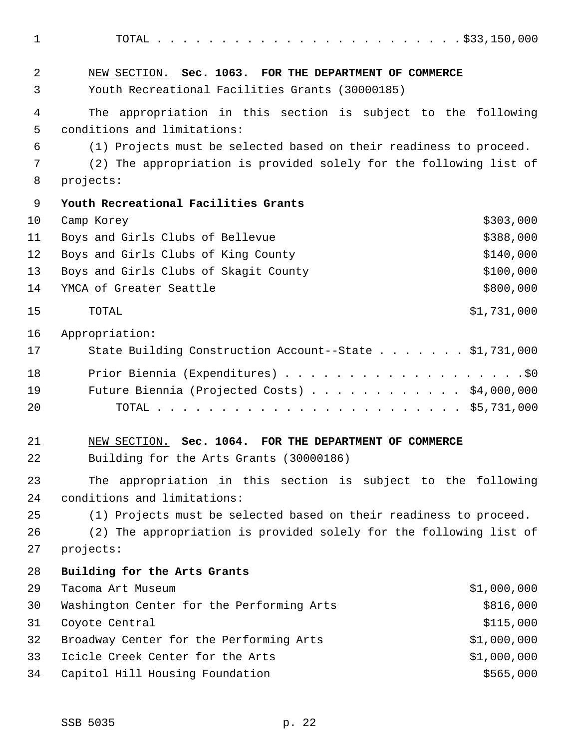1 TOTAL . . . . . . . . . . . . . . . . . . . . . . . . \$33,150,000 2 NEW SECTION. **Sec. 1063. FOR THE DEPARTMENT OF COMMERCE** 3 Youth Recreational Facilities Grants (30000185) 4 The appropriation in this section is subject to the following 5 conditions and limitations: 6 (1) Projects must be selected based on their readiness to proceed. 7 (2) The appropriation is provided solely for the following list of 8 projects: 9 **Youth Recreational Facilities Grants** 10 Camp Korey \$303,000 11 Boys and Girls Clubs of Bellevue **\$388,000** \$388,000 12 Boys and Girls Clubs of King County 6140,000 13 Boys and Girls Clubs of Skagit County 6100,000 14 YMCA of Greater Seattle **\$800,000** 15 TOTAL \$1,731,000 16 Appropriation: 17 State Building Construction Account--State . . . . . . . \$1,731,000 18 Prior Biennia (Expenditures) . . . . . . . . . . . . . . . . . . .\$0 19 Future Biennia (Projected Costs) . . . . . . . . . . . . \$4,000,000 20 TOTAL . . . . . . . . . . . . . . . . . . . . . . . . \$5,731,000 21 NEW SECTION. **Sec. 1064. FOR THE DEPARTMENT OF COMMERCE** 22 Building for the Arts Grants (30000186) 23 The appropriation in this section is subject to the following 24 conditions and limitations: 25 (1) Projects must be selected based on their readiness to proceed. 26 (2) The appropriation is provided solely for the following list of 27 projects: 28 **Building for the Arts Grants** 29 Tacoma Art Museum \$1,000,000 30 Washington Center for the Performing Arts \$816,000 31 Coyote Central \$115,000 32 Broadway Center for the Performing Arts \$1,000,000 33 Icicle Creek Center for the Arts \$1,000,000

34 Capitol Hill Housing Foundation **\$565,000** \$565,000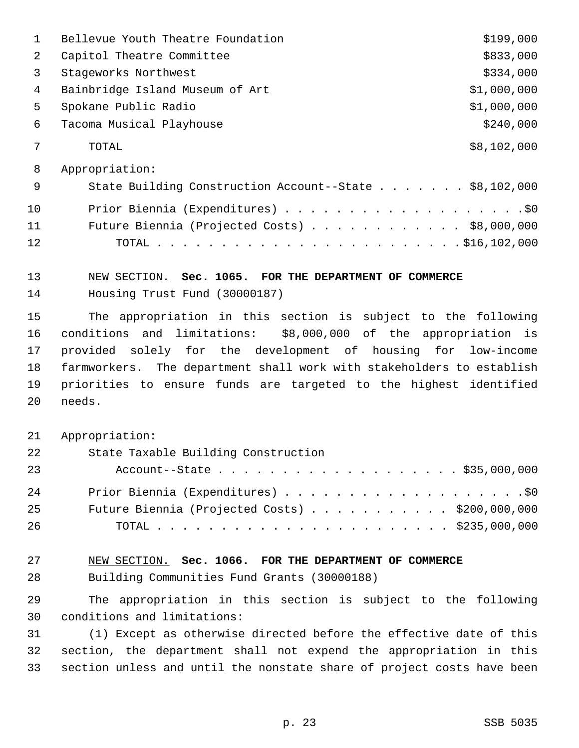|    | Bellevue Youth Theatre Foundation                      | \$199,000   |
|----|--------------------------------------------------------|-------------|
| 2  | Capitol Theatre Committee                              | \$833,000   |
| 3  | Stageworks Northwest                                   | \$334,000   |
| 4  | Bainbridge Island Museum of Art                        | \$1,000,000 |
| 5  | Spokane Public Radio                                   | \$1,000,000 |
| 6  | Tacoma Musical Playhouse                               | \$240,000   |
| 7  | TOTAL                                                  | \$8,102,000 |
| 8  | Appropriation:                                         |             |
| 9  | State Building Construction Account--State \$8,102,000 |             |
| 10 |                                                        |             |
| 11 | Future Biennia (Projected Costs) \$8,000,000           |             |
| 12 | TOTAL                                                  |             |

# 13 NEW SECTION. **Sec. 1065. FOR THE DEPARTMENT OF COMMERCE**

14 Housing Trust Fund (30000187)

15 The appropriation in this section is subject to the following 16 conditions and limitations: \$8,000,000 of the appropriation is 17 provided solely for the development of housing for low-income 18 farmworkers. The department shall work with stakeholders to establish 19 priorities to ensure funds are targeted to the highest identified 20 needs.

21 Appropriation:

| 22 | State Taxable Building Construction                     |
|----|---------------------------------------------------------|
| 23 | Account--State \$35,000,000                             |
| 24 |                                                         |
| 25 | Future Biennia (Projected Costs) $\ldots$ \$200,000,000 |
| 26 |                                                         |

# 27 NEW SECTION. **Sec. 1066. FOR THE DEPARTMENT OF COMMERCE**

28 Building Communities Fund Grants (30000188)

29 The appropriation in this section is subject to the following 30 conditions and limitations:

31 (1) Except as otherwise directed before the effective date of this 32 section, the department shall not expend the appropriation in this 33 section unless and until the nonstate share of project costs have been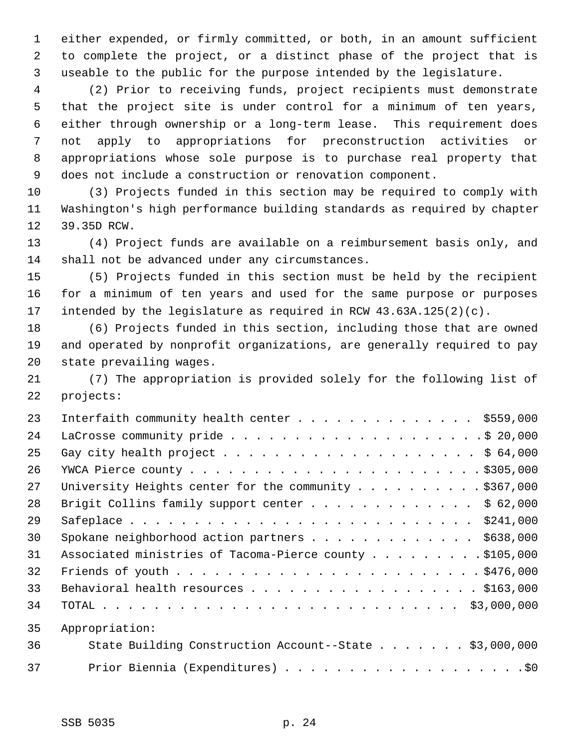1 either expended, or firmly committed, or both, in an amount sufficient 2 to complete the project, or a distinct phase of the project that is 3 useable to the public for the purpose intended by the legislature.

 4 (2) Prior to receiving funds, project recipients must demonstrate 5 that the project site is under control for a minimum of ten years, 6 either through ownership or a long-term lease. This requirement does 7 not apply to appropriations for preconstruction activities or 8 appropriations whose sole purpose is to purchase real property that 9 does not include a construction or renovation component.

10 (3) Projects funded in this section may be required to comply with 11 Washington's high performance building standards as required by chapter 12 39.35D RCW.

13 (4) Project funds are available on a reimbursement basis only, and 14 shall not be advanced under any circumstances.

15 (5) Projects funded in this section must be held by the recipient 16 for a minimum of ten years and used for the same purpose or purposes 17 intended by the legislature as required in RCW 43.63A.125(2)(c).

18 (6) Projects funded in this section, including those that are owned 19 and operated by nonprofit organizations, are generally required to pay 20 state prevailing wages.

21 (7) The appropriation is provided solely for the following list of 22 projects:

| 23 | Interfaith community health center $\ldots$ \$559,000   |
|----|---------------------------------------------------------|
| 24 |                                                         |
| 25 |                                                         |
| 26 |                                                         |
| 27 | University Heights center for the community \$367,000   |
| 28 | Brigit Collins family support center \$ 62,000          |
| 29 |                                                         |
| 30 | Spokane neighborhood action partners \$638,000          |
| 31 | Associated ministries of Tacoma-Pierce county \$105,000 |
| 32 |                                                         |
| 33 | Behavioral health resources \$163,000                   |
| 34 |                                                         |
| 35 | Appropriation:                                          |
| 36 | State Building Construction Account--State \$3,000,000  |
| 37 |                                                         |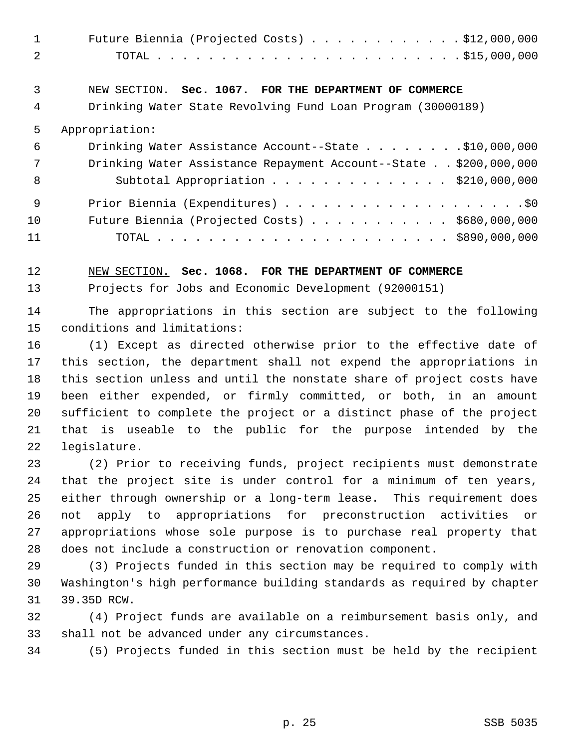| Future Biennia (Projected Costs) $\ldots$ \$12,000,000 |  |
|--------------------------------------------------------|--|
|                                                        |  |

# 3 NEW SECTION. **Sec. 1067. FOR THE DEPARTMENT OF COMMERCE**

4 Drinking Water State Revolving Fund Loan Program (30000189)

#### 5 Appropriation:

| - 6 | Drinking Water Assistance Account--State \$10,000,000            |
|-----|------------------------------------------------------------------|
| 7   | Drinking Water Assistance Repayment Account--State \$200,000,000 |
| - 8 | Subtotal Appropriation $\ldots$ \$210,000,000                    |
| - 9 |                                                                  |
| 10  | Future Biennia (Projected Costs) $\ldots$ \$680,000,000          |
| 11  |                                                                  |

12 NEW SECTION. **Sec. 1068. FOR THE DEPARTMENT OF COMMERCE**

13 Projects for Jobs and Economic Development (92000151)

14 The appropriations in this section are subject to the following 15 conditions and limitations:

16 (1) Except as directed otherwise prior to the effective date of 17 this section, the department shall not expend the appropriations in 18 this section unless and until the nonstate share of project costs have 19 been either expended, or firmly committed, or both, in an amount 20 sufficient to complete the project or a distinct phase of the project 21 that is useable to the public for the purpose intended by the 22 legislature.

23 (2) Prior to receiving funds, project recipients must demonstrate 24 that the project site is under control for a minimum of ten years, 25 either through ownership or a long-term lease. This requirement does 26 not apply to appropriations for preconstruction activities or 27 appropriations whose sole purpose is to purchase real property that 28 does not include a construction or renovation component.

29 (3) Projects funded in this section may be required to comply with 30 Washington's high performance building standards as required by chapter 31 39.35D RCW.

32 (4) Project funds are available on a reimbursement basis only, and 33 shall not be advanced under any circumstances.

34 (5) Projects funded in this section must be held by the recipient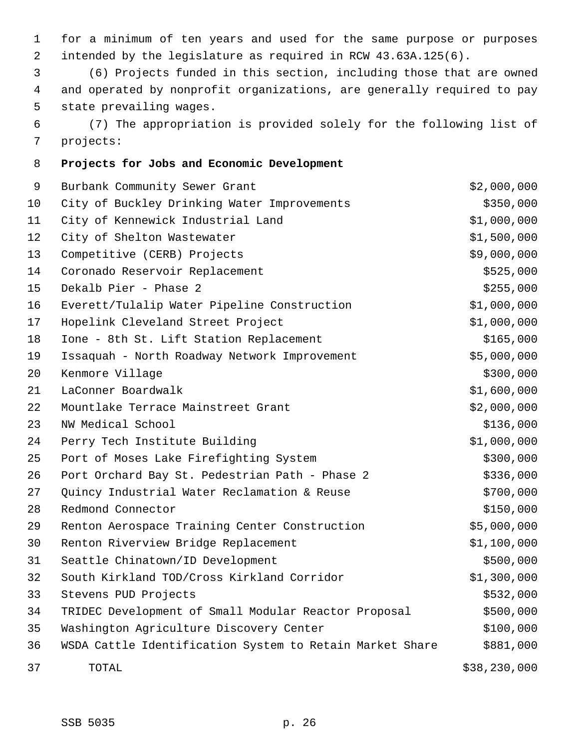1 for a minimum of ten years and used for the same purpose or purposes 2 intended by the legislature as required in RCW 43.63A.125(6).

 3 (6) Projects funded in this section, including those that are owned 4 and operated by nonprofit organizations, are generally required to pay 5 state prevailing wages.

 6 (7) The appropriation is provided solely for the following list of 7 projects:

### 8 **Projects for Jobs and Economic Development**

| 9  | Burbank Community Sewer Grant                            | \$2,000,000  |
|----|----------------------------------------------------------|--------------|
| 10 | City of Buckley Drinking Water Improvements              | \$350,000    |
| 11 | City of Kennewick Industrial Land                        | \$1,000,000  |
| 12 | City of Shelton Wastewater                               | \$1,500,000  |
| 13 | Competitive (CERB) Projects                              | \$9,000,000  |
| 14 | Coronado Reservoir Replacement                           | \$525,000    |
| 15 | Dekalb Pier - Phase 2                                    | \$255,000    |
| 16 | Everett/Tulalip Water Pipeline Construction              | \$1,000,000  |
| 17 | Hopelink Cleveland Street Project                        | \$1,000,000  |
| 18 | Ione - 8th St. Lift Station Replacement                  | \$165,000    |
| 19 | Issaquah - North Roadway Network Improvement             | \$5,000,000  |
| 20 | Kenmore Village                                          | \$300,000    |
| 21 | LaConner Boardwalk                                       | \$1,600,000  |
| 22 | Mountlake Terrace Mainstreet Grant                       | \$2,000,000  |
| 23 | NW Medical School                                        | \$136,000    |
| 24 | Perry Tech Institute Building                            | \$1,000,000  |
| 25 | Port of Moses Lake Firefighting System                   | \$300,000    |
| 26 | Port Orchard Bay St. Pedestrian Path - Phase 2           | \$336,000    |
| 27 | Quincy Industrial Water Reclamation & Reuse              | \$700,000    |
| 28 | Redmond Connector                                        | \$150,000    |
| 29 | Renton Aerospace Training Center Construction            | \$5,000,000  |
| 30 | Renton Riverview Bridge Replacement                      | \$1,100,000  |
| 31 | Seattle Chinatown/ID Development                         | \$500,000    |
| 32 | South Kirkland TOD/Cross Kirkland Corridor               | \$1,300,000  |
| 33 | Stevens PUD Projects                                     | \$532,000    |
| 34 | TRIDEC Development of Small Modular Reactor Proposal     | \$500,000    |
| 35 | Washington Agriculture Discovery Center                  | \$100,000    |
| 36 | WSDA Cattle Identification System to Retain Market Share | \$881,000    |
| 37 | TOTAL                                                    | \$38,230,000 |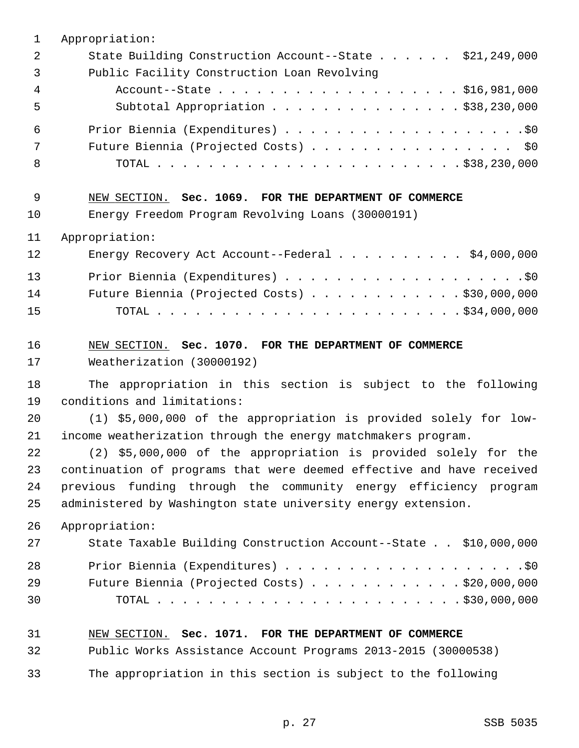| $\mathbf{1}$ | Appropriation:                                                        |
|--------------|-----------------------------------------------------------------------|
| 2            | State Building Construction Account--State \$21,249,000               |
| 3            | Public Facility Construction Loan Revolving                           |
| 4            | Account--State \$16,981,000                                           |
| 5            | Subtotal Appropriation \$38,230,000                                   |
| 6            |                                                                       |
| 7            | Future Biennia (Projected Costs) \$0                                  |
| 8            |                                                                       |
| 9            | NEW SECTION. Sec. 1069. FOR THE DEPARTMENT OF COMMERCE                |
| 10           | Energy Freedom Program Revolving Loans (30000191)                     |
| 11           | Appropriation:                                                        |
| 12           | Energy Recovery Act Account--Federal \$4,000,000                      |
| 13           |                                                                       |
| 14           | Future Biennia (Projected Costs) \$30,000,000                         |
| 15           |                                                                       |
| 16           | NEW SECTION. Sec. 1070. FOR THE DEPARTMENT OF COMMERCE                |
| 17           | Weatherization (30000192)                                             |
| 18           | The appropriation in this section is subject to the following         |
| 19           | conditions and limitations:                                           |
| 20           | (1) \$5,000,000 of the appropriation is provided solely for low-      |
| 21           | income weatherization through the energy matchmakers program.         |
| 22           | (2) \$5,000,000 of the appropriation is provided solely for the       |
| 23           | continuation of programs that were deemed effective and have received |
| 24           | previous funding through the community energy efficiency program      |
| 25           | administered by Washington state university energy extension.         |
| 26           | Appropriation:                                                        |
| 27           | State Taxable Building Construction Account--State \$10,000,000       |
| 28           |                                                                       |
| 29           | Future Biennia (Projected Costs) \$20,000,000                         |
| 30           |                                                                       |
| 31           | NEW SECTION. Sec. 1071. FOR THE DEPARTMENT OF COMMERCE                |
| 32           | Public Works Assistance Account Programs 2013-2015 (30000538)         |
| 33           | The appropriation in this section is subject to the following         |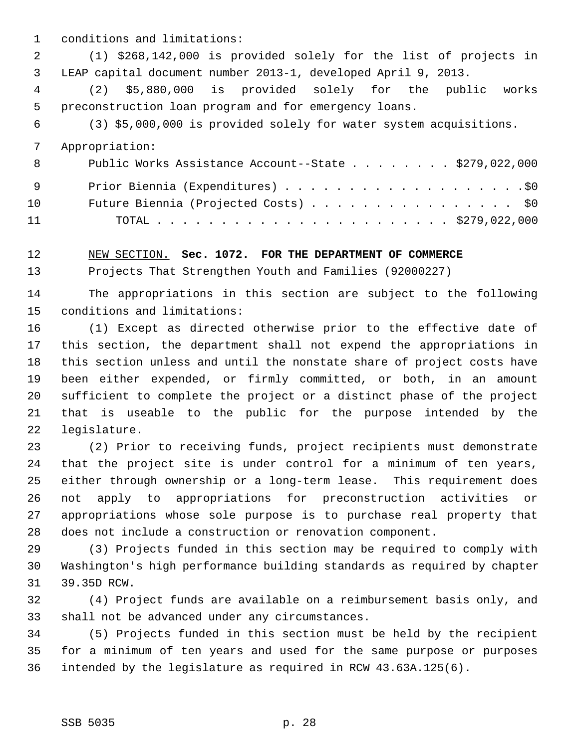1 conditions and limitations:

 2 (1) \$268,142,000 is provided solely for the list of projects in 3 LEAP capital document number 2013-1, developed April 9, 2013.

 4 (2) \$5,880,000 is provided solely for the public works 5 preconstruction loan program and for emergency loans.

6 (3) \$5,000,000 is provided solely for water system acquisitions.

7 Appropriation:

| - 8             | Public Works Assistance Account--State \$279,022,000 |
|-----------------|------------------------------------------------------|
| - 9             |                                                      |
| 10 <sup>°</sup> | Future Biennia (Projected Costs) \$0                 |
| 11              |                                                      |

12 NEW SECTION. **Sec. 1072. FOR THE DEPARTMENT OF COMMERCE**

13 Projects That Strengthen Youth and Families (92000227)

14 The appropriations in this section are subject to the following 15 conditions and limitations:

16 (1) Except as directed otherwise prior to the effective date of 17 this section, the department shall not expend the appropriations in 18 this section unless and until the nonstate share of project costs have 19 been either expended, or firmly committed, or both, in an amount 20 sufficient to complete the project or a distinct phase of the project 21 that is useable to the public for the purpose intended by the 22 legislature.

23 (2) Prior to receiving funds, project recipients must demonstrate 24 that the project site is under control for a minimum of ten years, 25 either through ownership or a long-term lease. This requirement does 26 not apply to appropriations for preconstruction activities or 27 appropriations whose sole purpose is to purchase real property that 28 does not include a construction or renovation component.

29 (3) Projects funded in this section may be required to comply with 30 Washington's high performance building standards as required by chapter 31 39.35D RCW.

32 (4) Project funds are available on a reimbursement basis only, and 33 shall not be advanced under any circumstances.

34 (5) Projects funded in this section must be held by the recipient 35 for a minimum of ten years and used for the same purpose or purposes 36 intended by the legislature as required in RCW 43.63A.125(6).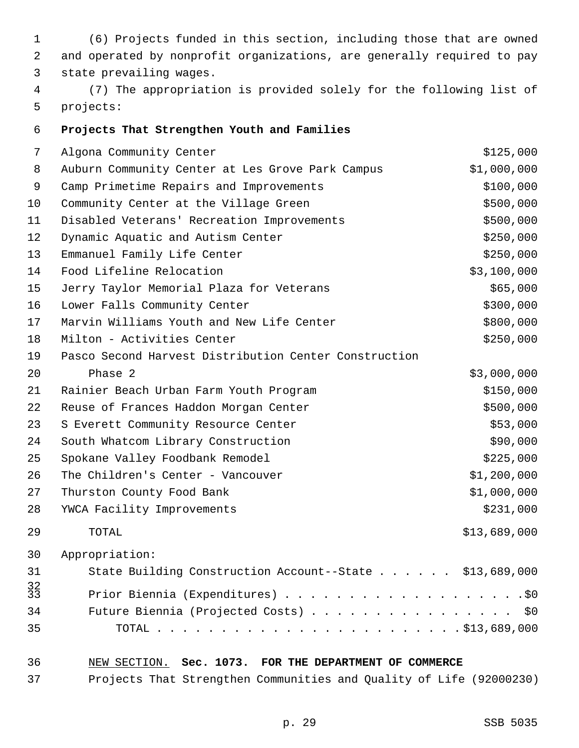| 1                                       | (6) Projects funded in this section, including those that are owned    |              |
|-----------------------------------------|------------------------------------------------------------------------|--------------|
| 2                                       | and operated by nonprofit organizations, are generally required to pay |              |
| 3                                       | state prevailing wages.                                                |              |
| 4                                       | (7) The appropriation is provided solely for the following list of     |              |
| 5                                       | projects:                                                              |              |
| 6                                       | Projects That Strengthen Youth and Families                            |              |
| 7                                       | Algona Community Center                                                | \$125,000    |
| 8                                       | Auburn Community Center at Les Grove Park Campus                       | \$1,000,000  |
| 9                                       | Camp Primetime Repairs and Improvements                                | \$100,000    |
| 10                                      | Community Center at the Village Green                                  | \$500,000    |
| 11                                      | Disabled Veterans' Recreation Improvements                             | \$500,000    |
| 12                                      | Dynamic Aquatic and Autism Center                                      | \$250,000    |
| 13                                      | Emmanuel Family Life Center                                            | \$250,000    |
| 14                                      | Food Lifeline Relocation                                               | \$3,100,000  |
| 15                                      | Jerry Taylor Memorial Plaza for Veterans                               | \$65,000     |
| 16                                      | Lower Falls Community Center                                           | \$300,000    |
| 17                                      | Marvin Williams Youth and New Life Center                              | \$800,000    |
| 18                                      | Milton - Activities Center                                             | \$250,000    |
| 19                                      | Pasco Second Harvest Distribution Center Construction                  |              |
| 20                                      | Phase 2                                                                | \$3,000,000  |
| 21                                      | Rainier Beach Urban Farm Youth Program                                 | \$150,000    |
| 22                                      | Reuse of Frances Haddon Morgan Center                                  | \$500,000    |
| 23                                      | S Everett Community Resource Center                                    | \$53,000     |
| 24                                      | South Whatcom Library Construction                                     | \$90,000     |
| 25                                      | Spokane Valley Foodbank Remodel                                        | \$225,000    |
| 26                                      | The Children's Center - Vancouver                                      | \$1,200,000  |
| 27                                      | Thurston County Food Bank                                              | \$1,000,000  |
| 28                                      | YWCA Facility Improvements                                             | \$231,000    |
| 29                                      | TOTAL                                                                  | \$13,689,000 |
| 30                                      | Appropriation:                                                         |              |
| 31                                      | State Building Construction Account--State \$13,689,000                |              |
| $\begin{array}{c} 32 \\ 33 \end{array}$ |                                                                        |              |
| 34                                      | Future Biennia (Projected Costs) \$0                                   |              |
| 35                                      |                                                                        |              |
| 36                                      | NEW SECTION. Sec. 1073. FOR THE DEPARTMENT OF COMMERCE                 |              |
|                                         |                                                                        |              |

37 Projects That Strengthen Communities and Quality of Life (92000230)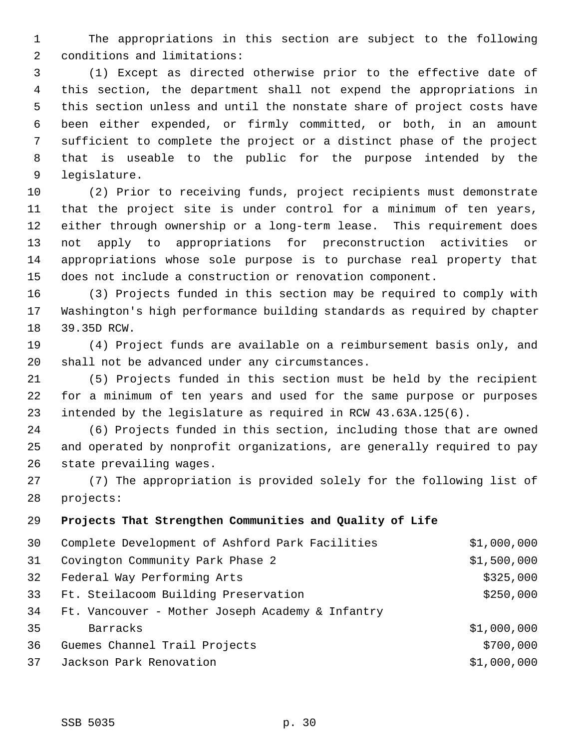1 The appropriations in this section are subject to the following 2 conditions and limitations:

 3 (1) Except as directed otherwise prior to the effective date of 4 this section, the department shall not expend the appropriations in 5 this section unless and until the nonstate share of project costs have 6 been either expended, or firmly committed, or both, in an amount 7 sufficient to complete the project or a distinct phase of the project 8 that is useable to the public for the purpose intended by the 9 legislature.

10 (2) Prior to receiving funds, project recipients must demonstrate 11 that the project site is under control for a minimum of ten years, 12 either through ownership or a long-term lease. This requirement does 13 not apply to appropriations for preconstruction activities or 14 appropriations whose sole purpose is to purchase real property that 15 does not include a construction or renovation component.

16 (3) Projects funded in this section may be required to comply with 17 Washington's high performance building standards as required by chapter 18 39.35D RCW.

19 (4) Project funds are available on a reimbursement basis only, and 20 shall not be advanced under any circumstances.

21 (5) Projects funded in this section must be held by the recipient 22 for a minimum of ten years and used for the same purpose or purposes 23 intended by the legislature as required in RCW 43.63A.125(6).

24 (6) Projects funded in this section, including those that are owned 25 and operated by nonprofit organizations, are generally required to pay 26 state prevailing wages.

27 (7) The appropriation is provided solely for the following list of 28 projects:

## 29 **Projects That Strengthen Communities and Quality of Life**

| 30 | Complete Development of Ashford Park Facilities  | \$1,000,000 |
|----|--------------------------------------------------|-------------|
| 31 | Covington Community Park Phase 2                 | \$1,500,000 |
| 32 | Federal Way Performing Arts                      | \$325,000   |
| 33 | Ft. Steilacoom Building Preservation             | \$250,000   |
| 34 | Ft. Vancouver - Mother Joseph Academy & Infantry |             |
| 35 | Barracks                                         | \$1,000,000 |
| 36 | Guemes Channel Trail Projects                    | \$700,000   |
| 37 | Jackson Park Renovation                          | \$1,000,000 |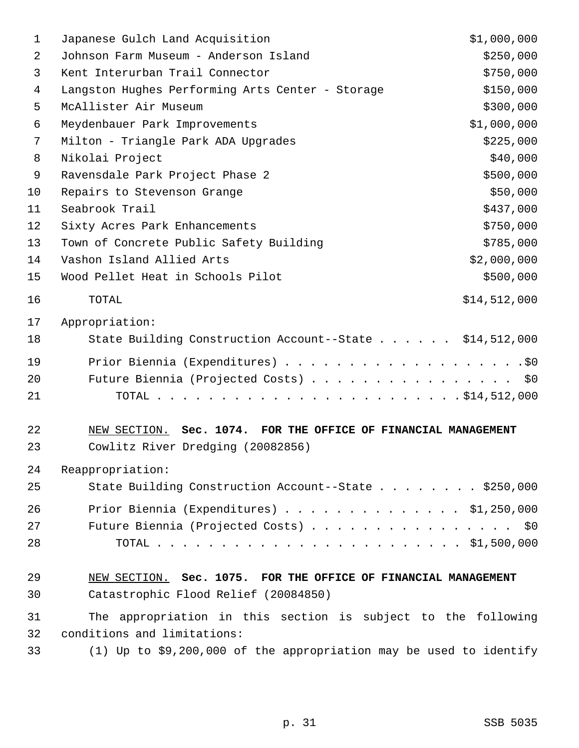| 1  | Japanese Gulch Land Acquisition                                    | \$1,000,000  |
|----|--------------------------------------------------------------------|--------------|
| 2  | Johnson Farm Museum - Anderson Island                              | \$250,000    |
| 3  | Kent Interurban Trail Connector                                    | \$750,000    |
| 4  | Langston Hughes Performing Arts Center - Storage                   | \$150,000    |
| 5  | McAllister Air Museum                                              | \$300,000    |
| 6  | Meydenbauer Park Improvements                                      | \$1,000,000  |
| 7  | Milton - Triangle Park ADA Upgrades                                | \$225,000    |
| 8  | Nikolai Project                                                    | \$40,000     |
| 9  | Ravensdale Park Project Phase 2                                    | \$500,000    |
| 10 | Repairs to Stevenson Grange                                        | \$50,000     |
| 11 | Seabrook Trail                                                     | \$437,000    |
| 12 | Sixty Acres Park Enhancements                                      | \$750,000    |
| 13 | Town of Concrete Public Safety Building                            | \$785,000    |
| 14 | Vashon Island Allied Arts                                          | \$2,000,000  |
| 15 | Wood Pellet Heat in Schools Pilot                                  | \$500,000    |
| 16 | TOTAL                                                              | \$14,512,000 |
| 17 | Appropriation:                                                     |              |
| 18 | State Building Construction Account--State \$14,512,000            |              |
| 19 |                                                                    |              |
| 20 | Future Biennia (Projected Costs) \$0                               |              |
| 21 |                                                                    |              |
| 22 | NEW SECTION. Sec. 1074. FOR THE OFFICE OF FINANCIAL MANAGEMENT     |              |
| 23 | Cowlitz River Dredging (20082856)                                  |              |
| 24 | Reappropriation:                                                   |              |
| 25 | State Building Construction Account--State \$250,000               |              |
| 26 | Prior Biennia (Expenditures) \$1,250,000                           |              |
| 27 | Future Biennia (Projected Costs) \$0                               |              |
| 28 |                                                                    |              |
| 29 | NEW SECTION. Sec. 1075. FOR THE OFFICE OF FINANCIAL MANAGEMENT     |              |
| 30 | Catastrophic Flood Relief (20084850)                               |              |
| 31 | The appropriation in this section is subject to the following      |              |
| 32 | conditions and limitations:                                        |              |
| 33 | (1) Up to \$9,200,000 of the appropriation may be used to identify |              |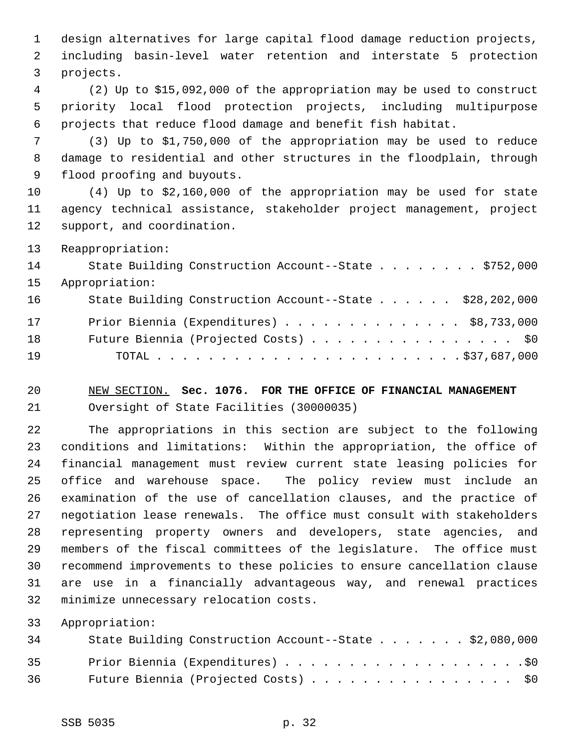1 design alternatives for large capital flood damage reduction projects, 2 including basin-level water retention and interstate 5 protection 3 projects.

 4 (2) Up to \$15,092,000 of the appropriation may be used to construct 5 priority local flood protection projects, including multipurpose 6 projects that reduce flood damage and benefit fish habitat.

 7 (3) Up to \$1,750,000 of the appropriation may be used to reduce 8 damage to residential and other structures in the floodplain, through 9 flood proofing and buyouts.

10 (4) Up to \$2,160,000 of the appropriation may be used for state 11 agency technical assistance, stakeholder project management, project 12 support, and coordination.

13 Reappropriation:

| 14 | State Building Construction Account--State \$752,000    |
|----|---------------------------------------------------------|
| 15 | Appropriation:                                          |
| 16 | State Building Construction Account--State \$28,202,000 |
| 17 | Prior Biennia (Expenditures) \$8,733,000                |
| 18 | Future Biennia (Projected Costs) \$0                    |
| 19 |                                                         |

20 NEW SECTION. **Sec. 1076. FOR THE OFFICE OF FINANCIAL MANAGEMENT** 21 Oversight of State Facilities (30000035)

22 The appropriations in this section are subject to the following 23 conditions and limitations: Within the appropriation, the office of 24 financial management must review current state leasing policies for 25 office and warehouse space. The policy review must include an 26 examination of the use of cancellation clauses, and the practice of 27 negotiation lease renewals. The office must consult with stakeholders 28 representing property owners and developers, state agencies, and 29 members of the fiscal committees of the legislature. The office must 30 recommend improvements to these policies to ensure cancellation clause 31 are use in a financially advantageous way, and renewal practices 32 minimize unnecessary relocation costs.

33 Appropriation:

| 34   | State Building Construction Account--State \$2,080,000 |
|------|--------------------------------------------------------|
| 35   |                                                        |
| 36 — | Future Biennia (Projected Costs) \$0                   |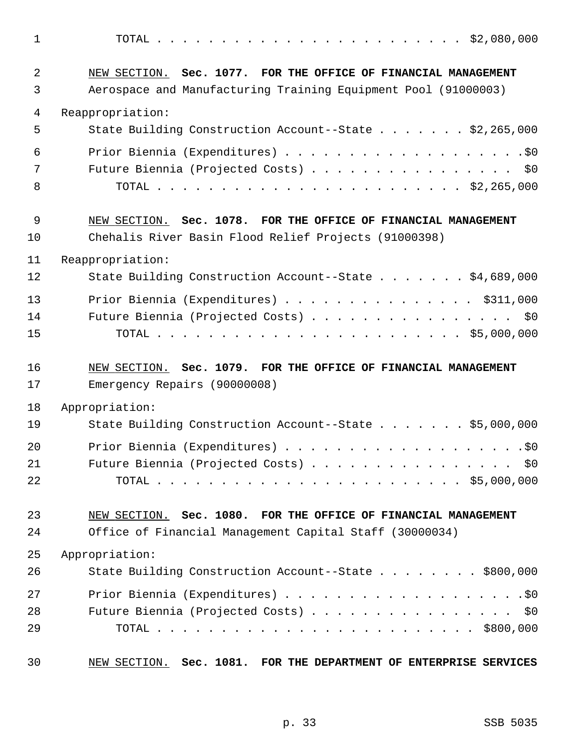1 TOTAL . . . . . . . . . . . . . . . . . . . . . . . . \$2,080,000 2 NEW SECTION. **Sec. 1077. FOR THE OFFICE OF FINANCIAL MANAGEMENT** 3 Aerospace and Manufacturing Training Equipment Pool (91000003) 4 Reappropriation: 5 State Building Construction Account--State . . . . . . . \$2,265,000 6 Prior Biennia (Expenditures) . . . . . . . . . . . . . . . . . . .\$0 7 Future Biennia (Projected Costs) . . . . . . . . . . . . . . . \$0 8 TOTAL . . . . . . . . . . . . . . . . . . . . . . . . \$2,265,000 9 NEW SECTION. **Sec. 1078. FOR THE OFFICE OF FINANCIAL MANAGEMENT** 10 Chehalis River Basin Flood Relief Projects (91000398) 11 Reappropriation: 12 State Building Construction Account--State . . . . . . . \$4,689,000 13 Prior Biennia (Expenditures) . . . . . . . . . . . . . . \$311,000 14 Future Biennia (Projected Costs) . . . . . . . . . . . . . . . . \$0 15 TOTAL . . . . . . . . . . . . . . . . . . . . . . . . \$5,000,000 16 NEW SECTION. **Sec. 1079. FOR THE OFFICE OF FINANCIAL MANAGEMENT** 17 Emergency Repairs (90000008) 18 Appropriation: 19 State Building Construction Account--State . . . . . . . \$5,000,000 20 Prior Biennia (Expenditures) . . . . . . . . . . . . . . . . . . .\$0 21 Future Biennia (Projected Costs) . . . . . . . . . . . . . . . \$0 22 TOTAL . . . . . . . . . . . . . . . . . . . . . . . . \$5,000,000 23 NEW SECTION. **Sec. 1080. FOR THE OFFICE OF FINANCIAL MANAGEMENT** 24 Office of Financial Management Capital Staff (30000034) 25 Appropriation: 26 State Building Construction Account--State . . . . . . . \$800,000 27 Prior Biennia (Expenditures) . . . . . . . . . . . . . . . . . . .\$0 28 Future Biennia (Projected Costs) . . . . . . . . . . . . . . . \$0 29 TOTAL . . . . . . . . . . . . . . . . . . . . . . . . . \$800,000 30 NEW SECTION. **Sec. 1081. FOR THE DEPARTMENT OF ENTERPRISE SERVICES**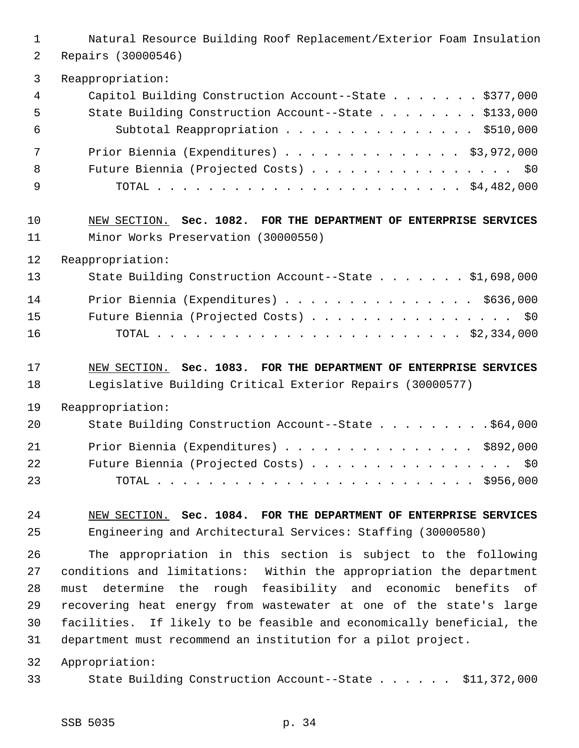| $\mathbf{1}$                     | Natural Resource Building Roof Replacement/Exterior Foam Insulation                                                                                                                                                                                                                                                                                                                                                      |
|----------------------------------|--------------------------------------------------------------------------------------------------------------------------------------------------------------------------------------------------------------------------------------------------------------------------------------------------------------------------------------------------------------------------------------------------------------------------|
| $\overline{2}$                   | Repairs (30000546)                                                                                                                                                                                                                                                                                                                                                                                                       |
| 3                                | Reappropriation:                                                                                                                                                                                                                                                                                                                                                                                                         |
| $\overline{4}$                   | Capitol Building Construction Account--State $\ldots$ \$377,000                                                                                                                                                                                                                                                                                                                                                          |
| 5                                | State Building Construction Account--State \$133,000                                                                                                                                                                                                                                                                                                                                                                     |
| 6                                | Subtotal Reappropriation \$510,000                                                                                                                                                                                                                                                                                                                                                                                       |
| 7                                | Prior Biennia (Expenditures) \$3,972,000                                                                                                                                                                                                                                                                                                                                                                                 |
| 8                                | Future Biennia (Projected Costs) \$0                                                                                                                                                                                                                                                                                                                                                                                     |
| 9                                |                                                                                                                                                                                                                                                                                                                                                                                                                          |
| 10                               | NEW SECTION. Sec. 1082. FOR THE DEPARTMENT OF ENTERPRISE SERVICES                                                                                                                                                                                                                                                                                                                                                        |
| 11                               | Minor Works Preservation (30000550)                                                                                                                                                                                                                                                                                                                                                                                      |
| 12                               | Reappropriation:                                                                                                                                                                                                                                                                                                                                                                                                         |
| 13                               | State Building Construction Account--State \$1,698,000                                                                                                                                                                                                                                                                                                                                                                   |
| 14                               | Prior Biennia (Expenditures) \$636,000                                                                                                                                                                                                                                                                                                                                                                                   |
| 15                               | Future Biennia (Projected Costs) \$0                                                                                                                                                                                                                                                                                                                                                                                     |
| 16                               |                                                                                                                                                                                                                                                                                                                                                                                                                          |
| 17                               | NEW SECTION. Sec. 1083. FOR THE DEPARTMENT OF ENTERPRISE SERVICES                                                                                                                                                                                                                                                                                                                                                        |
| 18                               | Legislative Building Critical Exterior Repairs (30000577)                                                                                                                                                                                                                                                                                                                                                                |
| 19                               | Reappropriation:                                                                                                                                                                                                                                                                                                                                                                                                         |
| 20                               | State Building Construction Account--State \$64,000                                                                                                                                                                                                                                                                                                                                                                      |
| 21                               | Prior Biennia (Expenditures) \$892,000                                                                                                                                                                                                                                                                                                                                                                                   |
| 22                               | Future Biennia (Projected Costs) \$0                                                                                                                                                                                                                                                                                                                                                                                     |
| 23                               |                                                                                                                                                                                                                                                                                                                                                                                                                          |
| 24                               | NEW SECTION. Sec. 1084. FOR THE DEPARTMENT OF ENTERPRISE SERVICES                                                                                                                                                                                                                                                                                                                                                        |
| 25                               | Engineering and Architectural Services: Staffing (30000580)                                                                                                                                                                                                                                                                                                                                                              |
| 26<br>27<br>28<br>29<br>30<br>31 | The appropriation in this section is subject to the following<br>conditions and limitations:<br>Within the appropriation the department<br>must determine the rough feasibility and economic benefits of<br>recovering heat energy from wastewater at one of the state's large<br>facilities. If likely to be feasible and economically beneficial, the<br>department must recommend an institution for a pilot project. |
| 32                               | Appropriation:                                                                                                                                                                                                                                                                                                                                                                                                           |
| 33                               | State Building Construction Account--State \$11,372,000                                                                                                                                                                                                                                                                                                                                                                  |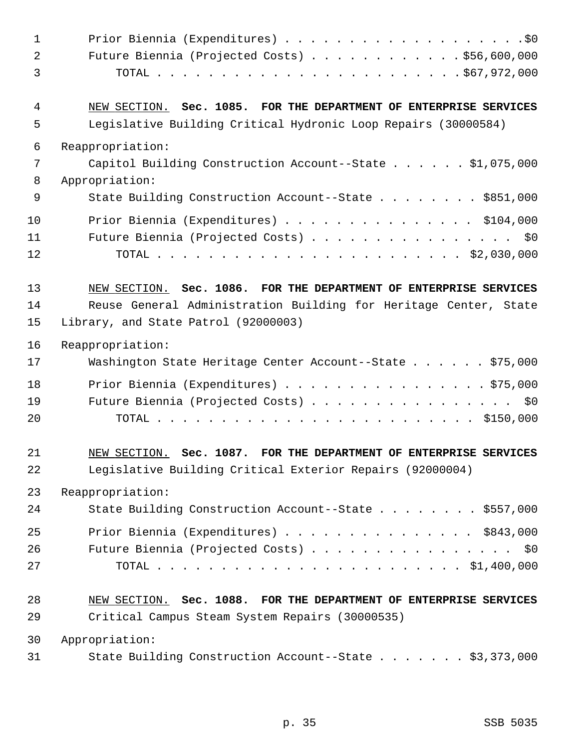| 1              |                                                                   |
|----------------|-------------------------------------------------------------------|
| $\overline{a}$ | Future Biennia (Projected Costs) \$56,600,000                     |
| 3              |                                                                   |
| 4              | NEW SECTION. Sec. 1085. FOR THE DEPARTMENT OF ENTERPRISE SERVICES |
| 5              | Legislative Building Critical Hydronic Loop Repairs (30000584)    |
| 6              | Reappropriation:                                                  |
| 7              | Capitol Building Construction Account--State $\ldots$ \$1,075,000 |
| 8              | Appropriation:                                                    |
| 9              | State Building Construction Account--State \$851,000              |
| 10             | Prior Biennia (Expenditures) \$104,000                            |
| 11             | Future Biennia (Projected Costs) \$0                              |
| 12             |                                                                   |
| 13             | NEW SECTION. Sec. 1086. FOR THE DEPARTMENT OF ENTERPRISE SERVICES |
| 14             | Reuse General Administration Building for Heritage Center, State  |
| 15             | Library, and State Patrol (92000003)                              |
| 16             | Reappropriation:                                                  |
| 17             | Washington State Heritage Center Account--State \$75,000          |
| 18             | Prior Biennia (Expenditures) \$75,000                             |
| 19             | Future Biennia (Projected Costs) \$0                              |
| 20             |                                                                   |
| 21             | NEW SECTION. Sec. 1087. FOR THE DEPARTMENT OF ENTERPRISE SERVICES |
| 22             | Legislative Building Critical Exterior Repairs (92000004)         |
| 23             | Reappropriation:                                                  |
| 24             | State Building Construction Account--State \$557,000              |
| 25             | Prior Biennia (Expenditures) \$843,000                            |
| 26             | Future Biennia (Projected Costs) \$0                              |
| 27             |                                                                   |
| 28             | NEW SECTION. Sec. 1088. FOR THE DEPARTMENT OF ENTERPRISE SERVICES |
| 29             | Critical Campus Steam System Repairs (30000535)                   |
| 30             | Appropriation:                                                    |
| 31             | State Building Construction Account--State \$3,373,000            |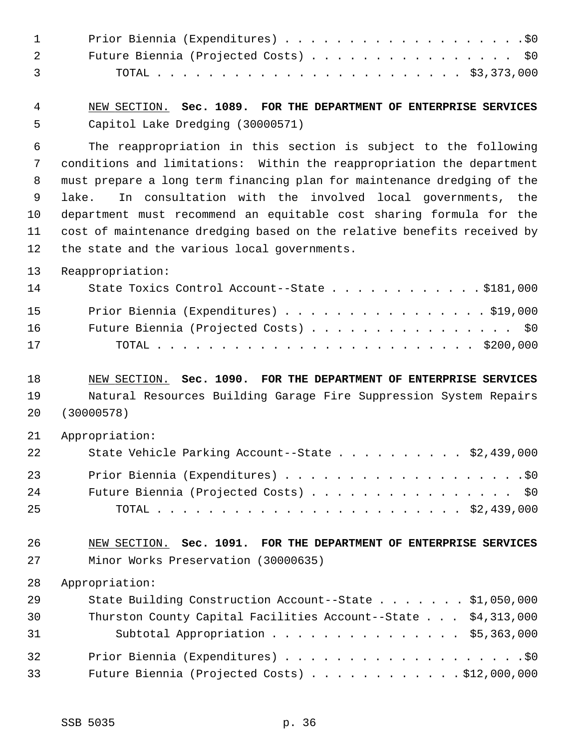| $\mathbf{1}$   |                                                                         |
|----------------|-------------------------------------------------------------------------|
| $\overline{2}$ | Future Biennia (Projected Costs) \$0                                    |
| 3              |                                                                         |
| $\overline{4}$ | NEW SECTION. Sec. 1089. FOR THE DEPARTMENT OF ENTERPRISE SERVICES       |
| 5              | Capitol Lake Dredging (30000571)                                        |
| 6              | The reappropriation in this section is subject to the following         |
| 7              | conditions and limitations: Within the reappropriation the department   |
| 8              | must prepare a long term financing plan for maintenance dredging of the |
| 9              | In consultation with the involved local governments, the<br>lake.       |
| 10             | department must recommend an equitable cost sharing formula for the     |
| 11             | cost of maintenance dredging based on the relative benefits received by |
| 12             | the state and the various local governments.                            |
| 13             | Reappropriation:                                                        |
| 14             | State Toxics Control Account--State \$181,000                           |
| 15             | Prior Biennia (Expenditures) \$19,000                                   |
| 16             | Future Biennia (Projected Costs) \$0                                    |
| 17             |                                                                         |
| 18             | NEW SECTION. Sec. 1090. FOR THE DEPARTMENT OF ENTERPRISE SERVICES       |
| 19             | Natural Resources Building Garage Fire Suppression System Repairs       |
| 20             | (30000578)                                                              |
| 21             | Appropriation:                                                          |
| 22             | \$2,439,000<br>State Vehicle Parking Account--State                     |
| 23             |                                                                         |
| 24             | Future Biennia (Projected Costs) \$0                                    |
| 25             |                                                                         |
| 26             | NEW SECTION. Sec. 1091. FOR THE DEPARTMENT OF ENTERPRISE SERVICES       |
| 27             | Minor Works Preservation (30000635)                                     |
| 28             | Appropriation:                                                          |
| 29             | State Building Construction Account--State \$1,050,000                  |
| 30             | Thurston County Capital Facilities Account--State \$4,313,000           |
| 31             | Subtotal Appropriation \$5,363,000                                      |
| 32             |                                                                         |
| 33             | Future Biennia (Projected Costs) \$12,000,000                           |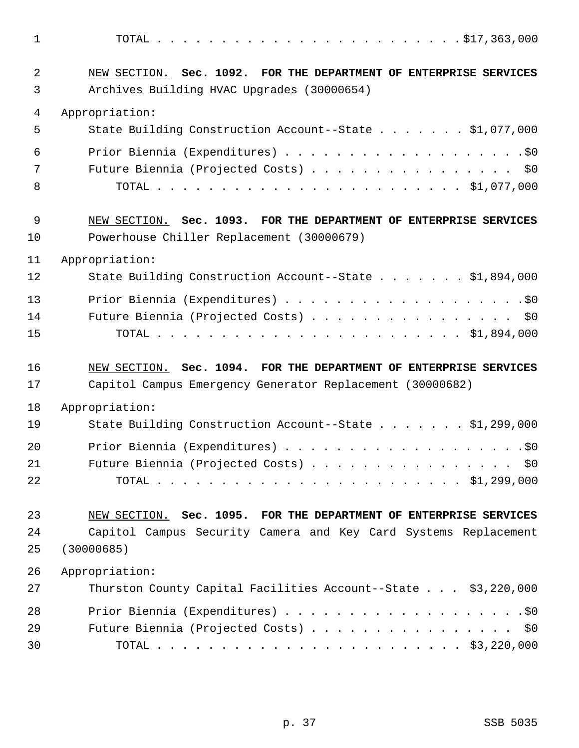1 TOTAL . . . . . . . . . . . . . . . . . . . . . . . . \$17,363,000 2 NEW SECTION. **Sec. 1092. FOR THE DEPARTMENT OF ENTERPRISE SERVICES** 3 Archives Building HVAC Upgrades (30000654) 4 Appropriation: 5 State Building Construction Account--State . . . . . . . \$1,077,000 6 Prior Biennia (Expenditures) . . . . . . . . . . . . . . . . . . .\$0 7 Future Biennia (Projected Costs) . . . . . . . . . . . . . . . \$0 8 TOTAL . . . . . . . . . . . . . . . . . . . . . . . . \$1,077,000 9 NEW SECTION. **Sec. 1093. FOR THE DEPARTMENT OF ENTERPRISE SERVICES** 10 Powerhouse Chiller Replacement (30000679) 11 Appropriation: 12 State Building Construction Account--State . . . . . . . \$1,894,000 13 Prior Biennia (Expenditures) . . . . . . . . . . . . . . . . . . .\$0 14 Future Biennia (Projected Costs) . . . . . . . . . . . . . . . . \$0 15 TOTAL . . . . . . . . . . . . . . . . . . . . . . . . \$1,894,000 16 NEW SECTION. **Sec. 1094. FOR THE DEPARTMENT OF ENTERPRISE SERVICES** 17 Capitol Campus Emergency Generator Replacement (30000682) 18 Appropriation: 19 State Building Construction Account--State . . . . . . . \$1,299,000 20 Prior Biennia (Expenditures) . . . . . . . . . . . . . . . . . . .\$0 21 Future Biennia (Projected Costs) . . . . . . . . . . . . . . . \$0 22 TOTAL . . . . . . . . . . . . . . . . . . . . . . . . \$1,299,000 23 NEW SECTION. **Sec. 1095. FOR THE DEPARTMENT OF ENTERPRISE SERVICES** 24 Capitol Campus Security Camera and Key Card Systems Replacement 25 (30000685) 26 Appropriation: 27 Thurston County Capital Facilities Account--State . . . \$3,220,000 28 Prior Biennia (Expenditures) . . . . . . . . . . . . . . . . . . .\$0 29 Future Biennia (Projected Costs) . . . . . . . . . . . . . . . \$0 30 TOTAL . . . . . . . . . . . . . . . . . . . . . . . . \$3,220,000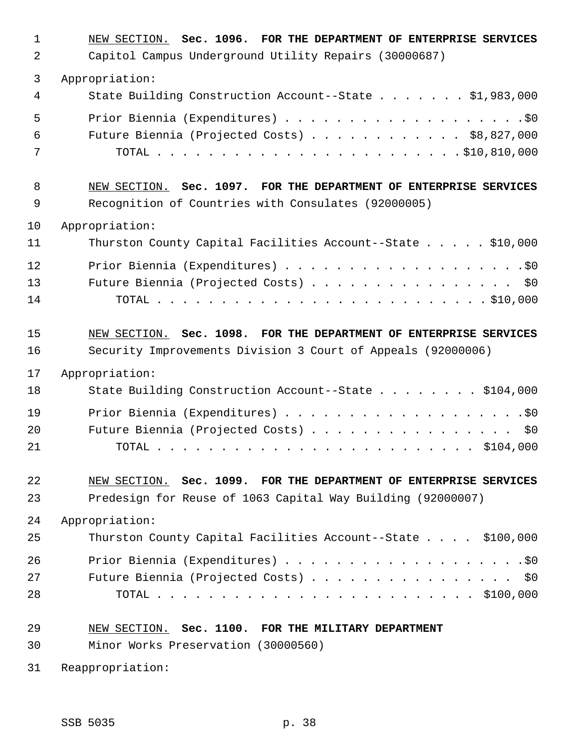| $\mathbf 1$    | NEW SECTION. Sec. 1096. FOR THE DEPARTMENT OF ENTERPRISE SERVICES |
|----------------|-------------------------------------------------------------------|
| 2              | Capitol Campus Underground Utility Repairs (30000687)             |
| 3              | Appropriation:                                                    |
| 4              | State Building Construction Account--State \$1,983,000            |
| 5              |                                                                   |
| 6              | Future Biennia (Projected Costs) \$8,827,000                      |
| 7              |                                                                   |
| 8              | NEW SECTION. Sec. 1097. FOR THE DEPARTMENT OF ENTERPRISE SERVICES |
| 9              | Recognition of Countries with Consulates (92000005)               |
| 10             | Appropriation:                                                    |
| 11             | Thurston County Capital Facilities Account--State \$10,000        |
| 12             |                                                                   |
| 13             | Future Biennia (Projected Costs) \$0                              |
| 14             |                                                                   |
| 15             | NEW SECTION. Sec. 1098. FOR THE DEPARTMENT OF ENTERPRISE SERVICES |
| 16             | Security Improvements Division 3 Court of Appeals (92000006)      |
| 17             | Appropriation:                                                    |
| 18             | State Building Construction Account--State \$104,000              |
| 19             |                                                                   |
| 20             | Future Biennia (Projected Costs) \$0                              |
| 21             |                                                                   |
| 22             | NEW SECTION. Sec. 1099. FOR THE DEPARTMENT OF ENTERPRISE SERVICES |
| 23             | Predesign for Reuse of 1063 Capital Way Building (92000007)       |
| 24             | Appropriation:                                                    |
| 25             | Thurston County Capital Facilities Account--State \$100,000       |
| 26<br>27<br>28 | Future Biennia (Projected Costs)<br>\$0                           |
| 29             | NEW SECTION. Sec. 1100. FOR THE MILITARY DEPARTMENT               |
| 30             | Minor Works Preservation (30000560)                               |
| 31             | Reappropriation:                                                  |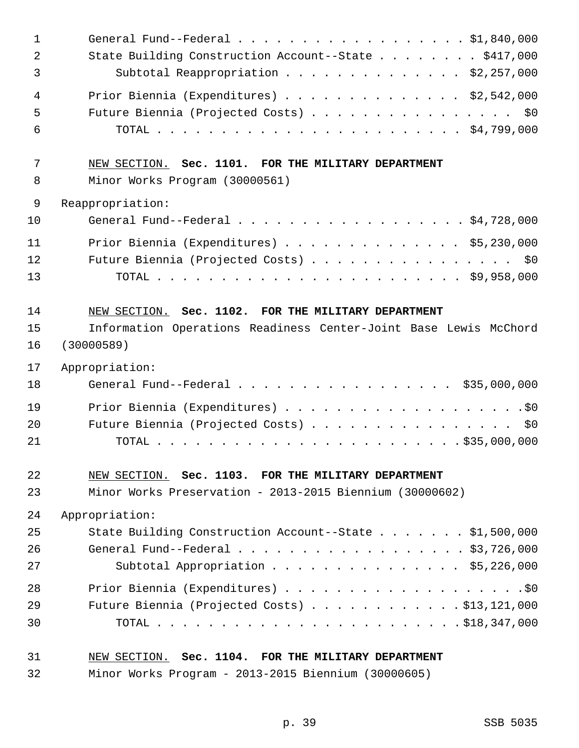| 31             | NEW SECTION. Sec. 1104. FOR THE MILITARY DEPARTMENT                                                   |
|----------------|-------------------------------------------------------------------------------------------------------|
| 30             |                                                                                                       |
| 29             | Future Biennia (Projected Costs) $\ldots$ \$13,121,000                                                |
| 28             |                                                                                                       |
| 27             | Subtotal Appropriation $\ldots$ \$5,226,000                                                           |
| 26             | General Fund--Federal $\ldots$ , $\ldots$ , $\ldots$ , $\ldots$ , $\ldots$ , $\frac{1}{3}$ , 726, 000 |
| 25             | State Building Construction Account--State \$1,500,000                                                |
| 24             | Appropriation:                                                                                        |
| 23             | Minor Works Preservation - 2013-2015 Biennium (30000602)                                              |
| 22             | NEW SECTION. Sec. 1103. FOR THE MILITARY DEPARTMENT                                                   |
|                |                                                                                                       |
| 21             |                                                                                                       |
| 20             | Future Biennia (Projected Costs) \$0                                                                  |
| 19             |                                                                                                       |
| 18             | General Fund--Federal \$35,000,000                                                                    |
| 17             | Appropriation:                                                                                        |
| 16             | (30000589)                                                                                            |
| 15             | Information Operations Readiness Center-Joint Base Lewis McChord                                      |
| 14             | NEW SECTION. Sec. 1102. FOR THE MILITARY DEPARTMENT                                                   |
|                |                                                                                                       |
| 13             |                                                                                                       |
| 12             | Future Biennia (Projected Costs) \$0                                                                  |
| 11             | Prior Biennia (Expenditures) \$5,230,000                                                              |
| 10             | General Fund--Federal \$4,728,000                                                                     |
| 9              | Reappropriation:                                                                                      |
| 8              | Minor Works Program (30000561)                                                                        |
| 7              | NEW SECTION. Sec. 1101. FOR THE MILITARY DEPARTMENT                                                   |
| 6              |                                                                                                       |
| 5              | Future Biennia (Projected Costs) \$0                                                                  |
| 4              | Prior Biennia (Expenditures) \$2,542,000                                                              |
| 3              | Subtotal Reappropriation \$2,257,000                                                                  |
| $\overline{2}$ | State Building Construction Account--State \$417,000                                                  |
| $\mathbf 1$    | General Fund--Federal \$1,840,000                                                                     |
|                |                                                                                                       |

32 Minor Works Program - 2013-2015 Biennium (30000605)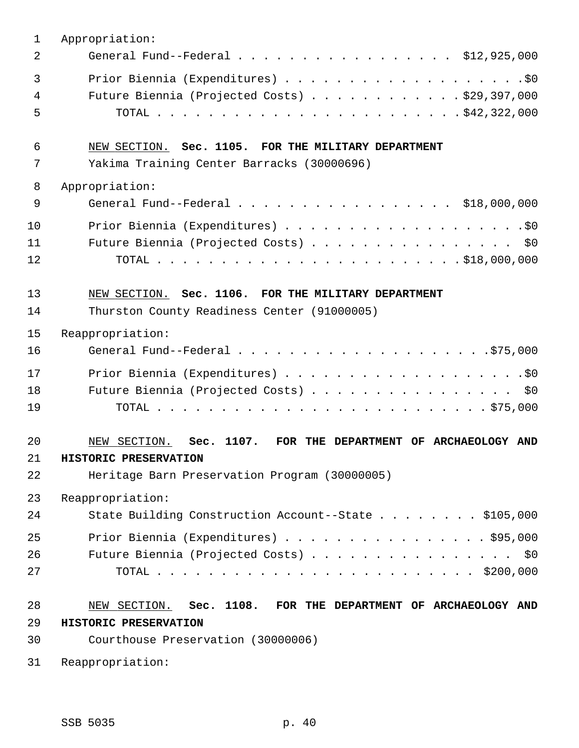| 1            | Appropriation:                                                                               |
|--------------|----------------------------------------------------------------------------------------------|
| 2            | General Fund--Federal \$12,925,000                                                           |
| $\mathbf{3}$ |                                                                                              |
| 4            | Future Biennia (Projected Costs) $\ldots$ \$29,397,000                                       |
| 5            |                                                                                              |
| 6            | NEW SECTION. Sec. 1105. FOR THE MILITARY DEPARTMENT                                          |
| 7            | Yakima Training Center Barracks (30000696)                                                   |
| 8            | Appropriation:                                                                               |
| $\mathsf 9$  | General Fund--Federal \$18,000,000                                                           |
| 10           |                                                                                              |
| 11           | Future Biennia (Projected Costs) \$0                                                         |
| 12           |                                                                                              |
| 13           | NEW SECTION. Sec. 1106. FOR THE MILITARY DEPARTMENT                                          |
| 14           | Thurston County Readiness Center (91000005)                                                  |
| 15           | Reappropriation:                                                                             |
| 16           |                                                                                              |
| 17           |                                                                                              |
| 18           | Future Biennia (Projected Costs) \$0                                                         |
| 19           |                                                                                              |
| 20<br>21     | Sec. 1107.<br>FOR THE DEPARTMENT OF ARCHAEOLOGY AND<br>NEW SECTION.<br>HISTORIC PRESERVATION |
| 22           | Heritage Barn Preservation Program (30000005)                                                |
| 23           | Reappropriation:                                                                             |
| 24           | State Building Construction Account--State \$105,000                                         |
| 25           | Prior Biennia (Expenditures) \$95,000                                                        |
| 26           | Future Biennia (Projected Costs) \$0                                                         |
| 27           |                                                                                              |
| 28           | NEW SECTION. Sec. 1108. FOR THE DEPARTMENT OF ARCHAEOLOGY AND                                |
| 29           | HISTORIC PRESERVATION                                                                        |
| 30           | Courthouse Preservation (30000006)                                                           |
| 31           | Reappropriation:                                                                             |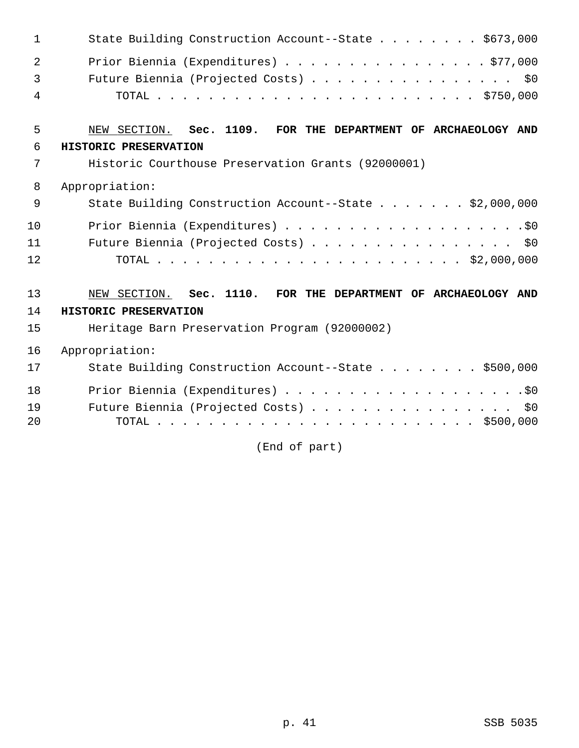| 1            | State Building Construction Account--State \$673,000          |
|--------------|---------------------------------------------------------------|
| 2            | Prior Biennia (Expenditures) \$77,000                         |
| $\mathbf{3}$ | Future Biennia (Projected Costs) \$0                          |
| 4            |                                                               |
| 5            | NEW SECTION. Sec. 1109. FOR THE DEPARTMENT OF ARCHAEOLOGY AND |
| 6            | HISTORIC PRESERVATION                                         |
| 7            | Historic Courthouse Preservation Grants (92000001)            |
| 8            | Appropriation:                                                |
| 9            | State Building Construction Account--State \$2,000,000        |
| 10           |                                                               |
| 11           | Future Biennia (Projected Costs) \$0                          |
| 12           |                                                               |
| 13           | NEW SECTION. Sec. 1110. FOR THE DEPARTMENT OF ARCHAEOLOGY AND |
| 14           | HISTORIC PRESERVATION                                         |
| 15           | Heritage Barn Preservation Program (92000002)                 |
| 16           | Appropriation:                                                |
| 17           | State Building Construction Account--State \$500,000          |
| 18           |                                                               |
| 19           | Future Biennia (Projected Costs)<br>\$0                       |
| 20           | TOTAL                                                         |

(End of part)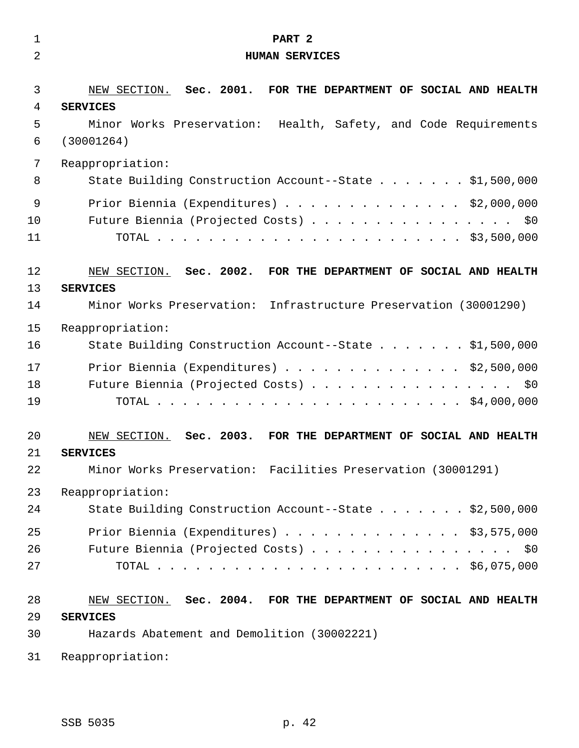| $\mathbf 1$ | PART <sub>2</sub>                                                |
|-------------|------------------------------------------------------------------|
| 2           | <b>HUMAN SERVICES</b>                                            |
|             |                                                                  |
| 3           | NEW SECTION. Sec. 2001. FOR THE DEPARTMENT OF SOCIAL AND HEALTH  |
| 4           | <b>SERVICES</b>                                                  |
| 5           | Minor Works Preservation: Health, Safety, and Code Requirements  |
| 6           | (30001264)                                                       |
| 7           | Reappropriation:                                                 |
| 8           | State Building Construction Account--State \$1,500,000           |
| 9           | Prior Biennia (Expenditures) $\ldots$ \$2,000,000                |
| 10          | Future Biennia (Projected Costs) \$0                             |
| 11          |                                                                  |
| 12          | NEW SECTION. Sec. 2002. FOR THE DEPARTMENT OF SOCIAL AND HEALTH  |
| 13          | <b>SERVICES</b>                                                  |
| 14          | Minor Works Preservation: Infrastructure Preservation (30001290) |
| 15          | Reappropriation:                                                 |
| 16          | State Building Construction Account--State \$1,500,000           |
| 17          | Prior Biennia (Expenditures) \$2,500,000                         |
| 18          | Future Biennia (Projected Costs) \$0                             |
| 19          |                                                                  |
| 20          | NEW SECTION. Sec. 2003. FOR THE DEPARTMENT OF SOCIAL AND HEALTH  |
| 21          | <b>SERVICES</b>                                                  |
| 22          | Minor Works Preservation: Facilities Preservation (30001291)     |
| 23          | Reappropriation:                                                 |
| 24          | State Building Construction Account--State \$2,500,000           |
| 25          | Prior Biennia (Expenditures) \$3,575,000                         |
| 26          | Future Biennia (Projected Costs) \$0                             |
| 27          |                                                                  |
| 28          | NEW SECTION. Sec. 2004. FOR THE DEPARTMENT OF SOCIAL AND HEALTH  |
| 29          | <b>SERVICES</b>                                                  |
| 30          | Hazards Abatement and Demolition (30002221)                      |
| 31          | Reappropriation:                                                 |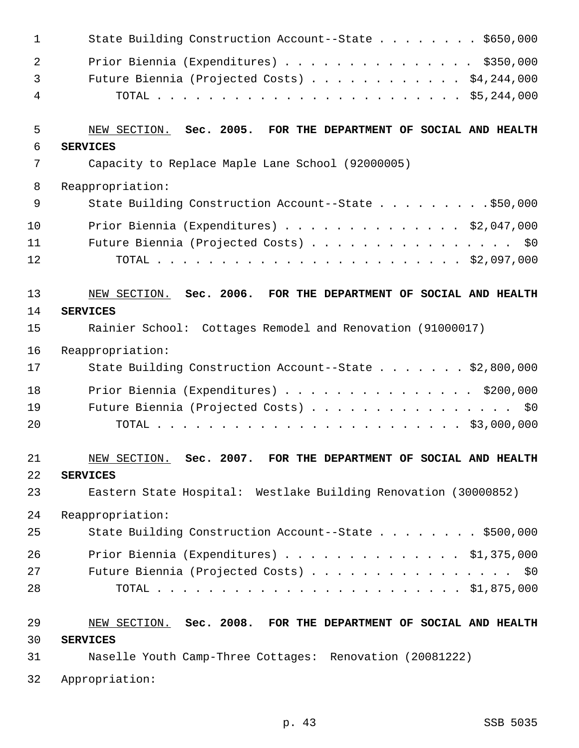| $\mathbf 1$    | State Building Construction Account--State \$650,000              |
|----------------|-------------------------------------------------------------------|
| 2              | Prior Biennia (Expenditures) $\ldots$ \$350,000                   |
| $\mathfrak{Z}$ | Future Biennia (Projected Costs) \$4,244,000                      |
| 4              |                                                                   |
| 5              | NEW SECTION. Sec. 2005. FOR THE DEPARTMENT OF SOCIAL AND HEALTH   |
| 6              | <b>SERVICES</b>                                                   |
| 7              | Capacity to Replace Maple Lane School (92000005)                  |
| 8              | Reappropriation:                                                  |
| 9              | State Building Construction Account--State \$50,000               |
| 10             | Prior Biennia (Expenditures) \$2,047,000                          |
| 11             | Future Biennia (Projected Costs) \$0                              |
| 12             |                                                                   |
| 13             | NEW SECTION. Sec. 2006. FOR THE DEPARTMENT OF SOCIAL AND HEALTH   |
| 14             | <b>SERVICES</b>                                                   |
| 15             | Rainier School: Cottages Remodel and Renovation (91000017)        |
| 16             | Reappropriation:                                                  |
| 17             | State Building Construction Account--State \$2,800,000            |
| 18             | Prior Biennia (Expenditures) \$200,000                            |
| 19             | Future Biennia (Projected Costs) \$0                              |
| 20             |                                                                   |
| 21             | $NEW$ SECTION. Sec. 2007. FOR THE DEPARTMENT OF SOCIAL AND HEALTH |
| 22             | <b>SERVICES</b>                                                   |
| 23             | Eastern State Hospital: Westlake Building Renovation (30000852)   |
| 24             | Reappropriation:                                                  |
| 25             | State Building Construction Account--State \$500,000              |
| 26             | Prior Biennia (Expenditures) $\ldots$ \$1,375,000                 |
| 27             | Future Biennia (Projected Costs) \$0                              |
| 28             |                                                                   |
| 29             | NEW SECTION. Sec. 2008. FOR THE DEPARTMENT OF SOCIAL AND HEALTH   |
| 30             | <b>SERVICES</b>                                                   |
| 31             | Naselle Youth Camp-Three Cottages: Renovation (20081222)          |
| 32             | Appropriation:                                                    |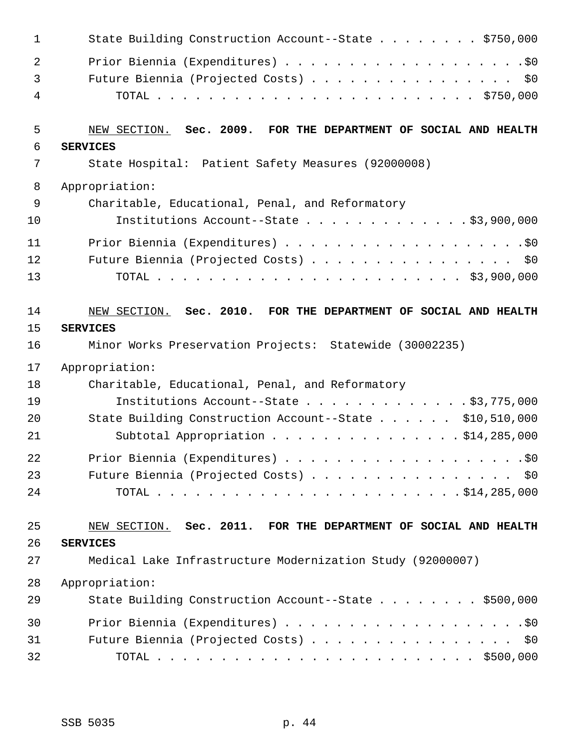| 1  | State Building Construction Account--State \$750,000            |
|----|-----------------------------------------------------------------|
| 2  |                                                                 |
| 3  | Future Biennia (Projected Costs) \$0                            |
| 4  |                                                                 |
| 5  | NEW SECTION. Sec. 2009. FOR THE DEPARTMENT OF SOCIAL AND HEALTH |
| 6  | <b>SERVICES</b>                                                 |
| 7  | State Hospital: Patient Safety Measures (92000008)              |
| 8  | Appropriation:                                                  |
| 9  | Charitable, Educational, Penal, and Reformatory                 |
| 10 | Institutions Account--State \$3,900,000                         |
| 11 |                                                                 |
| 12 | Future Biennia (Projected Costs) \$0                            |
| 13 |                                                                 |
| 14 | NEW SECTION. Sec. 2010. FOR THE DEPARTMENT OF SOCIAL AND HEALTH |
| 15 | <b>SERVICES</b>                                                 |
| 16 | Minor Works Preservation Projects: Statewide (30002235)         |
| 17 | Appropriation:                                                  |
| 18 | Charitable, Educational, Penal, and Reformatory                 |
| 19 | Institutions Account--State $\ldots$ \$3,775,000                |
| 20 | State Building Construction Account--State \$10,510,000         |
| 21 | Subtotal Appropriation \$14,285,000                             |
| 22 |                                                                 |
| 23 | Future Biennia (Projected Costs) \$0                            |
| 24 |                                                                 |
| 25 | NEW SECTION. Sec. 2011. FOR THE DEPARTMENT OF SOCIAL AND HEALTH |
| 26 | <b>SERVICES</b>                                                 |
| 27 | Medical Lake Infrastructure Modernization Study (92000007)      |
| 28 | Appropriation:                                                  |
| 29 | State Building Construction Account--State \$500,000            |
| 30 |                                                                 |
| 31 | Future Biennia (Projected Costs) \$0                            |
| 32 |                                                                 |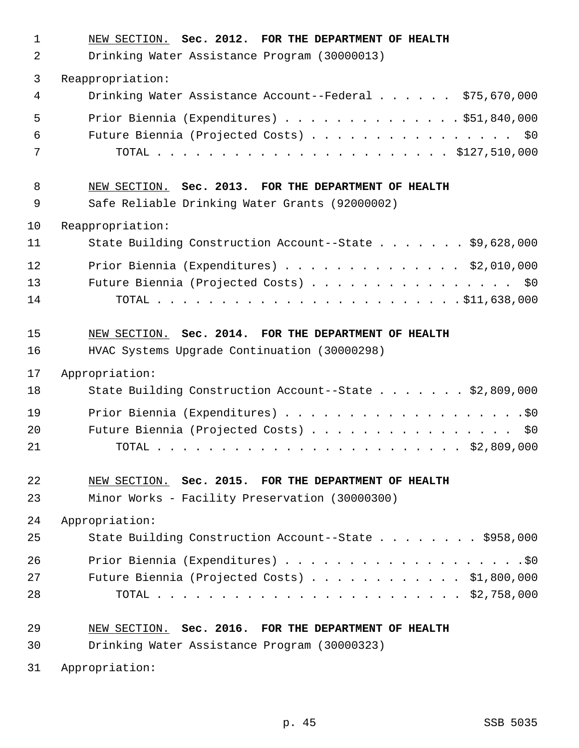| 1<br>2         | NEW SECTION. Sec. 2012. FOR THE DEPARTMENT OF HEALTH<br>Drinking Water Assistance Program (30000013)   |
|----------------|--------------------------------------------------------------------------------------------------------|
| $\mathbf{3}$   | Reappropriation:                                                                                       |
| 4              | Drinking Water Assistance Account--Federal \$75,670,000                                                |
| 5<br>6<br>7    | Prior Biennia (Expenditures) \$51,840,000<br>Future Biennia (Projected Costs) \$0                      |
| 8<br>9         | NEW SECTION. Sec. 2013. FOR THE DEPARTMENT OF HEALTH<br>Safe Reliable Drinking Water Grants (92000002) |
| 10             | Reappropriation:                                                                                       |
| 11             | State Building Construction Account--State \$9,628,000                                                 |
| 12<br>13<br>14 | Prior Biennia (Expenditures) $\ldots$ \$2,010,000<br>Future Biennia (Projected Costs) \$0              |
| 15<br>16       | NEW SECTION. Sec. 2014. FOR THE DEPARTMENT OF HEALTH<br>HVAC Systems Upgrade Continuation (30000298)   |
| 17             | Appropriation:                                                                                         |
| 18             | State Building Construction Account--State \$2,809,000                                                 |
| 19<br>20<br>21 | Future Biennia (Projected Costs) \$0                                                                   |
| 22             | NEW SECTION. Sec. 2015. FOR THE DEPARTMENT OF HEALTH                                                   |
| 23             | Minor Works - Facility Preservation (30000300)                                                         |
| 24             | Appropriation:                                                                                         |
| 25             | State Building Construction Account--State \$958,000                                                   |
| 26<br>27<br>28 | Future Biennia (Projected Costs) \$1,800,000                                                           |
| 29             | NEW SECTION. Sec. 2016. FOR THE DEPARTMENT OF HEALTH                                                   |
| 30             | Drinking Water Assistance Program (30000323)                                                           |
| 31             | Appropriation:                                                                                         |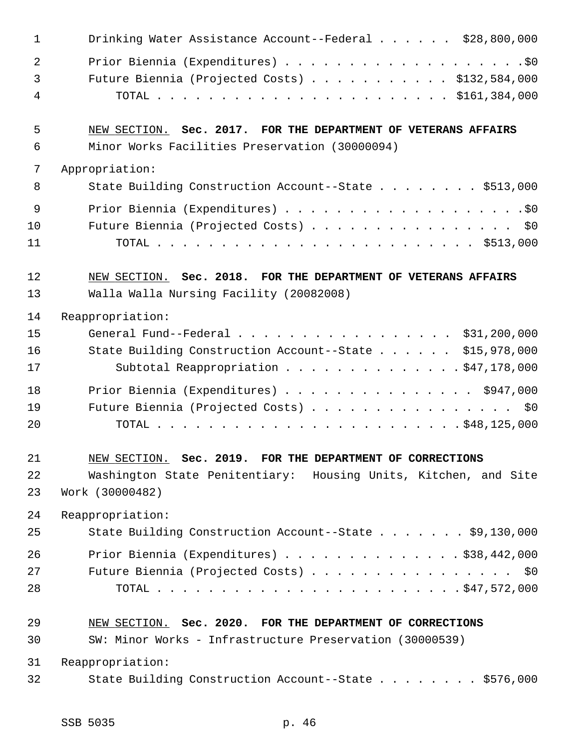| 1  | Drinking Water Assistance Account--Federal \$28,800,000         |
|----|-----------------------------------------------------------------|
| 2  |                                                                 |
| 3  | Future Biennia (Projected Costs) \$132,584,000                  |
| 4  |                                                                 |
| 5  | NEW SECTION. Sec. 2017. FOR THE DEPARTMENT OF VETERANS AFFAIRS  |
| 6  | Minor Works Facilities Preservation (30000094)                  |
| 7  | Appropriation:                                                  |
| 8  | State Building Construction Account--State \$513,000            |
| 9  |                                                                 |
| 10 | Future Biennia (Projected Costs) \$0                            |
| 11 |                                                                 |
| 12 | NEW SECTION. Sec. 2018. FOR THE DEPARTMENT OF VETERANS AFFAIRS  |
| 13 | Walla Walla Nursing Facility (20082008)                         |
| 14 | Reappropriation:                                                |
| 15 | General Fund--Federal \$31,200,000                              |
| 16 | State Building Construction Account--State \$15,978,000         |
| 17 | Subtotal Reappropriation \$47,178,000                           |
| 18 | Prior Biennia (Expenditures) $\ldots$ \$947,000                 |
| 19 | Future Biennia (Projected Costs) \$0                            |
| 20 |                                                                 |
| 21 | NEW SECTION. Sec. 2019. FOR THE DEPARTMENT OF CORRECTIONS       |
| 22 | Washington State Penitentiary: Housing Units, Kitchen, and Site |
| 23 | Work (30000482)                                                 |
| 24 | Reappropriation:                                                |
| 25 | State Building Construction Account--State \$9,130,000          |
| 26 | Prior Biennia (Expenditures) \$38,442,000                       |
| 27 | Future Biennia (Projected Costs) \$0                            |
| 28 |                                                                 |
| 29 | NEW SECTION. Sec. 2020. FOR THE DEPARTMENT OF CORRECTIONS       |
| 30 | SW: Minor Works - Infrastructure Preservation (30000539)        |
| 31 | Reappropriation:                                                |
| 32 | State Building Construction Account--State \$576,000            |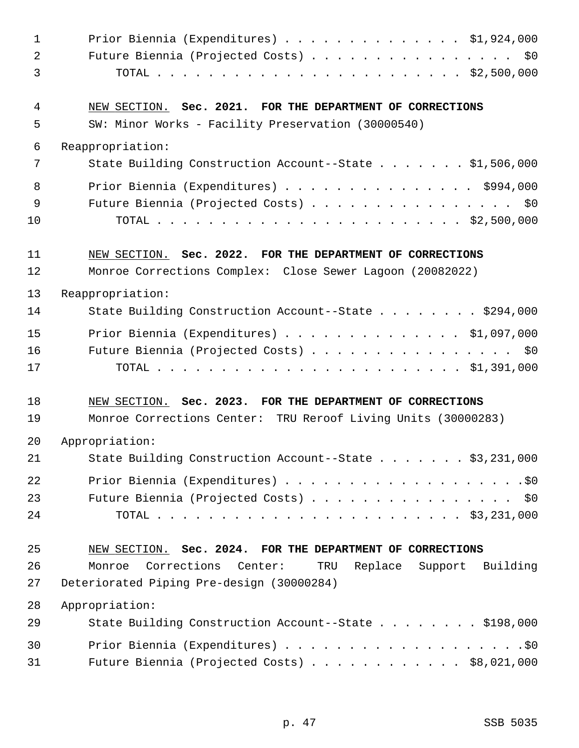| $\mathbf{1}$   | Prior Biennia (Expenditures) $\ldots$ \$1,924,000                   |
|----------------|---------------------------------------------------------------------|
| $\overline{2}$ | Future Biennia (Projected Costs) \$0                                |
| 3              |                                                                     |
| 4              | NEW SECTION. Sec. 2021. FOR THE DEPARTMENT OF CORRECTIONS           |
| 5              | SW: Minor Works - Facility Preservation (30000540)                  |
| 6              | Reappropriation:                                                    |
| 7              | State Building Construction Account--State \$1,506,000              |
| 8              | Prior Biennia (Expenditures) \$994,000                              |
| 9              | Future Biennia (Projected Costs) \$0                                |
| 10             |                                                                     |
| 11             | NEW SECTION. Sec. 2022. FOR THE DEPARTMENT OF CORRECTIONS           |
| 12             | Monroe Corrections Complex: Close Sewer Lagoon (20082022)           |
| 13             | Reappropriation:                                                    |
| 14             | State Building Construction Account--State \$294,000                |
| 15             | Prior Biennia (Expenditures) \$1,097,000                            |
| 16             | Future Biennia (Projected Costs) \$0                                |
| 17             |                                                                     |
| 18             | NEW SECTION. Sec. 2023. FOR THE DEPARTMENT OF CORRECTIONS           |
| 19             | Monroe Corrections Center: TRU Reroof Living Units (30000283)       |
| 20             | Appropriation:                                                      |
| 21             | State Building Construction Account--State \$3,231,000              |
| 22             |                                                                     |
| 23             | Future Biennia (Projected Costs) \$0                                |
| 24             |                                                                     |
| 25             | NEW SECTION. Sec. 2024. FOR THE DEPARTMENT OF CORRECTIONS           |
| 26             | Corrections<br>Monroe<br>Center:<br>TRU<br>Replace Support Building |
| 27             | Deteriorated Piping Pre-design (30000284)                           |
| 28             | Appropriation:                                                      |
| 29             | State Building Construction Account--State \$198,000                |
| 30             |                                                                     |
| 31             | Future Biennia (Projected Costs) \$8,021,000                        |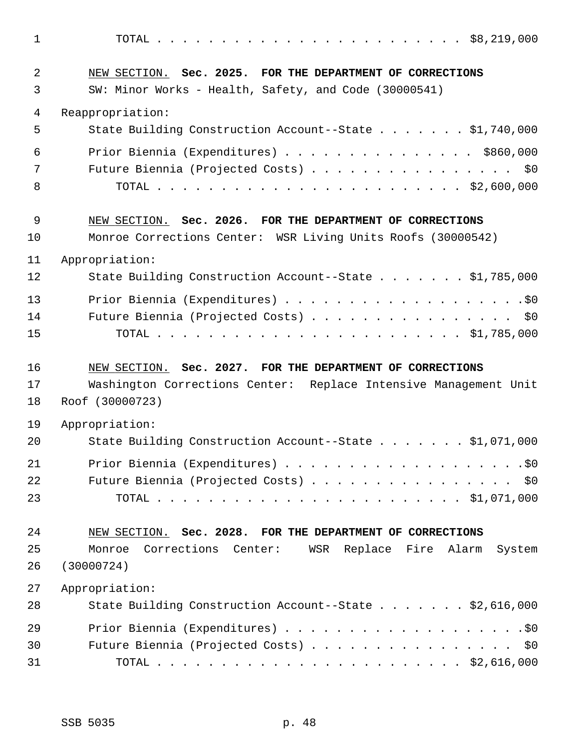1 TOTAL . . . . . . . . . . . . . . . . . . . . . . . . \$8,219,000 2 NEW SECTION. **Sec. 2025. FOR THE DEPARTMENT OF CORRECTIONS** 3 SW: Minor Works - Health, Safety, and Code (30000541) 4 Reappropriation: 5 State Building Construction Account--State . . . . . . . \$1,740,000 6 Prior Biennia (Expenditures) . . . . . . . . . . . . . . . \$860,000 7 Future Biennia (Projected Costs) . . . . . . . . . . . . . . . \$0 8 TOTAL . . . . . . . . . . . . . . . . . . . . . . . . \$2,600,000 9 NEW SECTION. **Sec. 2026. FOR THE DEPARTMENT OF CORRECTIONS** 10 Monroe Corrections Center: WSR Living Units Roofs (30000542) 11 Appropriation: 12 State Building Construction Account--State . . . . . . . \$1,785,000 13 Prior Biennia (Expenditures) . . . . . . . . . . . . . . . . . . .\$0 14 Future Biennia (Projected Costs) . . . . . . . . . . . . . . . . \$0 15 TOTAL . . . . . . . . . . . . . . . . . . . . . . . . \$1,785,000 16 NEW SECTION. **Sec. 2027. FOR THE DEPARTMENT OF CORRECTIONS** 17 Washington Corrections Center: Replace Intensive Management Unit 18 Roof (30000723) 19 Appropriation: 20 State Building Construction Account--State . . . . . . . \$1,071,000 21 Prior Biennia (Expenditures) . . . . . . . . . . . . . . . . . . .\$0 22 Future Biennia (Projected Costs) . . . . . . . . . . . . . . . \$0 23 TOTAL . . . . . . . . . . . . . . . . . . . . . . . . \$1,071,000 24 NEW SECTION. **Sec. 2028. FOR THE DEPARTMENT OF CORRECTIONS** 25 Monroe Corrections Center: WSR Replace Fire Alarm System 26 (30000724) 27 Appropriation: 28 State Building Construction Account--State . . . . . . . \$2,616,000 29 Prior Biennia (Expenditures) . . . . . . . . . . . . . . . . . . .\$0 30 Future Biennia (Projected Costs) . . . . . . . . . . . . . . . . \$0

31 TOTAL . . . . . . . . . . . . . . . . . . . . . . . . \$2,616,000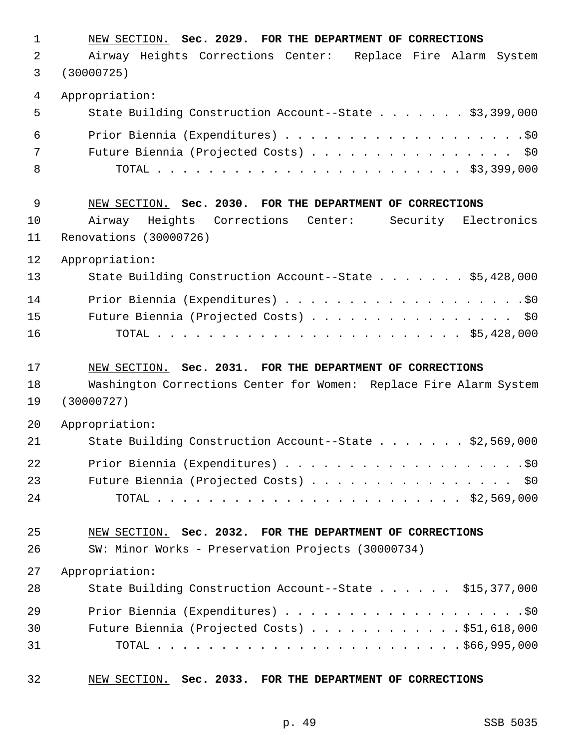| $\mathbf{1}$   | NEW SECTION. Sec. 2029. FOR THE DEPARTMENT OF CORRECTIONS          |
|----------------|--------------------------------------------------------------------|
| 2              | Airway Heights Corrections Center: Replace Fire Alarm System       |
| 3              | (30000725)                                                         |
| $\overline{4}$ | Appropriation:                                                     |
| 5              | State Building Construction Account--State \$3,399,000             |
| 6              |                                                                    |
| 7              | Future Biennia (Projected Costs) \$0                               |
| 8              |                                                                    |
| 9              | NEW SECTION. Sec. 2030. FOR THE DEPARTMENT OF CORRECTIONS          |
| 10             | Airway Heights<br>Corrections Center: Security Electronics         |
| 11             | Renovations (30000726)                                             |
| 12             | Appropriation:                                                     |
| 13             | State Building Construction Account--State \$5,428,000             |
| 14             |                                                                    |
| 15             | Future Biennia (Projected Costs) \$0                               |
| 16             |                                                                    |
|                |                                                                    |
| 17             | NEW SECTION. Sec. 2031. FOR THE DEPARTMENT OF CORRECTIONS          |
| 18             | Washington Corrections Center for Women: Replace Fire Alarm System |
| 19             | (30000727)                                                         |
| 20             | Appropriation:                                                     |
| 21             | State Building Construction Account--State \$2,569,000             |
| 22             |                                                                    |
| 23             | Future Biennia (Projected Costs) \$0                               |
| 24             |                                                                    |
| 25             | NEW SECTION. Sec. 2032. FOR THE DEPARTMENT OF CORRECTIONS          |
| 26             | SW: Minor Works - Preservation Projects (30000734)                 |
| 27             | Appropriation:                                                     |
| 28             | State Building Construction Account--State \$15,377,000            |
| 29             |                                                                    |
| 30             | Future Biennia (Projected Costs) \$51,618,000                      |
| 31             |                                                                    |

32 NEW SECTION. **Sec. 2033. FOR THE DEPARTMENT OF CORRECTIONS**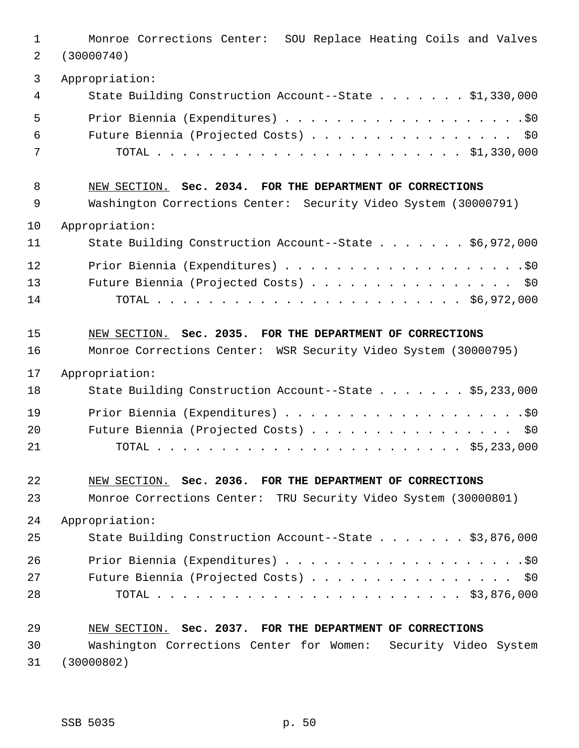| $\mathbf{1}$<br>2 | Monroe Corrections Center: SOU Replace Heating Coils and Valves<br>(30000740) |
|-------------------|-------------------------------------------------------------------------------|
| 3                 | Appropriation:                                                                |
| 4                 | State Building Construction Account--State \$1,330,000                        |
| 5                 |                                                                               |
| 6                 | Future Biennia (Projected Costs) \$0                                          |
| 7                 |                                                                               |
| 8                 | NEW SECTION. Sec. 2034. FOR THE DEPARTMENT OF CORRECTIONS                     |
| 9                 | Washington Corrections Center: Security Video System (30000791)               |
| 10                | Appropriation:                                                                |
| 11                | State Building Construction Account--State \$6,972,000                        |
| 12                |                                                                               |
| 13                | Future Biennia (Projected Costs) \$0                                          |
| 14                |                                                                               |
| 15                | NEW SECTION. Sec. 2035. FOR THE DEPARTMENT OF CORRECTIONS                     |
| 16                | Monroe Corrections Center: WSR Security Video System (30000795)               |
| 17                | Appropriation:                                                                |
| 18                | State Building Construction Account--State \$5,233,000                        |
| 19                |                                                                               |
| 20                | Future Biennia (Projected Costs) \$0                                          |
| 21                |                                                                               |
| 22                | NEW SECTION. Sec. 2036. FOR THE DEPARTMENT OF CORRECTIONS                     |
| 23                | Monroe Corrections Center: TRU Security Video System (30000801)               |
| 24                | Appropriation:                                                                |
| 25                | State Building Construction Account--State \$3,876,000                        |
| 26                |                                                                               |
| 27                | Future Biennia (Projected Costs) \$0                                          |
| 28                |                                                                               |
| 29                | NEW SECTION. Sec. 2037. FOR THE DEPARTMENT OF CORRECTIONS                     |
| 30                | Washington Corrections Center for Women: Security Video System                |
| 31                | (30000802)                                                                    |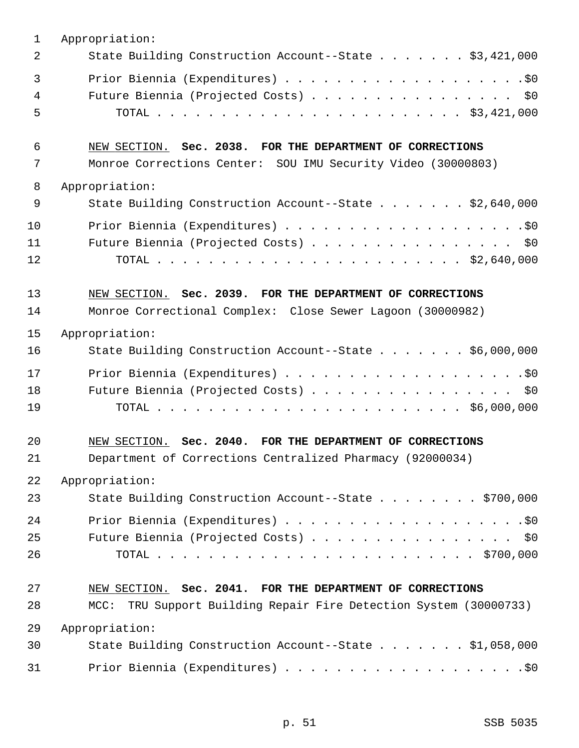| 1  | Appropriation:                                                    |
|----|-------------------------------------------------------------------|
| 2  | State Building Construction Account--State \$3,421,000            |
| 3  |                                                                   |
| 4  | Future Biennia (Projected Costs) \$0                              |
| 5  |                                                                   |
| 6  | NEW SECTION. Sec. 2038. FOR THE DEPARTMENT OF CORRECTIONS         |
| 7  | Monroe Corrections Center: SOU IMU Security Video (30000803)      |
| 8  | Appropriation:                                                    |
| 9  | State Building Construction Account--State \$2,640,000            |
| 10 |                                                                   |
| 11 | Future Biennia (Projected Costs) \$0                              |
| 12 |                                                                   |
| 13 | NEW SECTION. Sec. 2039. FOR THE DEPARTMENT OF CORRECTIONS         |
| 14 | Monroe Correctional Complex: Close Sewer Lagoon (30000982)        |
| 15 | Appropriation:                                                    |
| 16 | State Building Construction Account--State \$6,000,000            |
| 17 |                                                                   |
| 18 | Future Biennia (Projected Costs) \$0                              |
| 19 |                                                                   |
| 20 | NEW SECTION. Sec. 2040. FOR THE DEPARTMENT OF CORRECTIONS         |
| 21 | Department of Corrections Centralized Pharmacy (92000034)         |
| 22 | Appropriation:                                                    |
| 23 | State Building Construction Account--State \$700,000              |
| 24 |                                                                   |
| 25 | Future Biennia (Projected Costs) \$0                              |
| 26 |                                                                   |
| 27 | NEW SECTION. Sec. 2041. FOR THE DEPARTMENT OF CORRECTIONS         |
| 28 | MCC: TRU Support Building Repair Fire Detection System (30000733) |
| 29 | Appropriation:                                                    |
| 30 | State Building Construction Account--State \$1,058,000            |
| 31 |                                                                   |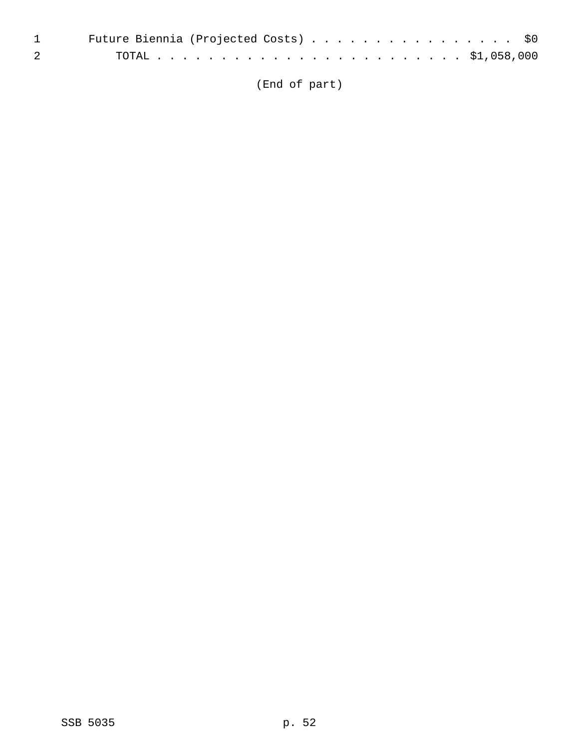|                                                                                                                                                                                                                                                                                                                                    | 1 Future Biennia (Projected Costs) \$0 |
|------------------------------------------------------------------------------------------------------------------------------------------------------------------------------------------------------------------------------------------------------------------------------------------------------------------------------------|----------------------------------------|
| $\overline{2}$ and $\overline{2}$ and $\overline{2}$ and $\overline{2}$ and $\overline{2}$ and $\overline{2}$ and $\overline{2}$ and $\overline{2}$ and $\overline{2}$ and $\overline{2}$ and $\overline{2}$ and $\overline{2}$ and $\overline{2}$ and $\overline{2}$ and $\overline{2}$ and $\overline{2}$ and $\overline{2}$ and |                                        |

(End of part)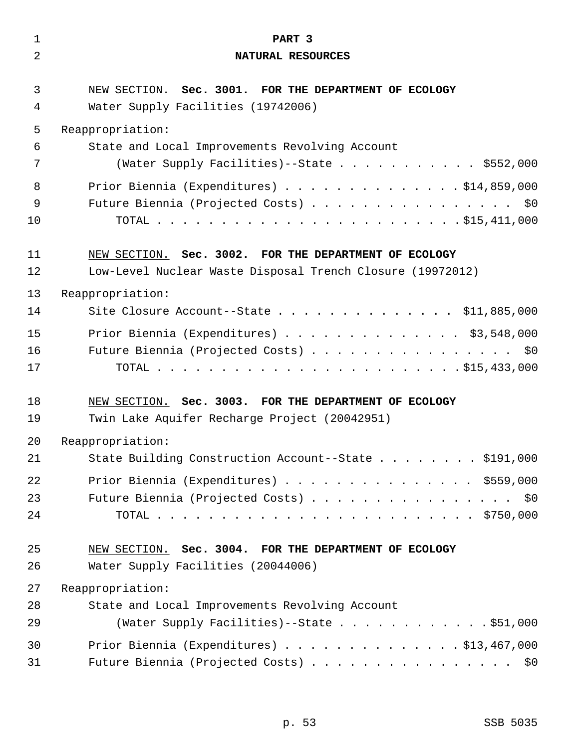| $\mathbf{1}$ | PART 3                                                                                      |
|--------------|---------------------------------------------------------------------------------------------|
| 2            | NATURAL RESOURCES                                                                           |
| 3<br>4       | NEW SECTION. Sec. 3001. FOR THE DEPARTMENT OF ECOLOGY<br>Water Supply Facilities (19742006) |
| 5            | Reappropriation:                                                                            |
| 6            | State and Local Improvements Revolving Account                                              |
| 7            | (Water Supply Facilities)--State \$552,000                                                  |
| 8            | Prior Biennia (Expenditures) \$14,859,000                                                   |
| 9            | Future Biennia (Projected Costs) \$0                                                        |
| 10           |                                                                                             |
| 11           | NEW SECTION. Sec. 3002. FOR THE DEPARTMENT OF ECOLOGY                                       |
| 12           | Low-Level Nuclear Waste Disposal Trench Closure (19972012)                                  |
| 13           | Reappropriation:                                                                            |
| 14           | Site Closure Account--State \$11,885,000                                                    |
| 15           | Prior Biennia (Expenditures) \$3,548,000                                                    |
| 16           | Future Biennia (Projected Costs) \$0                                                        |
| 17           |                                                                                             |
|              |                                                                                             |
| 18           | NEW SECTION. Sec. 3003. FOR THE DEPARTMENT OF ECOLOGY                                       |
| 19           | Twin Lake Aquifer Recharge Project (20042951)                                               |
| 20           | Reappropriation:                                                                            |
| 21           | State Building Construction Account--State \$191,000                                        |
| 22           | Prior Biennia (Expenditures) \$559,000                                                      |
| 23           | Future Biennia (Projected Costs) \$0                                                        |
| 24           |                                                                                             |
| 25           | NEW SECTION. Sec. 3004. FOR THE DEPARTMENT OF ECOLOGY                                       |
| 26           | Water Supply Facilities (20044006)                                                          |
| 27           | Reappropriation:                                                                            |
| 28           | State and Local Improvements Revolving Account                                              |
| 29           | (Water Supply Facilities)--State \$51,000                                                   |
| 30           | Prior Biennia (Expenditures) $\ldots$ 513,467,000                                           |
| 31           | Future Biennia (Projected Costs) \$0                                                        |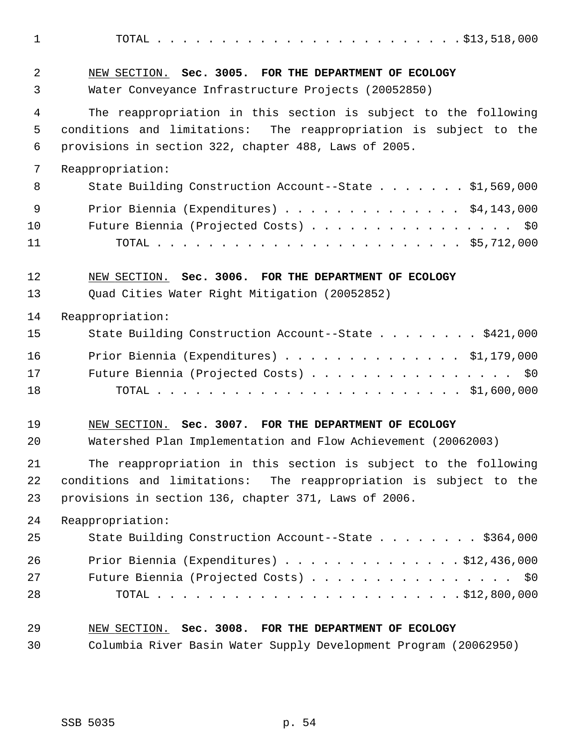1 TOTAL . . . . . . . . . . . . . . . . . . . . . . . . \$13,518,000 2 NEW SECTION. **Sec. 3005. FOR THE DEPARTMENT OF ECOLOGY** 3 Water Conveyance Infrastructure Projects (20052850) 4 The reappropriation in this section is subject to the following 5 conditions and limitations: The reappropriation is subject to the 6 provisions in section 322, chapter 488, Laws of 2005. 7 Reappropriation: 8 State Building Construction Account--State . . . . . . \$1,569,000 9 Prior Biennia (Expenditures) . . . . . . . . . . . . . . \$4,143,000 10 Future Biennia (Projected Costs) . . . . . . . . . . . . . . . . \$0 11 TOTAL . . . . . . . . . . . . . . . . . . . . . . . . \$5,712,000 12 NEW SECTION. **Sec. 3006. FOR THE DEPARTMENT OF ECOLOGY** 13 Quad Cities Water Right Mitigation (20052852) 14 Reappropriation: 15 State Building Construction Account--State . . . . . . . . \$421,000 16 Prior Biennia (Expenditures) . . . . . . . . . . . . . . \$1,179,000 17 Future Biennia (Projected Costs) . . . . . . . . . . . . . . . \$0 18 TOTAL . . . . . . . . . . . . . . . . . . . . . . . . \$1,600,000 19 NEW SECTION. **Sec. 3007. FOR THE DEPARTMENT OF ECOLOGY** 20 Watershed Plan Implementation and Flow Achievement (20062003) 21 The reappropriation in this section is subject to the following 22 conditions and limitations: The reappropriation is subject to the 23 provisions in section 136, chapter 371, Laws of 2006. 24 Reappropriation: 25 State Building Construction Account--State . . . . . . . \$364,000 26 Prior Biennia (Expenditures) . . . . . . . . . . . . . . \$12,436,000 27 Future Biennia (Projected Costs) . . . . . . . . . . . . . . . \$0 28 TOTAL . . . . . . . . . . . . . . . . . . . . . . . . \$12,800,000 29 NEW SECTION. **Sec. 3008. FOR THE DEPARTMENT OF ECOLOGY**

30 Columbia River Basin Water Supply Development Program (20062950)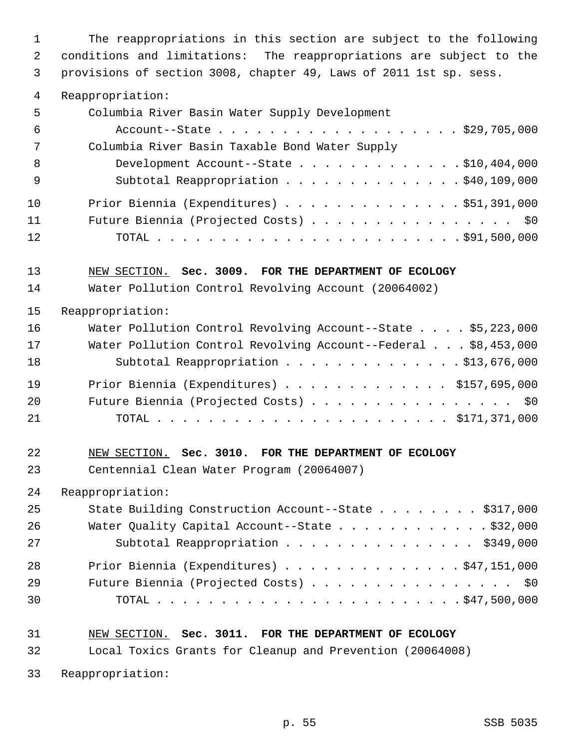1 The reappropriations in this section are subject to the following 2 conditions and limitations: The reappropriations are subject to the 3 provisions of section 3008, chapter 49, Laws of 2011 1st sp. sess.

4 Reappropriation:

| 5   | Columbia River Basin Water Supply Development  |
|-----|------------------------------------------------|
| -6  | Account--State \$29,705,000                    |
| 7   | Columbia River Basin Taxable Bond Water Supply |
| 8   | Development Account--State \$10,404,000        |
| - 9 | Subtotal Reappropriation \$40,109,000          |
| 10  | Prior Biennia (Expenditures) \$51,391,000      |
| 11  | Future Biennia (Projected Costs) \$0           |
| 12  |                                                |

13 NEW SECTION. **Sec. 3009. FOR THE DEPARTMENT OF ECOLOGY**

14 Water Pollution Control Revolving Account (20064002)

#### 15 Reappropriation:

| 16 | Water Pollution Control Revolving Account--State \$5,223,000   |
|----|----------------------------------------------------------------|
| 17 | Water Pollution Control Revolving Account--Federal \$8,453,000 |
| 18 | Subtotal Reappropriation \$13,676,000                          |
| 19 | Prior Biennia (Expenditures) $\ldots$ \$157,695,000            |
| 20 | Future Biennia (Projected Costs) \$0                           |
| 21 |                                                                |

# 22 NEW SECTION. **Sec. 3010. FOR THE DEPARTMENT OF ECOLOGY**

23 Centennial Clean Water Program (20064007)

24 Reappropriation:

| 25 | State Building Construction Account--State \$317,000 |
|----|------------------------------------------------------|
| 26 | Water Quality Capital Account--State \$32,000        |
| 27 | Subtotal Reappropriation \$349,000                   |
| 28 | Prior Biennia (Expenditures) $\ldots$ \$47,151,000   |
| 29 | Future Biennia (Projected Costs) \$0                 |
| 30 |                                                      |

# 31 NEW SECTION. **Sec. 3011. FOR THE DEPARTMENT OF ECOLOGY**

32 Local Toxics Grants for Cleanup and Prevention (20064008)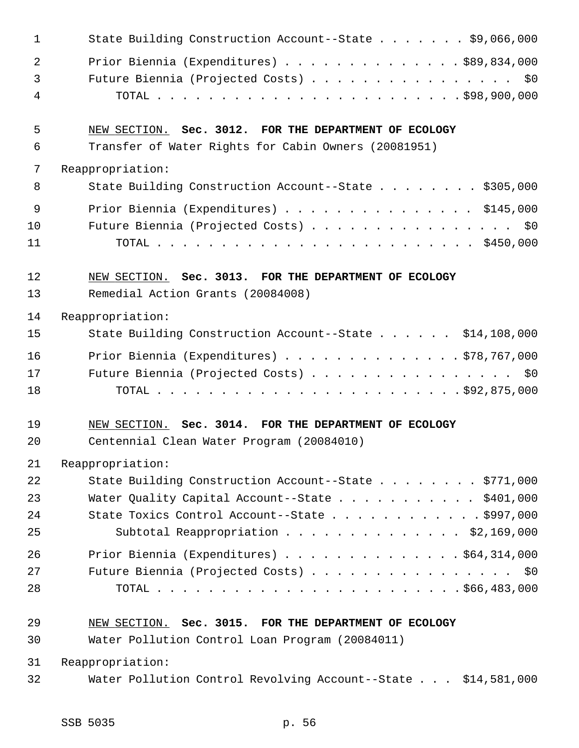| $\mathbf{1}$   | State Building Construction Account--State \$9,066,000        |
|----------------|---------------------------------------------------------------|
| 2              | Prior Biennia (Expenditures) \$89,834,000                     |
| $\mathfrak{Z}$ | Future Biennia (Projected Costs) \$0                          |
| $\overline{4}$ |                                                               |
| 5              | NEW SECTION. Sec. 3012. FOR THE DEPARTMENT OF ECOLOGY         |
| 6              | Transfer of Water Rights for Cabin Owners (20081951)          |
| 7              | Reappropriation:                                              |
| 8              | State Building Construction Account--State \$305,000          |
| 9              | Prior Biennia (Expenditures) \$145,000                        |
| 10             | Future Biennia (Projected Costs) \$0                          |
| 11             |                                                               |
| 12             | NEW SECTION. Sec. 3013. FOR THE DEPARTMENT OF ECOLOGY         |
| 13             | Remedial Action Grants (20084008)                             |
| 14             | Reappropriation:                                              |
| 15             | State Building Construction Account--State \$14,108,000       |
| 16             | Prior Biennia (Expenditures) \$78,767,000                     |
| 17             | Future Biennia (Projected Costs) \$0                          |
| 18             |                                                               |
| 19             | NEW SECTION. Sec. 3014. FOR THE DEPARTMENT OF ECOLOGY         |
| 20             | Centennial Clean Water Program (20084010)                     |
| 21             | Reappropriation:                                              |
| 22             | State Building Construction Account--State \$771,000          |
| 23             | Water Quality Capital Account--State \$401,000                |
| 24             | State Toxics Control Account--State \$997,000                 |
| 25             | Subtotal Reappropriation \$2,169,000                          |
| 26             | Prior Biennia (Expenditures) \$64,314,000                     |
| 27             | Future Biennia (Projected Costs) \$0                          |
| 28             |                                                               |
| 29             | NEW SECTION. Sec. 3015. FOR THE DEPARTMENT OF ECOLOGY         |
| 30             | Water Pollution Control Loan Program (20084011)               |
| 31             | Reappropriation:                                              |
| 32             | Water Pollution Control Revolving Account--State \$14,581,000 |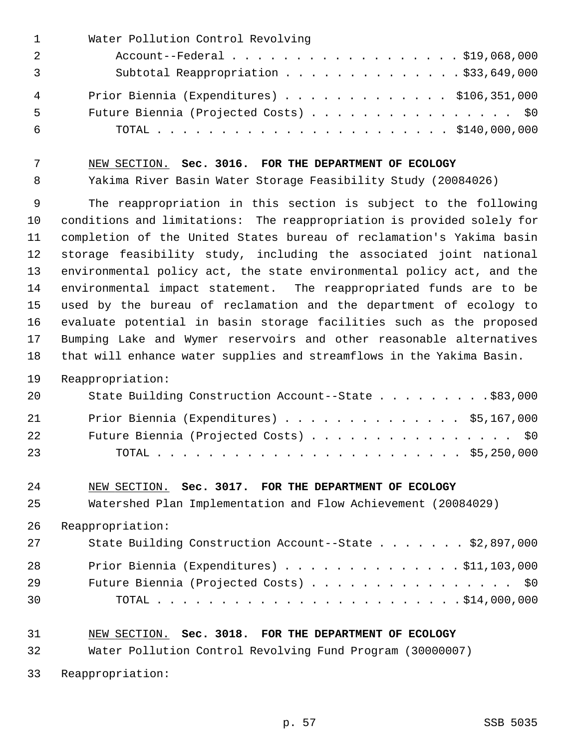| $\mathbf{1}$ | Water Pollution Control Revolving          |
|--------------|--------------------------------------------|
| 2            | Account--Federal \$19,068,000              |
|              | Subtotal Reappropriation \$33,649,000      |
| 4            | Prior Biennia (Expenditures) \$106,351,000 |
| 5            | Future Biennia (Projected Costs) \$0       |
| 6            |                                            |

#### 7 NEW SECTION. **Sec. 3016. FOR THE DEPARTMENT OF ECOLOGY**

8 Yakima River Basin Water Storage Feasibility Study (20084026)

 9 The reappropriation in this section is subject to the following 10 conditions and limitations: The reappropriation is provided solely for 11 completion of the United States bureau of reclamation's Yakima basin 12 storage feasibility study, including the associated joint national 13 environmental policy act, the state environmental policy act, and the 14 environmental impact statement. The reappropriated funds are to be 15 used by the bureau of reclamation and the department of ecology to 16 evaluate potential in basin storage facilities such as the proposed 17 Bumping Lake and Wymer reservoirs and other reasonable alternatives 18 that will enhance water supplies and streamflows in the Yakima Basin.

## 19 Reappropriation:

| 20 | State Building Construction Account--State \$83,000 |
|----|-----------------------------------------------------|
| 21 | Prior Biennia (Expenditures) \$5,167,000            |
| 22 | Future Biennia (Projected Costs) \$0                |
| 23 |                                                     |

## 24 NEW SECTION. **Sec. 3017. FOR THE DEPARTMENT OF ECOLOGY**

25 Watershed Plan Implementation and Flow Achievement (20084029)

26 Reappropriation:

| 27 | State Building Construction Account--State \$2,897,000 |
|----|--------------------------------------------------------|
| 28 | Prior Biennia (Expenditures) $\ldots$ \$11,103,000     |
| 29 | Future Biennia (Projected Costs) \$0                   |
| 30 |                                                        |

## 31 NEW SECTION. **Sec. 3018. FOR THE DEPARTMENT OF ECOLOGY**

32 Water Pollution Control Revolving Fund Program (30000007)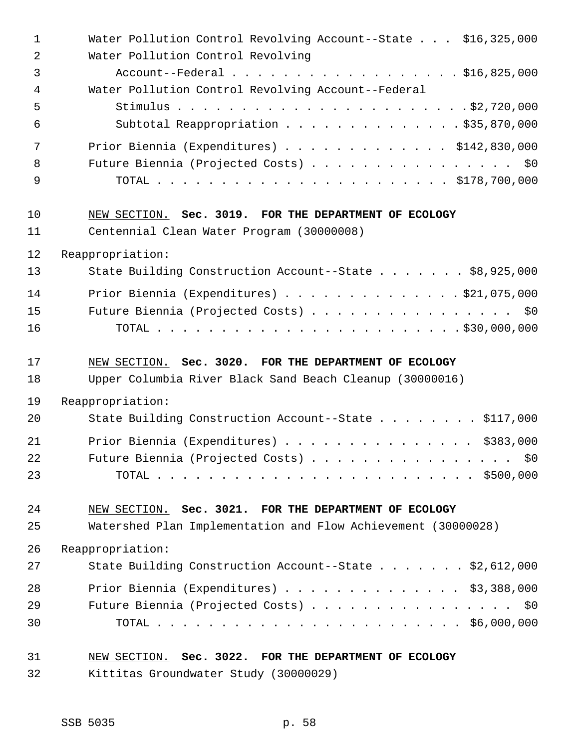| $\mathbf 1$    | Water Pollution Control Revolving Account--State \$16,325,000 |
|----------------|---------------------------------------------------------------|
| $\overline{2}$ | Water Pollution Control Revolving                             |
| 3              | Account--Federal \$16,825,000                                 |
| 4              | Water Pollution Control Revolving Account--Federal            |
| 5              |                                                               |
| 6              | Subtotal Reappropriation \$35,870,000                         |
| 7              | Prior Biennia (Expenditures) \$142,830,000                    |
| 8              | Future Biennia (Projected Costs) \$0                          |
| 9              |                                                               |
| 10             | NEW SECTION. Sec. 3019. FOR THE DEPARTMENT OF ECOLOGY         |
| 11             | Centennial Clean Water Program (30000008)                     |
| 12             | Reappropriation:                                              |
| 13             | State Building Construction Account--State \$8,925,000        |
| 14             | Prior Biennia (Expenditures) $\ldots$ 921,075,000             |
| 15             | Future Biennia (Projected Costs) \$0                          |
| 16             |                                                               |
|                |                                                               |
| 17             | NEW SECTION. Sec. 3020. FOR THE DEPARTMENT OF ECOLOGY         |
| 18             | Upper Columbia River Black Sand Beach Cleanup (30000016)      |
| 19             | Reappropriation:                                              |
| 20             | State Building Construction Account--State \$117,000          |
| 21             | Prior Biennia (Expenditures) \$383,000                        |
| 22             | Future Biennia (Projected Costs)<br>\$0                       |
| 23             |                                                               |
| 24             | NEW SECTION. Sec. 3021. FOR THE DEPARTMENT OF ECOLOGY         |
| 25             | Watershed Plan Implementation and Flow Achievement (30000028) |
| 26             | Reappropriation:                                              |
| 27             | State Building Construction Account--State \$2,612,000        |
| 28             | Prior Biennia (Expenditures) $\ldots$ \$3,388,000             |
| 29             | Future Biennia (Projected Costs) \$0                          |
| 30             |                                                               |

32 Kittitas Groundwater Study (30000029)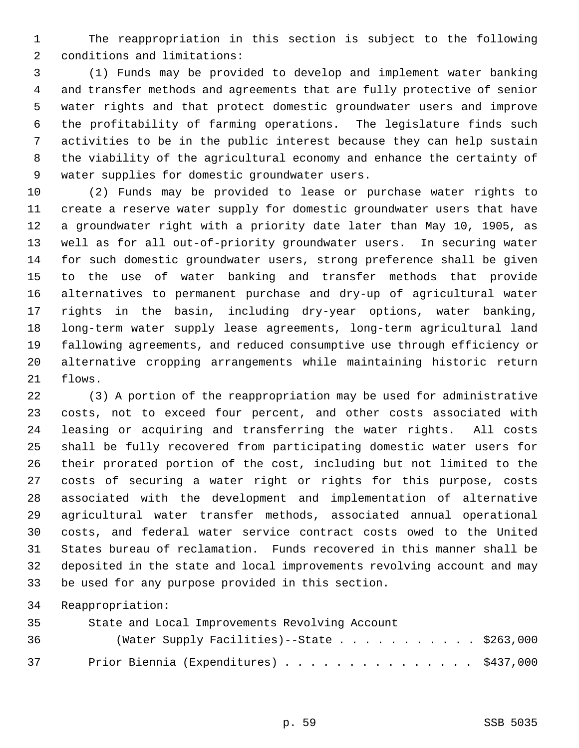1 The reappropriation in this section is subject to the following 2 conditions and limitations:

 3 (1) Funds may be provided to develop and implement water banking 4 and transfer methods and agreements that are fully protective of senior 5 water rights and that protect domestic groundwater users and improve 6 the profitability of farming operations. The legislature finds such 7 activities to be in the public interest because they can help sustain 8 the viability of the agricultural economy and enhance the certainty of 9 water supplies for domestic groundwater users.

10 (2) Funds may be provided to lease or purchase water rights to 11 create a reserve water supply for domestic groundwater users that have 12 a groundwater right with a priority date later than May 10, 1905, as 13 well as for all out-of-priority groundwater users. In securing water 14 for such domestic groundwater users, strong preference shall be given 15 to the use of water banking and transfer methods that provide 16 alternatives to permanent purchase and dry-up of agricultural water 17 rights in the basin, including dry-year options, water banking, 18 long-term water supply lease agreements, long-term agricultural land 19 fallowing agreements, and reduced consumptive use through efficiency or 20 alternative cropping arrangements while maintaining historic return 21 flows.

22 (3) A portion of the reappropriation may be used for administrative 23 costs, not to exceed four percent, and other costs associated with 24 leasing or acquiring and transferring the water rights. All costs 25 shall be fully recovered from participating domestic water users for 26 their prorated portion of the cost, including but not limited to the 27 costs of securing a water right or rights for this purpose, costs 28 associated with the development and implementation of alternative 29 agricultural water transfer methods, associated annual operational 30 costs, and federal water service contract costs owed to the United 31 States bureau of reclamation. Funds recovered in this manner shall be 32 deposited in the state and local improvements revolving account and may 33 be used for any purpose provided in this section.

| 35 | State and Local Improvements Revolving Account |
|----|------------------------------------------------|
| 36 | (Water Supply Facilities)--State \$263,000     |
| 37 | Prior Biennia (Expenditures) \$437,000         |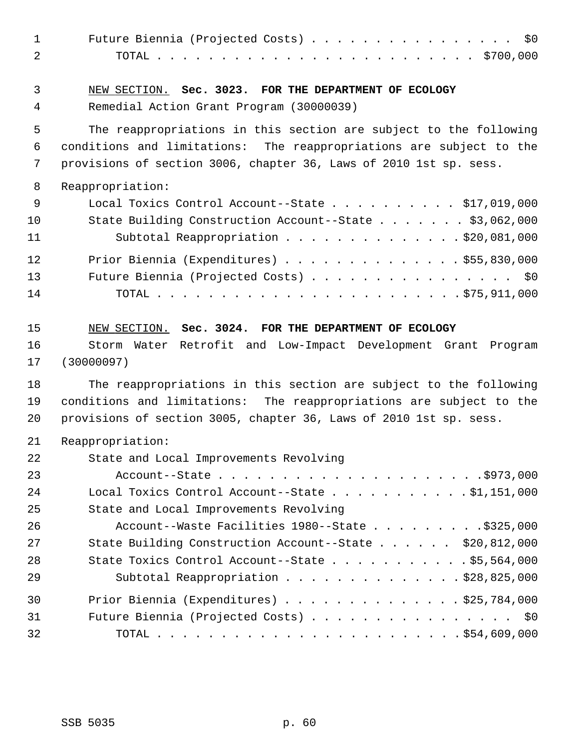| $\mathbf 1$<br>2 | Future Biennia (Projected Costs) \$0                                                              |
|------------------|---------------------------------------------------------------------------------------------------|
| 3<br>4           | NEW SECTION. Sec. 3023. FOR THE DEPARTMENT OF ECOLOGY<br>Remedial Action Grant Program (30000039) |
| 5                | The reappropriations in this section are subject to the following                                 |
| 6                | conditions and limitations: The reappropriations are subject to the                               |
| 7                | provisions of section 3006, chapter 36, Laws of 2010 1st sp. sess.                                |
| 8                | Reappropriation:                                                                                  |
| 9                | Local Toxics Control Account--State $\ldots$ \$17,019,000                                         |
| 10               | State Building Construction Account--State \$3,062,000                                            |
| 11               | Subtotal Reappropriation \$20,081,000                                                             |
| 12               | Prior Biennia (Expenditures) $\ldots$ \$55,830,000                                                |
| 13               | Future Biennia (Projected Costs) \$0                                                              |
| 14               |                                                                                                   |
| 15               | NEW SECTION. Sec. 3024. FOR THE DEPARTMENT OF ECOLOGY                                             |
| 16               | Storm Water Retrofit and Low-Impact Development Grant Program                                     |
| 17               | (30000097)                                                                                        |
| 18               | The reappropriations in this section are subject to the following                                 |
| 19               | conditions and limitations: The reappropriations are subject to the                               |
| 20               | provisions of section 3005, chapter 36, Laws of 2010 1st sp. sess.                                |
| 21               | Reappropriation:                                                                                  |
| 22               | State and Local Improvements Revolving                                                            |
| 23               |                                                                                                   |
| 24               | Local Toxics Control Account--State $\ldots$ 91, 151, 000                                         |
| 25               | State and Local Improvements Revolving                                                            |
| 26               | Account--Waste Facilities 1980--State \$325,000                                                   |
| 27               | State Building Construction Account--State \$20,812,000                                           |
| 28               | State Toxics Control Account--State $\ldots$ \$5,564,000                                          |
| 29               | Subtotal Reappropriation \$28,825,000                                                             |
| 30               | Prior Biennia (Expenditures) $\ldots$ \$25,784,000                                                |
| 31               | Future Biennia (Projected Costs) \$0                                                              |
| 32               |                                                                                                   |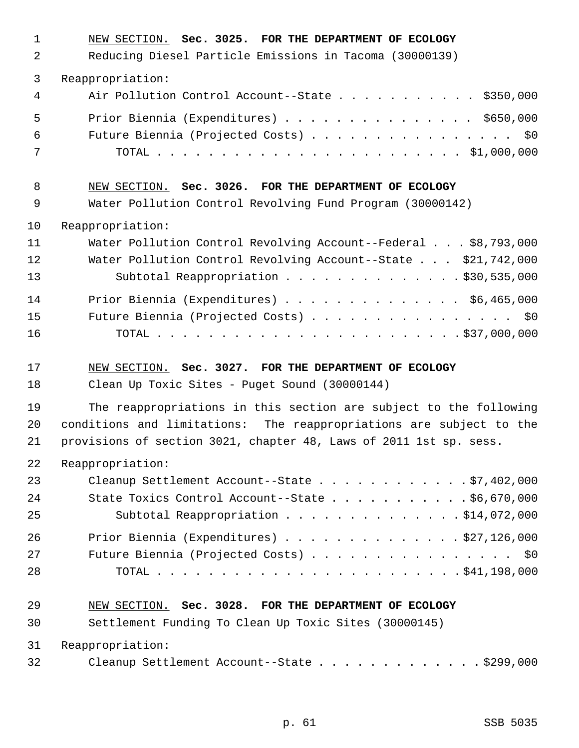| 1        | NEW SECTION. Sec. 3025. FOR THE DEPARTMENT OF ECOLOGY               |
|----------|---------------------------------------------------------------------|
| 2        | Reducing Diesel Particle Emissions in Tacoma (30000139)             |
| 3        | Reappropriation:                                                    |
| 4        | Air Pollution Control Account--State \$350,000                      |
| 5        | Prior Biennia (Expenditures) \$650,000                              |
| 6        | Future Biennia (Projected Costs) \$0                                |
| 7        |                                                                     |
| 8        | NEW SECTION. Sec. 3026. FOR THE DEPARTMENT OF ECOLOGY               |
| 9        | Water Pollution Control Revolving Fund Program (30000142)           |
| 10       | Reappropriation:                                                    |
| 11       | Water Pollution Control Revolving Account--Federal \$8,793,000      |
| 12       | Water Pollution Control Revolving Account--State \$21,742,000       |
| 13       | Subtotal Reappropriation \$30,535,000                               |
| 14       | Prior Biennia (Expenditures) \$6,465,000                            |
| 15       | Future Biennia (Projected Costs) \$0                                |
| 16       |                                                                     |
|          |                                                                     |
| 17       | NEW SECTION. Sec. 3027. FOR THE DEPARTMENT OF ECOLOGY               |
|          | Clean Up Toxic Sites - Puget Sound (30000144)                       |
| 18<br>19 | The reappropriations in this section are subject to the following   |
| 20       | conditions and limitations: The reappropriations are subject to the |
| 21       | provisions of section 3021, chapter 48, Laws of 2011 1st sp. sess.  |
| 22       | Reappropriation:                                                    |
| 23       | Cleanup Settlement Account--State \$7,402,000                       |
| 24       | State Toxics Control Account--State $\ldots$ \$6,670,000            |
| 25       | Subtotal Reappropriation \$14,072,000                               |
| 26       | Prior Biennia (Expenditures) $\ldots$ \$27,126,000                  |
| 27       | Future Biennia (Projected Costs) \$0                                |
| 28       |                                                                     |
| 29       | NEW SECTION. Sec. 3028. FOR THE DEPARTMENT OF ECOLOGY               |
| 30       | Settlement Funding To Clean Up Toxic Sites (30000145)               |
| 31       | Reappropriation:                                                    |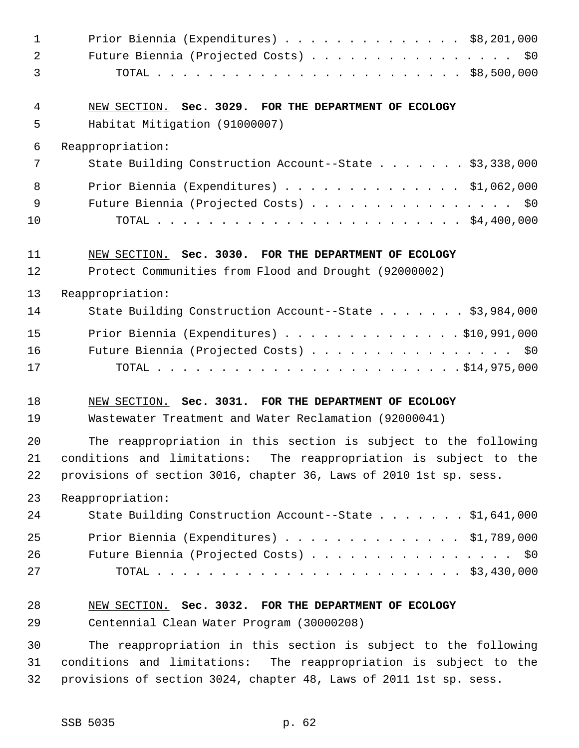| $\mathbf 1$    | Prior Biennia (Expenditures) $\ldots$ \$8,201,000                  |
|----------------|--------------------------------------------------------------------|
| $\overline{2}$ | Future Biennia (Projected Costs) \$0                               |
| 3              |                                                                    |
| 4              | NEW SECTION. Sec. 3029. FOR THE DEPARTMENT OF ECOLOGY              |
| 5              | Habitat Mitigation (91000007)                                      |
| 6              | Reappropriation:                                                   |
| 7              | State Building Construction Account--State \$3,338,000             |
| 8              | Prior Biennia (Expenditures) \$1,062,000                           |
| 9              | Future Biennia (Projected Costs) \$0                               |
| 10             |                                                                    |
| 11             | NEW SECTION. Sec. 3030. FOR THE DEPARTMENT OF ECOLOGY              |
| 12             | Protect Communities from Flood and Drought (92000002)              |
| 13             | Reappropriation:                                                   |
| 14             | State Building Construction Account--State \$3,984,000             |
| 15             | Prior Biennia (Expenditures) \$10,991,000                          |
| 16             | Future Biennia (Projected Costs) \$0                               |
| 17             |                                                                    |
| 18             | NEW SECTION. Sec. 3031. FOR THE DEPARTMENT OF ECOLOGY              |
| 19             | Wastewater Treatment and Water Reclamation (92000041)              |
| 20             | The reappropriation in this section is subject to the following    |
| 21             | conditions and limitations: The reappropriation is subject to the  |
| 22             | provisions of section 3016, chapter 36, Laws of 2010 1st sp. sess. |
| 23             | Reappropriation:                                                   |
| 24             | State Building Construction Account--State \$1,641,000             |
| 25             | Prior Biennia (Expenditures) $\ldots$ \$1,789,000                  |
| 26             | Future Biennia (Projected Costs) \$0                               |
| 27             |                                                                    |
| 28             | NEW SECTION. Sec. 3032. FOR THE DEPARTMENT OF ECOLOGY              |
| 29             | Centennial Clean Water Program (30000208)                          |
| 30             | The reappropriation in this section is subject to the following    |
| 31             | conditions and limitations: The reappropriation is subject to the  |
| 32             | provisions of section 3024, chapter 48, Laws of 2011 1st sp. sess. |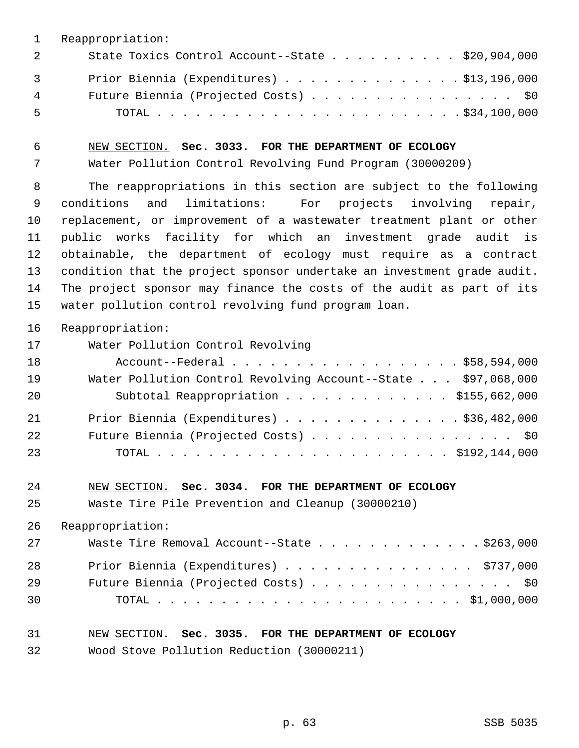|                | Reappropriation:                                          |
|----------------|-----------------------------------------------------------|
| $\overline{2}$ | State Toxics Control Account--State $\ldots$ \$20,904,000 |
| $\overline{3}$ | Prior Biennia (Expenditures) \$13,196,000                 |
| 4              | Future Biennia (Projected Costs) \$0                      |
| 5              |                                                           |

6 NEW SECTION. **Sec. 3033. FOR THE DEPARTMENT OF ECOLOGY**

7 Water Pollution Control Revolving Fund Program (30000209)

 8 The reappropriations in this section are subject to the following 9 conditions and limitations: For projects involving repair, 10 replacement, or improvement of a wastewater treatment plant or other 11 public works facility for which an investment grade audit is 12 obtainable, the department of ecology must require as a contract 13 condition that the project sponsor undertake an investment grade audit. 14 The project sponsor may finance the costs of the audit as part of its 15 water pollution control revolving fund program loan.

16 Reappropriation:

| 17 | Water Pollution Control Revolving                             |
|----|---------------------------------------------------------------|
| 18 | Account--Federal \$58,594,000                                 |
| 19 | Water Pollution Control Revolving Account--State \$97,068,000 |
| 20 | Subtotal Reappropriation \$155,662,000                        |
| 21 | Prior Biennia (Expenditures) \$36,482,000                     |
| 22 | Future Biennia (Projected Costs) \$0                          |
| 23 |                                                               |

24 NEW SECTION. **Sec. 3034. FOR THE DEPARTMENT OF ECOLOGY**

25 Waste Tire Pile Prevention and Cleanup (30000210)

26 Reappropriation:

| 27 | Waste Tire Removal Account--State \$263,000 |
|----|---------------------------------------------|
| 28 | Prior Biennia (Expenditures) \$737,000      |
| 29 | Future Biennia (Projected Costs) \$0        |
| 30 |                                             |

#### 31 NEW SECTION. **Sec. 3035. FOR THE DEPARTMENT OF ECOLOGY**

32 Wood Stove Pollution Reduction (30000211)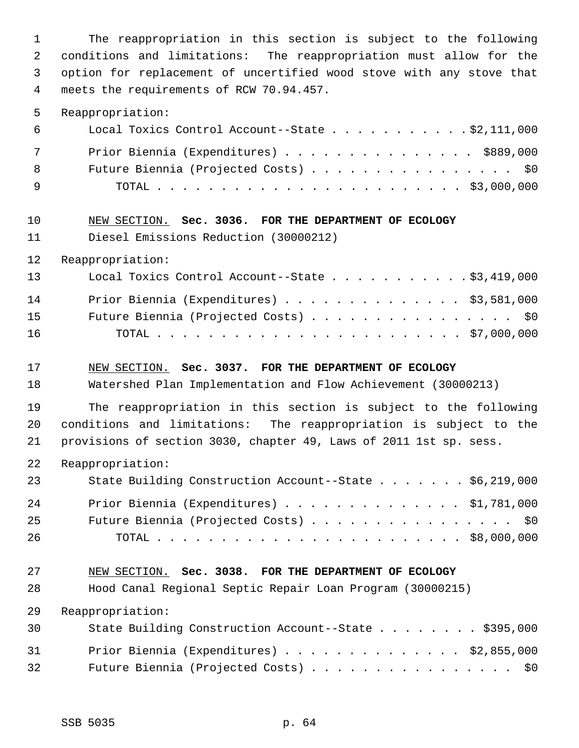1 The reappropriation in this section is subject to the following 2 conditions and limitations: The reappropriation must allow for the 3 option for replacement of uncertified wood stove with any stove that 4 meets the requirements of RCW 70.94.457.

5 Reappropriation:

| 6   | Local Toxics Control Account--State $\ldots$ \$2,111,000 |
|-----|----------------------------------------------------------|
| 7   | Prior Biennia (Expenditures) \$889,000                   |
| 8   | Future Biennia (Projected Costs) \$0                     |
| - 9 |                                                          |

#### 10 NEW SECTION. **Sec. 3036. FOR THE DEPARTMENT OF ECOLOGY**

11 Diesel Emissions Reduction (30000212)

12 Reappropriation:

| 13 | Local Toxics Control Account--State \$3,419,000   |
|----|---------------------------------------------------|
| 14 | Prior Biennia (Expenditures) $\ldots$ \$3,581,000 |
| 15 | Future Biennia (Projected Costs) \$0              |
| 16 |                                                   |

#### 17 NEW SECTION. **Sec. 3037. FOR THE DEPARTMENT OF ECOLOGY**

18 Watershed Plan Implementation and Flow Achievement (30000213)

19 The reappropriation in this section is subject to the following 20 conditions and limitations: The reappropriation is subject to the 21 provisions of section 3030, chapter 49, Laws of 2011 1st sp. sess.

22 Reappropriation:

| 23 | State Building Construction Account--State \$6,219,000 |  |
|----|--------------------------------------------------------|--|
| 24 | Prior Biennia (Expenditures) $\ldots$ \$1,781,000      |  |
| 25 | Future Biennia (Projected Costs) \$0                   |  |
| 26 |                                                        |  |

#### 27 NEW SECTION. **Sec. 3038. FOR THE DEPARTMENT OF ECOLOGY**

28 Hood Canal Regional Septic Repair Loan Program (30000215)

| 30 | State Building Construction Account--State \$395,000 |
|----|------------------------------------------------------|
| 31 | Prior Biennia (Expenditures) $\ldots$ \$2,855,000    |
| 32 | Future Biennia (Projected Costs) \$0                 |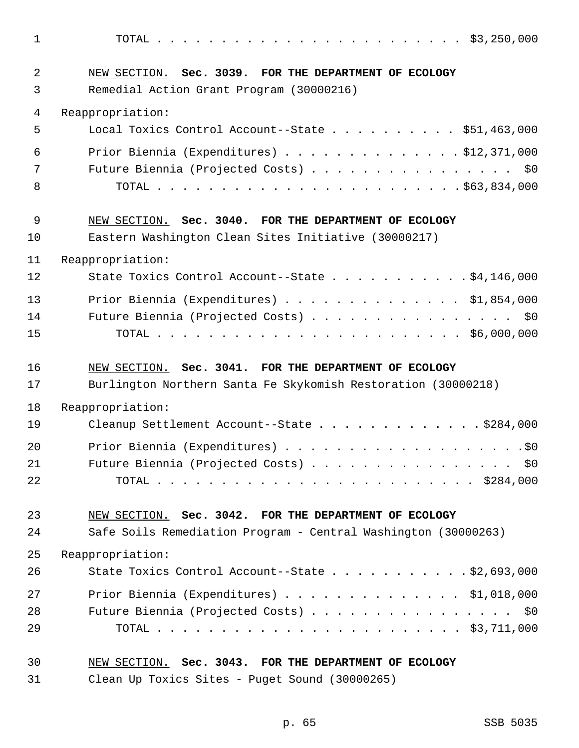1 TOTAL . . . . . . . . . . . . . . . . . . . . . . . . \$3,250,000 2 NEW SECTION. **Sec. 3039. FOR THE DEPARTMENT OF ECOLOGY** 3 Remedial Action Grant Program (30000216) 4 Reappropriation: 5 Local Toxics Control Account--State . . . . . . . . . . \$51,463,000 6 Prior Biennia (Expenditures) . . . . . . . . . . . . . . \$12,371,000 7 Future Biennia (Projected Costs) . . . . . . . . . . . . . . . \$0 8 TOTAL . . . . . . . . . . . . . . . . . . . . . . . . \$63,834,000 9 NEW SECTION. **Sec. 3040. FOR THE DEPARTMENT OF ECOLOGY** 10 Eastern Washington Clean Sites Initiative (30000217) 11 Reappropriation: 12 State Toxics Control Account--State . . . . . . . . . . \$4,146,000 13 Prior Biennia (Expenditures) . . . . . . . . . . . . . . \$1,854,000 14 Future Biennia (Projected Costs) . . . . . . . . . . . . . . . . \$0 15 TOTAL . . . . . . . . . . . . . . . . . . . . . . . . \$6,000,000 16 NEW SECTION. **Sec. 3041. FOR THE DEPARTMENT OF ECOLOGY** 17 Burlington Northern Santa Fe Skykomish Restoration (30000218) 18 Reappropriation: 19 Cleanup Settlement Account--State . . . . . . . . . . . . \$284,000 20 Prior Biennia (Expenditures) . . . . . . . . . . . . . . . . . . .\$0 21 Future Biennia (Projected Costs) . . . . . . . . . . . . . . . \$0 22 TOTAL . . . . . . . . . . . . . . . . . . . . . . . . . \$284,000 23 NEW SECTION. **Sec. 3042. FOR THE DEPARTMENT OF ECOLOGY** 24 Safe Soils Remediation Program - Central Washington (30000263) 25 Reappropriation: 26 State Toxics Control Account--State . . . . . . . . . . . \$2,693,000 27 Prior Biennia (Expenditures) . . . . . . . . . . . . . . \$1,018,000 28 Future Biennia (Projected Costs) . . . . . . . . . . . . . . . \$0 29 TOTAL . . . . . . . . . . . . . . . . . . . . . . . . \$3,711,000 30 NEW SECTION. **Sec. 3043. FOR THE DEPARTMENT OF ECOLOGY**

31 Clean Up Toxics Sites - Puget Sound (30000265)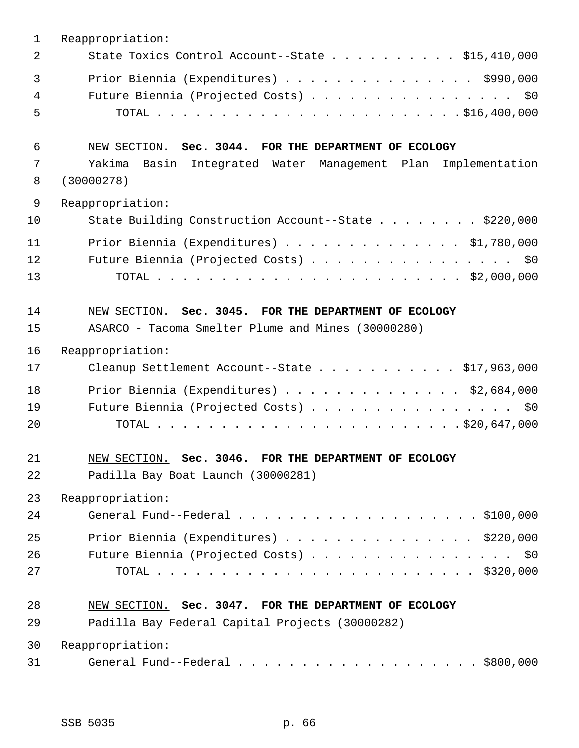| $\mathbf{1}$ | Reappropriation:                                                |
|--------------|-----------------------------------------------------------------|
| 2            | State Toxics Control Account--State \$15,410,000                |
| 3            | Prior Biennia (Expenditures) \$990,000                          |
| 4            | Future Biennia (Projected Costs) \$0                            |
| 5            |                                                                 |
| 6            | NEW SECTION. Sec. 3044. FOR THE DEPARTMENT OF ECOLOGY           |
| 7            | Yakima<br>Basin Integrated Water Management Plan Implementation |
| 8            | (30000278)                                                      |
| 9            | Reappropriation:                                                |
| 10           | State Building Construction Account--State \$220,000            |
| 11           | Prior Biennia (Expenditures) \$1,780,000                        |
| 12           | Future Biennia (Projected Costs) \$0                            |
| 13           |                                                                 |
| 14           | NEW SECTION. Sec. 3045. FOR THE DEPARTMENT OF ECOLOGY           |
| 15           | ASARCO - Tacoma Smelter Plume and Mines (30000280)              |
| 16           | Reappropriation:                                                |
| 17           | Cleanup Settlement Account--State \$17,963,000                  |
| 18           | Prior Biennia (Expenditures) \$2,684,000                        |
| 19           | Future Biennia (Projected Costs) \$0                            |
| 20           |                                                                 |
| 21           | NEW SECTION. Sec. 3046. FOR THE DEPARTMENT OF ECOLOGY           |
| 22           | Padilla Bay Boat Launch (30000281)                              |
| 23           | Reappropriation:                                                |
| 24           |                                                                 |
| 25           | Prior Biennia (Expenditures) $\ldots$ \$220,000                 |
| 26           | Future Biennia (Projected Costs) \$0                            |
| 27           |                                                                 |
| 28           | NEW SECTION. Sec. 3047. FOR THE DEPARTMENT OF ECOLOGY           |
| 29           | Padilla Bay Federal Capital Projects (30000282)                 |
| 30           | Reappropriation:                                                |
| 31           |                                                                 |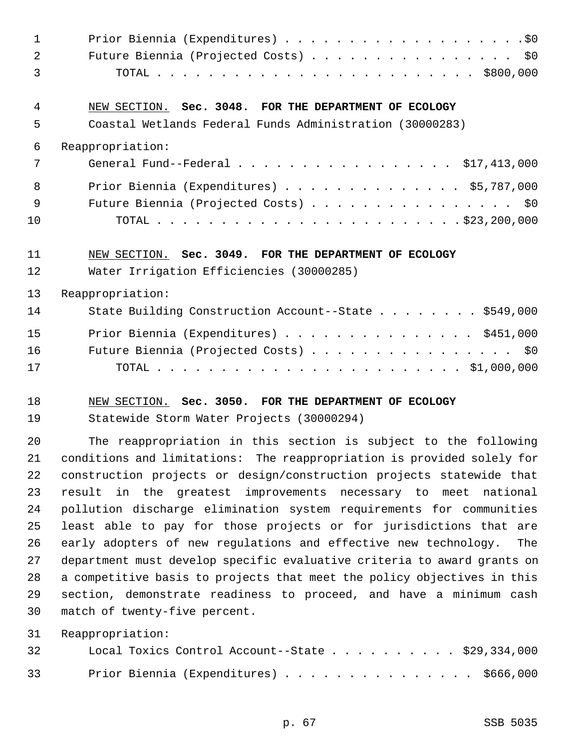| $\mathbf{1}$ |                                                                         |
|--------------|-------------------------------------------------------------------------|
| 2            | Future Biennia (Projected Costs) \$0                                    |
| 3            |                                                                         |
| 4            | NEW SECTION. Sec. 3048. FOR THE DEPARTMENT OF ECOLOGY                   |
| 5            | Coastal Wetlands Federal Funds Administration (30000283)                |
| 6            | Reappropriation:                                                        |
| 7            | General Fund--Federal \$17,413,000                                      |
| 8            | Prior Biennia (Expenditures) \$5,787,000                                |
| 9            | Future Biennia (Projected Costs) \$0                                    |
| 10           |                                                                         |
| 11           | NEW SECTION. Sec. 3049. FOR THE DEPARTMENT OF ECOLOGY                   |
| 12           | Water Irrigation Efficiencies (30000285)                                |
| 13           | Reappropriation:                                                        |
| 14           | State Building Construction Account--State \$549,000                    |
| 15           | Prior Biennia (Expenditures) \$451,000                                  |
| 16           | Future Biennia (Projected Costs) \$0                                    |
| 17           |                                                                         |
| 18           | NEW SECTION. Sec. 3050. FOR THE DEPARTMENT OF ECOLOGY                   |
| 19           | Statewide Storm Water Projects (30000294)                               |
| 20           | The reappropriation in this section is subject to the following         |
| 21           | conditions and limitations: The reappropriation is provided solely for  |
| 22           | construction projects or design/construction projects statewide that    |
| 23           | result in the greatest improvements necessary to meet national          |
| 24           | pollution discharge elimination system requirements for communities     |
| 25           | least able to pay for those projects or for jurisdictions that are      |
| 26           | early adopters of new regulations and effective new technology.<br>The  |
| 27           | department must develop specific evaluative criteria to award grants on |
| 28           | a competitive basis to projects that meet the policy objectives in this |
| 29           | section, demonstrate readiness to proceed, and have a minimum cash      |
| 30           | match of twenty-five percent.                                           |
| 31           | Reappropriation:                                                        |

| 32 | Local Toxics Control Account--State $\ldots$ ,   \$29,334,000 |  |  |  |  |  |  |  |
|----|---------------------------------------------------------------|--|--|--|--|--|--|--|
| 33 | Prior Biennia (Expenditures) \$666,000                        |  |  |  |  |  |  |  |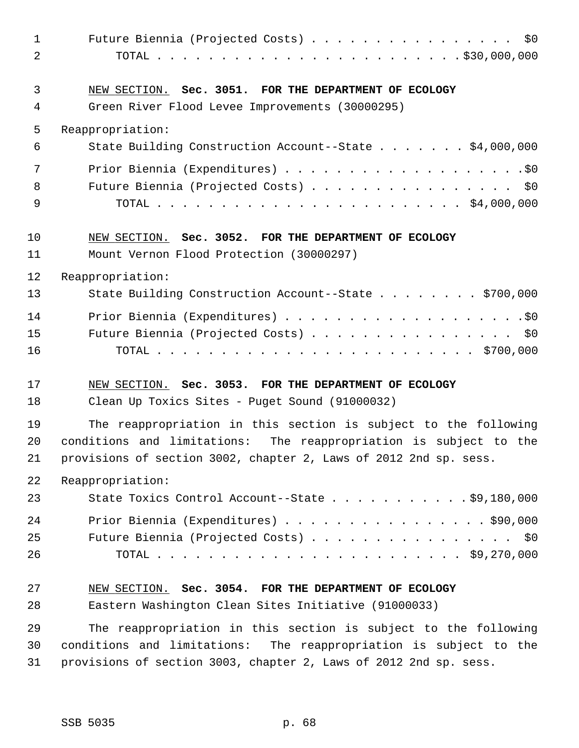| $\mathbf{1}$<br>$\overline{a}$ | Future Biennia (Projected Costs) \$0                                                                     |
|--------------------------------|----------------------------------------------------------------------------------------------------------|
| 3<br>4                         | NEW SECTION. Sec. 3051. FOR THE DEPARTMENT OF ECOLOGY<br>Green River Flood Levee Improvements (30000295) |
| 5                              | Reappropriation:                                                                                         |
| 6                              | State Building Construction Account--State \$4,000,000                                                   |
| 7                              |                                                                                                          |
| 8                              | Future Biennia (Projected Costs) \$0                                                                     |
| 9                              |                                                                                                          |
| 10                             | NEW SECTION. Sec. 3052. FOR THE DEPARTMENT OF ECOLOGY                                                    |
| 11                             | Mount Vernon Flood Protection (30000297)                                                                 |
| 12                             | Reappropriation:                                                                                         |
| 13                             | State Building Construction Account--State \$700,000                                                     |
| 14                             |                                                                                                          |
| 15                             | Future Biennia (Projected Costs) \$0                                                                     |
| 16                             |                                                                                                          |
| 17                             | NEW SECTION. Sec. 3053. FOR THE DEPARTMENT OF ECOLOGY                                                    |
| 18                             | Clean Up Toxics Sites - Puget Sound (91000032)                                                           |
| 19                             | The reappropriation in this section is subject to the following                                          |
| 20                             | conditions and limitations: The reappropriation is subject to the                                        |
| 21                             | provisions of section 3002, chapter 2, Laws of 2012 2nd sp. sess.                                        |
| 22                             | Reappropriation:                                                                                         |
| 23                             | State Toxics Control Account--State $\ldots$ \$9,180,000                                                 |
| 24                             | Prior Biennia (Expenditures) \$90,000                                                                    |
| 25                             | Future Biennia (Projected Costs) \$0                                                                     |
| 26                             |                                                                                                          |
| 27                             | NEW SECTION. Sec. 3054. FOR THE DEPARTMENT OF ECOLOGY                                                    |
| 28                             | Eastern Washington Clean Sites Initiative (91000033)                                                     |
| 29                             | The reappropriation in this section is subject to the following                                          |
| 30                             | conditions and limitations: The reappropriation is subject to the                                        |
| 31                             | provisions of section 3003, chapter 2, Laws of 2012 2nd sp. sess.                                        |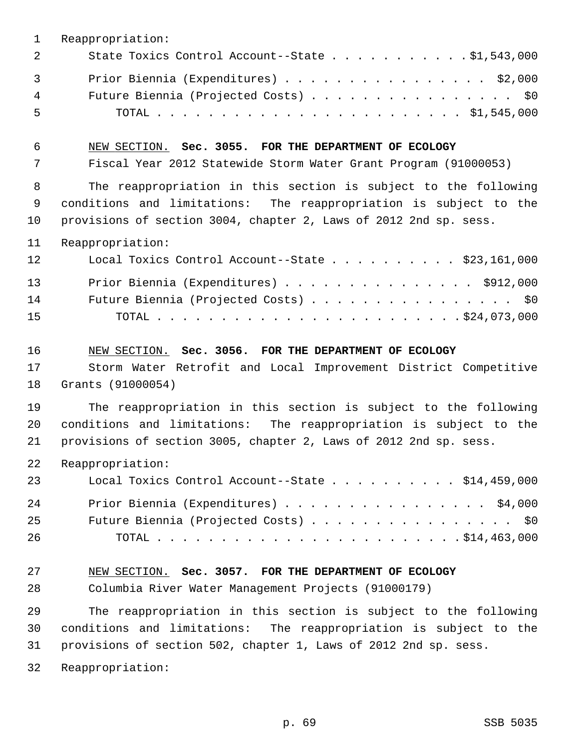| $\mathbf{1}$             | Reappropriation:                                                                                                                                                                                          |
|--------------------------|-----------------------------------------------------------------------------------------------------------------------------------------------------------------------------------------------------------|
| 2                        | State Toxics Control Account--State 51,543,000                                                                                                                                                            |
| $\overline{3}$<br>4<br>5 | Prior Biennia (Expenditures) \$2,000<br>Future Biennia (Projected Costs) \$0                                                                                                                              |
| 6<br>7                   | NEW SECTION. Sec. 3055. FOR THE DEPARTMENT OF ECOLOGY<br>Fiscal Year 2012 Statewide Storm Water Grant Program (91000053)                                                                                  |
| 8<br>9<br>10             | The reappropriation in this section is subject to the following<br>conditions and limitations: The reappropriation is subject to the<br>provisions of section 3004, chapter 2, Laws of 2012 2nd sp. sess. |
| 11                       | Reappropriation:                                                                                                                                                                                          |
| 12                       | Local Toxics Control Account--State \$23,161,000                                                                                                                                                          |
| 13<br>14<br>15           | Prior Biennia (Expenditures) \$912,000<br>Future Biennia (Projected Costs) \$0                                                                                                                            |
| 16<br>17<br>18           | NEW SECTION. Sec. 3056. FOR THE DEPARTMENT OF ECOLOGY<br>Storm Water Retrofit and Local Improvement District Competitive<br>Grants (91000054)                                                             |
| 19<br>20<br>21           | The reappropriation in this section is subject to the following<br>conditions and limitations: The reappropriation is subject to the<br>provisions of section 3005, chapter 2, Laws of 2012 2nd sp. sess. |
| 22                       | Reappropriation:                                                                                                                                                                                          |
| 23                       | Local Toxics Control Account--State \$14,459,000                                                                                                                                                          |
| 24<br>25<br>26           | Prior Biennia (Expenditures) \$4,000<br>Future Biennia (Projected Costs) \$0                                                                                                                              |
| 27                       | NEW SECTION. Sec. 3057. FOR THE DEPARTMENT OF ECOLOGY                                                                                                                                                     |
| 28                       | Columbia River Water Management Projects (91000179)                                                                                                                                                       |
| 29<br>30<br>31           | The reappropriation in this section is subject to the following<br>conditions and limitations: The reappropriation is subject to the<br>provisions of section 502, chapter 1, Laws of 2012 2nd sp. sess.  |
| 32                       | Reappropriation:                                                                                                                                                                                          |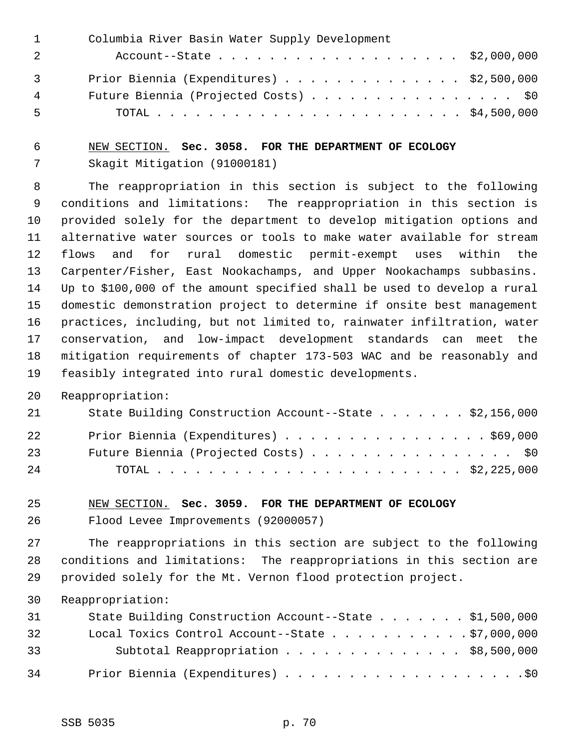|                | Columbia River Basin Water Supply Development |
|----------------|-----------------------------------------------|
|                | Account--State \$2,000,000                    |
| $\overline{3}$ | Prior Biennia (Expenditures) \$2,500,000      |
| 4              | Future Biennia (Projected Costs) \$0          |
| 5              |                                               |

# 6 NEW SECTION. **Sec. 3058. FOR THE DEPARTMENT OF ECOLOGY** 7 Skagit Mitigation (91000181)

 8 The reappropriation in this section is subject to the following 9 conditions and limitations: The reappropriation in this section is 10 provided solely for the department to develop mitigation options and 11 alternative water sources or tools to make water available for stream 12 flows and for rural domestic permit-exempt uses within the 13 Carpenter/Fisher, East Nookachamps, and Upper Nookachamps subbasins. 14 Up to \$100,000 of the amount specified shall be used to develop a rural 15 domestic demonstration project to determine if onsite best management 16 practices, including, but not limited to, rainwater infiltration, water 17 conservation, and low-impact development standards can meet the 18 mitigation requirements of chapter 173-503 WAC and be reasonably and 19 feasibly integrated into rural domestic developments.

20 Reappropriation:

| 21  | State Building Construction Account--State $\ldots$ \$2,156,000 |
|-----|-----------------------------------------------------------------|
| 22  | Prior Biennia (Expenditures) \$69,000                           |
| 23  | Future Biennia (Projected Costs) \$0                            |
| 2.4 |                                                                 |

### 25 NEW SECTION. **Sec. 3059. FOR THE DEPARTMENT OF ECOLOGY**

26 Flood Levee Improvements (92000057)

27 The reappropriations in this section are subject to the following 28 conditions and limitations: The reappropriations in this section are 29 provided solely for the Mt. Vernon flood protection project.

| 31 | State Building Construction Account--State \$1,500,000   |
|----|----------------------------------------------------------|
| 32 | Local Toxics Control Account--State $\ldots$ \$7,000,000 |
| 33 | Subtotal Reappropriation \$8,500,000                     |
| 34 |                                                          |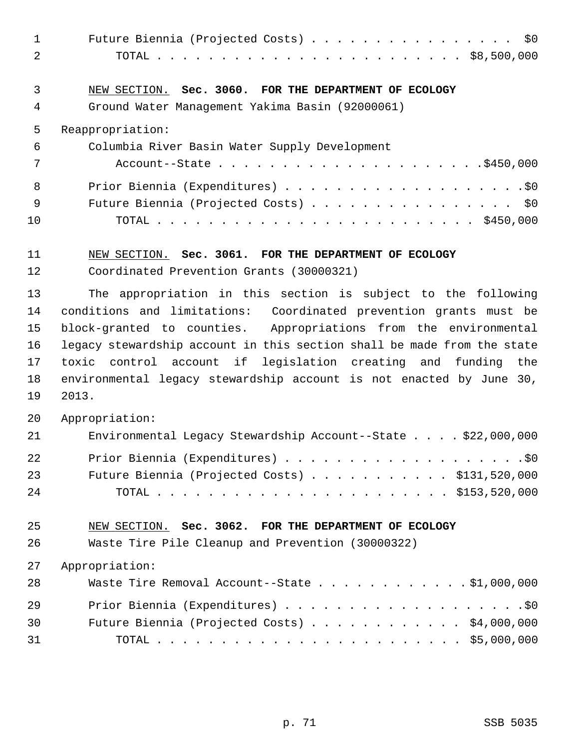| $\mathbf{1}$<br>2 | Future Biennia (Projected Costs) \$0                                    |
|-------------------|-------------------------------------------------------------------------|
|                   |                                                                         |
| 3                 | NEW SECTION. Sec. 3060. FOR THE DEPARTMENT OF ECOLOGY                   |
| 4                 | Ground Water Management Yakima Basin (92000061)                         |
| 5                 | Reappropriation:                                                        |
| 6                 | Columbia River Basin Water Supply Development                           |
| 7                 |                                                                         |
| 8                 |                                                                         |
| 9                 | Future Biennia (Projected Costs) \$0                                    |
| 10                |                                                                         |
| 11                | NEW SECTION. Sec. 3061. FOR THE DEPARTMENT OF ECOLOGY                   |
| 12                | Coordinated Prevention Grants (30000321)                                |
| 13                | The appropriation in this section is subject to the following           |
| 14                | conditions and limitations: Coordinated prevention grants must be       |
| 15                | block-granted to counties. Appropriations from the environmental        |
| 16                | legacy stewardship account in this section shall be made from the state |
| 17                | toxic control account if legislation creating and funding the           |
| 18                | environmental legacy stewardship account is not enacted by June 30,     |
| 19                | 2013.                                                                   |
| 20                | Appropriation:                                                          |
| 21                | Environmental Legacy Stewardship Account--State \$22,000,000            |
| 22                |                                                                         |
| 23                | Future Biennia (Projected Costs) \$131,520,000                          |
| 24                |                                                                         |
| 25                | NEW SECTION. Sec. 3062. FOR THE DEPARTMENT OF ECOLOGY                   |
| 26                | Waste Tire Pile Cleanup and Prevention (30000322)                       |
| 27                | Appropriation:                                                          |
| 28                | Waste Tire Removal Account--State \$1,000,000                           |
| 29                |                                                                         |
| 30                | Future Biennia (Projected Costs) $\ldots$ \$4,000,000                   |
| 31                |                                                                         |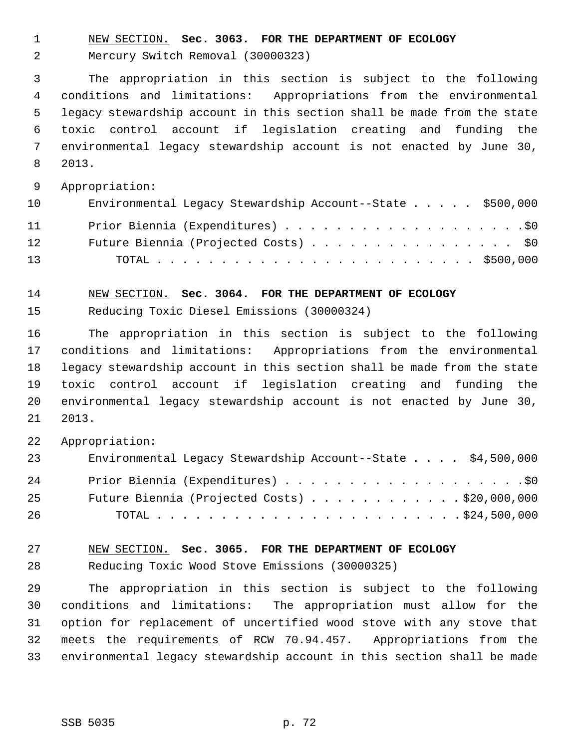1 NEW SECTION. **Sec. 3063. FOR THE DEPARTMENT OF ECOLOGY**

2 Mercury Switch Removal (30000323)

 3 The appropriation in this section is subject to the following 4 conditions and limitations: Appropriations from the environmental 5 legacy stewardship account in this section shall be made from the state 6 toxic control account if legislation creating and funding the 7 environmental legacy stewardship account is not enacted by June 30, 8 2013.

9 Appropriation:

| 10 | Environmental Legacy Stewardship Account--State \$500,000 |
|----|-----------------------------------------------------------|
| 11 |                                                           |
| 12 | Future Biennia (Projected Costs) \$0                      |
| 13 |                                                           |

14 NEW SECTION. **Sec. 3064. FOR THE DEPARTMENT OF ECOLOGY**

15 Reducing Toxic Diesel Emissions (30000324)

16 The appropriation in this section is subject to the following 17 conditions and limitations: Appropriations from the environmental 18 legacy stewardship account in this section shall be made from the state 19 toxic control account if legislation creating and funding the 20 environmental legacy stewardship account is not enacted by June 30, 21 2013.

22 Appropriation:

| 23  | Environmental Legacy Stewardship Account--State \$4,500,000 |
|-----|-------------------------------------------------------------|
| 2.4 |                                                             |
| 25  | Future Biennia (Projected Costs) \$20,000,000               |
| 26  |                                                             |

27 NEW SECTION. **Sec. 3065. FOR THE DEPARTMENT OF ECOLOGY** 28 Reducing Toxic Wood Stove Emissions (30000325)

29 The appropriation in this section is subject to the following 30 conditions and limitations: The appropriation must allow for the 31 option for replacement of uncertified wood stove with any stove that 32 meets the requirements of RCW 70.94.457. Appropriations from the 33 environmental legacy stewardship account in this section shall be made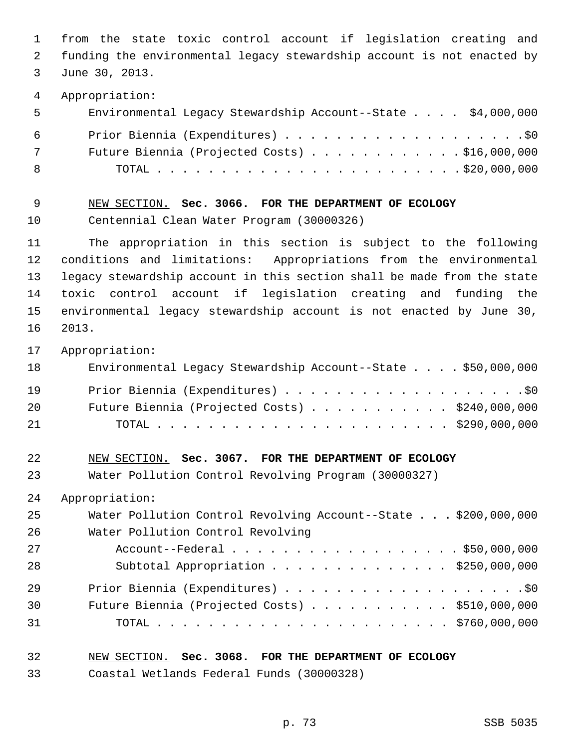1 from the state toxic control account if legislation creating and 2 funding the environmental legacy stewardship account is not enacted by 3 June 30, 2013. 4 Appropriation: 5 Environmental Legacy Stewardship Account--State . . . . \$4,000,000 6 Prior Biennia (Expenditures) . . . . . . . . . . . . . . . . . . .\$0 7 Future Biennia (Projected Costs) . . . . . . . . . . . . \$16,000,000 8 TOTAL . . . . . . . . . . . . . . . . . . . . . . . . \$20,000,000 9 NEW SECTION. **Sec. 3066. FOR THE DEPARTMENT OF ECOLOGY** 10 Centennial Clean Water Program (30000326) 11 The appropriation in this section is subject to the following 12 conditions and limitations: Appropriations from the environmental 13 legacy stewardship account in this section shall be made from the state 14 toxic control account if legislation creating and funding the 15 environmental legacy stewardship account is not enacted by June 30, 16 2013. 17 Appropriation: 18 Environmental Legacy Stewardship Account--State . . . . \$50,000,000 19 Prior Biennia (Expenditures) . . . . . . . . . . . . . . . . . . .\$0 20 Future Biennia (Projected Costs) . . . . . . . . . . . \$240,000,000 21 TOTAL . . . . . . . . . . . . . . . . . . . . . . . \$290,000,000 22 NEW SECTION. **Sec. 3067. FOR THE DEPARTMENT OF ECOLOGY** 23 Water Pollution Control Revolving Program (30000327) 24 Appropriation: 25 Water Pollution Control Revolving Account--State . . . \$200,000,000 26 Water Pollution Control Revolving 27 Account--Federal . . . . . . . . . . . . . . . . . . \$50,000,000 28 Subtotal Appropriation . . . . . . . . . . . . . . \$250,000,000 29 Prior Biennia (Expenditures) . . . . . . . . . . . . . . . . . . .\$0 30 Future Biennia (Projected Costs) . . . . . . . . . . . \$510,000,000 31 TOTAL . . . . . . . . . . . . . . . . . . . . . . . \$760,000,000 32 NEW SECTION. **Sec. 3068. FOR THE DEPARTMENT OF ECOLOGY**

33 Coastal Wetlands Federal Funds (30000328)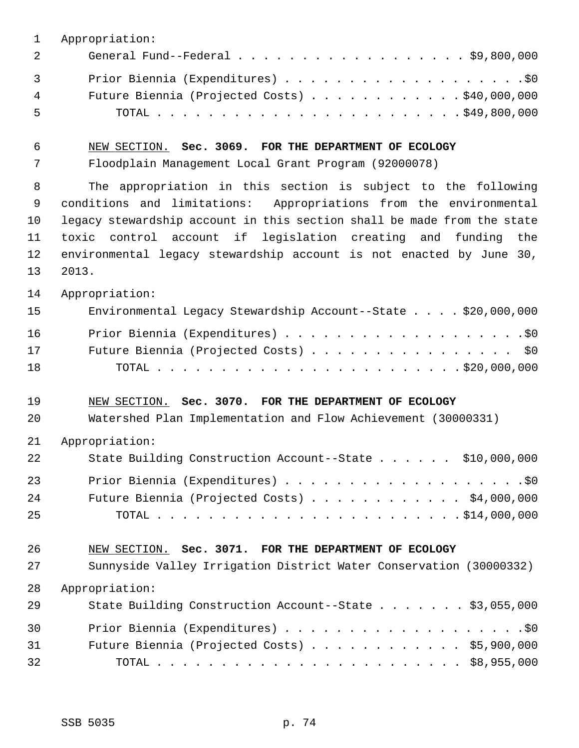1 Appropriation:

| 2        | General Fund--Federal $\ldots$ , $\ldots$ , $\ldots$ , $\ldots$ , $\ldots$ , $\ddot{\text{S}}9,800,000$ |
|----------|---------------------------------------------------------------------------------------------------------|
| $3 \sim$ |                                                                                                         |
| 4        | Future Biennia (Projected Costs) $\ldots$ \$40,000,000                                                  |
| - 5      |                                                                                                         |

6 NEW SECTION. **Sec. 3069. FOR THE DEPARTMENT OF ECOLOGY**

7 Floodplain Management Local Grant Program (92000078)

 8 The appropriation in this section is subject to the following 9 conditions and limitations: Appropriations from the environmental 10 legacy stewardship account in this section shall be made from the state 11 toxic control account if legislation creating and funding the 12 environmental legacy stewardship account is not enacted by June 30, 13 2013.

14 Appropriation:

| 15 | Environmental Legacy Stewardship Account--State \$20,000,000 |
|----|--------------------------------------------------------------|
| 16 |                                                              |
| 17 | Future Biennia (Projected Costs) \$0                         |
| 18 |                                                              |

### 19 NEW SECTION. **Sec. 3070. FOR THE DEPARTMENT OF ECOLOGY**

20 Watershed Plan Implementation and Flow Achievement (30000331)

| 2.1 | Appropriation: |  |  |
|-----|----------------|--|--|
|-----|----------------|--|--|

| 22  | State Building Construction Account--State \$10,000,000 |  |
|-----|---------------------------------------------------------|--|
| 23  |                                                         |  |
| 24  | Future Biennia (Projected Costs) $\ldots$ \$4,000,000   |  |
| -25 |                                                         |  |

## 26 NEW SECTION. **Sec. 3071. FOR THE DEPARTMENT OF ECOLOGY**

27 Sunnyside Valley Irrigation District Water Conservation (30000332) 28 Appropriation:

| 29 | State Building Construction Account--State \$3,055,000 |
|----|--------------------------------------------------------|
| 30 |                                                        |
| 31 | Future Biennia (Projected Costs) $\ldots$ \$5,900,000  |
| 32 |                                                        |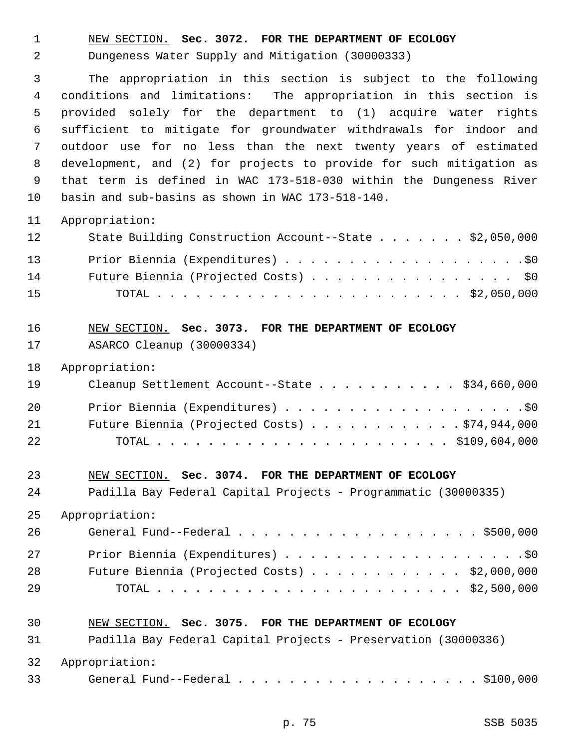1 NEW SECTION. **Sec. 3072. FOR THE DEPARTMENT OF ECOLOGY**

2 Dungeness Water Supply and Mitigation (30000333)

 3 The appropriation in this section is subject to the following 4 conditions and limitations: The appropriation in this section is 5 provided solely for the department to (1) acquire water rights 6 sufficient to mitigate for groundwater withdrawals for indoor and 7 outdoor use for no less than the next twenty years of estimated 8 development, and (2) for projects to provide for such mitigation as 9 that term is defined in WAC 173-518-030 within the Dungeness River 10 basin and sub-basins as shown in WAC 173-518-140.

#### 11 Appropriation:

| 12 | State Building Construction Account--State \$2,050,000 |
|----|--------------------------------------------------------|
| 13 |                                                        |
| 14 | Future Biennia (Projected Costs) \$0                   |
| 15 |                                                        |

## 16 NEW SECTION. **Sec. 3073. FOR THE DEPARTMENT OF ECOLOGY** 17 ASARCO Cleanup (30000334)

18 Appropriation:

| 19 | Cleanup Settlement Account--State \$34,660,000    |
|----|---------------------------------------------------|
| 20 |                                                   |
| 21 | Future Biennia (Projected Costs) $\ldots$ 944,000 |
| 22 |                                                   |

#### 23 NEW SECTION. **Sec. 3074. FOR THE DEPARTMENT OF ECOLOGY**

24 Padilla Bay Federal Capital Projects - Programmatic (30000335)

25 Appropriation:

| 26 |                                                       |
|----|-------------------------------------------------------|
| 27 |                                                       |
| 28 | Future Biennia (Projected Costs) $\ldots$ \$2,000,000 |
| 29 |                                                       |

#### 30 NEW SECTION. **Sec. 3075. FOR THE DEPARTMENT OF ECOLOGY**

| 31     | Padilla Bay Federal Capital Projects - Preservation (30000336) |
|--------|----------------------------------------------------------------|
|        | 32 Appropriation:                                              |
| 33 — 1 | General Fund--Federal $\ldots$ , \$100,000                     |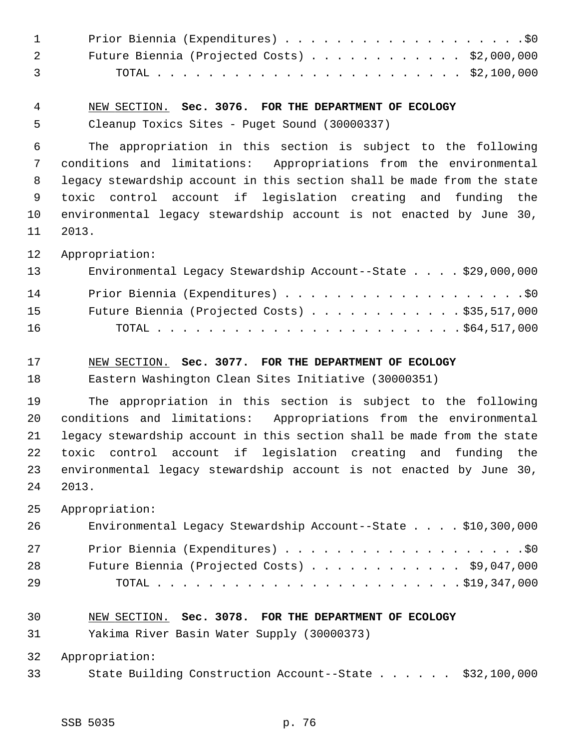| $\mathbf{1}$ |                                                                         |
|--------------|-------------------------------------------------------------------------|
| 2            | Future Biennia (Projected Costs) \$2,000,000                            |
| 3            |                                                                         |
| 4            | NEW SECTION. Sec. 3076. FOR THE DEPARTMENT OF ECOLOGY                   |
| 5            | Cleanup Toxics Sites - Puget Sound (30000337)                           |
| 6            | The appropriation in this section is subject to the following           |
| 7            | conditions and limitations: Appropriations from the environmental       |
| 8            | legacy stewardship account in this section shall be made from the state |
| 9            | toxic control account if legislation creating and funding the           |
| 10           | environmental legacy stewardship account is not enacted by June 30,     |
| 11           | 2013.                                                                   |
| 12           | Appropriation:                                                          |
| 13           | Environmental Legacy Stewardship Account--State \$29,000,000            |
| 14           |                                                                         |
| 15           | Future Biennia (Projected Costs) \$35,517,000                           |
| 16           |                                                                         |
| 17           | NEW SECTION. Sec. 3077. FOR THE DEPARTMENT OF ECOLOGY                   |
| 18           | Eastern Washington Clean Sites Initiative (30000351)                    |
|              |                                                                         |
| 19           | The appropriation in this section is subject to the following           |
| 20           | conditions and limitations: Appropriations from the environmental       |
| 21           | legacy stewardship account in this section shall be made from the state |
| 22           | toxic control account if legislation creating and funding the           |
| 23           | environmental legacy stewardship account is not enacted by June 30,     |
| 24           | 2013.                                                                   |
| 25           | Appropriation:                                                          |
| 26           | Environmental Legacy Stewardship Account--State \$10,300,000            |
| 27           |                                                                         |
| 28           | Future Biennia (Projected Costs) \$9,047,000                            |
| 29           |                                                                         |
| 30           | NEW SECTION. Sec. 3078. FOR THE DEPARTMENT OF ECOLOGY                   |
| 31           | Yakima River Basin Water Supply (30000373)                              |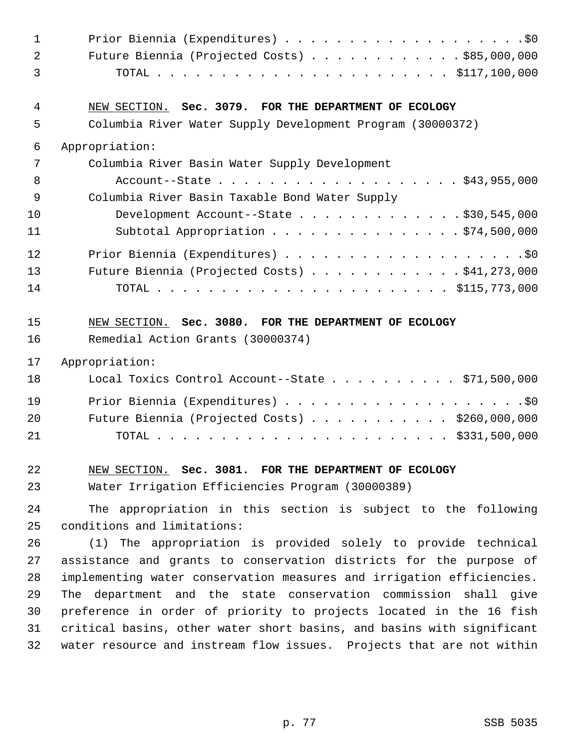| $\mathbf{1}$   |                                                                        |
|----------------|------------------------------------------------------------------------|
| $\overline{2}$ | Future Biennia (Projected Costs) $\ldots$ \$85,000,000                 |
| 3              |                                                                        |
| 4              | NEW SECTION. Sec. 3079. FOR THE DEPARTMENT OF ECOLOGY                  |
| 5              | Columbia River Water Supply Development Program (30000372)             |
| 6              | Appropriation:                                                         |
| 7              | Columbia River Basin Water Supply Development                          |
| 8              | Account--State \$43,955,000                                            |
| 9              | Columbia River Basin Taxable Bond Water Supply                         |
| 10             | Development Account--State \$30,545,000                                |
| 11             | Subtotal Appropriation \$74,500,000                                    |
| 12             |                                                                        |
| 13             | Future Biennia (Projected Costs) $\ldots$ 941, 273, 000                |
| 14             |                                                                        |
| 15             | NEW SECTION. Sec. 3080. FOR THE DEPARTMENT OF ECOLOGY                  |
| 16             | Remedial Action Grants (30000374)                                      |
| 17             | Appropriation:                                                         |
| 18             | Local Toxics Control Account--State $\ldots$ \$71,500,000              |
| 19             |                                                                        |
| 20             | Future Biennia (Projected Costs) $\ldots$ \$260,000,000                |
| 21             |                                                                        |
| 22             | NEW SECTION. Sec. 3081. FOR THE DEPARTMENT OF ECOLOGY                  |
| 23             | Water Irrigation Efficiencies Program (30000389)                       |
| 24             | The appropriation in this section is subject to the following          |
| 25             | conditions and limitations:                                            |
| 26             | (1) The appropriation is provided solely to provide technical          |
| 27             | assistance and grants to conservation districts for the purpose of     |
| 28             | implementing water conservation measures and irrigation efficiencies.  |
| 29             | The department and the state conservation commission shall give        |
| 30             | preference in order of priority to projects located in the 16 fish     |
| 31             | critical basins, other water short basins, and basins with significant |
| 32             | water resource and instream flow issues. Projects that are not within  |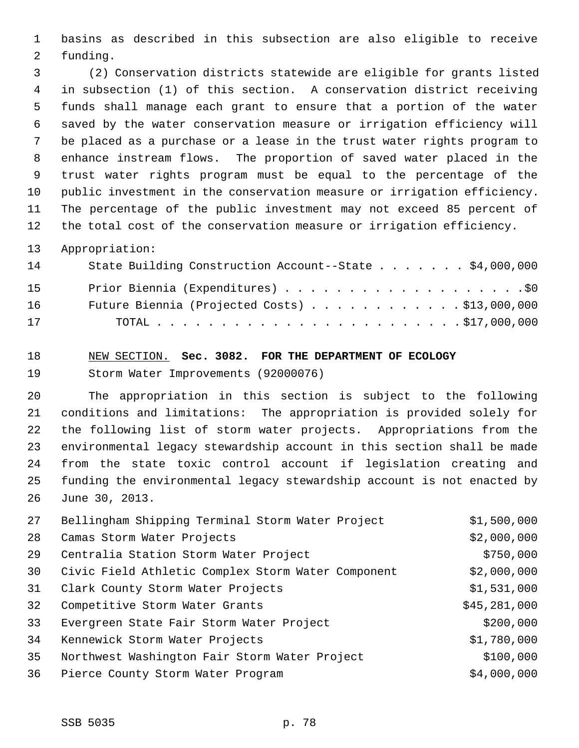1 basins as described in this subsection are also eligible to receive 2 funding.

 3 (2) Conservation districts statewide are eligible for grants listed 4 in subsection (1) of this section. A conservation district receiving 5 funds shall manage each grant to ensure that a portion of the water 6 saved by the water conservation measure or irrigation efficiency will 7 be placed as a purchase or a lease in the trust water rights program to 8 enhance instream flows. The proportion of saved water placed in the 9 trust water rights program must be equal to the percentage of the 10 public investment in the conservation measure or irrigation efficiency. 11 The percentage of the public investment may not exceed 85 percent of 12 the total cost of the conservation measure or irrigation efficiency.

13 Appropriation:

| 14 | State Building Construction Account--State \$4,000,000 |
|----|--------------------------------------------------------|
| 15 |                                                        |
| 16 | Future Biennia (Projected Costs) $\ldots$ \$13,000,000 |
| 17 |                                                        |

# 18 NEW SECTION. **Sec. 3082. FOR THE DEPARTMENT OF ECOLOGY** 19 Storm Water Improvements (92000076)

20 The appropriation in this section is subject to the following 21 conditions and limitations: The appropriation is provided solely for 22 the following list of storm water projects. Appropriations from the 23 environmental legacy stewardship account in this section shall be made 24 from the state toxic control account if legislation creating and 25 funding the environmental legacy stewardship account is not enacted by 26 June 30, 2013.

| 27 | Bellingham Shipping Terminal Storm Water Project   | \$1,500,000  |
|----|----------------------------------------------------|--------------|
| 28 | Camas Storm Water Projects                         | \$2,000,000  |
| 29 | Centralia Station Storm Water Project              | \$750,000    |
| 30 | Civic Field Athletic Complex Storm Water Component | \$2,000,000  |
| 31 | Clark County Storm Water Projects                  | \$1,531,000  |
| 32 | Competitive Storm Water Grants                     | \$45,281,000 |
| 33 | Evergreen State Fair Storm Water Project           | \$200,000    |
| 34 | Kennewick Storm Water Projects                     | \$1,780,000  |
| 35 | Northwest Washington Fair Storm Water Project      | \$100,000    |
| 36 | Pierce County Storm Water Program                  | \$4,000,000  |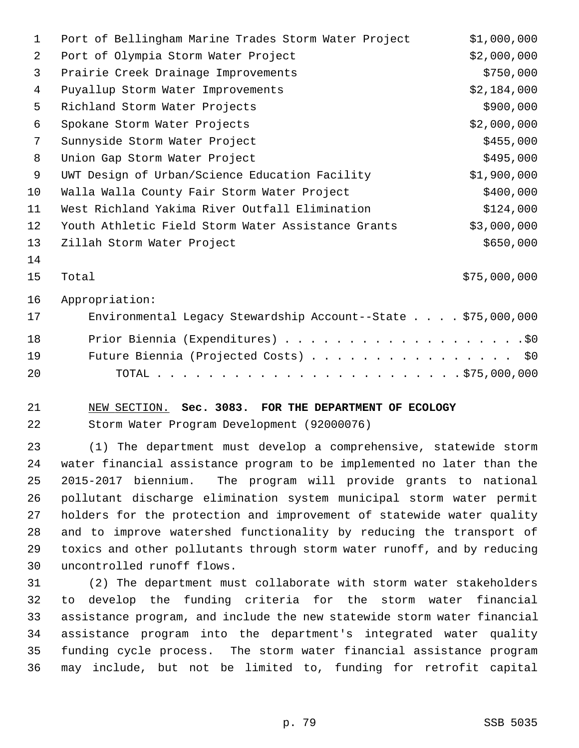| 1  | Port of Bellingham Marine Trades Storm Water Project         | \$1,000,000  |
|----|--------------------------------------------------------------|--------------|
| 2  | Port of Olympia Storm Water Project                          | \$2,000,000  |
| 3  | Prairie Creek Drainage Improvements                          | \$750,000    |
| 4  | Puyallup Storm Water Improvements                            | \$2,184,000  |
| 5  | Richland Storm Water Projects                                | \$900,000    |
| 6  | Spokane Storm Water Projects                                 | \$2,000,000  |
| 7  | Sunnyside Storm Water Project                                | \$455,000    |
| 8  | Union Gap Storm Water Project                                | \$495,000    |
| 9  | UWT Design of Urban/Science Education Facility               | \$1,900,000  |
| 10 | Walla Walla County Fair Storm Water Project                  | \$400,000    |
| 11 | West Richland Yakima River Outfall Elimination               | \$124,000    |
| 12 | Youth Athletic Field Storm Water Assistance Grants           | \$3,000,000  |
| 13 | Zillah Storm Water Project                                   | \$650,000    |
| 14 |                                                              |              |
| 15 | Total                                                        | \$75,000,000 |
| 16 | Appropriation:                                               |              |
| 17 | Environmental Legacy Stewardship Account--State \$75,000,000 |              |
| 18 |                                                              |              |
| 19 | Future Biennia (Projected Costs)                             | \$0\$        |
| 20 | TOTAL                                                        |              |
|    |                                                              |              |

#### 21 NEW SECTION. **Sec. 3083. FOR THE DEPARTMENT OF ECOLOGY**

22 Storm Water Program Development (92000076)

23 (1) The department must develop a comprehensive, statewide storm 24 water financial assistance program to be implemented no later than the 25 2015-2017 biennium. The program will provide grants to national 26 pollutant discharge elimination system municipal storm water permit 27 holders for the protection and improvement of statewide water quality 28 and to improve watershed functionality by reducing the transport of 29 toxics and other pollutants through storm water runoff, and by reducing 30 uncontrolled runoff flows.

31 (2) The department must collaborate with storm water stakeholders 32 to develop the funding criteria for the storm water financial 33 assistance program, and include the new statewide storm water financial 34 assistance program into the department's integrated water quality 35 funding cycle process. The storm water financial assistance program 36 may include, but not be limited to, funding for retrofit capital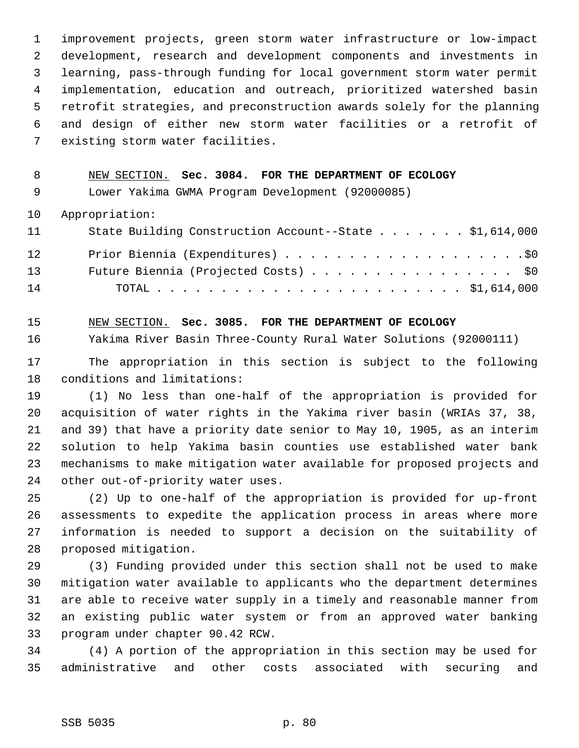1 improvement projects, green storm water infrastructure or low-impact 2 development, research and development components and investments in 3 learning, pass-through funding for local government storm water permit 4 implementation, education and outreach, prioritized watershed basin 5 retrofit strategies, and preconstruction awards solely for the planning 6 and design of either new storm water facilities or a retrofit of 7 existing storm water facilities.

#### 8 NEW SECTION. **Sec. 3084. FOR THE DEPARTMENT OF ECOLOGY**

9 Lower Yakima GWMA Program Development (92000085)

10 Appropriation:

| 11 | State Building Construction Account--State \$1,614,000 |
|----|--------------------------------------------------------|
| 12 |                                                        |
| 13 | Future Biennia (Projected Costs) \$0                   |
| 14 |                                                        |

15 NEW SECTION. **Sec. 3085. FOR THE DEPARTMENT OF ECOLOGY**

16 Yakima River Basin Three-County Rural Water Solutions (92000111)

17 The appropriation in this section is subject to the following 18 conditions and limitations:

19 (1) No less than one-half of the appropriation is provided for 20 acquisition of water rights in the Yakima river basin (WRIAs 37, 38, 21 and 39) that have a priority date senior to May 10, 1905, as an interim 22 solution to help Yakima basin counties use established water bank 23 mechanisms to make mitigation water available for proposed projects and 24 other out-of-priority water uses.

25 (2) Up to one-half of the appropriation is provided for up-front 26 assessments to expedite the application process in areas where more 27 information is needed to support a decision on the suitability of 28 proposed mitigation.

29 (3) Funding provided under this section shall not be used to make 30 mitigation water available to applicants who the department determines 31 are able to receive water supply in a timely and reasonable manner from 32 an existing public water system or from an approved water banking 33 program under chapter 90.42 RCW.

34 (4) A portion of the appropriation in this section may be used for 35 administrative and other costs associated with securing and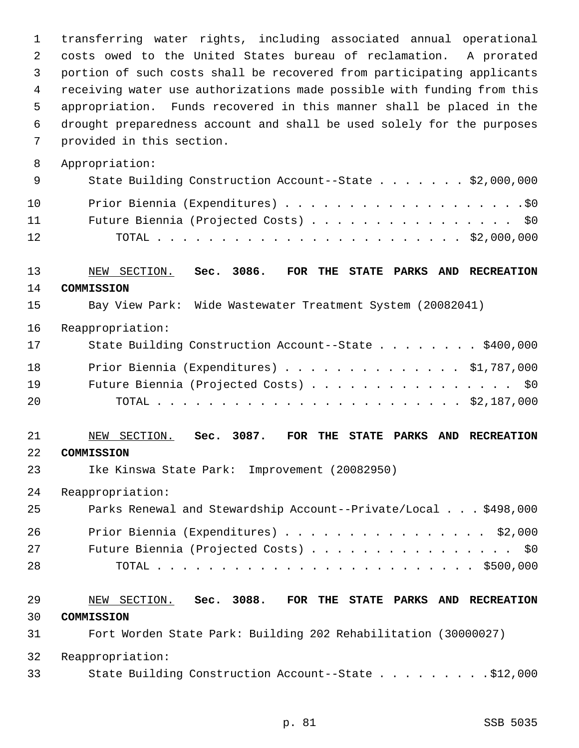1 transferring water rights, including associated annual operational 2 costs owed to the United States bureau of reclamation. A prorated 3 portion of such costs shall be recovered from participating applicants 4 receiving water use authorizations made possible with funding from this 5 appropriation. Funds recovered in this manner shall be placed in the 6 drought preparedness account and shall be used solely for the purposes 7 provided in this section. 8 Appropriation: 9 State Building Construction Account--State . . . . . . . \$2,000,000 10 Prior Biennia (Expenditures) . . . . . . . . . . . . . . . . . . .\$0 11 Future Biennia (Projected Costs) . . . . . . . . . . . . . . . \$0 12 TOTAL . . . . . . . . . . . . . . . . . . . . . . . . \$2,000,000 13 NEW SECTION. **Sec. 3086. FOR THE STATE PARKS AND RECREATION** 14 **COMMISSION** 15 Bay View Park: Wide Wastewater Treatment System (20082041) 16 Reappropriation: 17 State Building Construction Account--State . . . . . . . \$400,000 18 Prior Biennia (Expenditures) . . . . . . . . . . . . . . \$1,787,000 19 Future Biennia (Projected Costs) . . . . . . . . . . . . . . . \$0 20 TOTAL . . . . . . . . . . . . . . . . . . . . . . . . \$2,187,000 21 NEW SECTION. **Sec. 3087. FOR THE STATE PARKS AND RECREATION** 22 **COMMISSION** 23 Ike Kinswa State Park: Improvement (20082950) 24 Reappropriation: 25 Parks Renewal and Stewardship Account--Private/Local . . . \$498,000 26 Prior Biennia (Expenditures) . . . . . . . . . . . . . . . . \$2,000 27 Future Biennia (Projected Costs) . . . . . . . . . . . . . . . . \$0 28 TOTAL . . . . . . . . . . . . . . . . . . . . . . . . . \$500,000 29 NEW SECTION. **Sec. 3088. FOR THE STATE PARKS AND RECREATION** 30 **COMMISSION** 31 Fort Worden State Park: Building 202 Rehabilitation (30000027) 32 Reappropriation: 33 State Building Construction Account--State . . . . . . . . .\$12,000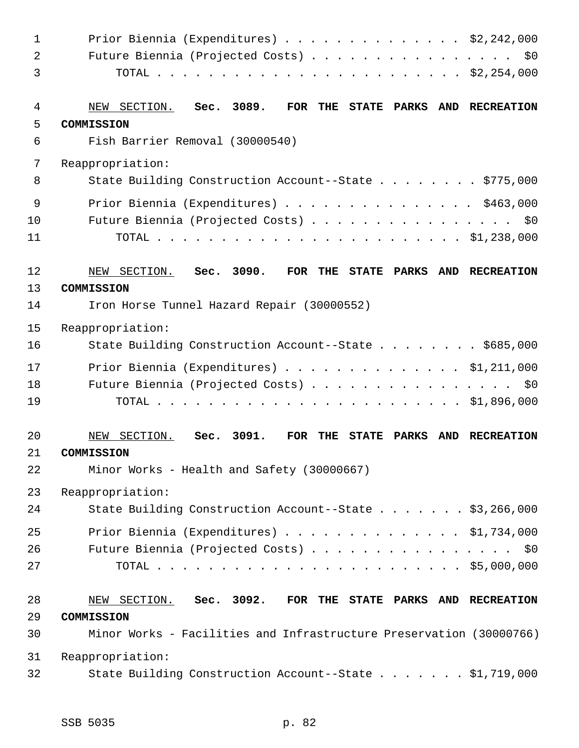| $\mathbf 1$    | Prior Biennia (Expenditures) \$2,242,000                                        |                |
|----------------|---------------------------------------------------------------------------------|----------------|
| $\overline{a}$ | Future Biennia (Projected Costs) \$0                                            |                |
| 3              |                                                                                 |                |
| 4              | Sec. 3089.<br>NEW SECTION.<br>FOR THE STATE PARKS AND RECREATION                |                |
| 5              | COMMISSION                                                                      |                |
| 6              | Fish Barrier Removal (30000540)                                                 |                |
| 7              | Reappropriation:                                                                |                |
| 8              | State Building Construction Account--State \$775,000                            |                |
| 9              | Prior Biennia (Expenditures) \$463,000                                          |                |
| 10             | Future Biennia (Projected Costs) \$0                                            |                |
| 11             |                                                                                 |                |
| 12             | Sec. 3090.<br>FOR THE STATE PARKS AND RECREATION<br>NEW SECTION.                |                |
| 13             | COMMISSION                                                                      |                |
| 14             | Iron Horse Tunnel Hazard Repair (30000552)                                      |                |
| 15             | Reappropriation:                                                                |                |
| 16             | State Building Construction Account--State \$685,000                            |                |
| 17             | Prior Biennia (Expenditures) $\ldots$ \$1,211,000                               |                |
| 18             | Future Biennia (Projected Costs) \$0                                            |                |
| 19             |                                                                                 |                |
| 20             | Sec. 3091.<br>NEW SECTION.<br><b>FOR</b><br>THE<br><b>STATE</b><br><b>PARKS</b> | AND RECREATION |
| 21             | COMMISSION                                                                      |                |
| 22             | Minor Works - Health and Safety (30000667)                                      |                |
| 23             | Reappropriation:                                                                |                |
| 24             | State Building Construction Account--State \$3,266,000                          |                |
| 25             | Prior Biennia (Expenditures) $\ldots$ \$1,734,000                               |                |
| 26             | Future Biennia (Projected Costs) \$0                                            |                |
| 27             |                                                                                 |                |
| 28             | NEW SECTION. Sec. 3092.<br>FOR THE STATE PARKS AND RECREATION                   |                |
| 29             | COMMISSION                                                                      |                |
| 30             | Minor Works - Facilities and Infrastructure Preservation (30000766)             |                |
| 31             | Reappropriation:                                                                |                |
| 32             | State Building Construction Account--State \$1,719,000                          |                |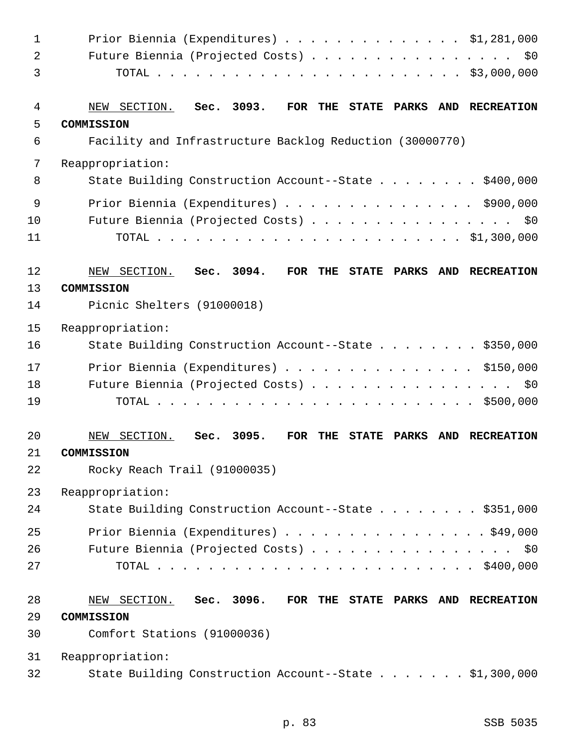| $\mathbf 1$    | Prior Biennia (Expenditures) $\ldots$ \$1,281,000                                                 |
|----------------|---------------------------------------------------------------------------------------------------|
| $\overline{a}$ | Future Biennia (Projected Costs)<br>\$0                                                           |
| 3              |                                                                                                   |
| 4              | Sec. 3093.<br>FOR<br>THE<br><b>STATE PARKS</b><br>AND RECREATION<br>NEW SECTION.                  |
| 5              | COMMISSION                                                                                        |
| 6              | Facility and Infrastructure Backlog Reduction (30000770)                                          |
| 7              | Reappropriation:                                                                                  |
| 8              | State Building Construction Account--State \$400,000                                              |
| 9              | Prior Biennia (Expenditures) \$900,000                                                            |
| 10             | Future Biennia (Projected Costs) \$0                                                              |
| 11             |                                                                                                   |
| 12             | Sec. 3094.<br><b>FOR</b><br>NEW SECTION.<br>THE<br><b>STATE PARKS</b><br>AND RECREATION           |
| 13             | COMMISSION                                                                                        |
| 14             | Picnic Shelters (91000018)                                                                        |
| 15             | Reappropriation:                                                                                  |
| 16             | State Building Construction Account--State \$350,000                                              |
| 17             | Prior Biennia (Expenditures) \$150,000                                                            |
| 18             | Future Biennia (Projected Costs) \$0                                                              |
| 19             |                                                                                                   |
| 20             | Sec. 3095.<br>NEW SECTION.<br><b>FOR</b><br>THE<br><b>STATE</b><br><b>PARKS</b><br>AND RECREATION |
| 21             | COMMISSION                                                                                        |
| 22             | Rocky Reach Trail (91000035)                                                                      |
| 23             | Reappropriation:                                                                                  |
| 24             | State Building Construction Account--State \$351,000                                              |
| 25             | Prior Biennia (Expenditures) \$49,000                                                             |
| 26             | Future Biennia (Projected Costs) \$0                                                              |
| 27             |                                                                                                   |
| 28             | NEW SECTION. Sec. 3096.<br>FOR THE STATE PARKS AND RECREATION                                     |
| 29             | COMMISSION                                                                                        |
| 30             | Comfort Stations (91000036)                                                                       |
| 31             | Reappropriation:                                                                                  |
| 32             | State Building Construction Account--State \$1,300,000                                            |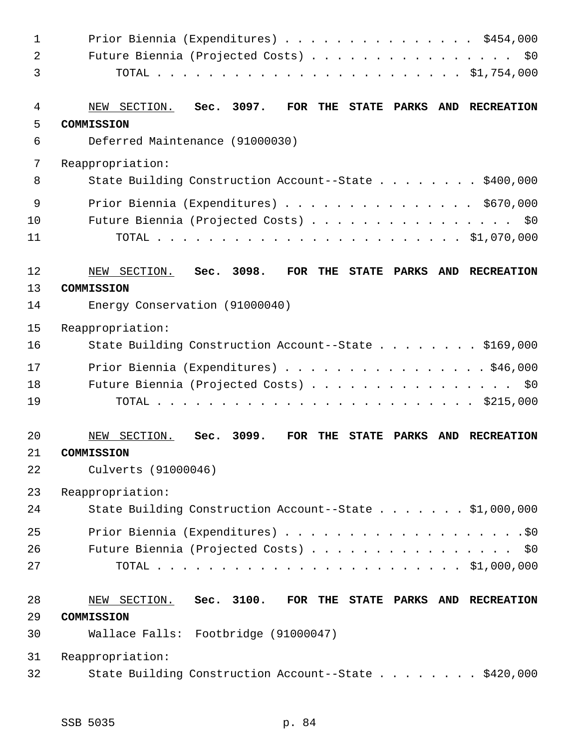| $\mathbf{1}$   | Prior Biennia (Expenditures) \$454,000                                                        |
|----------------|-----------------------------------------------------------------------------------------------|
| $\overline{a}$ | Future Biennia (Projected Costs) \$0                                                          |
| 3              |                                                                                               |
| 4              | NEW SECTION. Sec. 3097.<br>FOR THE STATE PARKS<br>AND RECREATION                              |
| 5              | COMMISSION                                                                                    |
| 6              | Deferred Maintenance (91000030)                                                               |
| 7              | Reappropriation:                                                                              |
| 8              | State Building Construction Account--State \$400,000                                          |
| 9              | Prior Biennia (Expenditures) \$670,000                                                        |
| 10             | Future Biennia (Projected Costs) \$0                                                          |
| 11             |                                                                                               |
| 12             | Sec. 3098.<br>NEW SECTION.<br>FOR THE STATE PARKS<br>AND RECREATION                           |
| 13             | COMMISSION                                                                                    |
| 14             | Energy Conservation (91000040)                                                                |
| 15             | Reappropriation:                                                                              |
| 16             | State Building Construction Account--State \$169,000                                          |
| 17             | Prior Biennia (Expenditures) \$46,000                                                         |
| 18             | Future Biennia (Projected Costs) \$0                                                          |
| 19             |                                                                                               |
| 20             | Sec. 3099.<br>SECTION.<br><b>FOR</b><br>THE<br><b>STATE</b><br>PARKS<br>AND RECREATION<br>NEW |
| 21             | COMMISSION                                                                                    |
| 22             | Culverts (91000046)                                                                           |
| 23             | Reappropriation:                                                                              |
| 24             | State Building Construction Account--State \$1,000,000                                        |
| 25             |                                                                                               |
| 26             | Future Biennia (Projected Costs) \$0                                                          |
| 27             |                                                                                               |
| 28             | NEW SECTION. Sec. 3100.<br>FOR THE STATE PARKS AND RECREATION                                 |
| 29             | COMMISSION                                                                                    |
| 30             | Wallace Falls: Footbridge (91000047)                                                          |
| 31             | Reappropriation:                                                                              |
| 32             | State Building Construction Account--State \$420,000                                          |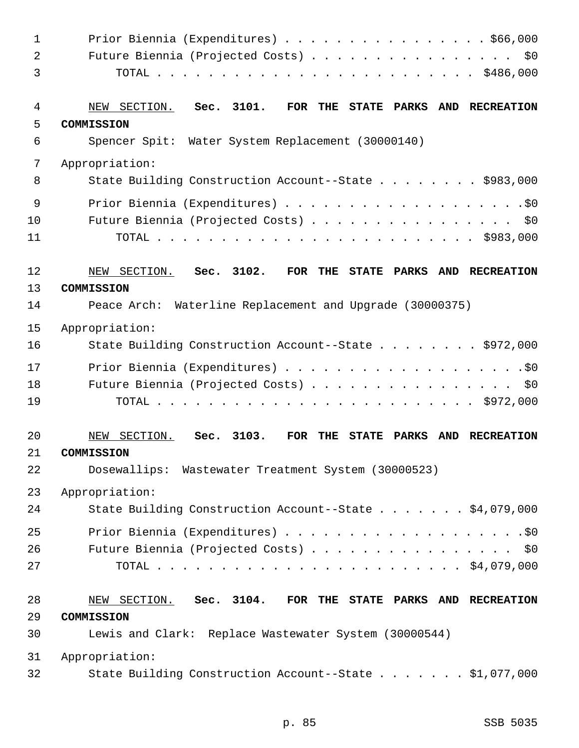| 1  | Prior Biennia (Expenditures) $\ldots$ \$66,000                                                       |
|----|------------------------------------------------------------------------------------------------------|
| 2  | Future Biennia (Projected Costs)<br>\$0                                                              |
| 3  |                                                                                                      |
| 4  | Sec. 3101.<br>NEW SECTION.<br>FOR THE STATE PARKS<br>AND RECREATION                                  |
| 5  | COMMISSION                                                                                           |
| 6  | Spencer Spit: Water System Replacement (30000140)                                                    |
| 7  | Appropriation:                                                                                       |
| 8  | State Building Construction Account--State \$983,000                                                 |
| 9  |                                                                                                      |
| 10 | Future Biennia (Projected Costs) \$0                                                                 |
| 11 |                                                                                                      |
| 12 | Sec. 3102.<br>NEW SECTION.<br><b>FOR</b><br>THE<br>STATE PARKS AND RECREATION                        |
| 13 | COMMISSION                                                                                           |
| 14 | Peace Arch: Waterline Replacement and Upgrade (30000375)                                             |
| 15 | Appropriation:                                                                                       |
| 16 | State Building Construction Account--State \$972,000                                                 |
| 17 |                                                                                                      |
| 18 | Future Biennia (Projected Costs) \$0                                                                 |
| 19 |                                                                                                      |
| 20 | Sec. 3103.<br>SECTION.<br><b>FOR</b><br>THE<br><b>STATE</b><br><b>PARKS</b><br>AND RECREATION<br>NEW |
| 21 | COMMISSION                                                                                           |
| 22 | Dosewallips: Wastewater Treatment System (30000523)                                                  |
| 23 | Appropriation:                                                                                       |
| 24 | State Building Construction Account--State \$4,079,000                                               |
| 25 |                                                                                                      |
| 26 | Future Biennia (Projected Costs) \$0                                                                 |
| 27 |                                                                                                      |
| 28 | NEW SECTION. Sec. 3104.<br>FOR THE STATE PARKS AND RECREATION                                        |
| 29 | COMMISSION                                                                                           |
| 30 | Lewis and Clark: Replace Wastewater System (30000544)                                                |
| 31 | Appropriation:                                                                                       |
| 32 | State Building Construction Account--State \$1,077,000                                               |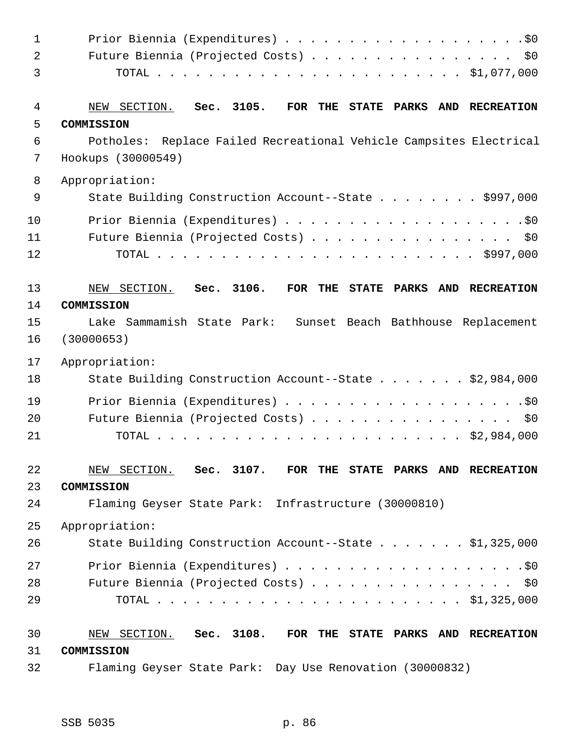| 1              |                                                                                  |
|----------------|----------------------------------------------------------------------------------|
| $\overline{a}$ | Future Biennia (Projected Costs) \$0                                             |
| 3              |                                                                                  |
| 4              | Sec. 3105.<br>NEW SECTION.<br>FOR<br>THE<br><b>STATE PARKS</b><br>AND RECREATION |
| 5              | COMMISSION                                                                       |
| 6              | Potholes: Replace Failed Recreational Vehicle Campsites Electrical               |
| 7              | Hookups (30000549)                                                               |
| 8              | Appropriation:                                                                   |
| 9              | State Building Construction Account--State \$997,000                             |
| 10             |                                                                                  |
| 11             | Future Biennia (Projected Costs) \$0                                             |
| 12             |                                                                                  |
| 13             | Sec. 3106.<br>NEW SECTION.<br>FOR THE STATE PARKS<br>AND RECREATION              |
| 14             | COMMISSION                                                                       |
| 15             | Lake Sammamish State Park: Sunset Beach Bathhouse Replacement                    |
| 16             | (30000653)                                                                       |
| 17             | Appropriation:                                                                   |
| 18             | State Building Construction Account--State \$2,984,000                           |
| 19             |                                                                                  |
| 20             | Future Biennia (Projected Costs) \$0                                             |
| 21             |                                                                                  |
| 22             | NEW SECTION. Sec. 3107. FOR THE STATE PARKS AND RECREATION                       |
| 23             | COMMISSION                                                                       |
| 24             | Flaming Geyser State Park: Infrastructure (30000810)                             |
| 25             | Appropriation:                                                                   |
| 26             | State Building Construction Account--State \$1,325,000                           |
| 27             |                                                                                  |
| 28             | Future Biennia (Projected Costs) \$0                                             |
| 29             |                                                                                  |
| 30             | NEW SECTION. Sec. 3108.<br>FOR THE STATE PARKS AND RECREATION                    |
| 31             | COMMISSION                                                                       |
| 32             | Flaming Geyser State Park: Day Use Renovation (30000832)                         |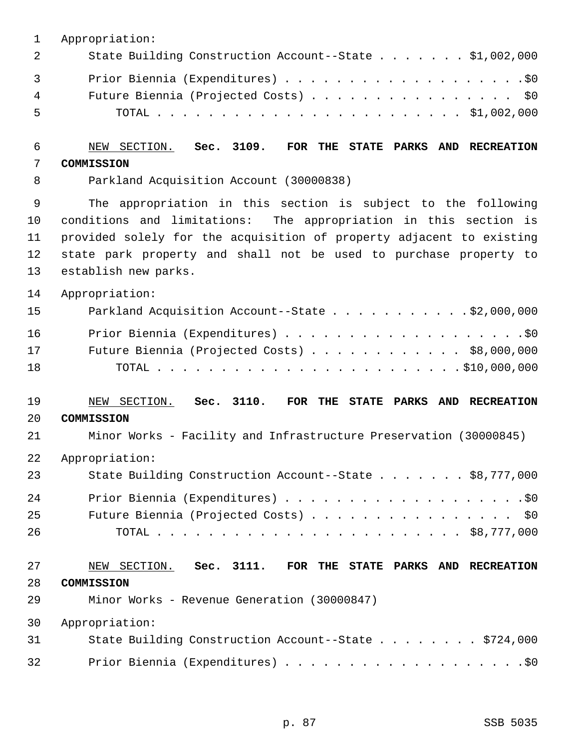| State Building Construction Account--State \$1,002,000 |
|--------------------------------------------------------|
|                                                        |
| Future Biennia (Projected Costs) \$0                   |
|                                                        |
|                                                        |

# 6 NEW SECTION. **Sec. 3109. FOR THE STATE PARKS AND RECREATION** 7 **COMMISSION**

8 Parkland Acquisition Account (30000838)

 9 The appropriation in this section is subject to the following 10 conditions and limitations: The appropriation in this section is 11 provided solely for the acquisition of property adjacent to existing 12 state park property and shall not be used to purchase property to 13 establish new parks.

14 Appropriation:

| 15 | Parkland Acquisition Account--State $\ldots$ \$2,000,000 |
|----|----------------------------------------------------------|
| 16 |                                                          |
| 17 | Future Biennia (Projected Costs) \$8,000,000             |
| 18 |                                                          |

## 19 NEW SECTION. **Sec. 3110. FOR THE STATE PARKS AND RECREATION**

#### 20 **COMMISSION**

21 Minor Works - Facility and Infrastructure Preservation (30000845)

22 Appropriation:

| 23  | State Building Construction Account--State \$8,777,000 |
|-----|--------------------------------------------------------|
| 2.4 |                                                        |
| 25  | Future Biennia (Projected Costs) \$0                   |
| -26 |                                                        |

# 27 NEW SECTION. **Sec. 3111. FOR THE STATE PARKS AND RECREATION** 28 **COMMISSION**

29 Minor Works - Revenue Generation (30000847)

30 Appropriation:

| 31 | State Building Construction Account--State \$724,000 |  |
|----|------------------------------------------------------|--|
| 32 |                                                      |  |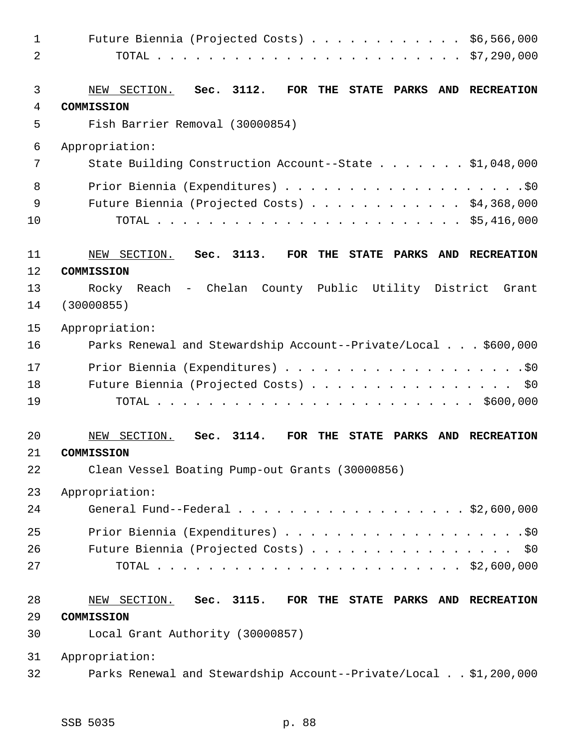| $\mathbf 1$    | Future Biennia (Projected Costs) $\ldots$ \$6,566,000                                                                 |
|----------------|-----------------------------------------------------------------------------------------------------------------------|
| $\overline{2}$ |                                                                                                                       |
|                |                                                                                                                       |
| $\mathfrak{Z}$ | Sec. 3112.<br><b>FOR</b><br>THE<br>STATE PARKS<br><b>RECREATION</b><br>NEW SECTION.<br><b>AND</b>                     |
| $\overline{4}$ | COMMISSION                                                                                                            |
| 5              | Fish Barrier Removal (30000854)                                                                                       |
| 6              | Appropriation:                                                                                                        |
| 7              | State Building Construction Account--State \$1,048,000                                                                |
| 8              |                                                                                                                       |
| 9              | Future Biennia (Projected Costs) \$4,368,000                                                                          |
| 10             |                                                                                                                       |
|                |                                                                                                                       |
| 11             | Sec. 3113.<br>NEW SECTION.<br><b>FOR</b><br>THE<br>STATE PARKS<br>AND<br><b>RECREATION</b>                            |
| 12             | COMMISSION                                                                                                            |
| 13             | Rocky Reach - Chelan County Public Utility District<br>Grant                                                          |
| 14             | (30000855)                                                                                                            |
| 15             | Appropriation:                                                                                                        |
| 16             | Parks Renewal and Stewardship Account--Private/Local \$600,000                                                        |
| 17             |                                                                                                                       |
| 18             | Future Biennia (Projected Costs) \$0                                                                                  |
| 19             |                                                                                                                       |
|                |                                                                                                                       |
| 20             | NEW SECTION.<br>3114.<br><b>FOR</b><br>Sec.<br>THE<br><b>STATE</b><br><b>PARKS</b><br><b>AND</b><br><b>RECREATION</b> |
| 21             | COMMISSION                                                                                                            |
| 22             | Clean Vessel Boating Pump-out Grants (30000856)                                                                       |
| 23             | Appropriation:                                                                                                        |
| 24             | General Fund--Federal \$2,600,000                                                                                     |
| 25             |                                                                                                                       |
| 26             | Future Biennia (Projected Costs) \$0                                                                                  |
| 27             |                                                                                                                       |
|                |                                                                                                                       |
| 28             | NEW SECTION. Sec. 3115.<br>FOR THE STATE PARKS AND RECREATION                                                         |
| 29             | COMMISSION                                                                                                            |
| 30             | Local Grant Authority (30000857)                                                                                      |
| 31             | Appropriation:                                                                                                        |
| 32             | Parks Renewal and Stewardship Account--Private/Local \$1,200,000                                                      |
|                |                                                                                                                       |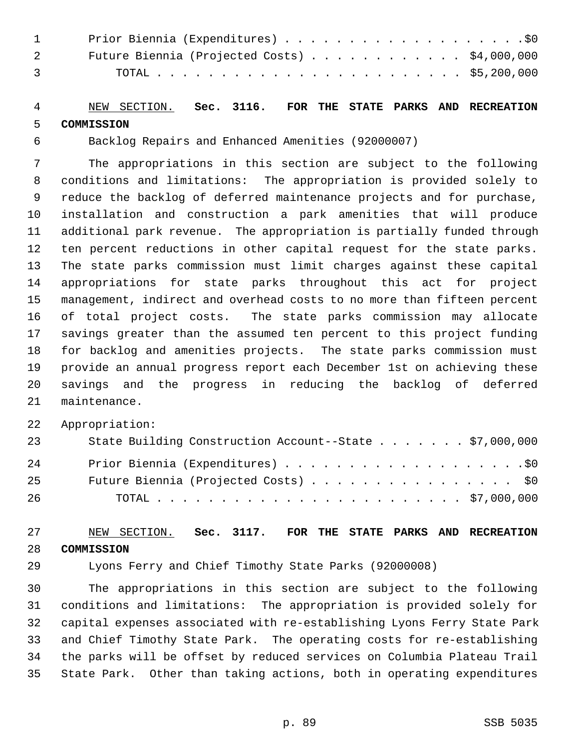| $1 \quad \cdots$ |                                                       |
|------------------|-------------------------------------------------------|
| 2 —              | Future Biennia (Projected Costs) $\ldots$ \$4,000,000 |
| $\overline{3}$   |                                                       |

## 4 NEW SECTION. **Sec. 3116. FOR THE STATE PARKS AND RECREATION** 5 **COMMISSION**

6 Backlog Repairs and Enhanced Amenities (92000007)

 7 The appropriations in this section are subject to the following 8 conditions and limitations: The appropriation is provided solely to 9 reduce the backlog of deferred maintenance projects and for purchase, 10 installation and construction a park amenities that will produce 11 additional park revenue. The appropriation is partially funded through 12 ten percent reductions in other capital request for the state parks. 13 The state parks commission must limit charges against these capital 14 appropriations for state parks throughout this act for project 15 management, indirect and overhead costs to no more than fifteen percent 16 of total project costs. The state parks commission may allocate 17 savings greater than the assumed ten percent to this project funding 18 for backlog and amenities projects. The state parks commission must 19 provide an annual progress report each December 1st on achieving these 20 savings and the progress in reducing the backlog of deferred 21 maintenance.

22 Appropriation:

| 23 | State Building Construction Account--State \$7,000,000 |
|----|--------------------------------------------------------|
| 24 |                                                        |
| 25 | Future Biennia (Projected Costs) \$0                   |
| 26 |                                                        |

## 27 NEW SECTION. **Sec. 3117. FOR THE STATE PARKS AND RECREATION** 28 **COMMISSION**

29 Lyons Ferry and Chief Timothy State Parks (92000008)

30 The appropriations in this section are subject to the following 31 conditions and limitations: The appropriation is provided solely for 32 capital expenses associated with re-establishing Lyons Ferry State Park 33 and Chief Timothy State Park. The operating costs for re-establishing 34 the parks will be offset by reduced services on Columbia Plateau Trail 35 State Park. Other than taking actions, both in operating expenditures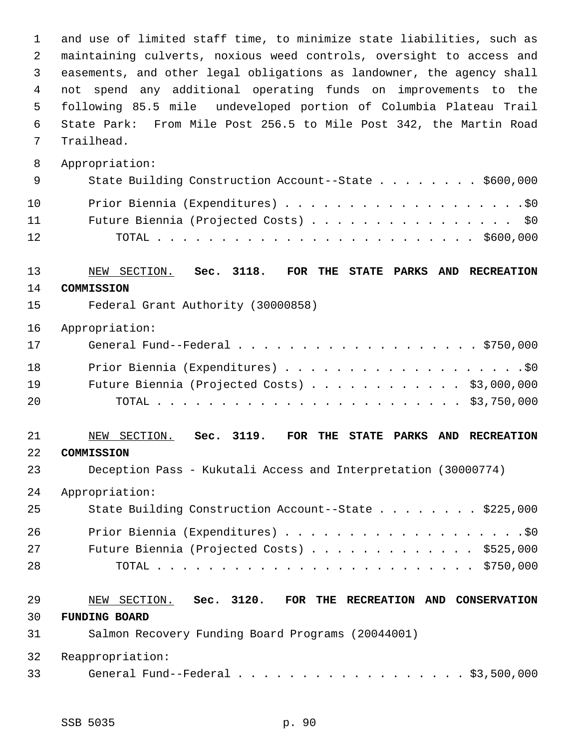1 and use of limited staff time, to minimize state liabilities, such as 2 maintaining culverts, noxious weed controls, oversight to access and 3 easements, and other legal obligations as landowner, the agency shall 4 not spend any additional operating funds on improvements to the 5 following 85.5 mile undeveloped portion of Columbia Plateau Trail 6 State Park: From Mile Post 256.5 to Mile Post 342, the Martin Road 7 Trailhead. 8 Appropriation: 9 State Building Construction Account--State . . . . . . . \$600,000 10 Prior Biennia (Expenditures) . . . . . . . . . . . . . . . . . . .\$0 11 Future Biennia (Projected Costs) . . . . . . . . . . . . . . . . \$0 12 TOTAL . . . . . . . . . . . . . . . . . . . . . . . . . \$600,000 13 NEW SECTION. **Sec. 3118. FOR THE STATE PARKS AND RECREATION** 14 **COMMISSION** 15 Federal Grant Authority (30000858) 16 Appropriation: 17 General Fund--Federal . . . . . . . . . . . . . . . . . . . \$750,000 18 Prior Biennia (Expenditures) . . . . . . . . . . . . . . . . . . .\$0 19 Future Biennia (Projected Costs) . . . . . . . . . . . . \$3,000,000 20 TOTAL . . . . . . . . . . . . . . . . . . . . . . . . \$3,750,000 21 NEW SECTION. **Sec. 3119. FOR THE STATE PARKS AND RECREATION** 22 **COMMISSION** 23 Deception Pass - Kukutali Access and Interpretation (30000774) 24 Appropriation: 25 State Building Construction Account--State . . . . . . . . \$225,000 26 Prior Biennia (Expenditures) . . . . . . . . . . . . . . . . . . .\$0 27 Future Biennia (Projected Costs) . . . . . . . . . . . . . \$525,000 28 TOTAL . . . . . . . . . . . . . . . . . . . . . . . . . \$750,000 29 NEW SECTION. **Sec. 3120. FOR THE RECREATION AND CONSERVATION** 30 **FUNDING BOARD** 31 Salmon Recovery Funding Board Programs (20044001) 32 Reappropriation: 33 General Fund--Federal . . . . . . . . . . . . . . . . . . \$3,500,000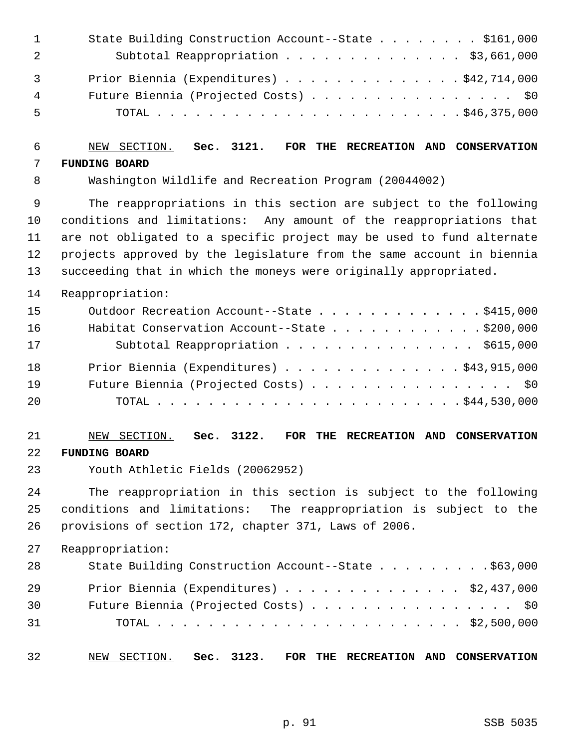|                | State Building Construction Account--State \$161,000 |
|----------------|------------------------------------------------------|
| -2             | Subtotal Reappropriation \$3,661,000                 |
| $\overline{3}$ | Prior Biennia (Expenditures) \$42,714,000            |
| 4              | Future Biennia (Projected Costs) \$0                 |
| 5              |                                                      |

# 6 NEW SECTION. **Sec. 3121. FOR THE RECREATION AND CONSERVATION** 7 **FUNDING BOARD**

8 Washington Wildlife and Recreation Program (20044002)

 9 The reappropriations in this section are subject to the following 10 conditions and limitations: Any amount of the reappropriations that 11 are not obligated to a specific project may be used to fund alternate 12 projects approved by the legislature from the same account in biennia 13 succeeding that in which the moneys were originally appropriated.

14 Reappropriation:

| 15 | Outdoor Recreation Account--State \$415,000        |
|----|----------------------------------------------------|
| 16 | Habitat Conservation Account--State \$200,000      |
| 17 | Subtotal Reappropriation \$615,000                 |
| 18 | Prior Biennia (Expenditures) $\ldots$ \$43,915,000 |
| 19 | Future Biennia (Projected Costs) \$0               |
| 20 |                                                    |

# 21 NEW SECTION. **Sec. 3122. FOR THE RECREATION AND CONSERVATION** 22 **FUNDING BOARD**

23 Youth Athletic Fields (20062952)

24 The reappropriation in this section is subject to the following 25 conditions and limitations: The reappropriation is subject to the 26 provisions of section 172, chapter 371, Laws of 2006.

27 Reappropriation:

| 28 | State Building Construction Account--State \$63,000 |
|----|-----------------------------------------------------|
| 29 | Prior Biennia (Expenditures) \$2,437,000            |
| 30 | Future Biennia (Projected Costs) \$0                |
| 31 |                                                     |

32 NEW SECTION. **Sec. 3123. FOR THE RECREATION AND CONSERVATION**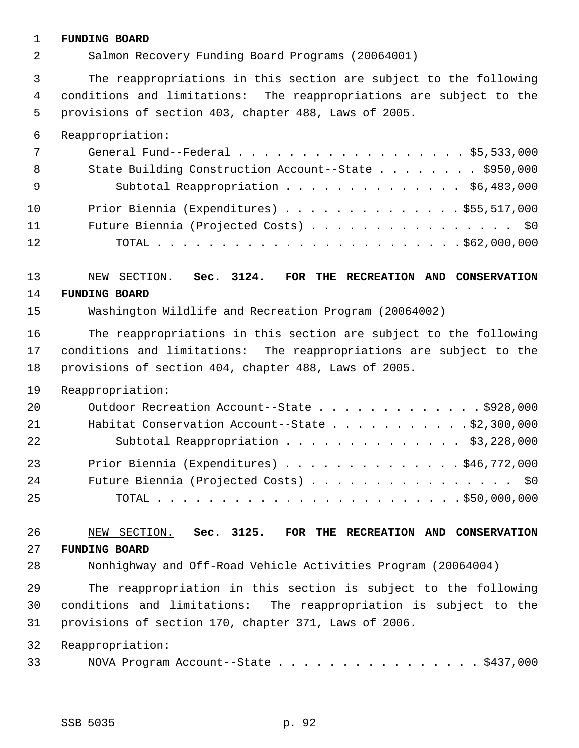#### 1 **FUNDING BOARD**

2 Salmon Recovery Funding Board Programs (20064001)

 3 The reappropriations in this section are subject to the following 4 conditions and limitations: The reappropriations are subject to the 5 provisions of section 403, chapter 488, Laws of 2005.

6 Reappropriation:

| 7   | General Fund--Federal $\ldots$ , \$5,533,000         |
|-----|------------------------------------------------------|
| 8   | State Building Construction Account--State \$950,000 |
| - 9 | Subtotal Reappropriation \$6,483,000                 |
| 10  | Prior Biennia (Expenditures) $\ldots$ \$55,517,000   |
| 11  | Future Biennia (Projected Costs) \$0                 |
| 12  |                                                      |

# 13 NEW SECTION. **Sec. 3124. FOR THE RECREATION AND CONSERVATION**

## 14 **FUNDING BOARD**

15 Washington Wildlife and Recreation Program (20064002)

16 The reappropriations in this section are subject to the following 17 conditions and limitations: The reappropriations are subject to the 18 provisions of section 404, chapter 488, Laws of 2005.

19 Reappropriation:

| 20 | Outdoor Recreation Account--State \$928,000        |
|----|----------------------------------------------------|
| 21 | Habitat Conservation Account--State \$2,300,000    |
| 22 | Subtotal Reappropriation \$3,228,000               |
| 23 | Prior Biennia (Expenditures) $\ldots$ \$46,772,000 |
| 24 | Future Biennia (Projected Costs) \$0               |
| 25 |                                                    |

## 26 NEW SECTION. **Sec. 3125. FOR THE RECREATION AND CONSERVATION** 27 **FUNDING BOARD**

28 Nonhighway and Off-Road Vehicle Activities Program (20064004)

29 The reappropriation in this section is subject to the following 30 conditions and limitations: The reappropriation is subject to the 31 provisions of section 170, chapter 371, Laws of 2006.

32 Reappropriation:

33 NOVA Program Account--State . . . . . . . . . . . . . . . . \$437,000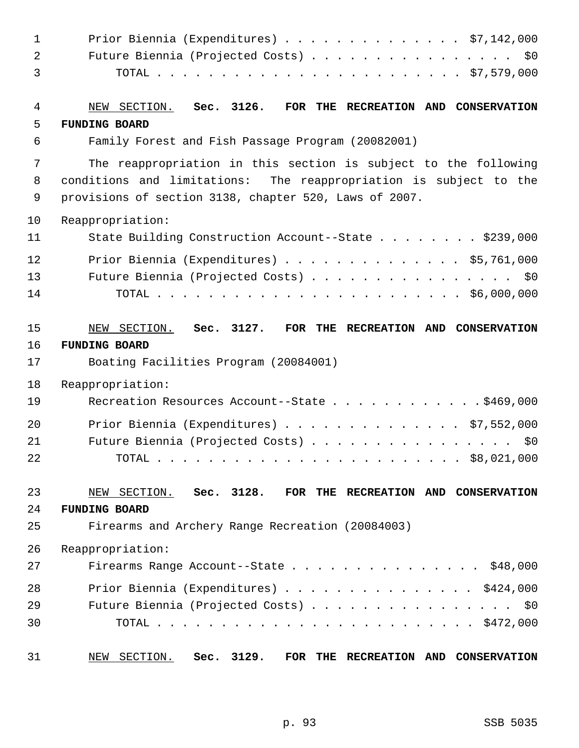| $\mathbf{1}$   | Prior Biennia (Expenditures) \$7,142,000                          |
|----------------|-------------------------------------------------------------------|
| $\overline{a}$ | Future Biennia (Projected Costs) \$0                              |
| 3              |                                                                   |
| 4              | NEW SECTION. Sec. 3126. FOR THE RECREATION AND CONSERVATION       |
| 5              | <b>FUNDING BOARD</b>                                              |
| 6              | Family Forest and Fish Passage Program (20082001)                 |
| 7              | The reappropriation in this section is subject to the following   |
| 8              | conditions and limitations: The reappropriation is subject to the |
| 9              | provisions of section 3138, chapter 520, Laws of 2007.            |
| 10             | Reappropriation:                                                  |
| 11             | State Building Construction Account--State \$239,000              |
| 12             | Prior Biennia (Expenditures) \$5,761,000                          |
| 13             | Future Biennia (Projected Costs) \$0                              |
| 14             |                                                                   |
| 15             | NEW SECTION. Sec. 3127.<br>FOR THE RECREATION AND CONSERVATION    |
| 16             | <b>FUNDING BOARD</b>                                              |
| 17             | Boating Facilities Program (20084001)                             |
| 18             | Reappropriation:                                                  |
| 19             | Recreation Resources Account--State $\ldots$ \$469,000            |
| 20             | Prior Biennia (Expenditures) \$7,552,000                          |
| 21             | Future Biennia (Projected Costs)<br>\$0\$                         |
| 22             | $\ldots$ \$8,021,000<br>TOTAL                                     |
| 23             | NEW SECTION. Sec. 3128. FOR THE RECREATION AND CONSERVATION       |
| 24             | <b>FUNDING BOARD</b>                                              |
| 25             | Firearms and Archery Range Recreation (20084003)                  |
| 26             | Reappropriation:                                                  |
| 27             | Firearms Range Account--State<br>\$48,000                         |
| 28             | Prior Biennia (Expenditures) \$424,000                            |
| 29             | Future Biennia (Projected Costs) \$0                              |
| 30             |                                                                   |
| 31             | Sec. 3129.<br>NEW SECTION.<br>FOR THE RECREATION AND CONSERVATION |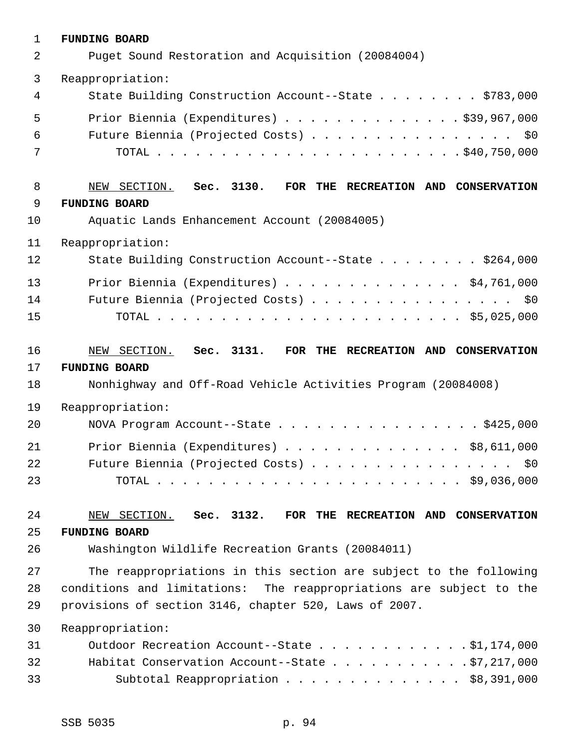| $\mathbf{1}$ | <b>FUNDING BOARD</b>                                                |
|--------------|---------------------------------------------------------------------|
| 2            | Puget Sound Restoration and Acquisition (20084004)                  |
| 3            | Reappropriation:                                                    |
| 4            | State Building Construction Account--State \$783,000                |
| 5            | Prior Biennia (Expenditures) $\ldots$ 939,967,000                   |
| 6            | Future Biennia (Projected Costs) \$0                                |
| 7            |                                                                     |
| 8            | NEW SECTION. Sec. 3130. FOR THE RECREATION AND CONSERVATION         |
| 9            | <b>FUNDING BOARD</b>                                                |
| 10           | Aquatic Lands Enhancement Account (20084005)                        |
| 11           | Reappropriation:                                                    |
| 12           | State Building Construction Account--State \$264,000                |
| 13           | Prior Biennia (Expenditures) \$4,761,000                            |
| 14           | Future Biennia (Projected Costs) \$0                                |
| 15           |                                                                     |
| 16           | NEW SECTION. Sec. 3131. FOR THE RECREATION AND CONSERVATION         |
| 17           | <b>FUNDING BOARD</b>                                                |
| 18           | Nonhighway and Off-Road Vehicle Activities Program (20084008)       |
| 19           | Reappropriation:                                                    |
| 20           | NOVA Program Account--State \$425,000                               |
| 21           | Prior Biennia (Expenditures) \$8,611,000                            |
| 22           | Future Biennia (Projected Costs) \$0                                |
| 23           |                                                                     |
| 24           | NEW SECTION. Sec. 3132. FOR THE RECREATION AND CONSERVATION         |
| 25           | <b>FUNDING BOARD</b>                                                |
| 26           | Washington Wildlife Recreation Grants (20084011)                    |
| 27           | The reappropriations in this section are subject to the following   |
| 28           | conditions and limitations: The reappropriations are subject to the |
| 29           | provisions of section 3146, chapter 520, Laws of 2007.              |
| 30           | Reappropriation:                                                    |
| 31           | Outdoor Recreation Account--State \$1,174,000                       |
| 32           | Habitat Conservation Account--State $\ldots$ 97,217,000             |
| 33           | Subtotal Reappropriation \$8,391,000                                |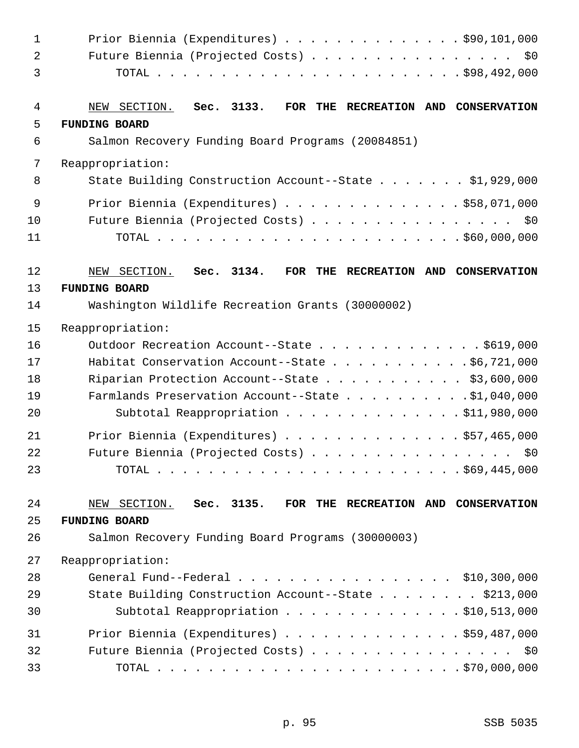| $\mathbf{1}$   | Prior Biennia (Expenditures) \$90,101,000                         |
|----------------|-------------------------------------------------------------------|
| $\overline{a}$ | Future Biennia (Projected Costs) \$0                              |
| 3              |                                                                   |
| 4              | NEW SECTION. Sec. 3133.<br>FOR THE RECREATION AND CONSERVATION    |
| 5              | <b>FUNDING BOARD</b>                                              |
| 6              | Salmon Recovery Funding Board Programs (20084851)                 |
| 7              | Reappropriation:                                                  |
| 8              | State Building Construction Account--State \$1,929,000            |
| 9              | Prior Biennia (Expenditures) \$58,071,000                         |
| 10             | Future Biennia (Projected Costs) \$0                              |
| 11             |                                                                   |
| 12             | Sec. 3134.<br>FOR THE RECREATION AND CONSERVATION<br>NEW SECTION. |
| 13             | <b>FUNDING BOARD</b>                                              |
| 14             | Washington Wildlife Recreation Grants (30000002)                  |
| 15             | Reappropriation:                                                  |
| 16             | Outdoor Recreation Account--State \$619,000                       |
| 17             | Habitat Conservation Account--State \$6,721,000                   |
| 18             | Riparian Protection Account--State \$3,600,000                    |
| 19             | Farmlands Preservation Account--State \$1,040,000                 |
| 20             | Subtotal Reappropriation \$11,980,000                             |
| 21             | Prior Biennia (Expenditures) \$57,465,000                         |
| 22             | Future Biennia (Projected Costs) \$0                              |
| 23             |                                                                   |
| 24             | NEW SECTION. Sec. 3135. FOR THE RECREATION AND CONSERVATION       |
| 25             | <b>FUNDING BOARD</b>                                              |
| 26             | Salmon Recovery Funding Board Programs (30000003)                 |
| 27             | Reappropriation:                                                  |
| 28             | General Fund--Federal \$10,300,000                                |
| 29             | State Building Construction Account--State \$213,000              |
| 30             | Subtotal Reappropriation \$10,513,000                             |
| 31             | Prior Biennia (Expenditures) \$59,487,000                         |
| 32             | Future Biennia (Projected Costs) \$0                              |
| 33             |                                                                   |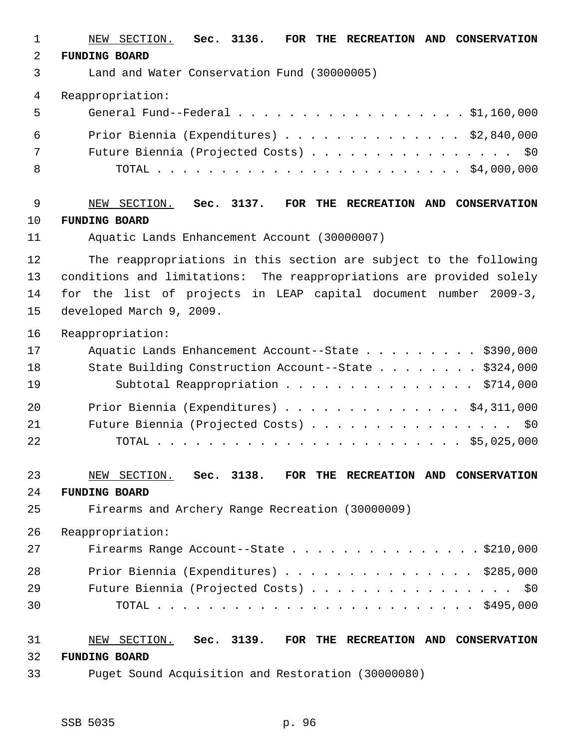| 1  | NEW SECTION.<br>Sec. 3136.<br>FOR THE RECREATION AND CONSERVATION    |
|----|----------------------------------------------------------------------|
| 2  | <b>FUNDING BOARD</b>                                                 |
| 3  | Land and Water Conservation Fund (30000005)                          |
| 4  | Reappropriation:                                                     |
| 5  | General Fund--Federal \$1,160,000                                    |
| 6  | Prior Biennia (Expenditures) $\ldots$ \$2,840,000                    |
| 7  | Future Biennia (Projected Costs)<br>\$0                              |
| 8  |                                                                      |
| 9  | Sec. 3137.<br>FOR THE RECREATION AND CONSERVATION<br>NEW SECTION.    |
| 10 | <b>FUNDING BOARD</b>                                                 |
| 11 | Aquatic Lands Enhancement Account (30000007)                         |
| 12 | The reappropriations in this section are subject to the following    |
| 13 | conditions and limitations: The reappropriations are provided solely |
| 14 | for the list of projects in LEAP capital document number 2009-3,     |
| 15 | developed March 9, 2009.                                             |
| 16 | Reappropriation:                                                     |
| 17 | Aquatic Lands Enhancement Account--State \$390,000                   |
| 18 | State Building Construction Account--State \$324,000                 |
| 19 | Subtotal Reappropriation \$714,000                                   |
| 20 | Prior Biennia (Expenditures) \$4,311,000                             |
| 21 | Future Biennia (Projected Costs)<br>\$0                              |
| 22 |                                                                      |
| 23 | NEW SECTION. Sec. 3138. FOR THE RECREATION AND CONSERVATION          |
| 24 | <b>FUNDING BOARD</b>                                                 |
| 25 | Firearms and Archery Range Recreation (30000009)                     |
| 26 | Reappropriation:                                                     |
| 27 | Firearms Range Account--State \$210,000                              |
| 28 | Prior Biennia (Expenditures) \$285,000                               |
| 29 | Future Biennia (Projected Costs)<br>\$0                              |
| 30 |                                                                      |
| 31 | NEW SECTION. Sec. 3139. FOR THE RECREATION AND CONSERVATION          |
| 32 | <b>FUNDING BOARD</b>                                                 |
| 33 | Puget Sound Acquisition and Restoration (30000080)                   |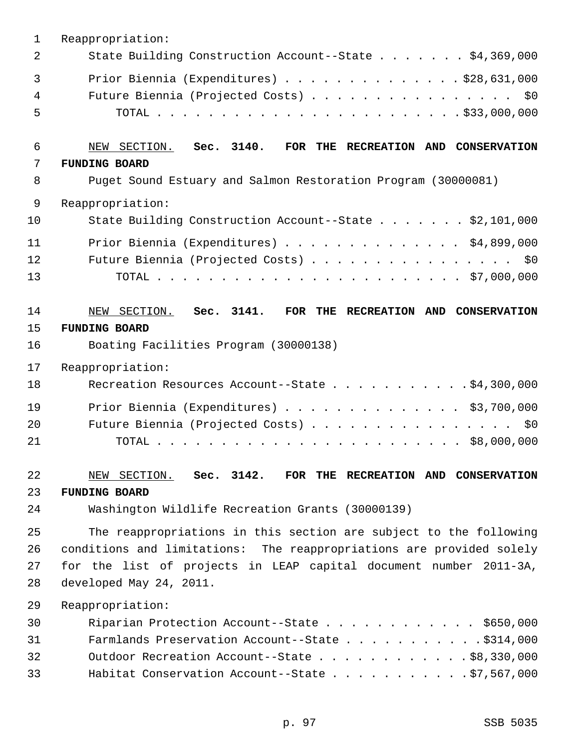| 1              | Reappropriation:                                                     |
|----------------|----------------------------------------------------------------------|
| $\overline{2}$ | State Building Construction Account--State \$4,369,000               |
| 3              | Prior Biennia (Expenditures) \$28,631,000                            |
| 4              | Future Biennia (Projected Costs) \$0                                 |
| 5              |                                                                      |
| 6              | NEW SECTION. Sec. 3140.<br>FOR THE RECREATION AND CONSERVATION       |
| 7              | <b>FUNDING BOARD</b>                                                 |
| 8              | Puget Sound Estuary and Salmon Restoration Program (30000081)        |
| 9              | Reappropriation:                                                     |
| 10             | State Building Construction Account--State \$2,101,000               |
| 11             | Prior Biennia (Expenditures) \$4,899,000                             |
| 12             | Future Biennia (Projected Costs) \$0                                 |
| 13             |                                                                      |
| 14             | NEW SECTION. Sec. 3141. FOR THE RECREATION AND CONSERVATION          |
| 15             | <b>FUNDING BOARD</b>                                                 |
| 16             | Boating Facilities Program (30000138)                                |
| 17             | Reappropriation:                                                     |
| 18             | Recreation Resources Account--State \$4,300,000                      |
| 19             | Prior Biennia (Expenditures) $\ldots$ \$3,700,000                    |
| 20             | Future Biennia (Projected Costs) \$0                                 |
| 21             |                                                                      |
| 22             | NEW SECTION. Sec. 3142. FOR THE RECREATION AND CONSERVATION          |
| 23             | <b>FUNDING BOARD</b>                                                 |
| 24             | Washington Wildlife Recreation Grants (30000139)                     |
| 25             | The reappropriations in this section are subject to the following    |
| 26             | conditions and limitations: The reappropriations are provided solely |
| 27             | for the list of projects in LEAP capital document number 2011-3A,    |
| 28             | developed May 24, 2011.                                              |
| 29             | Reappropriation:                                                     |
| 30             | Riparian Protection Account--State $\ldots$ \$650,000                |
| 31             | Farmlands Preservation Account--State \$314,000                      |
| 32             | Outdoor Recreation Account--State \$8,330,000                        |
| 33             | Habitat Conservation Account--State \$7,567,000                      |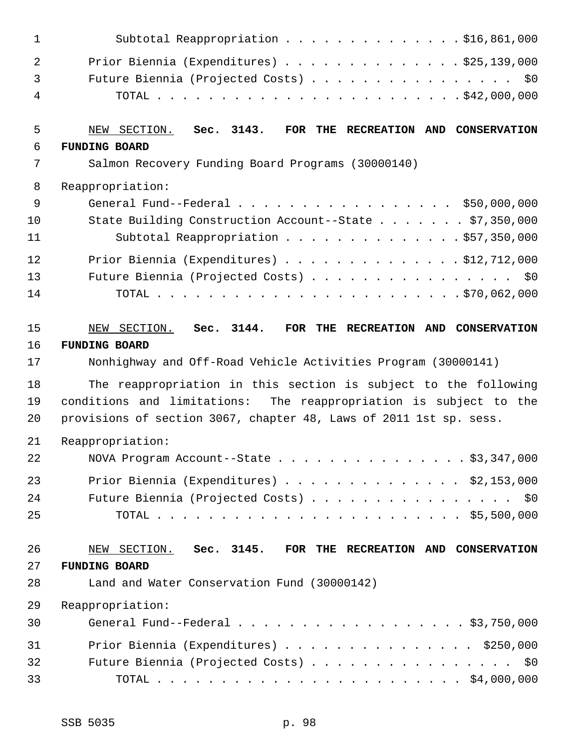| $\mathbf{1}$   | Subtotal Reappropriation \$16,861,000                              |
|----------------|--------------------------------------------------------------------|
| $\overline{2}$ | Prior Biennia (Expenditures) $\ldots$ 925, 139, 000                |
| 3              | Future Biennia (Projected Costs) \$0                               |
| 4              |                                                                    |
| 5              | NEW SECTION. Sec. 3143.<br>FOR THE RECREATION AND CONSERVATION     |
| 6              | <b>FUNDING BOARD</b>                                               |
| 7              | Salmon Recovery Funding Board Programs (30000140)                  |
| 8              | Reappropriation:                                                   |
| 9              | General Fund--Federal \$50,000,000                                 |
| 10             | State Building Construction Account--State \$7,350,000             |
| 11             | Subtotal Reappropriation \$57,350,000                              |
| 12             | Prior Biennia (Expenditures) \$12,712,000                          |
| 13             | Future Biennia (Projected Costs) \$0                               |
| 14             |                                                                    |
| 15             | NEW SECTION. Sec. 3144.<br>FOR THE RECREATION AND CONSERVATION     |
| 16             | <b>FUNDING BOARD</b>                                               |
| 17             | Nonhighway and Off-Road Vehicle Activities Program (30000141)      |
| 18             | The reappropriation in this section is subject to the following    |
| 19             | conditions and limitations: The reappropriation is subject to the  |
| 20             | provisions of section 3067, chapter 48, Laws of 2011 1st sp. sess. |
| 21             | Reappropriation:                                                   |
| 22             | NOVA Program Account--State \$3,347,000                            |
| 23             | Prior Biennia (Expenditures) $\ldots$ \$2,153,000                  |
| 24             | Future Biennia (Projected Costs) \$0                               |
| 25             |                                                                    |
| 26             | NEW SECTION. Sec. 3145. FOR THE RECREATION AND CONSERVATION        |
| 27             | <b>FUNDING BOARD</b>                                               |
| 28             | Land and Water Conservation Fund (30000142)                        |
| 29             | Reappropriation:                                                   |
| 30             | General Fund--Federal $\ldots$ , \$3,750,000                       |
| 31             | Prior Biennia (Expenditures) \$250,000                             |
| 32             | Future Biennia (Projected Costs) \$0                               |
| 33             |                                                                    |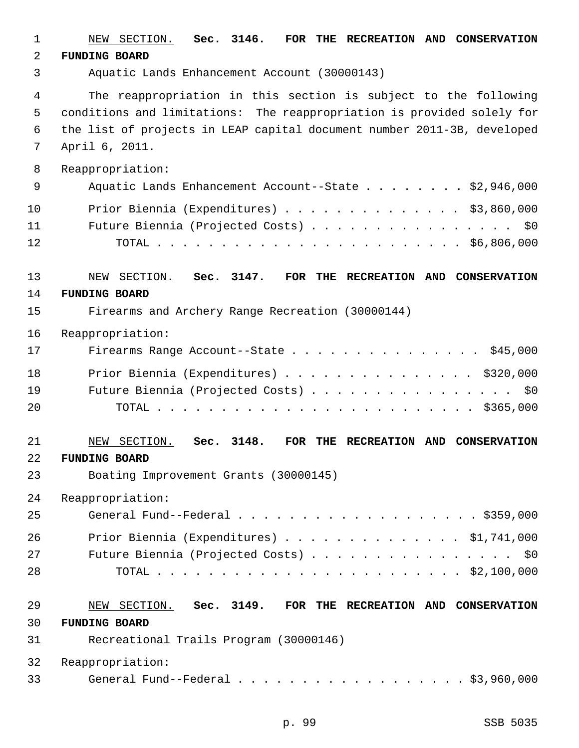| $\mathbf 1$ | NEW SECTION. Sec. 3146.<br>FOR THE RECREATION AND CONSERVATION                    |
|-------------|-----------------------------------------------------------------------------------|
| 2           | <b>FUNDING BOARD</b>                                                              |
| 3           | Aquatic Lands Enhancement Account (30000143)                                      |
| 4           | The reappropriation in this section is subject to the following                   |
| 5           | conditions and limitations: The reappropriation is provided solely for            |
| 6           | the list of projects in LEAP capital document number 2011-3B, developed           |
| 7           | April 6, 2011.                                                                    |
| 8           | Reappropriation:                                                                  |
| 9           | Aquatic Lands Enhancement Account--State $\ldots$ \$2,946,000                     |
| 10          | Prior Biennia (Expenditures) \$3,860,000                                          |
| 11          | Future Biennia (Projected Costs) \$0                                              |
| 12          |                                                                                   |
| 13          | NEW SECTION. Sec. 3147.<br>FOR THE RECREATION AND CONSERVATION                    |
| 14          | <b>FUNDING BOARD</b>                                                              |
| 15          | Firearms and Archery Range Recreation (30000144)                                  |
| 16          | Reappropriation:                                                                  |
| 17          | Firearms Range Account--State \$45,000                                            |
| 18          | Prior Biennia (Expenditures) \$320,000                                            |
| 19          | Future Biennia (Projected Costs) \$0                                              |
| 20          |                                                                                   |
| 21          | SECTION.<br>Sec. 3148.<br>RECREATION AND CONSERVATION<br><b>FOR</b><br>THE<br>NEW |
| 22          | <b>FUNDING BOARD</b>                                                              |
| 23          | Boating Improvement Grants (30000145)                                             |
| 24          | Reappropriation:                                                                  |
| 25          |                                                                                   |
| 26          | Prior Biennia (Expenditures) $\ldots$ \$1,741,000                                 |
| 27          | Future Biennia (Projected Costs) \$0                                              |
| 28          |                                                                                   |
| 29          | NEW SECTION. Sec. 3149. FOR THE RECREATION AND CONSERVATION                       |
| 30          | <b>FUNDING BOARD</b>                                                              |
| 31          | Recreational Trails Program (30000146)                                            |
| 32          | Reappropriation:                                                                  |
| 33          | General Fund--Federal $\ldots$ \$3,960,000                                        |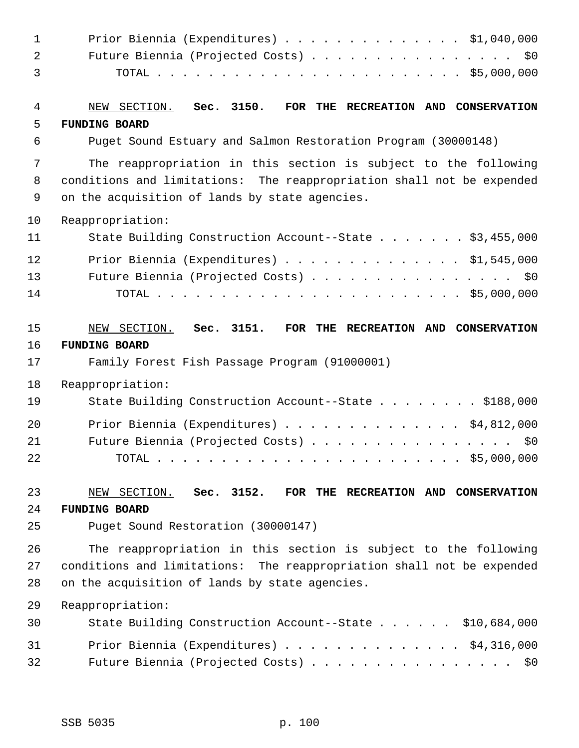| $\mathbf{1}$ | Prior Biennia (Expenditures) $\ldots$ \$1,040,000                                                                       |
|--------------|-------------------------------------------------------------------------------------------------------------------------|
| 2            | Future Biennia (Projected Costs) \$0                                                                                    |
| 3            |                                                                                                                         |
| 4            | NEW SECTION. Sec. 3150.<br>FOR THE RECREATION AND CONSERVATION                                                          |
| 5            | <b>FUNDING BOARD</b>                                                                                                    |
| 6            | Puget Sound Estuary and Salmon Restoration Program (30000148)                                                           |
| 7            | The reappropriation in this section is subject to the following                                                         |
| 8<br>9       | conditions and limitations: The reappropriation shall not be expended<br>on the acquisition of lands by state agencies. |
| 10           | Reappropriation:                                                                                                        |
| 11           | State Building Construction Account--State \$3,455,000                                                                  |
| 12           | Prior Biennia (Expenditures) \$1,545,000                                                                                |
| 13           | Future Biennia (Projected Costs) \$0                                                                                    |
| 14           |                                                                                                                         |
| 15           | NEW SECTION. Sec. 3151.<br>FOR THE RECREATION AND CONSERVATION                                                          |
| 16           | <b>FUNDING BOARD</b>                                                                                                    |
| 17           | Family Forest Fish Passage Program (91000001)                                                                           |
| 18           | Reappropriation:                                                                                                        |
| 19           | State Building Construction Account--State \$188,000                                                                    |
| 20           | Prior Biennia (Expenditures) \$4,812,000                                                                                |
| 21           | Future Biennia (Projected Costs) \$0                                                                                    |
| 22           |                                                                                                                         |
| 23           | NEW SECTION. Sec. 3152.<br>FOR THE RECREATION AND CONSERVATION                                                          |
| 24           | <b>FUNDING BOARD</b>                                                                                                    |
| 25           | Puget Sound Restoration (30000147)                                                                                      |
| 26           | The reappropriation in this section is subject to the following                                                         |
| 27           | conditions and limitations: The reappropriation shall not be expended                                                   |
| 28           | on the acquisition of lands by state agencies.                                                                          |
| 29           | Reappropriation:                                                                                                        |
| 30           | State Building Construction Account--State \$10,684,000                                                                 |
| 31           | Prior Biennia (Expenditures) \$4,316,000                                                                                |
| 32           | Future Biennia (Projected Costs) \$0                                                                                    |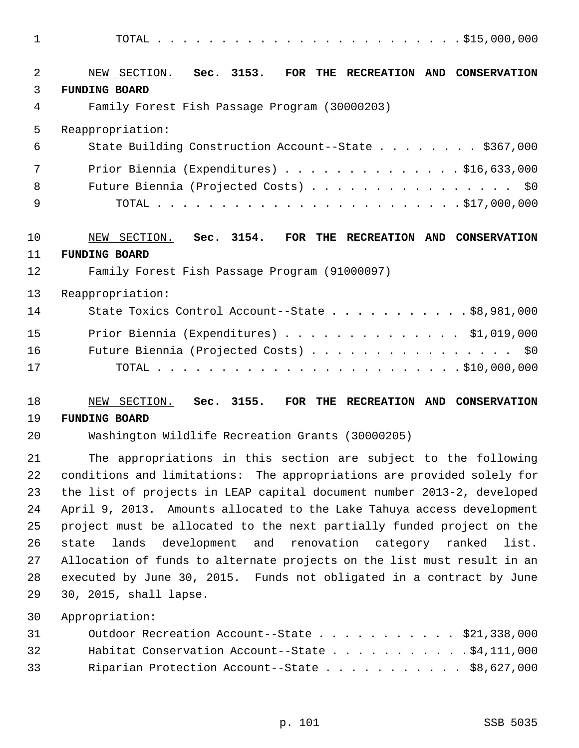1 TOTAL . . . . . . . . . . . . . . . . . . . . . . . . \$15,000,000

| 2        | NEW SECTION. Sec. 3153.<br>FOR THE RECREATION AND CONSERVATION                                 |
|----------|------------------------------------------------------------------------------------------------|
| 3        | <b>FUNDING BOARD</b>                                                                           |
| 4        | Family Forest Fish Passage Program (30000203)                                                  |
| 5        | Reappropriation:                                                                               |
| 6        | State Building Construction Account--State \$367,000                                           |
| 7        | Prior Biennia (Expenditures) $\ldots$ \$16,633,000                                             |
| 8        | Future Biennia (Projected Costs) \$0                                                           |
| 9        |                                                                                                |
| 10       | NEW SECTION. Sec. 3154. FOR THE RECREATION AND CONSERVATION                                    |
| 11       | <b>FUNDING BOARD</b>                                                                           |
| 12       | Family Forest Fish Passage Program (91000097)                                                  |
| 13       | Reappropriation:                                                                               |
| 14       | State Toxics Control Account--State $\ldots$ \$8,981,000                                       |
| 15       | Prior Biennia (Expenditures) $\ldots$ \$1,019,000                                              |
| 16       | Future Biennia (Projected Costs) \$0                                                           |
| 17       |                                                                                                |
| 18       | FOR THE RECREATION AND CONSERVATION<br>NEW SECTION. Sec. 3155.                                 |
| 19       | <b>FUNDING BOARD</b>                                                                           |
| 20       | Washington Wildlife Recreation Grants (30000205)                                               |
| 21       | The appropriations in this section are subject to the following                                |
| 22       | conditions and limitations: The appropriations are provided solely for                         |
| 23       | the list of projects in LEAP capital document number 2013-2, developed                         |
| 24       | April 9, 2013. Amounts allocated to the Lake Tahuya access development                         |
| 25       | project must be allocated to the next partially funded project on the                          |
| 26       | development and renovation category ranked<br>lands<br>list.<br>state                          |
| 27       | Allocation of funds to alternate projects on the list must result in an                        |
| 28<br>29 | executed by June 30, 2015. Funds not obligated in a contract by June<br>30, 2015, shall lapse. |
| 30       | Appropriation:                                                                                 |
| 31       | Outdoor Recreation Account--State \$21,338,000                                                 |
| 32       | Habitat Conservation Account--State $\ldots$ \$4,111,000                                       |
| 33       | Riparian Protection Account--State \$8,627,000                                                 |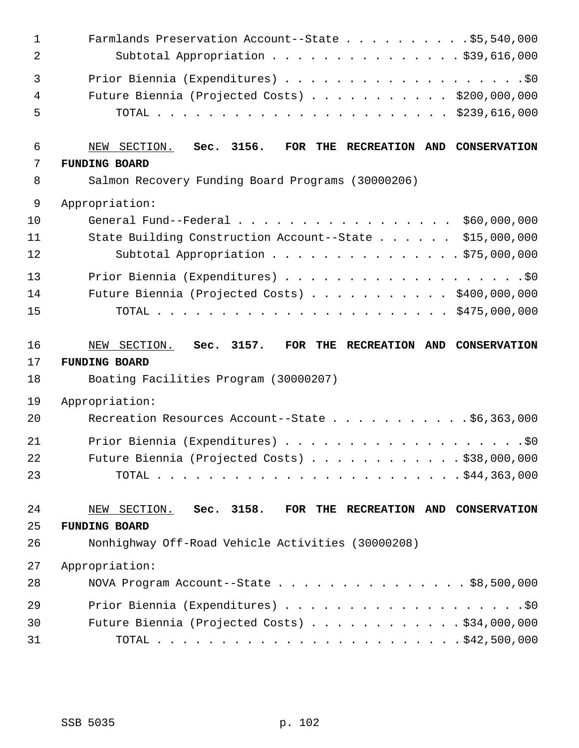| $\mathbf{1}$<br>2   | Farmlands Preservation Account--State \$5,540,000<br>Subtotal Appropriation \$39,616,000                                                                  |
|---------------------|-----------------------------------------------------------------------------------------------------------------------------------------------------------|
| 3<br>4<br>5         | Future Biennia (Projected Costs) \$200,000,000                                                                                                            |
| 6<br>7<br>8         | NEW SECTION.<br>Sec. 3156.<br>FOR THE RECREATION AND CONSERVATION<br><b>FUNDING BOARD</b>                                                                 |
|                     | Salmon Recovery Funding Board Programs (30000206)                                                                                                         |
| 9<br>10<br>11<br>12 | Appropriation:<br>General Fund--Federal<br>\$60,000,000<br>State Building Construction Account--State \$15,000,000<br>Subtotal Appropriation \$75,000,000 |
| 13<br>14<br>15      | Future Biennia (Projected Costs) \$400,000,000                                                                                                            |
| 16<br>17<br>18      | NEW SECTION. Sec. 3157.<br>FOR THE RECREATION AND CONSERVATION<br><b>FUNDING BOARD</b><br>Boating Facilities Program (30000207)                           |
| 19                  | Appropriation:                                                                                                                                            |
| 20                  | Recreation Resources Account--State \$6,363,000                                                                                                           |
| 21<br>22<br>23      | Future Biennia (Projected Costs) \$38,000,000                                                                                                             |
| 24<br>25            | NEW SECTION. Sec. 3158.<br>FOR THE RECREATION AND CONSERVATION<br><b>FUNDING BOARD</b>                                                                    |
| 26                  | Nonhighway Off-Road Vehicle Activities (30000208)                                                                                                         |
|                     |                                                                                                                                                           |
| 27                  | Appropriation:                                                                                                                                            |
| 28                  | NOVA Program Account--State $\ldots$ \$8,500,000                                                                                                          |
| 29                  |                                                                                                                                                           |
| 30                  | Future Biennia (Projected Costs) \$34,000,000                                                                                                             |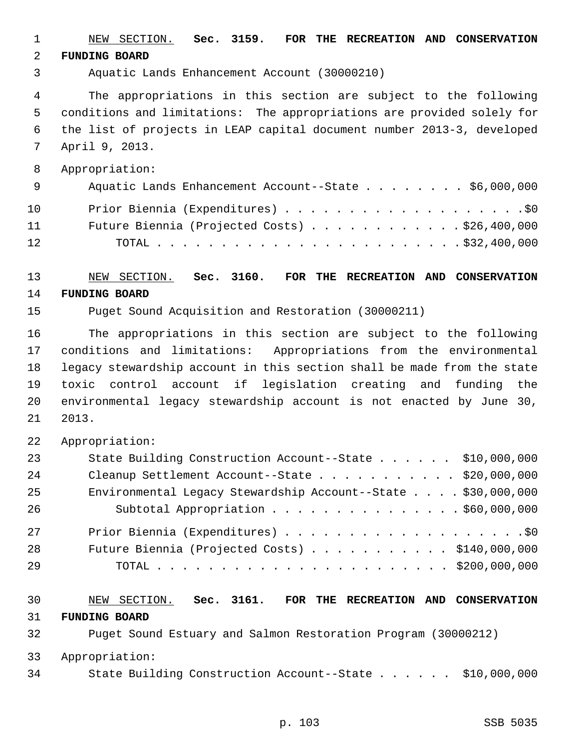1 NEW SECTION. **Sec. 3159. FOR THE RECREATION AND CONSERVATION** 2 **FUNDING BOARD** 3 Aquatic Lands Enhancement Account (30000210)

 4 The appropriations in this section are subject to the following 5 conditions and limitations: The appropriations are provided solely for 6 the list of projects in LEAP capital document number 2013-3, developed 7 April 9, 2013.

 8 Appropriation: 9 Aquatic Lands Enhancement Account--State . . . . . . . \$6,000,000 10 Prior Biennia (Expenditures) . . . . . . . . . . . . . . . . . . .\$0 11 Future Biennia (Projected Costs) . . . . . . . . . . . . \$26,400,000 12 TOTAL . . . . . . . . . . . . . . . . . . . . . . . . \$32,400,000

13 NEW SECTION. **Sec. 3160. FOR THE RECREATION AND CONSERVATION** 14 **FUNDING BOARD**

15 Puget Sound Acquisition and Restoration (30000211)

16 The appropriations in this section are subject to the following 17 conditions and limitations: Appropriations from the environmental 18 legacy stewardship account in this section shall be made from the state 19 toxic control account if legislation creating and funding the 20 environmental legacy stewardship account is not enacted by June 30, 21 2013.

22 Appropriation:

| 23 | State Building Construction Account--State \$10,000,000      |  |
|----|--------------------------------------------------------------|--|
| 24 | Cleanup Settlement Account--State \$20,000,000               |  |
| 25 | Environmental Legacy Stewardship Account--State \$30,000,000 |  |
| 26 | Subtotal Appropriation \$60,000,000                          |  |
| 27 |                                                              |  |
| 28 | Future Biennia (Projected Costs) $\ldots$ \$140,000,000      |  |
| 29 |                                                              |  |

30 NEW SECTION. **Sec. 3161. FOR THE RECREATION AND CONSERVATION** 31 **FUNDING BOARD** 32 Puget Sound Estuary and Salmon Restoration Program (30000212) 33 Appropriation:

34 State Building Construction Account--State . . . . . . \$10,000,000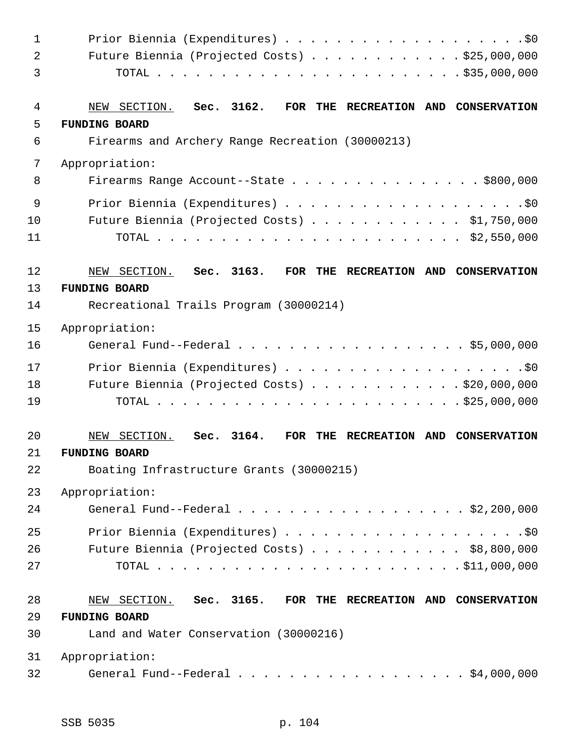| $\mathbf 1$    |                                                                         |
|----------------|-------------------------------------------------------------------------|
| $\overline{2}$ | Future Biennia (Projected Costs) \$25,000,000                           |
| 3              |                                                                         |
| 4              | NEW SECTION. Sec. 3162.<br>FOR THE RECREATION AND CONSERVATION          |
| 5              | <b>FUNDING BOARD</b>                                                    |
| 6              | Firearms and Archery Range Recreation (30000213)                        |
| 7              | Appropriation:                                                          |
| 8              | Firearms Range Account--State \$800,000                                 |
| 9              |                                                                         |
| 10             | Future Biennia (Projected Costs) \$1,750,000                            |
| 11             |                                                                         |
| 12             | NEW SECTION. Sec. 3163.<br>FOR THE RECREATION AND CONSERVATION          |
| 13             | <b>FUNDING BOARD</b>                                                    |
| 14             | Recreational Trails Program (30000214)                                  |
| 15             | Appropriation:                                                          |
| 16             | General Fund--Federal \$5,000,000                                       |
| 17             |                                                                         |
| 18             | Future Biennia (Projected Costs) \$20,000,000                           |
| 19             |                                                                         |
| 20             | Sec. 3164.<br>NEW SECTION.<br>FOR<br>THE<br>RECREATION AND CONSERVATION |
| 21             | <b>FUNDING BOARD</b>                                                    |
| 22             | Boating Infrastructure Grants (30000215)                                |
| 23             | Appropriation:                                                          |
| 24             | General Fund--Federal \$2,200,000                                       |
| 25             |                                                                         |
| 26             | Future Biennia (Projected Costs) \$8,800,000                            |
| 27             |                                                                         |
| 28             | NEW SECTION. Sec. 3165. FOR THE RECREATION AND CONSERVATION             |
| 29             | <b>FUNDING BOARD</b>                                                    |
| 30             | Land and Water Conservation (30000216)                                  |
| 31             | Appropriation:                                                          |
| 32             | General Fund--Federal \$4,000,000                                       |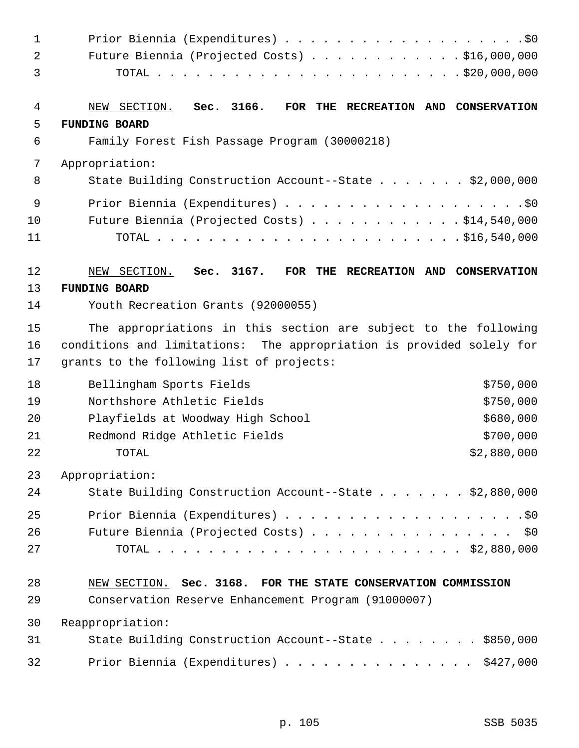| $\mathbf{1}$            |                                                                                                                                                                                      |
|-------------------------|--------------------------------------------------------------------------------------------------------------------------------------------------------------------------------------|
| 2<br>3                  | Future Biennia (Projected Costs) \$16,000,000                                                                                                                                        |
| 4<br>5                  | Sec. 3166.<br>NEW SECTION.<br>FOR THE RECREATION AND CONSERVATION                                                                                                                    |
| 6                       | <b>FUNDING BOARD</b><br>Family Forest Fish Passage Program (30000218)                                                                                                                |
| 7                       | Appropriation:                                                                                                                                                                       |
| 8                       | State Building Construction Account--State \$2,000,000                                                                                                                               |
| $\mathsf 9$<br>10<br>11 | Future Biennia (Projected Costs) \$14,540,000                                                                                                                                        |
| 12                      | Sec. 3167.<br>NEW SECTION.<br>FOR THE RECREATION AND CONSERVATION                                                                                                                    |
| 13                      | <b>FUNDING BOARD</b>                                                                                                                                                                 |
| 14                      | Youth Recreation Grants (92000055)                                                                                                                                                   |
| 15<br>16<br>17          | The appropriations in this section are subject to the following<br>conditions and limitations: The appropriation is provided solely for<br>grants to the following list of projects: |
| 18                      | \$750,000<br>Bellingham Sports Fields                                                                                                                                                |
| 19                      | Northshore Athletic Fields<br>\$750,000                                                                                                                                              |
| 20                      | \$680,000<br>Playfields at Woodway High School                                                                                                                                       |
| 21                      | \$700,000<br>Redmond Ridge Athletic Fields                                                                                                                                           |
| 22                      | \$2,880,000<br>TOTAL                                                                                                                                                                 |
| 23<br>24                | Appropriation:<br>State Building Construction Account--State \$2,880,000                                                                                                             |
| 25<br>26<br>27          | Future Biennia (Projected Costs) \$0                                                                                                                                                 |
| 28<br>29                | NEW SECTION. Sec. 3168. FOR THE STATE CONSERVATION COMMISSION<br>Conservation Reserve Enhancement Program (91000007)                                                                 |
| 30                      | Reappropriation:                                                                                                                                                                     |
| 31                      | State Building Construction Account--State \$850,000                                                                                                                                 |
| 32                      | Prior Biennia (Expenditures) \$427,000                                                                                                                                               |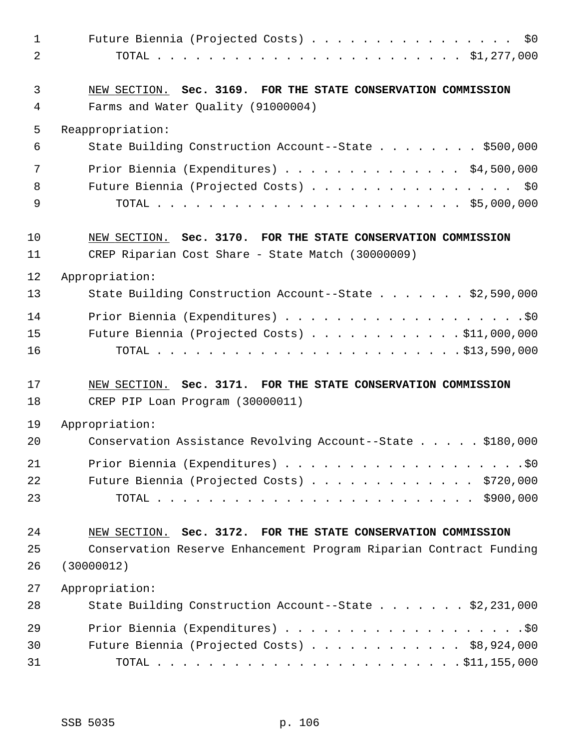| $\mathbf{1}$<br>2 | Future Biennia (Projected Costs)<br>\$0                                                             |
|-------------------|-----------------------------------------------------------------------------------------------------|
| 3<br>4            | NEW SECTION. Sec. 3169. FOR THE STATE CONSERVATION COMMISSION<br>Farms and Water Quality (91000004) |
| 5                 | Reappropriation:                                                                                    |
| 6                 | State Building Construction Account--State \$500,000                                                |
| 7                 | Prior Biennia (Expenditures) \$4,500,000                                                            |
| 8                 | Future Biennia (Projected Costs) \$0                                                                |
| 9                 |                                                                                                     |
| 10                | NEW SECTION. Sec. 3170. FOR THE STATE CONSERVATION COMMISSION                                       |
| 11                | CREP Riparian Cost Share - State Match (30000009)                                                   |
| 12                | Appropriation:                                                                                      |
| 13                | State Building Construction Account--State \$2,590,000                                              |
| 14                |                                                                                                     |
| 15                | Future Biennia (Projected Costs) \$11,000,000                                                       |
| 16                |                                                                                                     |
| 17                | NEW SECTION. Sec. 3171. FOR THE STATE CONSERVATION COMMISSION                                       |
| 18                | CREP PIP Loan Program (30000011)                                                                    |
| 19                | Appropriation:                                                                                      |
| 20                | Conservation Assistance Revolving Account--State \$180,000                                          |
| 21                |                                                                                                     |
| 22                | Future Biennia (Projected Costs) \$720,000                                                          |
| 23                |                                                                                                     |
| 24                | NEW SECTION. Sec. 3172. FOR THE STATE CONSERVATION COMMISSION                                       |
| 25                | Conservation Reserve Enhancement Program Riparian Contract Funding                                  |
| 26                | (30000012)                                                                                          |
| 27                | Appropriation:                                                                                      |
| 28                | State Building Construction Account--State \$2,231,000                                              |
| 29                |                                                                                                     |
| 30                | Future Biennia (Projected Costs) \$8,924,000                                                        |
| 31                |                                                                                                     |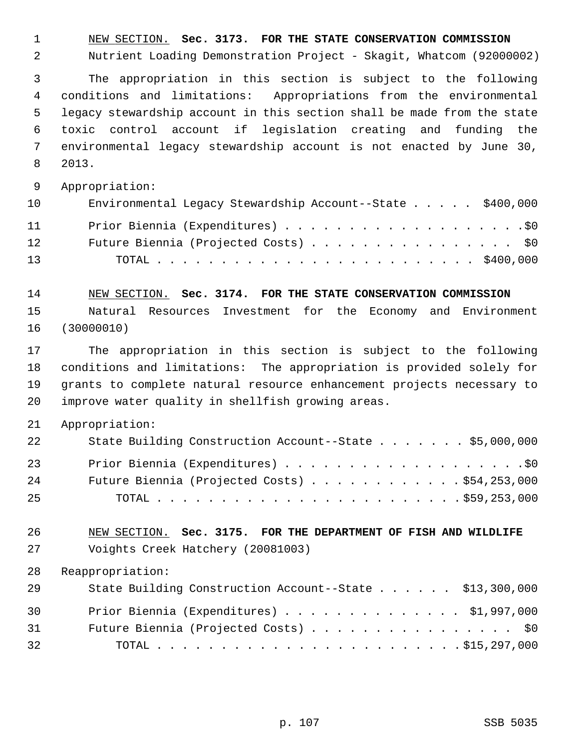1 NEW SECTION. **Sec. 3173. FOR THE STATE CONSERVATION COMMISSION**

2 Nutrient Loading Demonstration Project - Skagit, Whatcom (92000002)

 3 The appropriation in this section is subject to the following 4 conditions and limitations: Appropriations from the environmental 5 legacy stewardship account in this section shall be made from the state 6 toxic control account if legislation creating and funding the 7 environmental legacy stewardship account is not enacted by June 30, 8 2013.

9 Appropriation:

| 10 | Environmental Legacy Stewardship Account--State \$400,000 |
|----|-----------------------------------------------------------|
| 11 |                                                           |
| 12 | Future Biennia (Projected Costs) \$0                      |
| 13 |                                                           |

14 NEW SECTION. **Sec. 3174. FOR THE STATE CONSERVATION COMMISSION** 15 Natural Resources Investment for the Economy and Environment

16 (30000010)

17 The appropriation in this section is subject to the following 18 conditions and limitations: The appropriation is provided solely for 19 grants to complete natural resource enhancement projects necessary to 20 improve water quality in shellfish growing areas.

21 Appropriation:

| 22 | State Building Construction Account--State \$5,000,000 |
|----|--------------------------------------------------------|
| 23 |                                                        |
| 24 | Future Biennia (Projected Costs) \$54,253,000          |
| 25 |                                                        |

26 NEW SECTION. **Sec. 3175. FOR THE DEPARTMENT OF FISH AND WILDLIFE** 27 Voights Creek Hatchery (20081003)

28 Reappropriation:

| 29 | State Building Construction Account--State \$13,300,000 |
|----|---------------------------------------------------------|
| 30 | Prior Biennia (Expenditures) $\ldots$ \$1,997,000       |
| 31 | Future Biennia (Projected Costs) \$0                    |
| 32 |                                                         |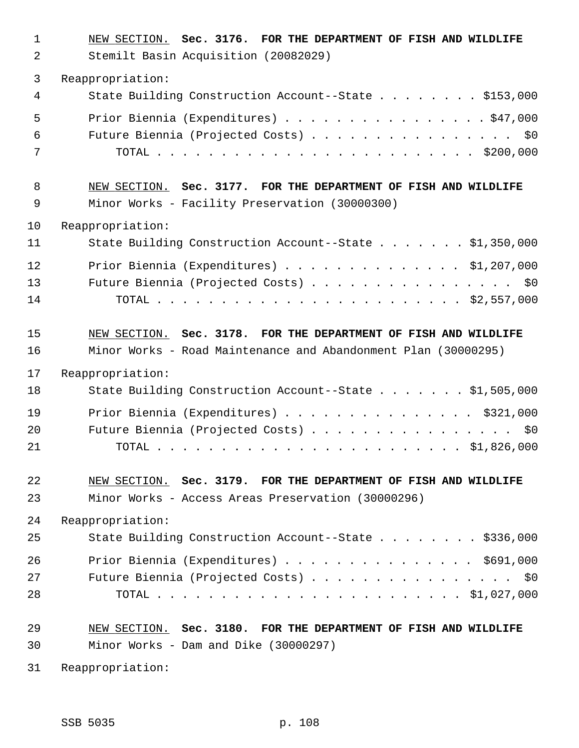| $\mathbf{1}$ | NEW SECTION. Sec. 3176. FOR THE DEPARTMENT OF FISH AND WILDLIFE |
|--------------|-----------------------------------------------------------------|
| 2            | Stemilt Basin Acquisition (20082029)                            |
| 3            | Reappropriation:                                                |
| 4            | State Building Construction Account--State \$153,000            |
| 5            | Prior Biennia (Expenditures) $\ldots$ \$47,000                  |
| 6            | Future Biennia (Projected Costs) \$0                            |
| 7            |                                                                 |
| 8            | NEW SECTION. Sec. 3177. FOR THE DEPARTMENT OF FISH AND WILDLIFE |
| 9            | Minor Works - Facility Preservation (30000300)                  |
| 10           | Reappropriation:                                                |
| 11           | State Building Construction Account--State \$1,350,000          |
| 12           | Prior Biennia (Expenditures) $\ldots$ \$1,207,000               |
| 13           | Future Biennia (Projected Costs) \$0                            |
| 14           |                                                                 |
| 15           | NEW SECTION. Sec. 3178. FOR THE DEPARTMENT OF FISH AND WILDLIFE |
| 16           | Minor Works - Road Maintenance and Abandonment Plan (30000295)  |
| 17           | Reappropriation:                                                |
| 18           | State Building Construction Account--State \$1,505,000          |
| 19           | Prior Biennia (Expenditures) \$321,000                          |
| 20           | Future Biennia (Projected Costs) \$0                            |
| 21           |                                                                 |
| 22           | NEW SECTION. Sec. 3179. FOR THE DEPARTMENT OF FISH AND WILDLIFE |
| 23           | Minor Works - Access Areas Preservation (30000296)              |
| 24           | Reappropriation:                                                |
| 25           | State Building Construction Account--State \$336,000            |
| 26           | Prior Biennia (Expenditures) \$691,000                          |
| 27           | Future Biennia (Projected Costs) \$0                            |
| 28           |                                                                 |
| 29           | NEW SECTION. Sec. 3180. FOR THE DEPARTMENT OF FISH AND WILDLIFE |
| 30           | Minor Works - Dam and Dike (30000297)                           |

31 Reappropriation: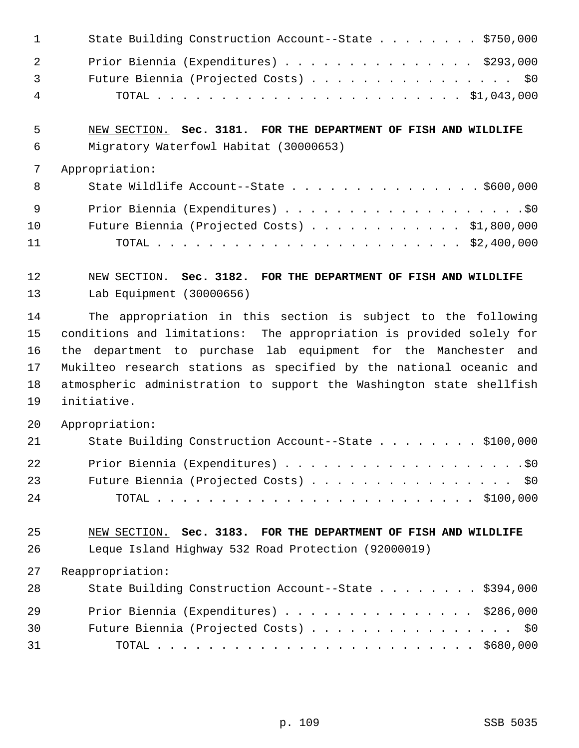|     | State Building Construction Account--State \$750,000            |
|-----|-----------------------------------------------------------------|
| -2. | Prior Biennia (Expenditures) \$293,000                          |
| 3   | Future Biennia (Projected Costs) \$0                            |
| 4   |                                                                 |
|     |                                                                 |
| 5   | NEW SECTION. Sec. 3181. FOR THE DEPARTMENT OF FISH AND WILDLIFE |

- 6 Migratory Waterfowl Habitat (30000653)
- 7 Appropriation:

| - 8 | State Wildlife Account--State $\ldots$ \$600,000      |
|-----|-------------------------------------------------------|
| - 9 |                                                       |
| 10  | Future Biennia (Projected Costs) $\ldots$ \$1,800,000 |
| 11  |                                                       |

12 NEW SECTION. **Sec. 3182. FOR THE DEPARTMENT OF FISH AND WILDLIFE** 13 Lab Equipment (30000656)

14 The appropriation in this section is subject to the following 15 conditions and limitations: The appropriation is provided solely for 16 the department to purchase lab equipment for the Manchester and 17 Mukilteo research stations as specified by the national oceanic and 18 atmospheric administration to support the Washington state shellfish 19 initiative.

20 Appropriation:

| 21  | State Building Construction Account--State \$100,000 |
|-----|------------------------------------------------------|
| 22  |                                                      |
| 23  | Future Biennia (Projected Costs) \$0                 |
| 2.4 |                                                      |

25 NEW SECTION. **Sec. 3183. FOR THE DEPARTMENT OF FISH AND WILDLIFE** 26 Leque Island Highway 532 Road Protection (92000019)

27 Reappropriation:

| 28 | State Building Construction Account--State \$394,000 |  |
|----|------------------------------------------------------|--|
| 29 | Prior Biennia (Expenditures) \$286,000               |  |
| 30 | Future Biennia (Projected Costs) \$0                 |  |
| 31 |                                                      |  |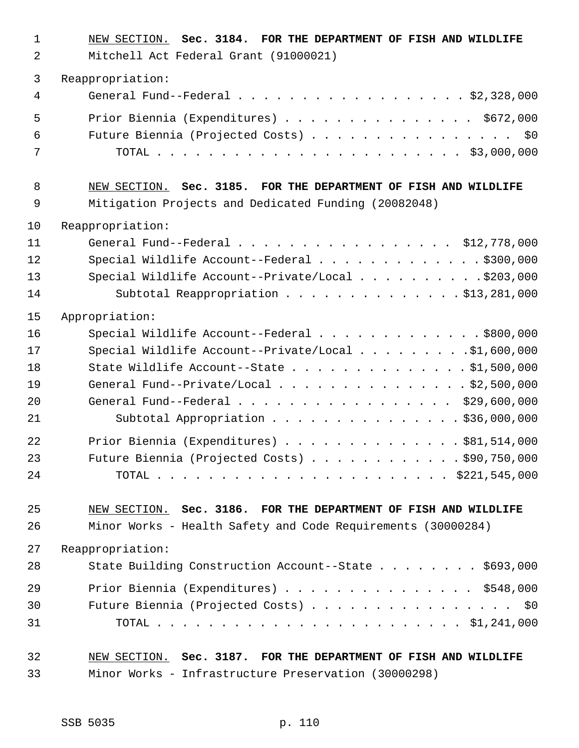| $\mathbf{1}$<br>2 | NEW SECTION. Sec. 3184. FOR THE DEPARTMENT OF FISH AND WILDLIFE<br>Mitchell Act Federal Grant (91000021) |
|-------------------|----------------------------------------------------------------------------------------------------------|
| $\mathfrak{Z}$    | Reappropriation:                                                                                         |
| 4                 | General Fund--Federal \$2,328,000                                                                        |
| 5                 | Prior Biennia (Expenditures) \$672,000                                                                   |
| 6                 | Future Biennia (Projected Costs) \$0                                                                     |
| 7                 |                                                                                                          |
| 8                 | NEW SECTION. Sec. 3185. FOR THE DEPARTMENT OF FISH AND WILDLIFE                                          |
| $\mathsf 9$       | Mitigation Projects and Dedicated Funding (20082048)                                                     |
| 10                | Reappropriation:                                                                                         |
| 11                | General Fund--Federal $\ldots$ , , , ,  \$12,778,000                                                     |
| 12                | Special Wildlife Account--Federal \$300,000                                                              |
| 13                | Special Wildlife Account--Private/Local \$203,000                                                        |
| 14                | Subtotal Reappropriation \$13,281,000                                                                    |
| 15                | Appropriation:                                                                                           |
| 16                | Special Wildlife Account--Federal \$800,000                                                              |
| 17                | Special Wildlife Account--Private/Local \$1,600,000                                                      |
| 18                | State Wildlife Account--State \$1,500,000                                                                |
| 19                | General Fund--Private/Local \$2,500,000                                                                  |
| 20                | General Fund--Federal \$29,600,000                                                                       |
| 21                | Subtotal Appropriation \$36,000,000                                                                      |
| 22                | Prior Biennia (Expenditures) \$81,514,000                                                                |
| 23                | Future Biennia (Projected Costs) \$90,750,000                                                            |
| 24                |                                                                                                          |
| 25                | NEW SECTION. Sec. 3186. FOR THE DEPARTMENT OF FISH AND WILDLIFE                                          |
| 26                | Minor Works - Health Safety and Code Requirements (30000284)                                             |
| 27                | Reappropriation:                                                                                         |
| 28                | State Building Construction Account--State \$693,000                                                     |
| 29                | Prior Biennia (Expenditures) \$548,000                                                                   |
| 30                | Future Biennia (Projected Costs) \$0                                                                     |
| 31                |                                                                                                          |
| 32                | NEW SECTION. Sec. 3187. FOR THE DEPARTMENT OF FISH AND WILDLIFE                                          |
| 33                | Minor Works - Infrastructure Preservation (30000298)                                                     |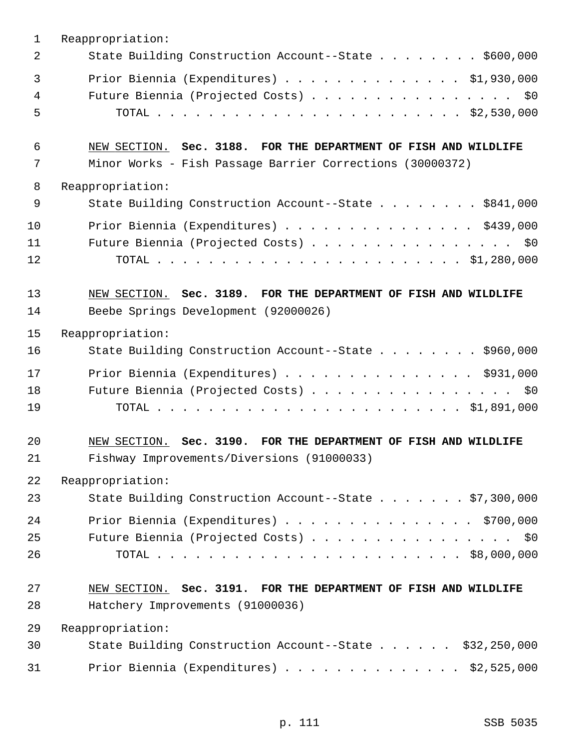| $\mathbf{1}$           | Reappropriation:                                                                                                             |
|------------------------|------------------------------------------------------------------------------------------------------------------------------|
| $\overline{2}$         | State Building Construction Account--State \$600,000                                                                         |
| $\mathbf{3}$<br>4<br>5 | Prior Biennia (Expenditures) \$1,930,000<br>Future Biennia (Projected Costs) \$0                                             |
| 6<br>7                 | NEW SECTION. Sec. 3188. FOR THE DEPARTMENT OF FISH AND WILDLIFE<br>Minor Works - Fish Passage Barrier Corrections (30000372) |
| 8                      | Reappropriation:                                                                                                             |
| 9                      | State Building Construction Account--State \$841,000                                                                         |
| 10                     | Prior Biennia (Expenditures) \$439,000                                                                                       |
| 11<br>12               | Future Biennia (Projected Costs) \$0                                                                                         |
| 13                     | NEW SECTION. Sec. 3189. FOR THE DEPARTMENT OF FISH AND WILDLIFE                                                              |
| 14                     | Beebe Springs Development (92000026)                                                                                         |
| 15                     | Reappropriation:                                                                                                             |
| 16                     | State Building Construction Account--State \$960,000                                                                         |
| 17                     | Prior Biennia (Expenditures) \$931,000                                                                                       |
| 18<br>19               | Future Biennia (Projected Costs) \$0                                                                                         |
| 20<br>21               | NEW SECTION. Sec. 3190. FOR THE DEPARTMENT OF FISH AND WILDLIFE<br>Fishway Improvements/Diversions (91000033)                |
| 22                     | Reappropriation:                                                                                                             |
| 23                     | State Building Construction Account--State \$7,300,000                                                                       |
| 24                     | Prior Biennia (Expenditures) \$700,000                                                                                       |
| 25                     | Future Biennia (Projected Costs) \$0                                                                                         |
| 26                     |                                                                                                                              |
| 27                     | NEW SECTION. Sec. 3191. FOR THE DEPARTMENT OF FISH AND WILDLIFE                                                              |
| 28                     | Hatchery Improvements (91000036)                                                                                             |
| 29                     | Reappropriation:                                                                                                             |
| 30                     | State Building Construction Account--State \$32,250,000                                                                      |
| 31                     | Prior Biennia (Expenditures) $\ldots$ \$2,525,000                                                                            |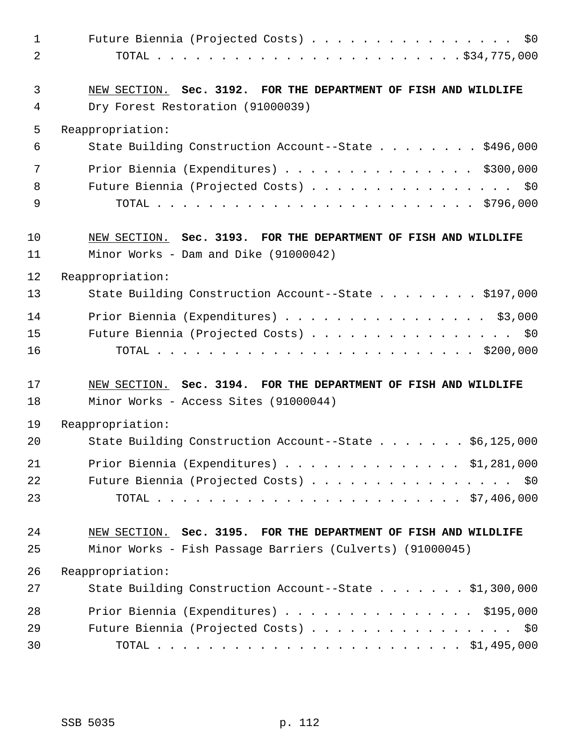| $\mathbf{1}$ | Future Biennia (Projected Costs) \$0                            |
|--------------|-----------------------------------------------------------------|
| 2            |                                                                 |
| 3            | NEW SECTION. Sec. 3192. FOR THE DEPARTMENT OF FISH AND WILDLIFE |
| 4            | Dry Forest Restoration (91000039)                               |
| 5            | Reappropriation:                                                |
| 6            | State Building Construction Account--State \$496,000            |
| 7            | Prior Biennia (Expenditures) $\ldots$ \$300,000                 |
| 8            | Future Biennia (Projected Costs) \$0                            |
| 9            |                                                                 |
| 10           | NEW SECTION. Sec. 3193. FOR THE DEPARTMENT OF FISH AND WILDLIFE |
| 11           | Minor Works - Dam and Dike (91000042)                           |
| 12           | Reappropriation:                                                |
| 13           | State Building Construction Account--State \$197,000            |
| 14           | Prior Biennia (Expenditures) \$3,000                            |
| 15           | Future Biennia (Projected Costs) \$0                            |
| 16           |                                                                 |
| 17           | NEW SECTION. Sec. 3194. FOR THE DEPARTMENT OF FISH AND WILDLIFE |
| 18           | Minor Works - Access Sites (91000044)                           |
| 19           | Reappropriation:                                                |
| 20           | State Building Construction Account--State \$6,125,000          |
| 21           | Prior Biennia (Expenditures) \$1,281,000                        |
| 22           | Future Biennia (Projected Costs) \$0                            |
| 23           |                                                                 |
| 24           | NEW SECTION. Sec. 3195. FOR THE DEPARTMENT OF FISH AND WILDLIFE |
| 25           | Minor Works - Fish Passage Barriers (Culverts) (91000045)       |
| 26           | Reappropriation:                                                |
| 27           | State Building Construction Account--State \$1,300,000          |
| 28           | Prior Biennia (Expenditures) \$195,000                          |
| 29           | Future Biennia (Projected Costs) \$0                            |
| 30           |                                                                 |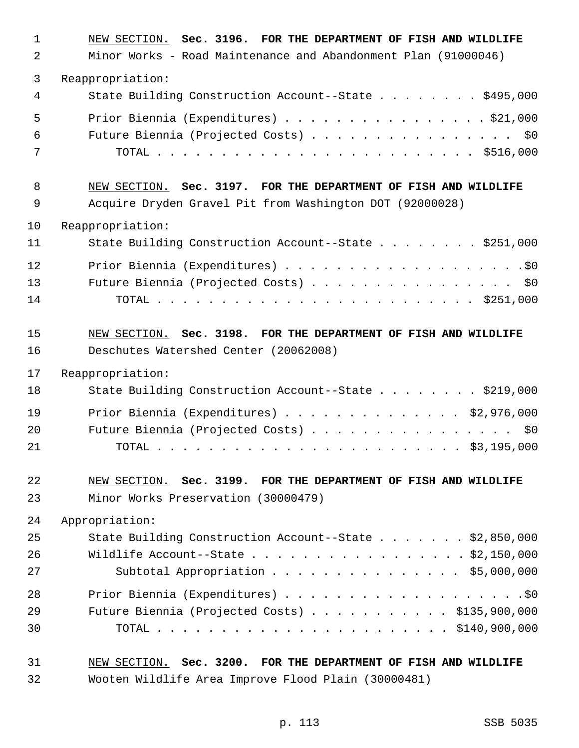| $\mathbf 1$<br>2 | NEW SECTION. Sec. 3196. FOR THE DEPARTMENT OF FISH AND WILDLIFE<br>Minor Works - Road Maintenance and Abandonment Plan (91000046) |
|------------------|-----------------------------------------------------------------------------------------------------------------------------------|
| 3                | Reappropriation:                                                                                                                  |
| 4                | State Building Construction Account--State \$495,000                                                                              |
| 5<br>6           | Prior Biennia (Expenditures) \$21,000<br>Future Biennia (Projected Costs) \$0                                                     |
| 7                |                                                                                                                                   |
| 8                | NEW SECTION. Sec. 3197. FOR THE DEPARTMENT OF FISH AND WILDLIFE                                                                   |
| 9                | Acquire Dryden Gravel Pit from Washington DOT (92000028)                                                                          |
| 10               | Reappropriation:                                                                                                                  |
| 11               | State Building Construction Account--State \$251,000                                                                              |
| 12               |                                                                                                                                   |
| 13               | Future Biennia (Projected Costs) \$0                                                                                              |
| 14               |                                                                                                                                   |
| 15               | NEW SECTION. Sec. 3198. FOR THE DEPARTMENT OF FISH AND WILDLIFE                                                                   |
| 16               | Deschutes Watershed Center (20062008)                                                                                             |
| 17               | Reappropriation:                                                                                                                  |
| 18               | State Building Construction Account--State \$219,000                                                                              |
| 19               | Prior Biennia (Expenditures) \$2,976,000                                                                                          |
| 20               | Future Biennia (Projected Costs)<br>\$0                                                                                           |
| 21               |                                                                                                                                   |
| 22               | NEW SECTION. Sec. 3199. FOR THE DEPARTMENT OF FISH AND WILDLIFE                                                                   |
| 23               | Minor Works Preservation (30000479)                                                                                               |
| 24               | Appropriation:                                                                                                                    |
| 25               | State Building Construction Account--State \$2,850,000                                                                            |
| 26               | Wildlife Account--State \$2,150,000                                                                                               |
| 27               | Subtotal Appropriation $\ldots$ \$5,000,000                                                                                       |
| 28               |                                                                                                                                   |
| 29               | Future Biennia (Projected Costs) $\ldots$ \$135,900,000                                                                           |
| 30               |                                                                                                                                   |
| 31               | NEW SECTION. Sec. 3200. FOR THE DEPARTMENT OF FISH AND WILDLIFE                                                                   |
| 32               | Wooten Wildlife Area Improve Flood Plain (30000481)                                                                               |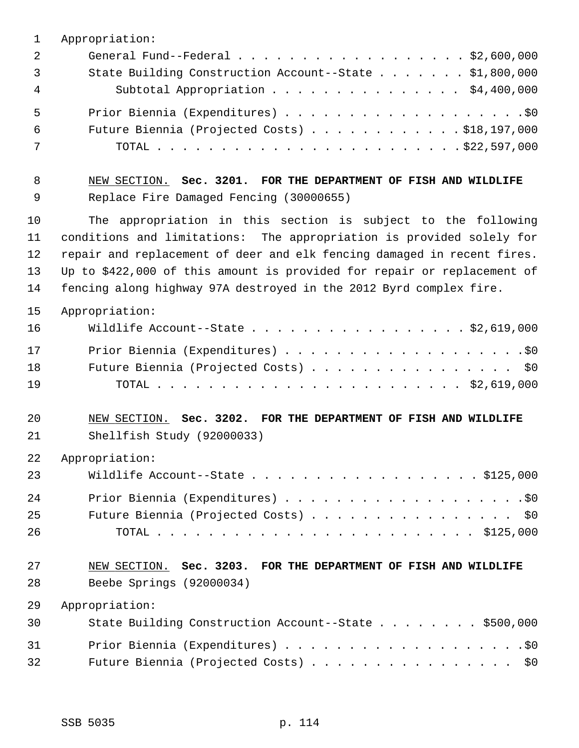| 1  | Appropriation:                                                          |
|----|-------------------------------------------------------------------------|
| 2  | General Fund--Federal \$2,600,000                                       |
| 3  | State Building Construction Account--State \$1,800,000                  |
| 4  | Subtotal Appropriation \$4,400,000                                      |
| 5  |                                                                         |
| 6  | Future Biennia (Projected Costs) $\ldots$ \$18,197,000                  |
| 7  |                                                                         |
| 8  | NEW SECTION. Sec. 3201. FOR THE DEPARTMENT OF FISH AND WILDLIFE         |
| 9  | Replace Fire Damaged Fencing (30000655)                                 |
| 10 | The appropriation in this section is subject to the following           |
| 11 | conditions and limitations: The appropriation is provided solely for    |
| 12 | repair and replacement of deer and elk fencing damaged in recent fires. |
| 13 | Up to \$422,000 of this amount is provided for repair or replacement of |
| 14 | fencing along highway 97A destroyed in the 2012 Byrd complex fire.      |
| 15 | Appropriation:                                                          |
| 16 | Wildlife Account--State \$2,619,000                                     |
| 17 |                                                                         |
| 18 | Future Biennia (Projected Costs) \$0                                    |
| 19 |                                                                         |
| 20 | NEW SECTION. Sec. 3202. FOR THE DEPARTMENT OF FISH AND WILDLIFE         |
| 21 | Shellfish Study (92000033)                                              |
| 22 | Appropriation:                                                          |
| 23 | Wildlife Account--State \$125,000                                       |
| 24 |                                                                         |
| 25 | Future Biennia (Projected Costs) \$0                                    |
| 26 |                                                                         |
| 27 | NEW SECTION. Sec. 3203. FOR THE DEPARTMENT OF FISH AND WILDLIFE         |
| 28 | Beebe Springs (92000034)                                                |
| 29 | Appropriation:                                                          |
| 30 | State Building Construction Account--State \$500,000                    |
| 31 |                                                                         |
| 32 | Future Biennia (Projected Costs)<br>\$0                                 |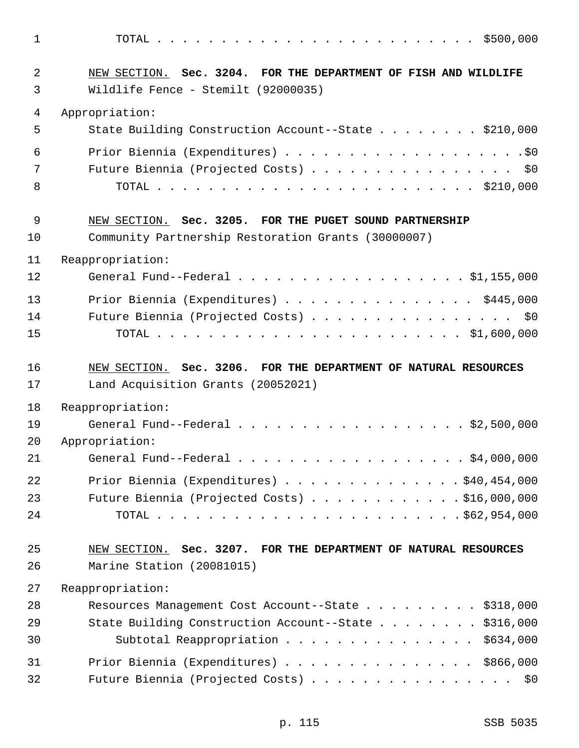1 TOTAL . . . . . . . . . . . . . . . . . . . . . . . . . \$500,000 2 NEW SECTION. **Sec. 3204. FOR THE DEPARTMENT OF FISH AND WILDLIFE** 3 Wildlife Fence - Stemilt (92000035) 4 Appropriation: 5 State Building Construction Account--State . . . . . . . . \$210,000 6 Prior Biennia (Expenditures) . . . . . . . . . . . . . . . . . . .\$0 7 Future Biennia (Projected Costs) . . . . . . . . . . . . . . . \$0 8 TOTAL . . . . . . . . . . . . . . . . . . . . . . . . . \$210,000 9 NEW SECTION. **Sec. 3205. FOR THE PUGET SOUND PARTNERSHIP** 10 Community Partnership Restoration Grants (30000007) 11 Reappropriation: 12 General Fund--Federal . . . . . . . . . . . . . . . . . . \$1,155,000 13 Prior Biennia (Expenditures) . . . . . . . . . . . . . . . \$445,000 14 Future Biennia (Projected Costs) . . . . . . . . . . . . . . . . \$0 15 TOTAL . . . . . . . . . . . . . . . . . . . . . . . . \$1,600,000 16 NEW SECTION. **Sec. 3206. FOR THE DEPARTMENT OF NATURAL RESOURCES** 17 Land Acquisition Grants (20052021) 18 Reappropriation: 19 General Fund--Federal . . . . . . . . . . . . . . . . . . \$2,500,000 20 Appropriation: 21 General Fund--Federal . . . . . . . . . . . . . . . . . \$4,000,000 22 Prior Biennia (Expenditures) . . . . . . . . . . . . . . \$40,454,000 23 Future Biennia (Projected Costs) . . . . . . . . . . . . \$16,000,000 24 TOTAL . . . . . . . . . . . . . . . . . . . . . . . . \$62,954,000 25 NEW SECTION. **Sec. 3207. FOR THE DEPARTMENT OF NATURAL RESOURCES** 26 Marine Station (20081015) 27 Reappropriation: 28 Resources Management Cost Account--State . . . . . . . . . \$318,000 29 State Building Construction Account--State . . . . . . . \$316,000 30 Subtotal Reappropriation . . . . . . . . . . . . . . . \$634,000 31 Prior Biennia (Expenditures) . . . . . . . . . . . . . . \$866,000 32 Future Biennia (Projected Costs) . . . . . . . . . . . . . . . . \$0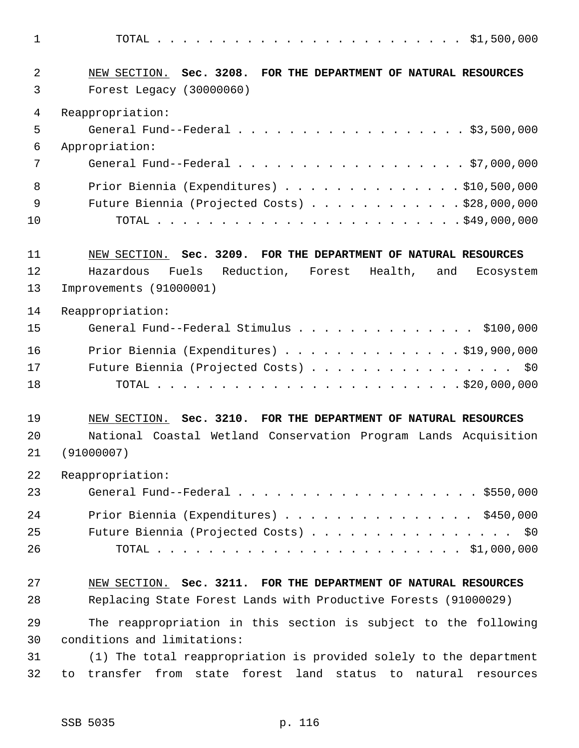1 TOTAL . . . . . . . . . . . . . . . . . . . . . . . . \$1,500,000 2 NEW SECTION. **Sec. 3208. FOR THE DEPARTMENT OF NATURAL RESOURCES** 3 Forest Legacy (30000060) 4 Reappropriation: 5 General Fund--Federal . . . . . . . . . . . . . . . . . . \$3,500,000 6 Appropriation: 7 General Fund--Federal . . . . . . . . . . . . . . . . . . \$7,000,000 8 Prior Biennia (Expenditures) . . . . . . . . . . . . . . \$10,500,000 9 Future Biennia (Projected Costs) . . . . . . . . . . . . \$28,000,000 10 TOTAL . . . . . . . . . . . . . . . . . . . . . . . . \$49,000,000 11 NEW SECTION. **Sec. 3209. FOR THE DEPARTMENT OF NATURAL RESOURCES** 12 Hazardous Fuels Reduction, Forest Health, and Ecosystem 13 Improvements (91000001) 14 Reappropriation: 15 General Fund--Federal Stimulus . . . . . . . . . . . . . . \$100,000 16 Prior Biennia (Expenditures) . . . . . . . . . . . . . . \$19,900,000 17 Future Biennia (Projected Costs) . . . . . . . . . . . . . . . . \$0 18 TOTAL . . . . . . . . . . . . . . . . . . . . . . . . \$20,000,000 19 NEW SECTION. **Sec. 3210. FOR THE DEPARTMENT OF NATURAL RESOURCES** 20 National Coastal Wetland Conservation Program Lands Acquisition 21 (91000007) 22 Reappropriation: 23 General Fund--Federal . . . . . . . . . . . . . . . . . . . \$550,000 24 Prior Biennia (Expenditures) . . . . . . . . . . . . . . . \$450,000 25 Future Biennia (Projected Costs) . . . . . . . . . . . . . . . \$0 26 TOTAL . . . . . . . . . . . . . . . . . . . . . . . . \$1,000,000 27 NEW SECTION. **Sec. 3211. FOR THE DEPARTMENT OF NATURAL RESOURCES** 28 Replacing State Forest Lands with Productive Forests (91000029) 29 The reappropriation in this section is subject to the following 30 conditions and limitations: 31 (1) The total reappropriation is provided solely to the department 32 to transfer from state forest land status to natural resources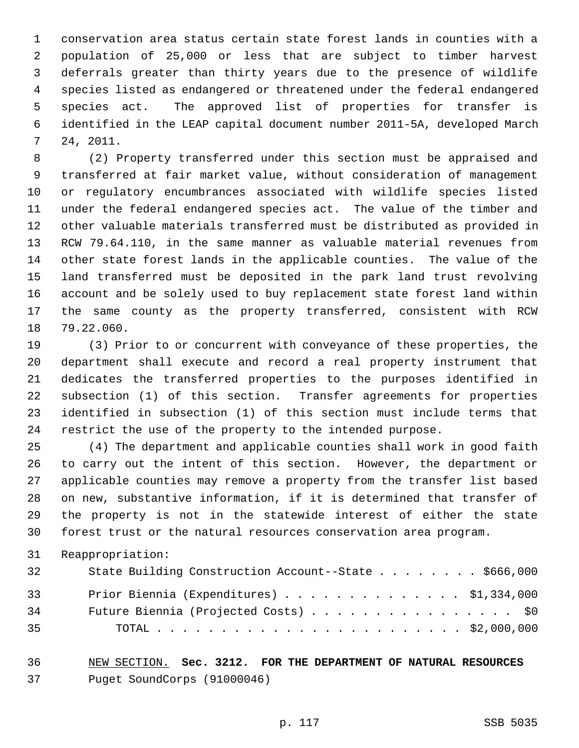1 conservation area status certain state forest lands in counties with a 2 population of 25,000 or less that are subject to timber harvest 3 deferrals greater than thirty years due to the presence of wildlife 4 species listed as endangered or threatened under the federal endangered 5 species act. The approved list of properties for transfer is 6 identified in the LEAP capital document number 2011-5A, developed March 7 24, 2011.

 8 (2) Property transferred under this section must be appraised and 9 transferred at fair market value, without consideration of management 10 or regulatory encumbrances associated with wildlife species listed 11 under the federal endangered species act. The value of the timber and 12 other valuable materials transferred must be distributed as provided in 13 RCW 79.64.110, in the same manner as valuable material revenues from 14 other state forest lands in the applicable counties. The value of the 15 land transferred must be deposited in the park land trust revolving 16 account and be solely used to buy replacement state forest land within 17 the same county as the property transferred, consistent with RCW 18 79.22.060.

19 (3) Prior to or concurrent with conveyance of these properties, the 20 department shall execute and record a real property instrument that 21 dedicates the transferred properties to the purposes identified in 22 subsection (1) of this section. Transfer agreements for properties 23 identified in subsection (1) of this section must include terms that 24 restrict the use of the property to the intended purpose.

25 (4) The department and applicable counties shall work in good faith 26 to carry out the intent of this section. However, the department or 27 applicable counties may remove a property from the transfer list based 28 on new, substantive information, if it is determined that transfer of 29 the property is not in the statewide interest of either the state 30 forest trust or the natural resources conservation area program.

31 Reappropriation:

| 32 | State Building Construction Account--State \$666,000 |
|----|------------------------------------------------------|
| 33 | Prior Biennia (Expenditures) $\ldots$ \$1,334,000    |
| 34 | Future Biennia (Projected Costs) \$0                 |
| 35 |                                                      |

36 NEW SECTION. **Sec. 3212. FOR THE DEPARTMENT OF NATURAL RESOURCES** 37 Puget SoundCorps (91000046)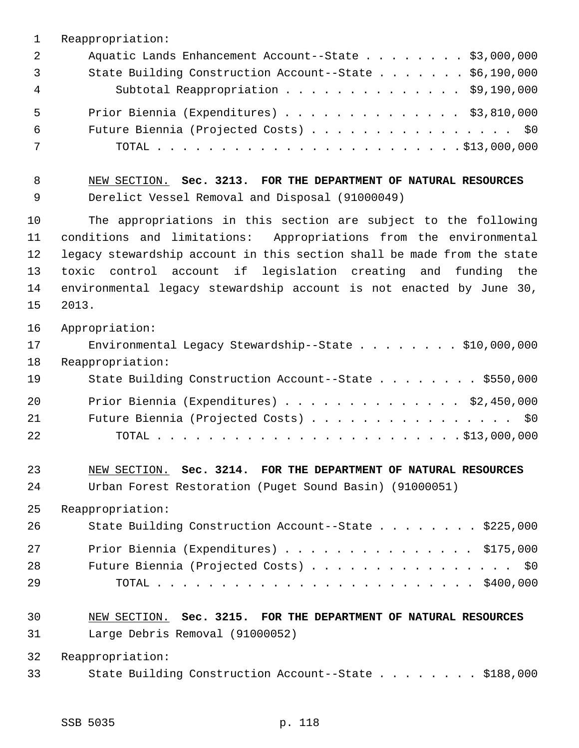| $\mathbf 1$    | Reappropriation:                                                        |
|----------------|-------------------------------------------------------------------------|
| $\overline{2}$ | Aquatic Lands Enhancement Account--State \$3,000,000                    |
| 3              | State Building Construction Account--State \$6,190,000                  |
| 4              | Subtotal Reappropriation \$9,190,000                                    |
| 5              | Prior Biennia (Expenditures) \$3,810,000                                |
| 6              | Future Biennia (Projected Costs) \$0                                    |
| 7              |                                                                         |
| 8              | NEW SECTION. Sec. 3213. FOR THE DEPARTMENT OF NATURAL RESOURCES         |
| 9              | Derelict Vessel Removal and Disposal (91000049)                         |
| 10             | The appropriations in this section are subject to the following         |
| 11             | conditions and limitations: Appropriations from the environmental       |
| 12             | legacy stewardship account in this section shall be made from the state |
| 13             | toxic<br>control account if legislation creating and funding the        |
| 14             | environmental legacy stewardship account is not enacted by June 30,     |
| 15             | 2013.                                                                   |
| 16             | Appropriation:                                                          |
| 17             | Environmental Legacy Stewardship--State $\ldots$ \$10,000,000           |
| 18             | Reappropriation:                                                        |
| 19             | State Building Construction Account--State \$550,000                    |
| 20             | Prior Biennia (Expenditures) $\ldots$ \$2,450,000                       |
| 21             | Future Biennia (Projected Costs) \$0                                    |
| 22             |                                                                         |
| 23             | NEW SECTION. Sec. 3214. FOR THE DEPARTMENT OF NATURAL RESOURCES         |
| 24             | Urban Forest Restoration (Puget Sound Basin) (91000051)                 |
| 25             | Reappropriation:                                                        |
| 26             | State Building Construction Account--State \$225,000                    |
| 27             | Prior Biennia (Expenditures) $\ldots$ \$175,000                         |
| 28             | Future Biennia (Projected Costs) \$0                                    |
| 29             |                                                                         |
| 30             | NEW SECTION. Sec. 3215. FOR THE DEPARTMENT OF NATURAL RESOURCES         |
| 31             | Large Debris Removal (91000052)                                         |
| 32             | Reappropriation:                                                        |
| 33             | State Building Construction Account--State \$188,000                    |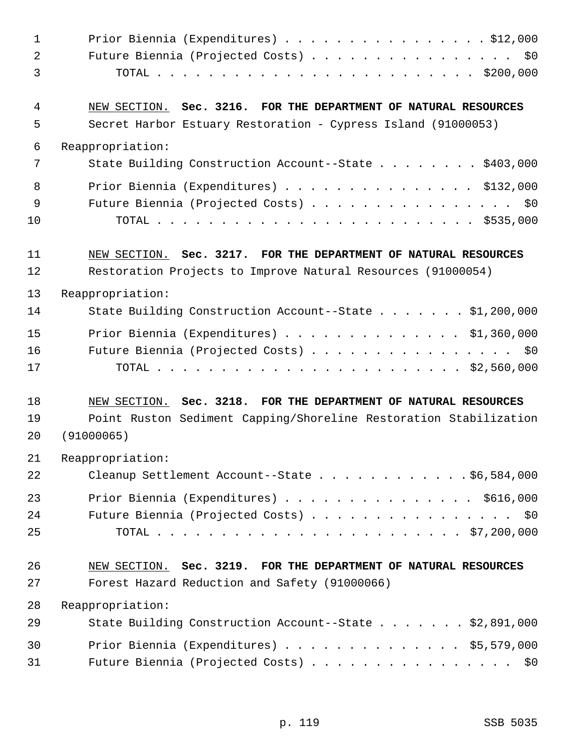| $\mathbf 1$ | Prior Biennia (Expenditures) $\ldots$ \$12,000                    |
|-------------|-------------------------------------------------------------------|
| 2           | Future Biennia (Projected Costs) \$0                              |
| 3           |                                                                   |
| 4           | NEW SECTION. Sec. 3216. FOR THE DEPARTMENT OF NATURAL RESOURCES   |
| 5           | Secret Harbor Estuary Restoration - Cypress Island (91000053)     |
| 6           | Reappropriation:                                                  |
| 7           | State Building Construction Account--State \$403,000              |
| 8           | Prior Biennia (Expenditures) \$132,000                            |
| 9           | Future Biennia (Projected Costs) \$0                              |
| 10          |                                                                   |
| 11          | NEW SECTION. Sec. 3217. FOR THE DEPARTMENT OF NATURAL RESOURCES   |
| 12          | Restoration Projects to Improve Natural Resources (91000054)      |
| 13          | Reappropriation:                                                  |
| 14          | State Building Construction Account--State \$1,200,000            |
| 15          | Prior Biennia (Expenditures) \$1,360,000                          |
| 16          | Future Biennia (Projected Costs) \$0                              |
| 17          |                                                                   |
| 18          | NEW SECTION. Sec. 3218. FOR THE DEPARTMENT OF NATURAL RESOURCES   |
| 19          | Point Ruston Sediment Capping/Shoreline Restoration Stabilization |
| 20          | (91000065)                                                        |
| 21          | Reappropriation:                                                  |
| 22          | Cleanup Settlement Account--State \$6,584,000                     |
| 23          | Prior Biennia (Expenditures) \$616,000                            |
| 24          | Future Biennia (Projected Costs) \$0                              |
| 25          |                                                                   |
| 26          | NEW SECTION. Sec. 3219. FOR THE DEPARTMENT OF NATURAL RESOURCES   |
| 27          | Forest Hazard Reduction and Safety (91000066)                     |
| 28          | Reappropriation:                                                  |
| 29          | State Building Construction Account--State \$2,891,000            |
| 30          | Prior Biennia (Expenditures) $\ldots$ \$5,579,000                 |
| 31          | Future Biennia (Projected Costs) \$0                              |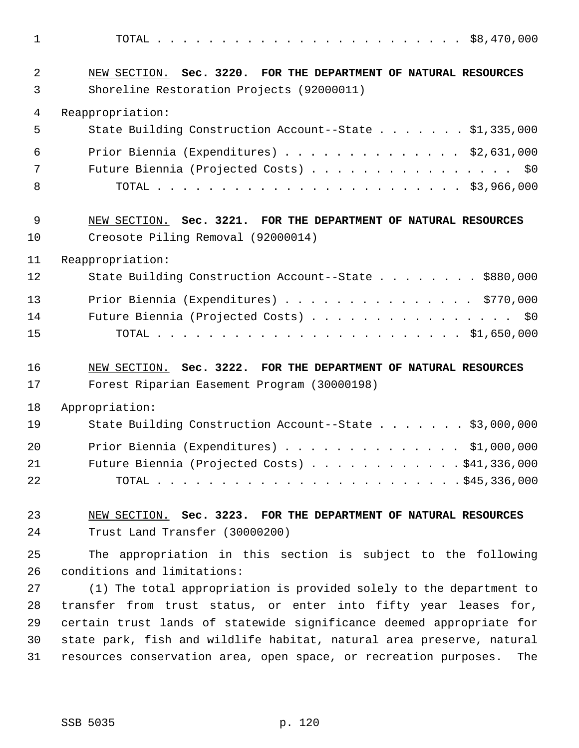1 TOTAL . . . . . . . . . . . . . . . . . . . . . . . . \$8,470,000 2 NEW SECTION. **Sec. 3220. FOR THE DEPARTMENT OF NATURAL RESOURCES** 3 Shoreline Restoration Projects (92000011) 4 Reappropriation: 5 State Building Construction Account--State . . . . . . . \$1,335,000 6 Prior Biennia (Expenditures) . . . . . . . . . . . . . . \$2,631,000 7 Future Biennia (Projected Costs) . . . . . . . . . . . . . . . \$0 8 TOTAL . . . . . . . . . . . . . . . . . . . . . . . . \$3,966,000 9 NEW SECTION. **Sec. 3221. FOR THE DEPARTMENT OF NATURAL RESOURCES** 10 Creosote Piling Removal (92000014) 11 Reappropriation: 12 State Building Construction Account--State . . . . . . . . \$880,000 13 Prior Biennia (Expenditures) . . . . . . . . . . . . . . . \$770,000 14 Future Biennia (Projected Costs) . . . . . . . . . . . . . . . \$0 15 TOTAL . . . . . . . . . . . . . . . . . . . . . . . . \$1,650,000 16 NEW SECTION. **Sec. 3222. FOR THE DEPARTMENT OF NATURAL RESOURCES** 17 Forest Riparian Easement Program (30000198) 18 Appropriation: 19 State Building Construction Account--State . . . . . . . \$3,000,000 20 Prior Biennia (Expenditures) . . . . . . . . . . . . . . \$1,000,000 21 Future Biennia (Projected Costs) . . . . . . . . . . . . \$41,336,000 22 TOTAL . . . . . . . . . . . . . . . . . . . . . . . . \$45,336,000 23 NEW SECTION. **Sec. 3223. FOR THE DEPARTMENT OF NATURAL RESOURCES** 24 Trust Land Transfer (30000200) 25 The appropriation in this section is subject to the following 26 conditions and limitations: 27 (1) The total appropriation is provided solely to the department to 28 transfer from trust status, or enter into fifty year leases for, 29 certain trust lands of statewide significance deemed appropriate for 30 state park, fish and wildlife habitat, natural area preserve, natural 31 resources conservation area, open space, or recreation purposes. The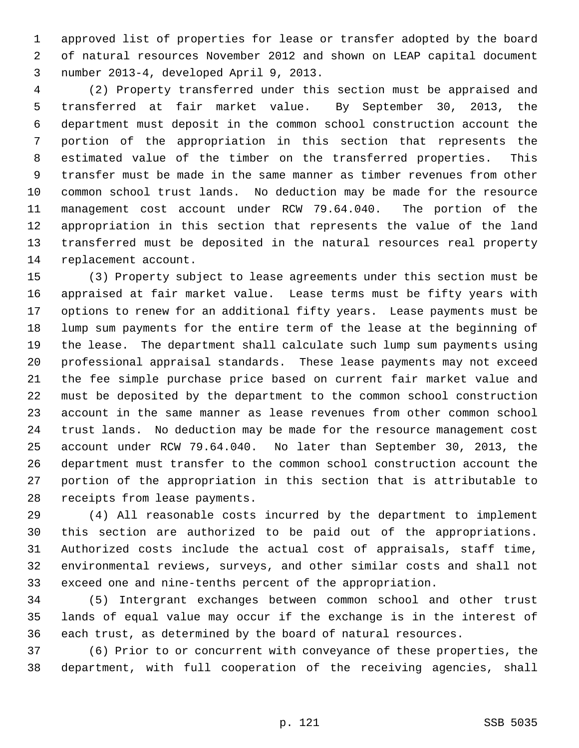1 approved list of properties for lease or transfer adopted by the board 2 of natural resources November 2012 and shown on LEAP capital document 3 number 2013-4, developed April 9, 2013.

 4 (2) Property transferred under this section must be appraised and 5 transferred at fair market value. By September 30, 2013, the 6 department must deposit in the common school construction account the 7 portion of the appropriation in this section that represents the 8 estimated value of the timber on the transferred properties. This 9 transfer must be made in the same manner as timber revenues from other 10 common school trust lands. No deduction may be made for the resource 11 management cost account under RCW 79.64.040. The portion of the 12 appropriation in this section that represents the value of the land 13 transferred must be deposited in the natural resources real property 14 replacement account.

15 (3) Property subject to lease agreements under this section must be 16 appraised at fair market value. Lease terms must be fifty years with 17 options to renew for an additional fifty years. Lease payments must be 18 lump sum payments for the entire term of the lease at the beginning of 19 the lease. The department shall calculate such lump sum payments using 20 professional appraisal standards. These lease payments may not exceed 21 the fee simple purchase price based on current fair market value and 22 must be deposited by the department to the common school construction 23 account in the same manner as lease revenues from other common school 24 trust lands. No deduction may be made for the resource management cost 25 account under RCW 79.64.040. No later than September 30, 2013, the 26 department must transfer to the common school construction account the 27 portion of the appropriation in this section that is attributable to 28 receipts from lease payments.

29 (4) All reasonable costs incurred by the department to implement 30 this section are authorized to be paid out of the appropriations. 31 Authorized costs include the actual cost of appraisals, staff time, 32 environmental reviews, surveys, and other similar costs and shall not 33 exceed one and nine-tenths percent of the appropriation.

34 (5) Intergrant exchanges between common school and other trust 35 lands of equal value may occur if the exchange is in the interest of 36 each trust, as determined by the board of natural resources.

37 (6) Prior to or concurrent with conveyance of these properties, the 38 department, with full cooperation of the receiving agencies, shall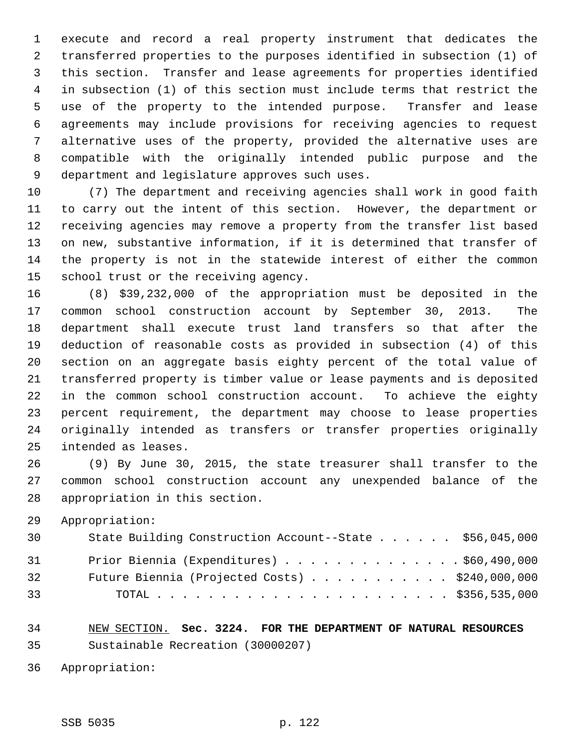1 execute and record a real property instrument that dedicates the 2 transferred properties to the purposes identified in subsection (1) of 3 this section. Transfer and lease agreements for properties identified 4 in subsection (1) of this section must include terms that restrict the 5 use of the property to the intended purpose. Transfer and lease 6 agreements may include provisions for receiving agencies to request 7 alternative uses of the property, provided the alternative uses are 8 compatible with the originally intended public purpose and the 9 department and legislature approves such uses.

10 (7) The department and receiving agencies shall work in good faith 11 to carry out the intent of this section. However, the department or 12 receiving agencies may remove a property from the transfer list based 13 on new, substantive information, if it is determined that transfer of 14 the property is not in the statewide interest of either the common 15 school trust or the receiving agency.

16 (8) \$39,232,000 of the appropriation must be deposited in the 17 common school construction account by September 30, 2013. The 18 department shall execute trust land transfers so that after the 19 deduction of reasonable costs as provided in subsection (4) of this 20 section on an aggregate basis eighty percent of the total value of 21 transferred property is timber value or lease payments and is deposited 22 in the common school construction account. To achieve the eighty 23 percent requirement, the department may choose to lease properties 24 originally intended as transfers or transfer properties originally 25 intended as leases.

26 (9) By June 30, 2015, the state treasurer shall transfer to the 27 common school construction account any unexpended balance of the 28 appropriation in this section.

29 Appropriation:

| 30 | State Building Construction Account--State \$56,045,000 |
|----|---------------------------------------------------------|
| 31 | Prior Biennia (Expenditures) $\ldots$ \$60,490,000      |
| 32 | Future Biennia (Projected Costs) $\ldots$ \$240,000,000 |
| 33 |                                                         |

34 NEW SECTION. **Sec. 3224. FOR THE DEPARTMENT OF NATURAL RESOURCES** 35 Sustainable Recreation (30000207)

36 Appropriation: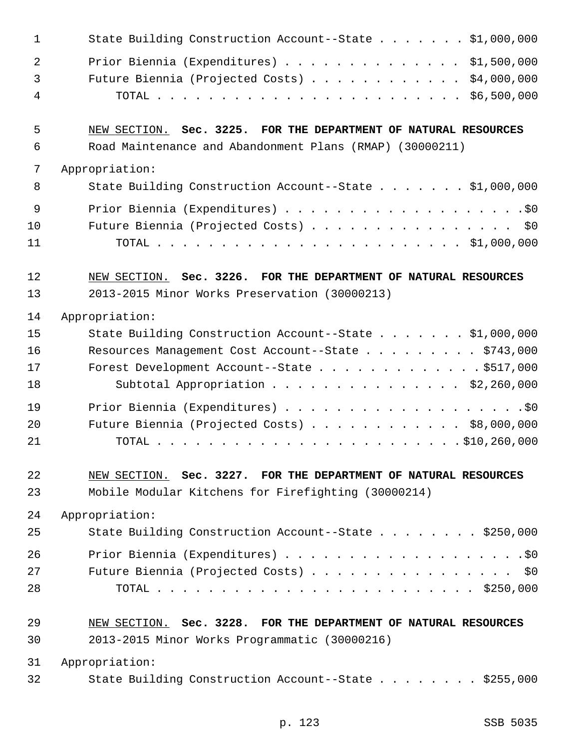| $\overline{2}$<br>Prior Biennia (Expenditures) \$1,500,000<br>Future Biennia (Projected Costs) \$4,000,000<br>$\mathfrak{Z}$<br>$\overline{4}$<br>5<br>NEW SECTION. Sec. 3225. FOR THE DEPARTMENT OF NATURAL RESOURCES<br>$\epsilon$<br>Road Maintenance and Abandonment Plans (RMAP) (30000211)<br>7<br>Appropriation:<br>8<br>State Building Construction Account--State \$1,000,000<br>9<br>Future Biennia (Projected Costs) \$0<br>10<br>11<br>12<br>NEW SECTION. Sec. 3226. FOR THE DEPARTMENT OF NATURAL RESOURCES<br>13<br>2013-2015 Minor Works Preservation (30000213)<br>14<br>Appropriation:<br>15<br>State Building Construction Account--State \$1,000,000<br>16<br>Resources Management Cost Account--State \$743,000<br>17<br>Forest Development Account--State \$517,000<br>18<br>Subtotal Appropriation \$2,260,000<br>19<br>20<br>Future Biennia (Projected Costs) \$8,000,000<br>21<br>22<br>NEW SECTION. Sec. 3227. FOR THE DEPARTMENT OF NATURAL RESOURCES<br>23<br>Mobile Modular Kitchens for Firefighting (30000214)<br>24<br>Appropriation:<br>25<br>State Building Construction Account--State \$250,000<br>26<br>27<br>Future Biennia (Projected Costs) \$0<br>28<br>29<br>NEW SECTION. Sec. 3228. FOR THE DEPARTMENT OF NATURAL RESOURCES<br>30<br>2013-2015 Minor Works Programmatic (30000216)<br>31<br>Appropriation:<br>32<br>State Building Construction Account--State \$255,000 | $\mathbf 1$ | State Building Construction Account--State \$1,000,000 |
|--------------------------------------------------------------------------------------------------------------------------------------------------------------------------------------------------------------------------------------------------------------------------------------------------------------------------------------------------------------------------------------------------------------------------------------------------------------------------------------------------------------------------------------------------------------------------------------------------------------------------------------------------------------------------------------------------------------------------------------------------------------------------------------------------------------------------------------------------------------------------------------------------------------------------------------------------------------------------------------------------------------------------------------------------------------------------------------------------------------------------------------------------------------------------------------------------------------------------------------------------------------------------------------------------------------------------------------------------------------------------------------------------------------------|-------------|--------------------------------------------------------|
|                                                                                                                                                                                                                                                                                                                                                                                                                                                                                                                                                                                                                                                                                                                                                                                                                                                                                                                                                                                                                                                                                                                                                                                                                                                                                                                                                                                                                    |             |                                                        |
|                                                                                                                                                                                                                                                                                                                                                                                                                                                                                                                                                                                                                                                                                                                                                                                                                                                                                                                                                                                                                                                                                                                                                                                                                                                                                                                                                                                                                    |             |                                                        |
|                                                                                                                                                                                                                                                                                                                                                                                                                                                                                                                                                                                                                                                                                                                                                                                                                                                                                                                                                                                                                                                                                                                                                                                                                                                                                                                                                                                                                    |             |                                                        |
|                                                                                                                                                                                                                                                                                                                                                                                                                                                                                                                                                                                                                                                                                                                                                                                                                                                                                                                                                                                                                                                                                                                                                                                                                                                                                                                                                                                                                    |             |                                                        |
|                                                                                                                                                                                                                                                                                                                                                                                                                                                                                                                                                                                                                                                                                                                                                                                                                                                                                                                                                                                                                                                                                                                                                                                                                                                                                                                                                                                                                    |             |                                                        |
|                                                                                                                                                                                                                                                                                                                                                                                                                                                                                                                                                                                                                                                                                                                                                                                                                                                                                                                                                                                                                                                                                                                                                                                                                                                                                                                                                                                                                    |             |                                                        |
|                                                                                                                                                                                                                                                                                                                                                                                                                                                                                                                                                                                                                                                                                                                                                                                                                                                                                                                                                                                                                                                                                                                                                                                                                                                                                                                                                                                                                    |             |                                                        |
|                                                                                                                                                                                                                                                                                                                                                                                                                                                                                                                                                                                                                                                                                                                                                                                                                                                                                                                                                                                                                                                                                                                                                                                                                                                                                                                                                                                                                    |             |                                                        |
|                                                                                                                                                                                                                                                                                                                                                                                                                                                                                                                                                                                                                                                                                                                                                                                                                                                                                                                                                                                                                                                                                                                                                                                                                                                                                                                                                                                                                    |             |                                                        |
|                                                                                                                                                                                                                                                                                                                                                                                                                                                                                                                                                                                                                                                                                                                                                                                                                                                                                                                                                                                                                                                                                                                                                                                                                                                                                                                                                                                                                    |             |                                                        |
|                                                                                                                                                                                                                                                                                                                                                                                                                                                                                                                                                                                                                                                                                                                                                                                                                                                                                                                                                                                                                                                                                                                                                                                                                                                                                                                                                                                                                    |             |                                                        |
|                                                                                                                                                                                                                                                                                                                                                                                                                                                                                                                                                                                                                                                                                                                                                                                                                                                                                                                                                                                                                                                                                                                                                                                                                                                                                                                                                                                                                    |             |                                                        |
|                                                                                                                                                                                                                                                                                                                                                                                                                                                                                                                                                                                                                                                                                                                                                                                                                                                                                                                                                                                                                                                                                                                                                                                                                                                                                                                                                                                                                    |             |                                                        |
|                                                                                                                                                                                                                                                                                                                                                                                                                                                                                                                                                                                                                                                                                                                                                                                                                                                                                                                                                                                                                                                                                                                                                                                                                                                                                                                                                                                                                    |             |                                                        |
|                                                                                                                                                                                                                                                                                                                                                                                                                                                                                                                                                                                                                                                                                                                                                                                                                                                                                                                                                                                                                                                                                                                                                                                                                                                                                                                                                                                                                    |             |                                                        |
|                                                                                                                                                                                                                                                                                                                                                                                                                                                                                                                                                                                                                                                                                                                                                                                                                                                                                                                                                                                                                                                                                                                                                                                                                                                                                                                                                                                                                    |             |                                                        |
|                                                                                                                                                                                                                                                                                                                                                                                                                                                                                                                                                                                                                                                                                                                                                                                                                                                                                                                                                                                                                                                                                                                                                                                                                                                                                                                                                                                                                    |             |                                                        |
|                                                                                                                                                                                                                                                                                                                                                                                                                                                                                                                                                                                                                                                                                                                                                                                                                                                                                                                                                                                                                                                                                                                                                                                                                                                                                                                                                                                                                    |             |                                                        |
|                                                                                                                                                                                                                                                                                                                                                                                                                                                                                                                                                                                                                                                                                                                                                                                                                                                                                                                                                                                                                                                                                                                                                                                                                                                                                                                                                                                                                    |             |                                                        |
|                                                                                                                                                                                                                                                                                                                                                                                                                                                                                                                                                                                                                                                                                                                                                                                                                                                                                                                                                                                                                                                                                                                                                                                                                                                                                                                                                                                                                    |             |                                                        |
|                                                                                                                                                                                                                                                                                                                                                                                                                                                                                                                                                                                                                                                                                                                                                                                                                                                                                                                                                                                                                                                                                                                                                                                                                                                                                                                                                                                                                    |             |                                                        |
|                                                                                                                                                                                                                                                                                                                                                                                                                                                                                                                                                                                                                                                                                                                                                                                                                                                                                                                                                                                                                                                                                                                                                                                                                                                                                                                                                                                                                    |             |                                                        |
|                                                                                                                                                                                                                                                                                                                                                                                                                                                                                                                                                                                                                                                                                                                                                                                                                                                                                                                                                                                                                                                                                                                                                                                                                                                                                                                                                                                                                    |             |                                                        |
|                                                                                                                                                                                                                                                                                                                                                                                                                                                                                                                                                                                                                                                                                                                                                                                                                                                                                                                                                                                                                                                                                                                                                                                                                                                                                                                                                                                                                    |             |                                                        |
|                                                                                                                                                                                                                                                                                                                                                                                                                                                                                                                                                                                                                                                                                                                                                                                                                                                                                                                                                                                                                                                                                                                                                                                                                                                                                                                                                                                                                    |             |                                                        |
|                                                                                                                                                                                                                                                                                                                                                                                                                                                                                                                                                                                                                                                                                                                                                                                                                                                                                                                                                                                                                                                                                                                                                                                                                                                                                                                                                                                                                    |             |                                                        |
|                                                                                                                                                                                                                                                                                                                                                                                                                                                                                                                                                                                                                                                                                                                                                                                                                                                                                                                                                                                                                                                                                                                                                                                                                                                                                                                                                                                                                    |             |                                                        |
|                                                                                                                                                                                                                                                                                                                                                                                                                                                                                                                                                                                                                                                                                                                                                                                                                                                                                                                                                                                                                                                                                                                                                                                                                                                                                                                                                                                                                    |             |                                                        |
|                                                                                                                                                                                                                                                                                                                                                                                                                                                                                                                                                                                                                                                                                                                                                                                                                                                                                                                                                                                                                                                                                                                                                                                                                                                                                                                                                                                                                    |             |                                                        |
|                                                                                                                                                                                                                                                                                                                                                                                                                                                                                                                                                                                                                                                                                                                                                                                                                                                                                                                                                                                                                                                                                                                                                                                                                                                                                                                                                                                                                    |             |                                                        |
|                                                                                                                                                                                                                                                                                                                                                                                                                                                                                                                                                                                                                                                                                                                                                                                                                                                                                                                                                                                                                                                                                                                                                                                                                                                                                                                                                                                                                    |             |                                                        |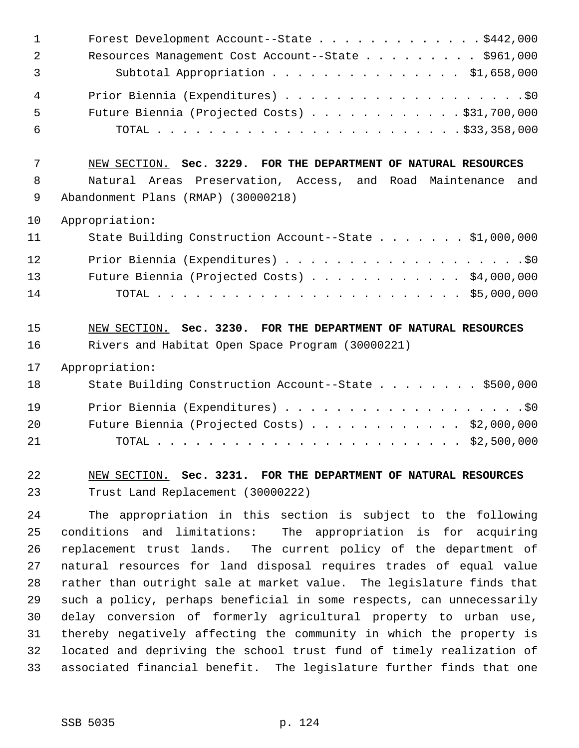| 1  | Forest Development Account--State \$442,000                     |
|----|-----------------------------------------------------------------|
| 2  | Resources Management Cost Account--State \$961,000              |
| 3  | Subtotal Appropriation \$1,658,000                              |
| 4  |                                                                 |
| 5  | Future Biennia (Projected Costs) \$31,700,000                   |
| 6  |                                                                 |
| 7  | NEW SECTION. Sec. 3229. FOR THE DEPARTMENT OF NATURAL RESOURCES |
| 8  | Natural Areas Preservation, Access, and Road Maintenance and    |
| 9  | Abandonment Plans (RMAP) (30000218)                             |
| 10 | Appropriation:                                                  |
| 11 | State Building Construction Account--State \$1,000,000          |
| 12 |                                                                 |
| 13 | Future Biennia (Projected Costs) \$4,000,000                    |
| 14 |                                                                 |
|    |                                                                 |
| 15 | NEW SECTION. Sec. 3230. FOR THE DEPARTMENT OF NATURAL RESOURCES |
| 16 | Rivers and Habitat Open Space Program (30000221)                |
| 17 | Appropriation:                                                  |
| 18 | State Building Construction Account--State \$500,000            |
| 19 |                                                                 |
| 20 | Future Biennia (Projected Costs) $\ldots$ \$2,000,000           |
| 21 |                                                                 |
| 22 | NEW SECTION. Sec. 3231. FOR THE DEPARTMENT OF NATURAL RESOURCES |
| 23 | Trust Land Replacement (30000222)                               |

30 delay conversion of formerly agricultural property to urban use, 31 thereby negatively affecting the community in which the property is 32 located and depriving the school trust fund of timely realization of 33 associated financial benefit. The legislature further finds that one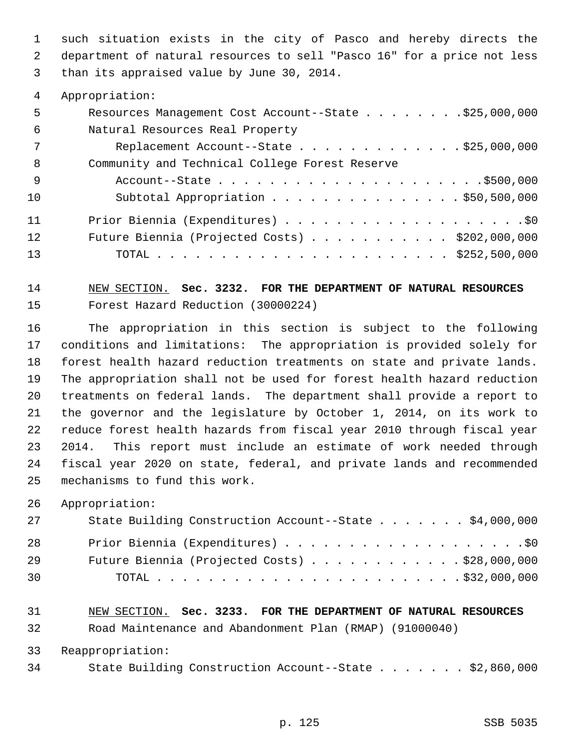1 such situation exists in the city of Pasco and hereby directs the 2 department of natural resources to sell "Pasco 16" for a price not less 3 than its appraised value by June 30, 2014.

4 Appropriation:

| 5   | Resources Management Cost Account--State \$25,000,000   |
|-----|---------------------------------------------------------|
| 6   | Natural Resources Real Property                         |
| 7   | Replacement Account--State $\ldots$ \$25,000,000        |
| -8  | Community and Technical College Forest Reserve          |
| - 9 |                                                         |
| 10  | Subtotal Appropriation $\ldots$ \$50,500,000            |
| 11  |                                                         |
| 12  | Future Biennia (Projected Costs) $\ldots$ \$202,000,000 |
| 13  |                                                         |

### 14 NEW SECTION. **Sec. 3232. FOR THE DEPARTMENT OF NATURAL RESOURCES** 15 Forest Hazard Reduction (30000224)

16 The appropriation in this section is subject to the following 17 conditions and limitations: The appropriation is provided solely for 18 forest health hazard reduction treatments on state and private lands. 19 The appropriation shall not be used for forest health hazard reduction 20 treatments on federal lands. The department shall provide a report to 21 the governor and the legislature by October 1, 2014, on its work to 22 reduce forest health hazards from fiscal year 2010 through fiscal year 23 2014. This report must include an estimate of work needed through 24 fiscal year 2020 on state, federal, and private lands and recommended 25 mechanisms to fund this work.

26 Appropriation:

| 27 | State Building Construction Account--State \$4,000,000 |
|----|--------------------------------------------------------|
| 28 |                                                        |
| 29 | Future Biennia (Projected Costs) \$28,000,000          |
| 30 |                                                        |

# 31 NEW SECTION. **Sec. 3233. FOR THE DEPARTMENT OF NATURAL RESOURCES**

32 Road Maintenance and Abandonment Plan (RMAP) (91000040)

33 Reappropriation:

34 State Building Construction Account--State . . . . . . . \$2,860,000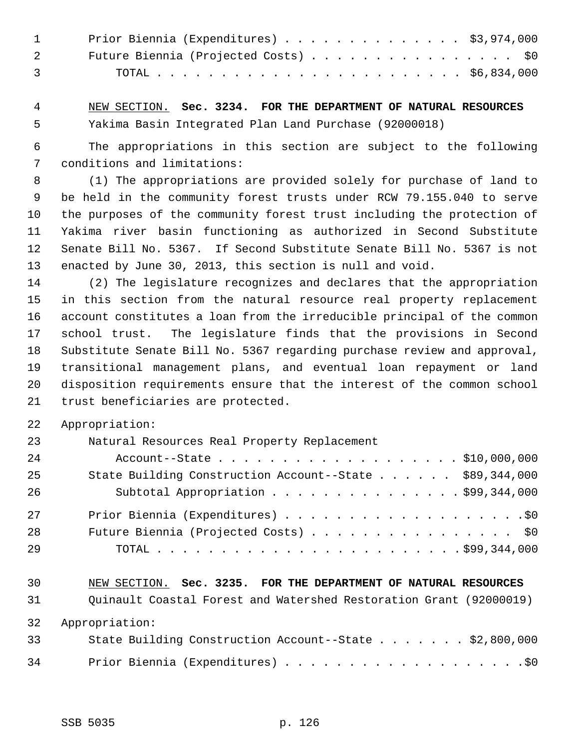|                                   | 1 Prior Biennia (Expenditures) \$3,974,000 |
|-----------------------------------|--------------------------------------------|
|                                   | Future Biennia (Projected Costs) \$0       |
| $\overline{3}$ and $\overline{3}$ |                                            |

 4 NEW SECTION. **Sec. 3234. FOR THE DEPARTMENT OF NATURAL RESOURCES** 5 Yakima Basin Integrated Plan Land Purchase (92000018)

 6 The appropriations in this section are subject to the following 7 conditions and limitations:

 8 (1) The appropriations are provided solely for purchase of land to 9 be held in the community forest trusts under RCW 79.155.040 to serve 10 the purposes of the community forest trust including the protection of 11 Yakima river basin functioning as authorized in Second Substitute 12 Senate Bill No. 5367. If Second Substitute Senate Bill No. 5367 is not 13 enacted by June 30, 2013, this section is null and void.

14 (2) The legislature recognizes and declares that the appropriation 15 in this section from the natural resource real property replacement 16 account constitutes a loan from the irreducible principal of the common 17 school trust. The legislature finds that the provisions in Second 18 Substitute Senate Bill No. 5367 regarding purchase review and approval, 19 transitional management plans, and eventual loan repayment or land 20 disposition requirements ensure that the interest of the common school 21 trust beneficiaries are protected.

22 Appropriation:

| 23 | Natural Resources Real Property Replacement             |
|----|---------------------------------------------------------|
| 24 | Account--State \$10,000,000                             |
| 25 | State Building Construction Account--State \$89,344,000 |
| 26 | Subtotal Appropriation $\ldots$ \$99,344,000            |
| 27 |                                                         |
| 28 | Future Biennia (Projected Costs) \$0                    |
| 29 |                                                         |

## 30 NEW SECTION. **Sec. 3235. FOR THE DEPARTMENT OF NATURAL RESOURCES** 31 Quinault Coastal Forest and Watershed Restoration Grant (92000019)

32 Appropriation:

| 33 | State Building Construction Account--State \$2,800,000 |
|----|--------------------------------------------------------|
| 34 |                                                        |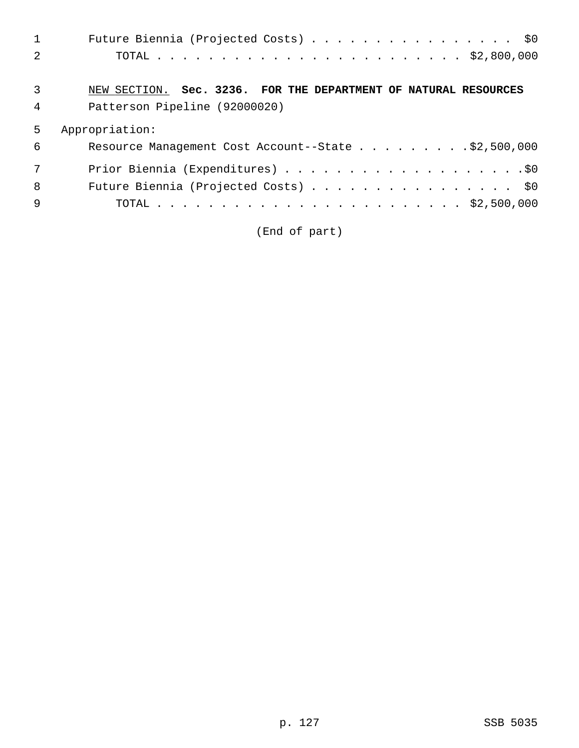|   | Future Biennia (Projected Costs) \$0                            |
|---|-----------------------------------------------------------------|
|   |                                                                 |
|   |                                                                 |
| 3 | NEW SECTION. Sec. 3236. FOR THE DEPARTMENT OF NATURAL RESOURCES |
| 4 | Patterson Pipeline (92000020)                                   |
| 5 | Appropriation:                                                  |
| 6 | Resource Management Cost Account--State \$2,500,000             |
|   |                                                                 |
| 8 | Future Biennia (Projected Costs) \$0                            |
| 9 |                                                                 |
|   |                                                                 |

(End of part)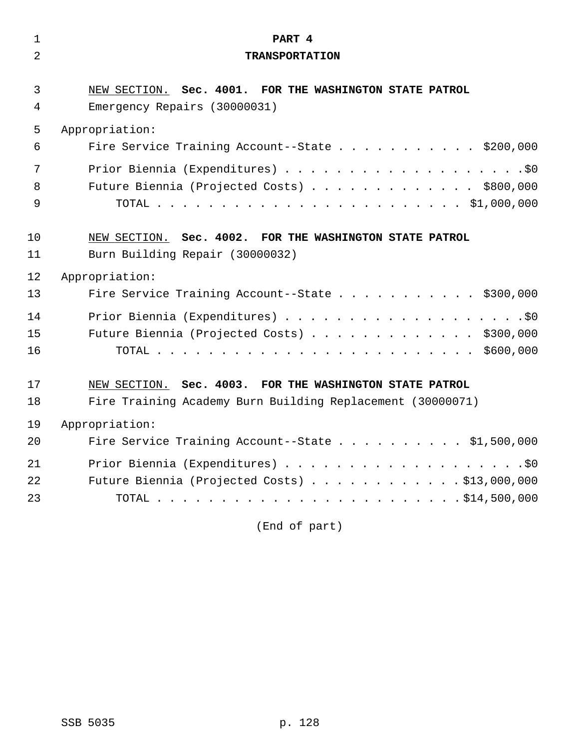| $\mathbf{1}$   | PART 4                                                     |
|----------------|------------------------------------------------------------|
| $\overline{2}$ | <b>TRANSPORTATION</b>                                      |
|                |                                                            |
| 3              | NEW SECTION. Sec. 4001. FOR THE WASHINGTON STATE PATROL    |
| 4              | Emergency Repairs (30000031)                               |
| 5              | Appropriation:                                             |
| 6              | Fire Service Training Account--State \$200,000             |
| 7              |                                                            |
| 8              | Future Biennia (Projected Costs) \$800,000                 |
| 9              |                                                            |
|                |                                                            |
| 10             | NEW SECTION. Sec. 4002. FOR THE WASHINGTON STATE PATROL    |
| 11             | Burn Building Repair (30000032)                            |
| 12             | Appropriation:                                             |
| 13             | Fire Service Training Account--State \$300,000             |
| 14             |                                                            |
| 15             | Future Biennia (Projected Costs) \$300,000                 |
| 16             |                                                            |
|                |                                                            |
| 17             | NEW SECTION. Sec. 4003. FOR THE WASHINGTON STATE PATROL    |
| 18             | Fire Training Academy Burn Building Replacement (30000071) |
| 19             | Appropriation:                                             |
| 20             | Fire Service Training Account--State \$1,500,000           |
| 21             |                                                            |
| 22             | Future Biennia (Projected Costs) \$13,000,000              |
| 23             |                                                            |
|                |                                                            |

(End of part)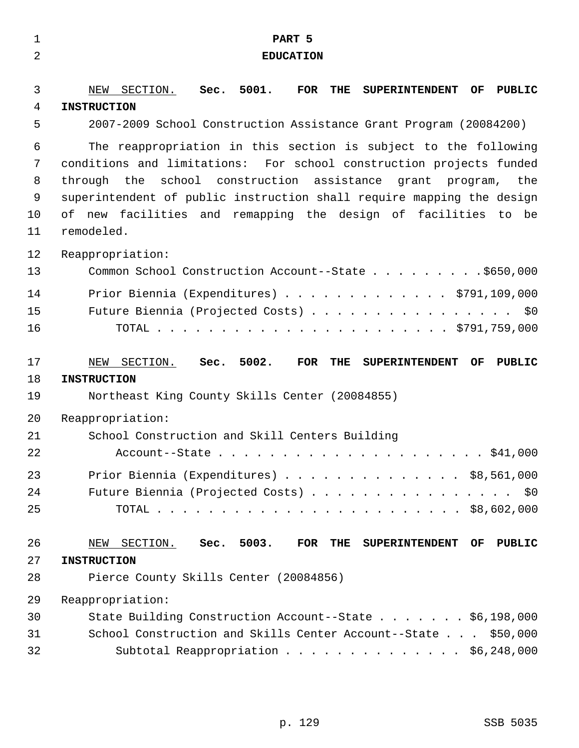| $\mathbf{1}$                       | PART 5                                                                                                                                                                                                                                                                                                                                                                               |
|------------------------------------|--------------------------------------------------------------------------------------------------------------------------------------------------------------------------------------------------------------------------------------------------------------------------------------------------------------------------------------------------------------------------------------|
| $\overline{2}$                     | <b>EDUCATION</b>                                                                                                                                                                                                                                                                                                                                                                     |
| 3<br>4<br>5                        | Sec. 5001.<br>SECTION.<br><b>FOR</b><br>THE<br>OF<br>NEW<br><b>SUPERINTENDENT</b><br>PUBLIC<br><b>INSTRUCTION</b><br>2007-2009 School Construction Assistance Grant Program (20084200)                                                                                                                                                                                               |
| 6<br>7<br>8<br>9<br>10<br>11<br>12 | The reappropriation in this section is subject to the following<br>conditions and limitations: For school construction projects funded<br>through the school construction assistance grant program, the<br>superintendent of public instruction shall require mapping the design<br>of new facilities and remapping the design of facilities to be<br>remodeled.<br>Reappropriation: |
| 13                                 | Common School Construction Account--State \$650,000                                                                                                                                                                                                                                                                                                                                  |
| 14<br>15<br>16                     | Prior Biennia (Expenditures) \$791,109,000<br>Future Biennia (Projected Costs) \$0                                                                                                                                                                                                                                                                                                   |
| 17                                 | Sec. 5002.<br>NEW SECTION.<br>FOR<br>THE<br><b>SUPERINTENDENT</b><br>OF<br>PUBLIC                                                                                                                                                                                                                                                                                                    |
| 18                                 | <b>INSTRUCTION</b>                                                                                                                                                                                                                                                                                                                                                                   |
| 19                                 | Northeast King County Skills Center (20084855)                                                                                                                                                                                                                                                                                                                                       |
| 20<br>21<br>22                     | Reappropriation:<br>School Construction and Skill Centers Building                                                                                                                                                                                                                                                                                                                   |
| 23                                 |                                                                                                                                                                                                                                                                                                                                                                                      |
| 24                                 | Prior Biennia (Expenditures) $\ldots$ \$8,561,000<br>Future Biennia (Projected Costs) \$0                                                                                                                                                                                                                                                                                            |
| 25                                 |                                                                                                                                                                                                                                                                                                                                                                                      |
| 26<br>27<br>28                     | Sec. 5003.<br><b>PUBLIC</b><br>NEW SECTION.<br>FOR THE SUPERINTENDENT OF<br><b>INSTRUCTION</b><br>Pierce County Skills Center (20084856)                                                                                                                                                                                                                                             |
| 29                                 | Reappropriation:                                                                                                                                                                                                                                                                                                                                                                     |
| 30                                 | State Building Construction Account--State \$6,198,000                                                                                                                                                                                                                                                                                                                               |
| 31                                 | School Construction and Skills Center Account--State \$50,000                                                                                                                                                                                                                                                                                                                        |
| 32                                 | Subtotal Reappropriation \$6,248,000                                                                                                                                                                                                                                                                                                                                                 |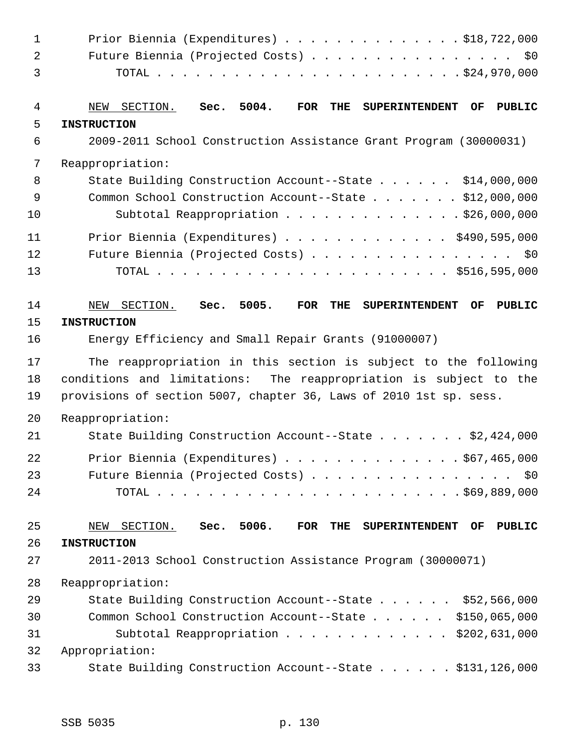| $\mathbf{1}$ | Prior Biennia (Expenditures) $\ldots$ \$18,722,000                                          |
|--------------|---------------------------------------------------------------------------------------------|
| 2            | Future Biennia (Projected Costs) \$0                                                        |
| 3            |                                                                                             |
| 4            | Sec. 5004.<br>FOR<br>THE<br>OF<br>PUBLIC<br>NEW SECTION.<br><b>SUPERINTENDENT</b>           |
| 5            | <b>INSTRUCTION</b>                                                                          |
| 6            | 2009-2011 School Construction Assistance Grant Program (30000031)                           |
| 7            | Reappropriation:                                                                            |
| 8            | State Building Construction Account--State \$14,000,000                                     |
| 9            | Common School Construction Account--State \$12,000,000                                      |
| 10           | Subtotal Reappropriation \$26,000,000                                                       |
| 11           | Prior Biennia (Expenditures) \$490,595,000                                                  |
| 12           | Future Biennia (Projected Costs) \$0                                                        |
| 13           |                                                                                             |
| 14           | Sec. 5005.<br>FOR<br>SECTION.<br>THE<br>OF<br><b>PUBLIC</b><br><b>SUPERINTENDENT</b><br>NEW |
| 15           | <b>INSTRUCTION</b>                                                                          |
| 16           | Energy Efficiency and Small Repair Grants (91000007)                                        |
| 17           | The reappropriation in this section is subject to the following                             |
| 18           | conditions and limitations: The reappropriation is subject to the                           |
| 19           | provisions of section 5007, chapter 36, Laws of 2010 1st sp. sess.                          |
|              |                                                                                             |
| 20           | Reappropriation:                                                                            |
| 21           | State Building Construction Account--State \$2,424,000                                      |
| 22           | Prior Biennia (Expenditures) \$67,465,000                                                   |
| 23           | Future Biennia (Projected Costs) \$0                                                        |
| 24           |                                                                                             |
| 25           | Sec. 5006.<br><b>PUBLIC</b><br>SECTION.<br>FOR THE<br>OF<br><b>SUPERINTENDENT</b><br>NEW    |
| 26           | <b>INSTRUCTION</b>                                                                          |
| 27           | 2011-2013 School Construction Assistance Program (30000071)                                 |
| 28           | Reappropriation:                                                                            |
| 29           | State Building Construction Account--State \$52,566,000                                     |
| 30           | Common School Construction Account--State \$150,065,000                                     |
| 31           | Subtotal Reappropriation \$202,631,000                                                      |
| 32           | Appropriation:                                                                              |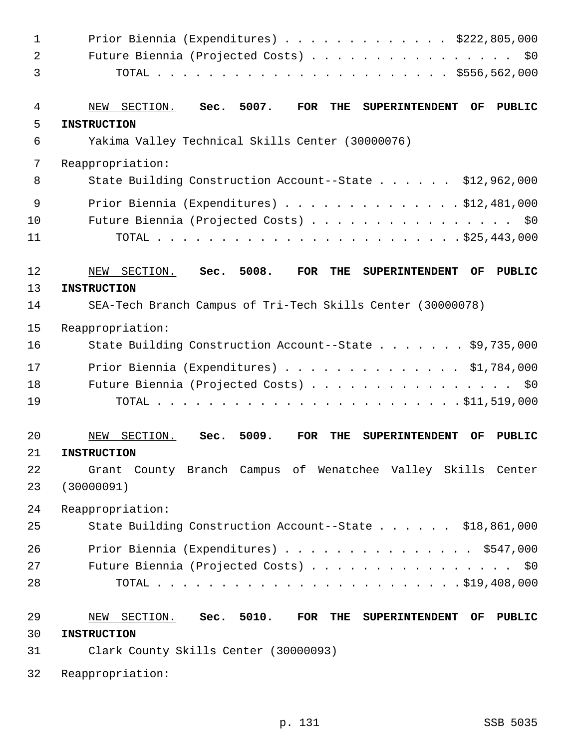| $\mathbf 1$    | Prior Biennia (Expenditures) $\ldots$ \$222,805,000                                                   |
|----------------|-------------------------------------------------------------------------------------------------------|
| $\overline{2}$ | Future Biennia (Projected Costs) \$0                                                                  |
| 3              |                                                                                                       |
| 4              | Sec. 5007.<br>NEW SECTION.<br>FOR<br>THE<br><b>SUPERINTENDENT</b><br>OF<br>PUBLIC                     |
| 5              | <b>INSTRUCTION</b>                                                                                    |
| 6              | Yakima Valley Technical Skills Center (30000076)                                                      |
| 7              | Reappropriation:                                                                                      |
| 8              | State Building Construction Account--State \$12,962,000                                               |
| 9              | Prior Biennia (Expenditures) $\ldots$ 912,481,000                                                     |
| 10             | Future Biennia (Projected Costs) \$0                                                                  |
| 11             |                                                                                                       |
| 12             | 5008.<br><b>FOR</b><br><b>PUBLIC</b><br>SECTION.<br>Sec.<br>THE<br><b>SUPERINTENDENT</b><br>OF<br>NEW |
| 13             | <b>INSTRUCTION</b>                                                                                    |
| 14             | SEA-Tech Branch Campus of Tri-Tech Skills Center (30000078)                                           |
| 15             | Reappropriation:                                                                                      |
| 16             | State Building Construction Account--State \$9,735,000                                                |
| 17             | Prior Biennia (Expenditures) \$1,784,000                                                              |
| 18             | Future Biennia (Projected Costs) \$0                                                                  |
| 19             |                                                                                                       |
| 20             | 5009.<br>SECTION.<br><b>FOR</b><br>THE<br>OF<br><b>PUBLIC</b><br>NEW<br>Sec.<br><b>SUPERINTENDENT</b> |
| 21             | <b>INSTRUCTION</b>                                                                                    |
| 22             | Grant County Branch Campus of Wenatchee Valley Skills Center                                          |
| 23             | (30000091)                                                                                            |
| 24             | Reappropriation:                                                                                      |
| 25             | State Building Construction Account--State \$18,861,000                                               |
| 26             | Prior Biennia (Expenditures) \$547,000                                                                |
| 27             | Future Biennia (Projected Costs) \$0                                                                  |
| 28             |                                                                                                       |
| 29             | Sec. 5010.<br>NEW SECTION.<br>FOR THE SUPERINTENDENT OF<br><b>PUBLIC</b>                              |
| 30             | <b>INSTRUCTION</b>                                                                                    |
| 31             | Clark County Skills Center (30000093)                                                                 |
| 32             | Reappropriation:                                                                                      |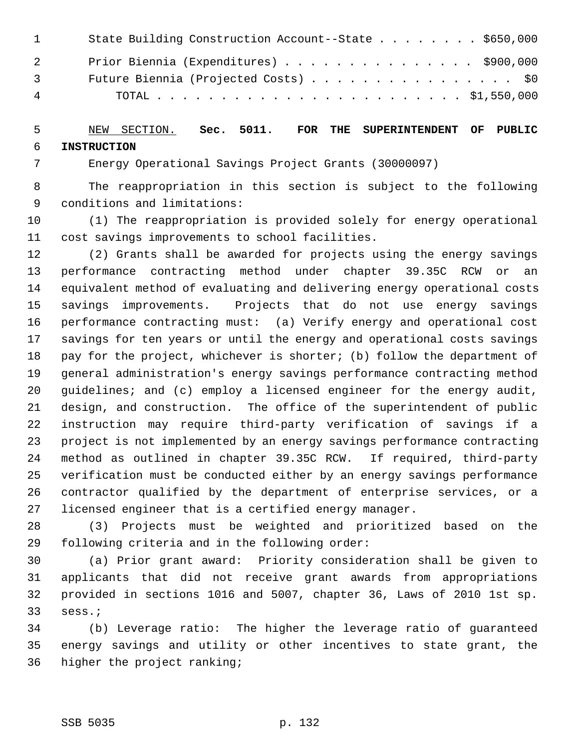| $\mathbf{1}$   | State Building Construction Account--State \$650,000 |
|----------------|------------------------------------------------------|
| $\overline{2}$ | Prior Biennia (Expenditures) \$900,000               |
| $\overline{3}$ | Future Biennia (Projected Costs) \$0                 |
| 4              |                                                      |

#### 5 NEW SECTION. **Sec. 5011. FOR THE SUPERINTENDENT OF PUBLIC** 6 **INSTRUCTION**

7 Energy Operational Savings Project Grants (30000097)

 8 The reappropriation in this section is subject to the following 9 conditions and limitations:

10 (1) The reappropriation is provided solely for energy operational 11 cost savings improvements to school facilities.

12 (2) Grants shall be awarded for projects using the energy savings 13 performance contracting method under chapter 39.35C RCW or an 14 equivalent method of evaluating and delivering energy operational costs 15 savings improvements. Projects that do not use energy savings 16 performance contracting must: (a) Verify energy and operational cost 17 savings for ten years or until the energy and operational costs savings 18 pay for the project, whichever is shorter; (b) follow the department of 19 general administration's energy savings performance contracting method 20 guidelines; and (c) employ a licensed engineer for the energy audit, 21 design, and construction. The office of the superintendent of public 22 instruction may require third-party verification of savings if a 23 project is not implemented by an energy savings performance contracting 24 method as outlined in chapter 39.35C RCW. If required, third-party 25 verification must be conducted either by an energy savings performance 26 contractor qualified by the department of enterprise services, or a 27 licensed engineer that is a certified energy manager.

28 (3) Projects must be weighted and prioritized based on the 29 following criteria and in the following order:

30 (a) Prior grant award: Priority consideration shall be given to 31 applicants that did not receive grant awards from appropriations 32 provided in sections 1016 and 5007, chapter 36, Laws of 2010 1st sp. 33 sess.;

34 (b) Leverage ratio: The higher the leverage ratio of guaranteed 35 energy savings and utility or other incentives to state grant, the 36 higher the project ranking;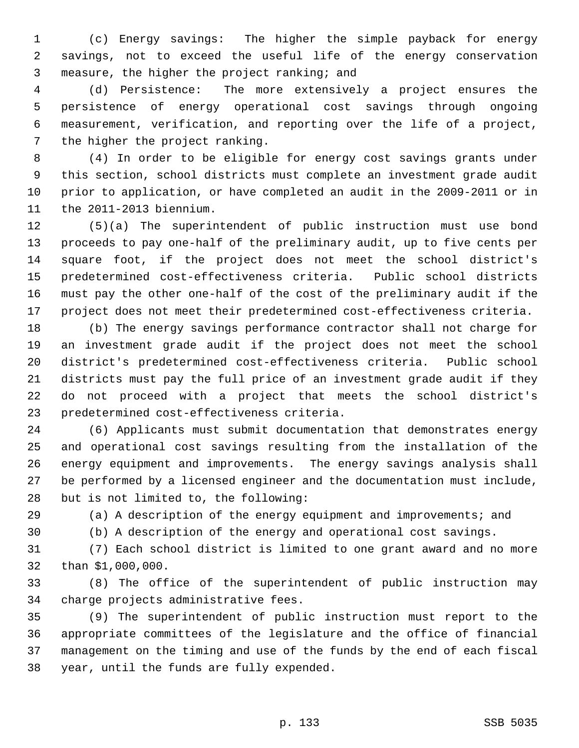1 (c) Energy savings: The higher the simple payback for energy 2 savings, not to exceed the useful life of the energy conservation 3 measure, the higher the project ranking; and

 4 (d) Persistence: The more extensively a project ensures the 5 persistence of energy operational cost savings through ongoing 6 measurement, verification, and reporting over the life of a project, 7 the higher the project ranking.

 8 (4) In order to be eligible for energy cost savings grants under 9 this section, school districts must complete an investment grade audit 10 prior to application, or have completed an audit in the 2009-2011 or in 11 the 2011-2013 biennium.

12 (5)(a) The superintendent of public instruction must use bond 13 proceeds to pay one-half of the preliminary audit, up to five cents per 14 square foot, if the project does not meet the school district's 15 predetermined cost-effectiveness criteria. Public school districts 16 must pay the other one-half of the cost of the preliminary audit if the 17 project does not meet their predetermined cost-effectiveness criteria.

18 (b) The energy savings performance contractor shall not charge for 19 an investment grade audit if the project does not meet the school 20 district's predetermined cost-effectiveness criteria. Public school 21 districts must pay the full price of an investment grade audit if they 22 do not proceed with a project that meets the school district's 23 predetermined cost-effectiveness criteria.

24 (6) Applicants must submit documentation that demonstrates energy 25 and operational cost savings resulting from the installation of the 26 energy equipment and improvements. The energy savings analysis shall 27 be performed by a licensed engineer and the documentation must include, 28 but is not limited to, the following:

29 (a) A description of the energy equipment and improvements; and

30 (b) A description of the energy and operational cost savings.

31 (7) Each school district is limited to one grant award and no more 32 than \$1,000,000.

33 (8) The office of the superintendent of public instruction may 34 charge projects administrative fees.

35 (9) The superintendent of public instruction must report to the 36 appropriate committees of the legislature and the office of financial 37 management on the timing and use of the funds by the end of each fiscal 38 year, until the funds are fully expended.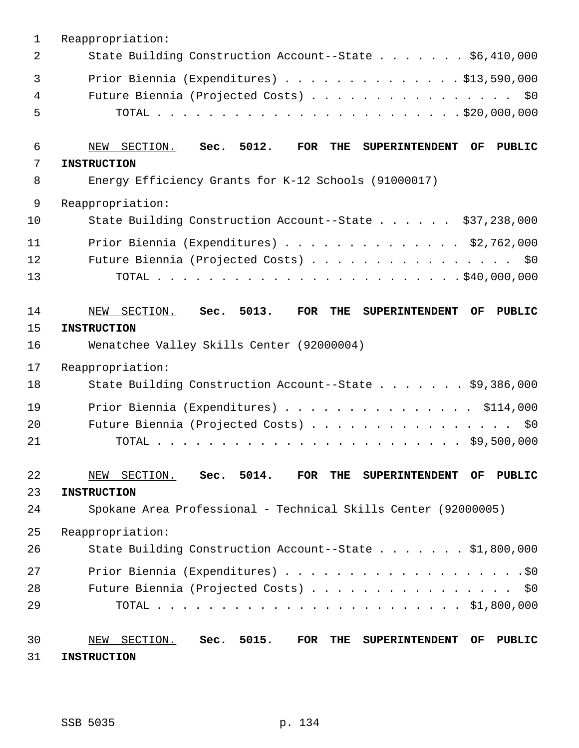| $\mathbf 1$ | Reappropriation:                                                                                      |
|-------------|-------------------------------------------------------------------------------------------------------|
| 2           | State Building Construction Account--State \$6,410,000                                                |
| 3           | Prior Biennia (Expenditures) $\ldots$ \$13,590,000                                                    |
| 4           | Future Biennia (Projected Costs)<br>\$0                                                               |
| 5           |                                                                                                       |
| 6           | Sec. 5012.<br>FOR<br>THE<br><b>PUBLIC</b><br>SECTION.<br><b>SUPERINTENDENT</b><br>OF<br>NEW           |
| 7           | <b>INSTRUCTION</b>                                                                                    |
| 8           | Energy Efficiency Grants for K-12 Schools (91000017)                                                  |
| 9           | Reappropriation:                                                                                      |
| 10          | State Building Construction Account--State \$37,238,000                                               |
| 11          | Prior Biennia (Expenditures) \$2,762,000                                                              |
| 12          | Future Biennia (Projected Costs) \$0                                                                  |
| 13          |                                                                                                       |
| 14          | Sec. 5013.<br><b>FOR</b><br>THE<br>SECTION.<br><b>SUPERINTENDENT</b><br>OF<br>PUBLIC<br>NEW           |
| 15          | <b>INSTRUCTION</b>                                                                                    |
| 16          | Wenatchee Valley Skills Center (92000004)                                                             |
| 17          | Reappropriation:                                                                                      |
| 18          | State Building Construction Account--State \$9,386,000                                                |
| 19          | Prior Biennia (Expenditures) \$114,000                                                                |
| 20          | Future Biennia (Projected Costs)<br>\$0                                                               |
| 21          |                                                                                                       |
| 22          | SECTION. Sec. 5014. FOR<br>THE<br>NEW<br><b>SUPERINTENDENT</b><br>OF.<br>PUBLIC                       |
| 23          | <b>INSTRUCTION</b>                                                                                    |
| 24          | Spokane Area Professional - Technical Skills Center (92000005)                                        |
| 25          | Reappropriation:                                                                                      |
| 26          | State Building Construction Account--State \$1,800,000                                                |
| 27          |                                                                                                       |
| 28          | Future Biennia (Projected Costs)<br>\$0                                                               |
| 29          |                                                                                                       |
| 30          | SECTION. Sec. 5015.<br>$\overline{\text{FOR}}$<br>THE<br>NEW<br><b>SUPERINTENDENT</b><br>OF<br>PUBLIC |
| 31          | <b>INSTRUCTION</b>                                                                                    |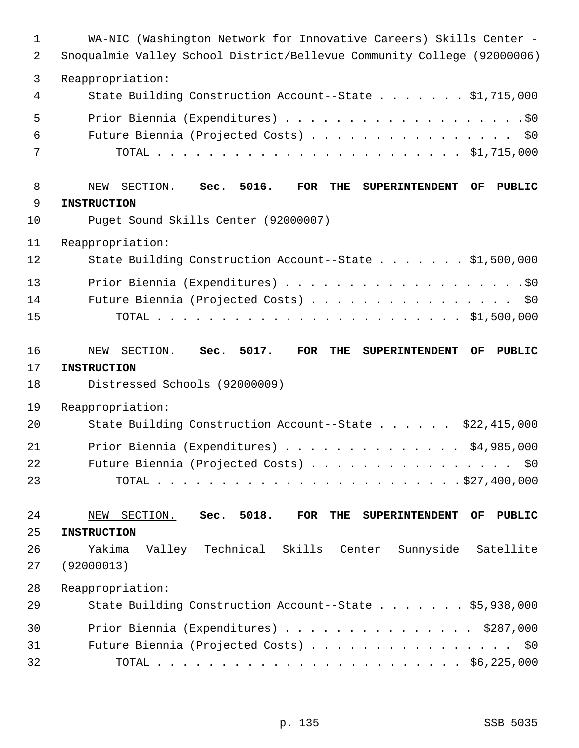| $\mathbf 1$<br>2 | WA-NIC (Washington Network for Innovative Careers) Skills Center -<br>Snoqualmie Valley School District/Bellevue Community College (92000006) |
|------------------|-----------------------------------------------------------------------------------------------------------------------------------------------|
| 3                |                                                                                                                                               |
| 4                | Reappropriation:<br>State Building Construction Account--State \$1,715,000                                                                    |
| 5                |                                                                                                                                               |
| 6                | Future Biennia (Projected Costs) \$0                                                                                                          |
| 7                |                                                                                                                                               |
| 8                | NEW SECTION. Sec. 5016.<br>FOR<br>THE<br>SUPERINTENDENT OF<br><b>PUBLIC</b>                                                                   |
| 9                | <b>INSTRUCTION</b>                                                                                                                            |
| 10               | Puget Sound Skills Center (92000007)                                                                                                          |
| 11               | Reappropriation:                                                                                                                              |
| 12               | State Building Construction Account--State \$1,500,000                                                                                        |
| 13               |                                                                                                                                               |
| 14               | Future Biennia (Projected Costs) \$0                                                                                                          |
| 15               |                                                                                                                                               |
| 16               | Sec. 5017.<br>FOR<br>THE<br>NEW SECTION.<br><b>SUPERINTENDENT</b><br>OF<br><b>PUBLIC</b>                                                      |
| 17               | <b>INSTRUCTION</b>                                                                                                                            |
| 18               | Distressed Schools (92000009)                                                                                                                 |
| 19               | Reappropriation:                                                                                                                              |
| 20               | State Building Construction Account--State \$22,415,000                                                                                       |
| 21               | Prior Biennia (Expenditures) $\ldots$ \$4,985,000                                                                                             |
| 22               | Future Biennia (Projected Costs)<br>\$0                                                                                                       |
| 23               |                                                                                                                                               |
| 24               | Sec. 5018.<br>THE<br>NEW SECTION.<br>FOR<br><b>SUPERINTENDENT</b><br>OF<br><b>PUBLIC</b>                                                      |
| 25               | <b>INSTRUCTION</b>                                                                                                                            |
| 26               | Yakima<br>Valley Technical Skills<br>Sunnyside<br>Satellite<br>Center                                                                         |
| 27               | (92000013)                                                                                                                                    |
| 28               | Reappropriation:                                                                                                                              |
| 29               | State Building Construction Account--State \$5,938,000                                                                                        |
| 30               | Prior Biennia (Expenditures) \$287,000                                                                                                        |
| 31               | Future Biennia (Projected Costs) \$0                                                                                                          |
| 32               |                                                                                                                                               |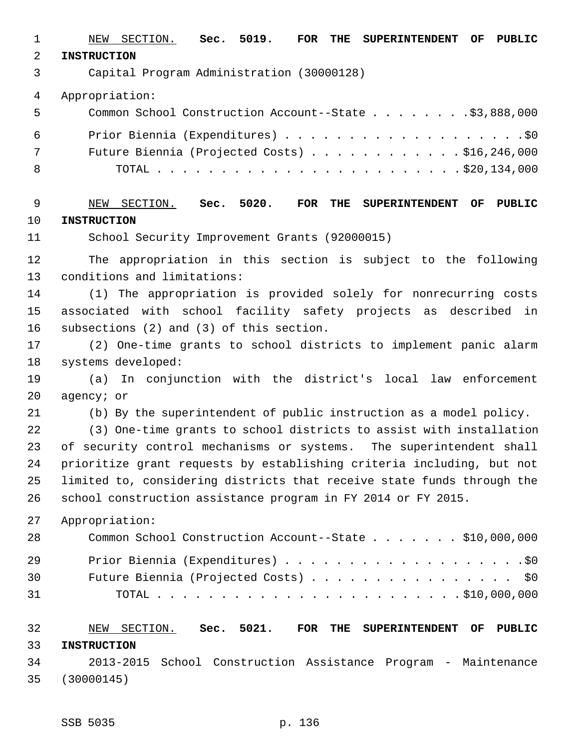1 NEW SECTION. **Sec. 5019. FOR THE SUPERINTENDENT OF PUBLIC** 2 **INSTRUCTION** 3 Capital Program Administration (30000128) 4 Appropriation: 5 Common School Construction Account--State . . . . . . . .\$3,888,000 6 Prior Biennia (Expenditures) . . . . . . . . . . . . . . . . . . .\$0 7 Future Biennia (Projected Costs) . . . . . . . . . . . . \$16,246,000 8 TOTAL . . . . . . . . . . . . . . . . . . . . . . . . \$20,134,000 9 NEW SECTION. **Sec. 5020. FOR THE SUPERINTENDENT OF PUBLIC** 10 **INSTRUCTION** 11 School Security Improvement Grants (92000015) 12 The appropriation in this section is subject to the following 13 conditions and limitations: 14 (1) The appropriation is provided solely for nonrecurring costs 15 associated with school facility safety projects as described in 16 subsections (2) and (3) of this section. 17 (2) One-time grants to school districts to implement panic alarm 18 systems developed: 19 (a) In conjunction with the district's local law enforcement 20 agency; or 21 (b) By the superintendent of public instruction as a model policy. 22 (3) One-time grants to school districts to assist with installation 23 of security control mechanisms or systems. The superintendent shall 24 prioritize grant requests by establishing criteria including, but not 25 limited to, considering districts that receive state funds through the 26 school construction assistance program in FY 2014 or FY 2015. 27 Appropriation: 28 Common School Construction Account--State . . . . . . . \$10,000,000 29 Prior Biennia (Expenditures) . . . . . . . . . . . . . . . . . . .\$0 30 Future Biennia (Projected Costs) . . . . . . . . . . . . . . . . \$0 31 TOTAL . . . . . . . . . . . . . . . . . . . . . . . . \$10,000,000 32 NEW SECTION. **Sec. 5021. FOR THE SUPERINTENDENT OF PUBLIC** 33 **INSTRUCTION**

34 2013-2015 School Construction Assistance Program - Maintenance 35 (30000145)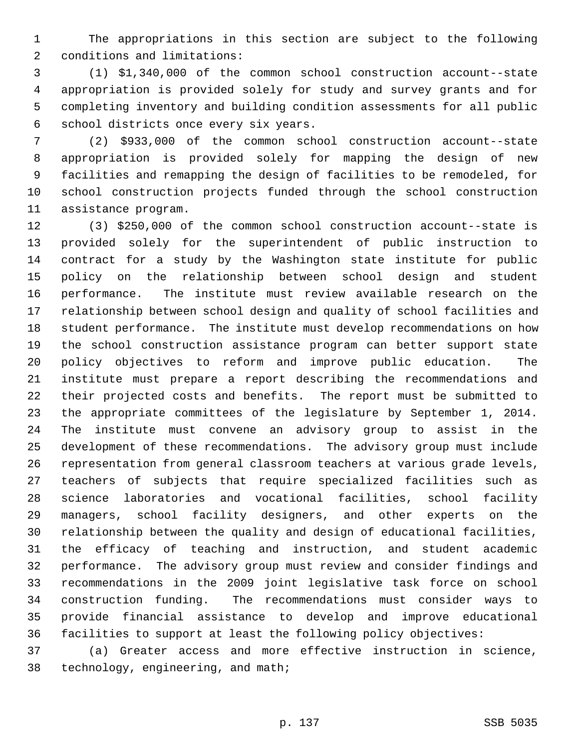1 The appropriations in this section are subject to the following 2 conditions and limitations:

 3 (1) \$1,340,000 of the common school construction account--state 4 appropriation is provided solely for study and survey grants and for 5 completing inventory and building condition assessments for all public 6 school districts once every six years.

 7 (2) \$933,000 of the common school construction account--state 8 appropriation is provided solely for mapping the design of new 9 facilities and remapping the design of facilities to be remodeled, for 10 school construction projects funded through the school construction 11 assistance program.

12 (3) \$250,000 of the common school construction account--state is 13 provided solely for the superintendent of public instruction to 14 contract for a study by the Washington state institute for public 15 policy on the relationship between school design and student 16 performance. The institute must review available research on the 17 relationship between school design and quality of school facilities and 18 student performance. The institute must develop recommendations on how 19 the school construction assistance program can better support state 20 policy objectives to reform and improve public education. The 21 institute must prepare a report describing the recommendations and 22 their projected costs and benefits. The report must be submitted to 23 the appropriate committees of the legislature by September 1, 2014. 24 The institute must convene an advisory group to assist in the 25 development of these recommendations. The advisory group must include 26 representation from general classroom teachers at various grade levels, 27 teachers of subjects that require specialized facilities such as 28 science laboratories and vocational facilities, school facility 29 managers, school facility designers, and other experts on the 30 relationship between the quality and design of educational facilities, 31 the efficacy of teaching and instruction, and student academic 32 performance. The advisory group must review and consider findings and 33 recommendations in the 2009 joint legislative task force on school 34 construction funding. The recommendations must consider ways to 35 provide financial assistance to develop and improve educational 36 facilities to support at least the following policy objectives:

37 (a) Greater access and more effective instruction in science, 38 technology, engineering, and math;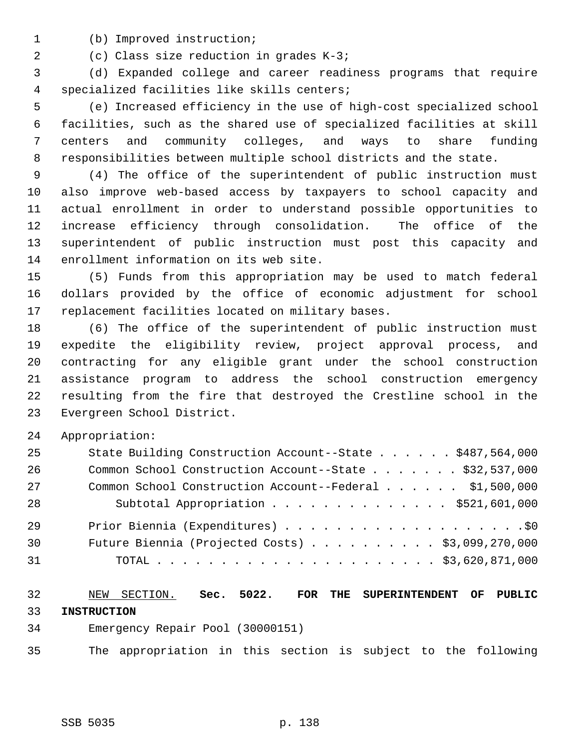- 
- 1 (b) Improved instruction;

2 (c) Class size reduction in grades K-3;

 3 (d) Expanded college and career readiness programs that require 4 specialized facilities like skills centers;

 5 (e) Increased efficiency in the use of high-cost specialized school 6 facilities, such as the shared use of specialized facilities at skill 7 centers and community colleges, and ways to share funding 8 responsibilities between multiple school districts and the state.

 9 (4) The office of the superintendent of public instruction must 10 also improve web-based access by taxpayers to school capacity and 11 actual enrollment in order to understand possible opportunities to 12 increase efficiency through consolidation. The office of the 13 superintendent of public instruction must post this capacity and 14 enrollment information on its web site.

15 (5) Funds from this appropriation may be used to match federal 16 dollars provided by the office of economic adjustment for school 17 replacement facilities located on military bases.

18 (6) The office of the superintendent of public instruction must 19 expedite the eligibility review, project approval process, and 20 contracting for any eligible grant under the school construction 21 assistance program to address the school construction emergency 22 resulting from the fire that destroyed the Crestline school in the 23 Evergreen School District.

24 Appropriation:

| 25 | State Building Construction Account--State \$487,564,000  |
|----|-----------------------------------------------------------|
| 26 | Common School Construction Account--State \$32,537,000    |
| 27 | Common School Construction Account--Federal \$1,500,000   |
| 28 | Subtotal Appropriation \$521,601,000                      |
| 29 |                                                           |
| 30 | Future Biennia (Projected Costs) $\ldots$ \$3,099,270,000 |
| 31 |                                                           |

## 32 NEW SECTION. **Sec. 5022. FOR THE SUPERINTENDENT OF PUBLIC** 33 **INSTRUCTION**

- 34 Emergency Repair Pool (30000151)
- 35 The appropriation in this section is subject to the following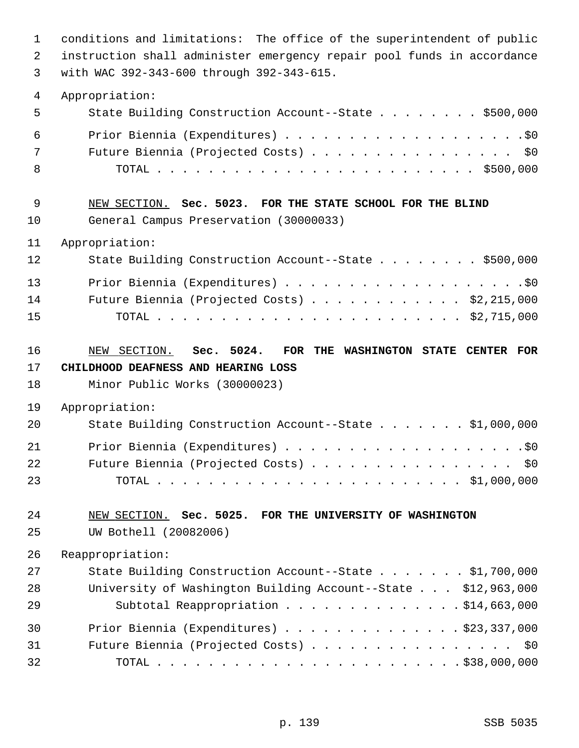| $\mathbf 1$<br>2<br>3 | conditions and limitations: The office of the superintendent of public<br>instruction shall administer emergency repair pool funds in accordance<br>with WAC 392-343-600 through 392-343-615. |
|-----------------------|-----------------------------------------------------------------------------------------------------------------------------------------------------------------------------------------------|
| 4                     | Appropriation:                                                                                                                                                                                |
| 5                     | State Building Construction Account--State \$500,000                                                                                                                                          |
| 6                     |                                                                                                                                                                                               |
| 7                     | Future Biennia (Projected Costs) \$0                                                                                                                                                          |
| 8                     |                                                                                                                                                                                               |
| 9                     | NEW SECTION. Sec. 5023. FOR THE STATE SCHOOL FOR THE BLIND                                                                                                                                    |
| 10                    | General Campus Preservation (30000033)                                                                                                                                                        |
| 11                    | Appropriation:                                                                                                                                                                                |
| 12                    | State Building Construction Account--State \$500,000                                                                                                                                          |
| 13                    |                                                                                                                                                                                               |
| 14                    | Future Biennia (Projected Costs) $\ldots$ \$2,215,000                                                                                                                                         |
| 15                    |                                                                                                                                                                                               |
| 16                    | NEW SECTION. Sec. 5024.<br>FOR<br>THE WASHINGTON STATE CENTER FOR                                                                                                                             |
| 17                    | CHILDHOOD DEAFNESS AND HEARING LOSS                                                                                                                                                           |
| 18                    | Minor Public Works (30000023)                                                                                                                                                                 |
| 19                    | Appropriation:                                                                                                                                                                                |
| 20                    | State Building Construction Account--State \$1,000,000                                                                                                                                        |
| 21                    |                                                                                                                                                                                               |
| 22                    | Future Biennia (Projected Costs) \$0                                                                                                                                                          |
| 23                    |                                                                                                                                                                                               |
| 24                    | NEW SECTION. Sec. 5025. FOR THE UNIVERSITY OF WASHINGTON                                                                                                                                      |
| 25                    | UW Bothell (20082006)                                                                                                                                                                         |
| 26                    | Reappropriation:                                                                                                                                                                              |
| 27                    | State Building Construction Account--State \$1,700,000                                                                                                                                        |
| 28                    | University of Washington Building Account--State \$12,963,000                                                                                                                                 |
| 29                    | Subtotal Reappropriation \$14,663,000                                                                                                                                                         |
| 30                    | Prior Biennia (Expenditures) $\ldots$ \$23,337,000                                                                                                                                            |
| 31                    | Future Biennia (Projected Costs) \$0                                                                                                                                                          |
| 32                    |                                                                                                                                                                                               |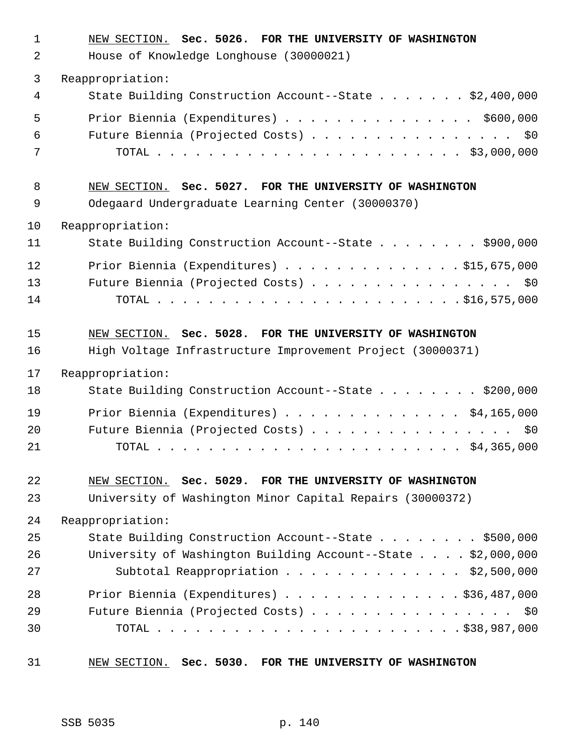| $\mathbf 1$<br>2 | NEW SECTION. Sec. 5026. FOR THE UNIVERSITY OF WASHINGTON<br>House of Knowledge Longhouse (30000021) |
|------------------|-----------------------------------------------------------------------------------------------------|
| 3                | Reappropriation:                                                                                    |
| 4                | State Building Construction Account--State \$2,400,000                                              |
| 5                | Prior Biennia (Expenditures) \$600,000                                                              |
| 6                | Future Biennia (Projected Costs) \$0                                                                |
| 7                |                                                                                                     |
| 8                | NEW SECTION. Sec. 5027. FOR THE UNIVERSITY OF WASHINGTON                                            |
| 9                | Odegaard Undergraduate Learning Center (30000370)                                                   |
| 10               | Reappropriation:                                                                                    |
| 11               | State Building Construction Account--State \$900,000                                                |
| 12               | Prior Biennia (Expenditures) \$15,675,000                                                           |
| 13               | Future Biennia (Projected Costs) \$0                                                                |
| 14               |                                                                                                     |
| 15               | NEW SECTION. Sec. 5028. FOR THE UNIVERSITY OF WASHINGTON                                            |
| 16               | High Voltage Infrastructure Improvement Project (30000371)                                          |
| 17               | Reappropriation:                                                                                    |
| 18               | State Building Construction Account--State \$200,000                                                |
| 19               | Prior Biennia (Expenditures) \$4,165,000                                                            |
| 20               | Future Biennia (Projected Costs) \$0                                                                |
| 21               |                                                                                                     |
| 22               | NEW SECTION. Sec. 5029. FOR THE UNIVERSITY OF WASHINGTON                                            |
| 23               | University of Washington Minor Capital Repairs (30000372)                                           |
| 24               | Reappropriation:                                                                                    |
| 25               | State Building Construction Account--State \$500,000                                                |
| 26               | University of Washington Building Account--State $\ldots$ . \$2,000,000                             |
| 27               | Subtotal Reappropriation \$2,500,000                                                                |
| 28               | Prior Biennia (Expenditures) \$36,487,000                                                           |
| 29               | Future Biennia (Projected Costs) \$0                                                                |
| 30               |                                                                                                     |
| 31               | NEW SECTION. Sec. 5030. FOR THE UNIVERSITY OF WASHINGTON                                            |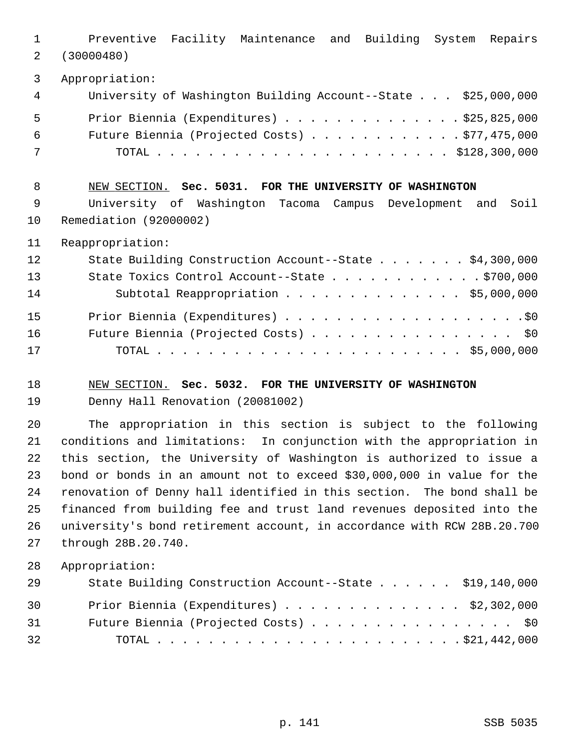1 Preventive Facility Maintenance and Building System Repairs 2 (30000480) 3 Appropriation: 4 University of Washington Building Account--State . . . \$25,000,000 5 Prior Biennia (Expenditures) . . . . . . . . . . . . . . \$25,825,000 6 Future Biennia (Projected Costs) . . . . . . . . . . . . \$77,475,000 7 TOTAL . . . . . . . . . . . . . . . . . . . . . . . \$128,300,000 8 NEW SECTION. **Sec. 5031. FOR THE UNIVERSITY OF WASHINGTON** 9 University of Washington Tacoma Campus Development and Soil 10 Remediation (92000002) 11 Reappropriation: 12 State Building Construction Account--State . . . . . . \$4,300,000 13 State Toxics Control Account--State . . . . . . . . . . . . \$700,000 14 Subtotal Reappropriation . . . . . . . . . . . . . . \$5,000,000 15 Prior Biennia (Expenditures) . . . . . . . . . . . . . . . . . . .\$0 16 Future Biennia (Projected Costs) . . . . . . . . . . . . . . . \$0 17 TOTAL . . . . . . . . . . . . . . . . . . . . . . . . \$5,000,000 18 NEW SECTION. **Sec. 5032. FOR THE UNIVERSITY OF WASHINGTON** 19 Denny Hall Renovation (20081002) 20 The appropriation in this section is subject to the following 21 conditions and limitations: In conjunction with the appropriation in 22 this section, the University of Washington is authorized to issue a 23 bond or bonds in an amount not to exceed \$30,000,000 in value for the 24 renovation of Denny hall identified in this section. The bond shall be 25 financed from building fee and trust land revenues deposited into the 26 university's bond retirement account, in accordance with RCW 28B.20.700 27 through 28B.20.740.

28 Appropriation:

| 29 | State Building Construction Account--State \$19,140,000 |  |
|----|---------------------------------------------------------|--|
| 30 | Prior Biennia (Expenditures) $\ldots$ \$2,302,000       |  |
| 31 | Future Biennia (Projected Costs) \$0                    |  |
| 32 |                                                         |  |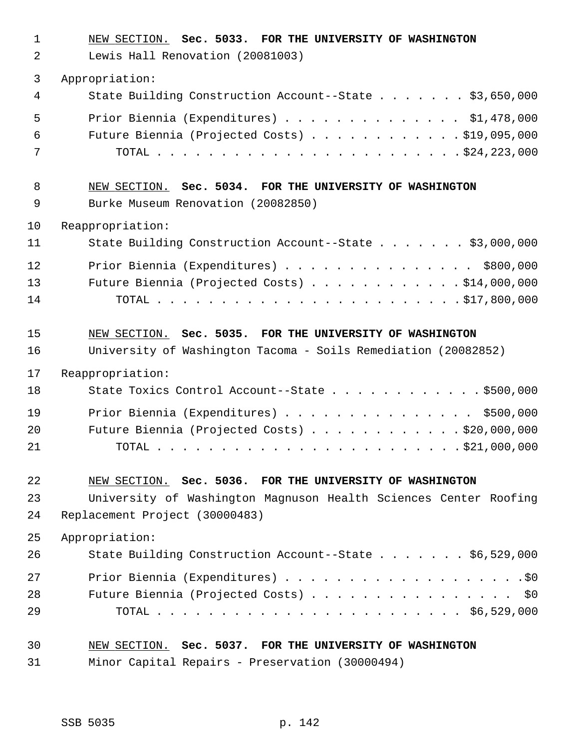| $\mathbf 1$<br>2 | NEW SECTION. Sec. 5033. FOR THE UNIVERSITY OF WASHINGTON<br>Lewis Hall Renovation (20081003) |
|------------------|----------------------------------------------------------------------------------------------|
| 3                | Appropriation:                                                                               |
| 4                | State Building Construction Account--State \$3,650,000                                       |
| 5                | Prior Biennia (Expenditures) \$1,478,000                                                     |
| 6                | Future Biennia (Projected Costs) \$19,095,000                                                |
| 7                |                                                                                              |
| 8                | NEW SECTION. Sec. 5034. FOR THE UNIVERSITY OF WASHINGTON                                     |
| 9                | Burke Museum Renovation (20082850)                                                           |
| 10               | Reappropriation:                                                                             |
| 11               | State Building Construction Account--State \$3,000,000                                       |
| 12               | Prior Biennia (Expenditures) \$800,000                                                       |
| 13               | Future Biennia (Projected Costs) \$14,000,000                                                |
| 14               |                                                                                              |
| 15               | NEW SECTION. Sec. 5035. FOR THE UNIVERSITY OF WASHINGTON                                     |
| 16               | University of Washington Tacoma - Soils Remediation (20082852)                               |
| 17               | Reappropriation:                                                                             |
| 18               | State Toxics Control Account--State \$500,000                                                |
| 19               | Prior Biennia (Expenditures) \$500,000                                                       |
| 20               | Future Biennia (Projected Costs) \$20,000,000                                                |
| 21               |                                                                                              |
| 22               | NEW SECTION. Sec. 5036. FOR THE UNIVERSITY OF WASHINGTON                                     |
| 23               | University of Washington Magnuson Health Sciences Center Roofing                             |
| 24               | Replacement Project (30000483)                                                               |
| 25               | Appropriation:                                                                               |
| 26               | State Building Construction Account--State \$6,529,000                                       |
| 27               |                                                                                              |
| 28               | Future Biennia (Projected Costs) \$0                                                         |
| 29               |                                                                                              |
| 30               | NEW SECTION. Sec. 5037. FOR THE UNIVERSITY OF WASHINGTON                                     |
| 31               | Minor Capital Repairs - Preservation (30000494)                                              |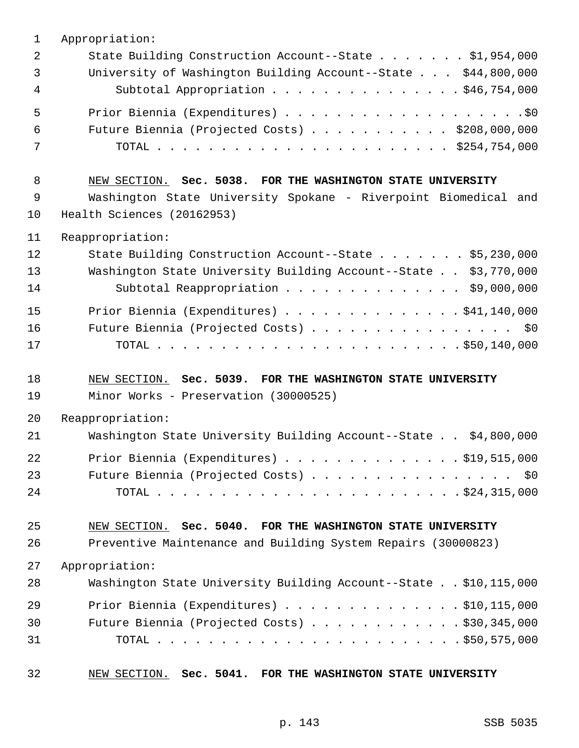| 1  | Appropriation:                                                   |
|----|------------------------------------------------------------------|
| 2  | State Building Construction Account--State \$1,954,000           |
| 3  | University of Washington Building Account--State \$44,800,000    |
| 4  | Subtotal Appropriation \$46,754,000                              |
| 5  |                                                                  |
| 6  | Future Biennia (Projected Costs) $\ldots$ \$208,000,000          |
| 7  |                                                                  |
| 8  | NEW SECTION. Sec. 5038. FOR THE WASHINGTON STATE UNIVERSITY      |
| 9  | Washington State University Spokane - Riverpoint Biomedical and  |
| 10 | Health Sciences (20162953)                                       |
| 11 | Reappropriation:                                                 |
| 12 | State Building Construction Account--State \$5,230,000           |
| 13 | Washington State University Building Account--State \$3,770,000  |
| 14 | Subtotal Reappropriation \$9,000,000                             |
| 15 | Prior Biennia (Expenditures) $\ldots$ \$41,140,000               |
| 16 | Future Biennia (Projected Costs) \$0                             |
| 17 |                                                                  |
|    |                                                                  |
| 18 | NEW SECTION. Sec. 5039. FOR THE WASHINGTON STATE UNIVERSITY      |
| 19 | Minor Works - Preservation (30000525)                            |
| 20 | Reappropriation:                                                 |
| 21 | Washington State University Building Account--State \$4,800,000  |
| 22 | Prior Biennia (Expenditures) \$19,515,000                        |
| 23 | Future Biennia (Projected Costs) \$0                             |
| 24 |                                                                  |
| 25 | NEW SECTION. Sec. 5040. FOR THE WASHINGTON STATE UNIVERSITY      |
| 26 | Preventive Maintenance and Building System Repairs (30000823)    |
| 27 | Appropriation:                                                   |
| 28 | Washington State University Building Account--State \$10,115,000 |
| 29 | Prior Biennia (Expenditures) $\ldots$ 510, 115, 000              |
| 30 | Future Biennia (Projected Costs) $\ldots$ \$30,345,000           |
| 31 |                                                                  |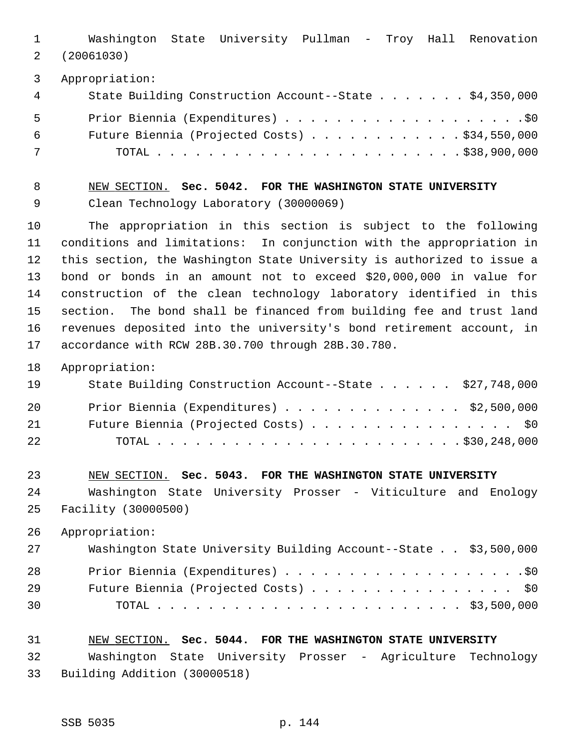1 Washington State University Pullman - Troy Hall Renovation 2 (20061030)

3 Appropriation:

| 4 | State Building Construction Account--State \$4,350,000 |
|---|--------------------------------------------------------|
| 5 |                                                        |
| 6 | Future Biennia (Projected Costs) $\ldots$ \$34,550,000 |
| 7 |                                                        |

 8 NEW SECTION. **Sec. 5042. FOR THE WASHINGTON STATE UNIVERSITY** 9 Clean Technology Laboratory (30000069)

10 The appropriation in this section is subject to the following 11 conditions and limitations: In conjunction with the appropriation in 12 this section, the Washington State University is authorized to issue a 13 bond or bonds in an amount not to exceed \$20,000,000 in value for 14 construction of the clean technology laboratory identified in this 15 section. The bond shall be financed from building fee and trust land 16 revenues deposited into the university's bond retirement account, in 17 accordance with RCW 28B.30.700 through 28B.30.780.

18 Appropriation:

| 19 | State Building Construction Account--State \$27,748,000 |
|----|---------------------------------------------------------|
| 20 | Prior Biennia (Expenditures) $\ldots$ \$2,500,000       |
| 21 | Future Biennia (Projected Costs) \$0                    |
| 22 |                                                         |

23 NEW SECTION. **Sec. 5043. FOR THE WASHINGTON STATE UNIVERSITY** 24 Washington State University Prosser - Viticulture and Enology 25 Facility (30000500)

26 Appropriation:

| 27 | Washington State University Building Account--State \$3,500,000 |
|----|-----------------------------------------------------------------|
| 28 |                                                                 |
| 29 | Future Biennia (Projected Costs) \$0                            |
| 30 |                                                                 |

#### 31 NEW SECTION. **Sec. 5044. FOR THE WASHINGTON STATE UNIVERSITY**

32 Washington State University Prosser - Agriculture Technology 33 Building Addition (30000518)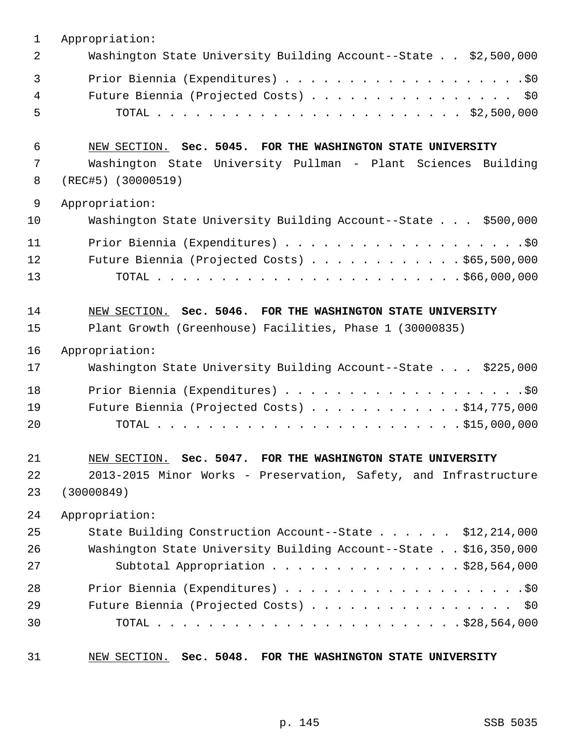| $\mathbf 1$ | Appropriation:                                                                                                          |
|-------------|-------------------------------------------------------------------------------------------------------------------------|
| 2           | Washington State University Building Account--State \$2,500,000                                                         |
| 3<br>4<br>5 | Future Biennia (Projected Costs) \$0                                                                                    |
| 6           | NEW SECTION. Sec. 5045. FOR THE WASHINGTON STATE UNIVERSITY                                                             |
| 7           | Washington State University Pullman - Plant Sciences Building                                                           |
| 8           | (REC#5) (30000519)                                                                                                      |
| $\mathsf 9$ | Appropriation:                                                                                                          |
| 10          | Washington State University Building Account--State \$500,000                                                           |
| 11          |                                                                                                                         |
| 12          | Future Biennia (Projected Costs) \$65,500,000                                                                           |
| 13          |                                                                                                                         |
| 14<br>15    | NEW SECTION. Sec. 5046. FOR THE WASHINGTON STATE UNIVERSITY<br>Plant Growth (Greenhouse) Facilities, Phase 1 (30000835) |
| 16          | Appropriation:                                                                                                          |
| 17          | Washington State University Building Account--State \$225,000                                                           |
| 18          |                                                                                                                         |
| 19          | Future Biennia (Projected Costs) $\ldots$ \$14,775,000                                                                  |
| 20          |                                                                                                                         |
|             |                                                                                                                         |
| 21          | NEW SECTION. Sec. 5047. FOR THE WASHINGTON STATE UNIVERSITY                                                             |
| 22          | 2013-2015 Minor Works - Preservation, Safety, and Infrastructure                                                        |
| 23          | (30000849)                                                                                                              |
| 24          | Appropriation:                                                                                                          |
| 25          | State Building Construction Account--State \$12,214,000                                                                 |
| 26          | Washington State University Building Account--State \$16,350,000                                                        |
| 27          | Subtotal Appropriation $\ldots$ \$28,564,000                                                                            |
| 28          |                                                                                                                         |
| 29          | Future Biennia (Projected Costs) \$0                                                                                    |
| 30          |                                                                                                                         |
| 31          | NEW SECTION. Sec. 5048. FOR THE WASHINGTON STATE UNIVERSITY                                                             |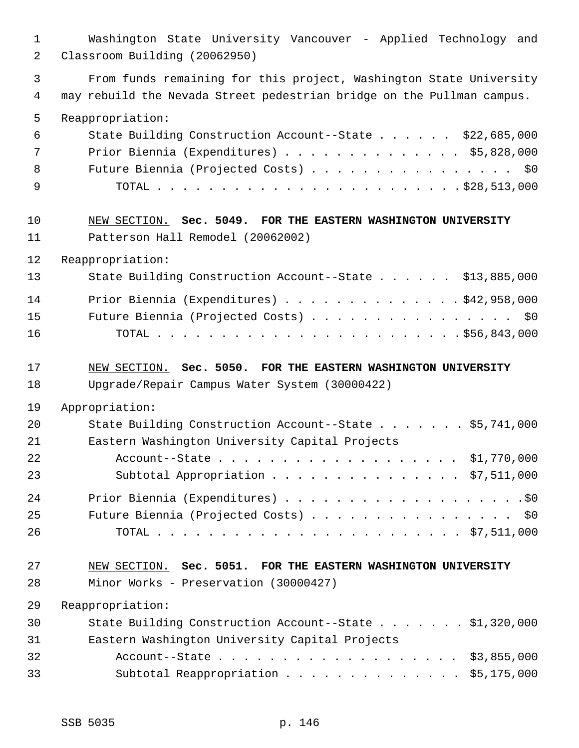1 Washington State University Vancouver - Applied Technology and 2 Classroom Building (20062950) 3 From funds remaining for this project, Washington State University 4 may rebuild the Nevada Street pedestrian bridge on the Pullman campus. 5 Reappropriation: 6 State Building Construction Account--State . . . . . . \$22,685,000 7 Prior Biennia (Expenditures) . . . . . . . . . . . . . . \$5,828,000 8 Future Biennia (Projected Costs) . . . . . . . . . . . . . . . \$0 9 TOTAL . . . . . . . . . . . . . . . . . . . . . . . . \$28,513,000 10 NEW SECTION. **Sec. 5049. FOR THE EASTERN WASHINGTON UNIVERSITY** 11 Patterson Hall Remodel (20062002) 12 Reappropriation: 13 State Building Construction Account--State . . . . . . \$13,885,000 14 Prior Biennia (Expenditures) . . . . . . . . . . . . . . \$42,958,000 15 Future Biennia (Projected Costs) . . . . . . . . . . . . . . . . \$0 16 TOTAL . . . . . . . . . . . . . . . . . . . . . . . . \$56,843,000 17 NEW SECTION. **Sec. 5050. FOR THE EASTERN WASHINGTON UNIVERSITY** 18 Upgrade/Repair Campus Water System (30000422) 19 Appropriation: 20 State Building Construction Account--State . . . . . . . \$5,741,000 21 Eastern Washington University Capital Projects 22 Account--State . . . . . . . . . . . . . . . . . . . \$1,770,000 23 Subtotal Appropriation . . . . . . . . . . . . . . . \$7,511,000 24 Prior Biennia (Expenditures) . . . . . . . . . . . . . . . . . . .\$0 25 Future Biennia (Projected Costs) . . . . . . . . . . . . . . . . \$0 26 TOTAL . . . . . . . . . . . . . . . . . . . . . . . . \$7,511,000 27 NEW SECTION. **Sec. 5051. FOR THE EASTERN WASHINGTON UNIVERSITY** 28 Minor Works - Preservation (30000427) 29 Reappropriation: 30 State Building Construction Account--State . . . . . . . \$1,320,000 31 Eastern Washington University Capital Projects 32 Account--State . . . . . . . . . . . . . . . . . . . \$3,855,000 33 Subtotal Reappropriation . . . . . . . . . . . . . . \$5,175,000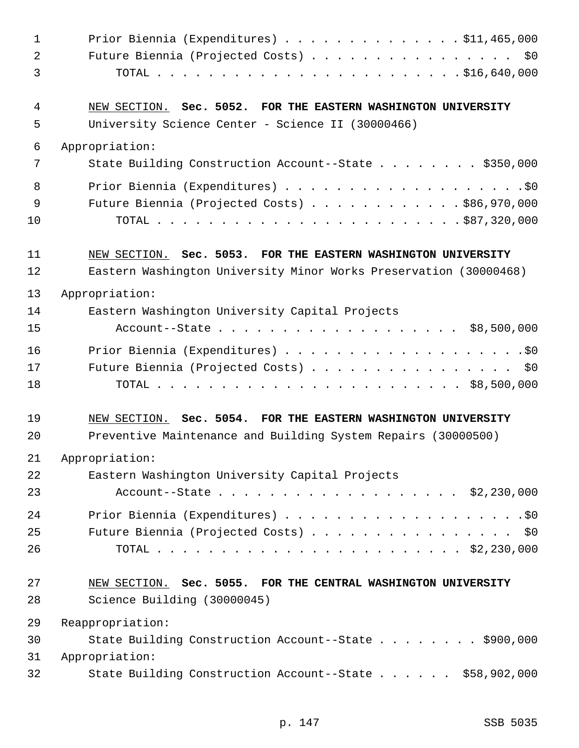| $\mathbf 1$    | Prior Biennia (Expenditures) \$11,465,000                         |
|----------------|-------------------------------------------------------------------|
| $\overline{2}$ | Future Biennia (Projected Costs) \$0                              |
| $\mathfrak{Z}$ |                                                                   |
| 4              | NEW SECTION. Sec. 5052. FOR THE EASTERN WASHINGTON UNIVERSITY     |
| 5              | University Science Center - Science II (30000466)                 |
| 6              | Appropriation:                                                    |
| 7              | State Building Construction Account--State \$350,000              |
| 8              |                                                                   |
| 9              | Future Biennia (Projected Costs) \$86,970,000                     |
| 10             |                                                                   |
| 11             | NEW SECTION. Sec. 5053. FOR THE EASTERN WASHINGTON UNIVERSITY     |
| 12             | Eastern Washington University Minor Works Preservation (30000468) |
| 13             | Appropriation:                                                    |
| 14             | Eastern Washington University Capital Projects                    |
| 15             | Account--State \$8,500,000                                        |
| 16             |                                                                   |
| 17             | Future Biennia (Projected Costs) \$0                              |
| 18             |                                                                   |
| 19             | NEW SECTION. Sec. 5054. FOR THE EASTERN WASHINGTON UNIVERSITY     |
| 20             | Preventive Maintenance and Building System Repairs (30000500)     |
| 21             | Appropriation:                                                    |
| 22             | Eastern Washington University Capital Projects                    |
| 23             | Account--State \$2,230,000                                        |
| 24             |                                                                   |
| 25             | Future Biennia (Projected Costs) \$0                              |
| 26             |                                                                   |
| 27             | NEW SECTION. Sec. 5055. FOR THE CENTRAL WASHINGTON UNIVERSITY     |
| 28             | Science Building (30000045)                                       |
| 29             | Reappropriation:                                                  |
| 30             | State Building Construction Account--State \$900,000              |
| 31             | Appropriation:                                                    |
| 32             | State Building Construction Account--State \$58,902,000           |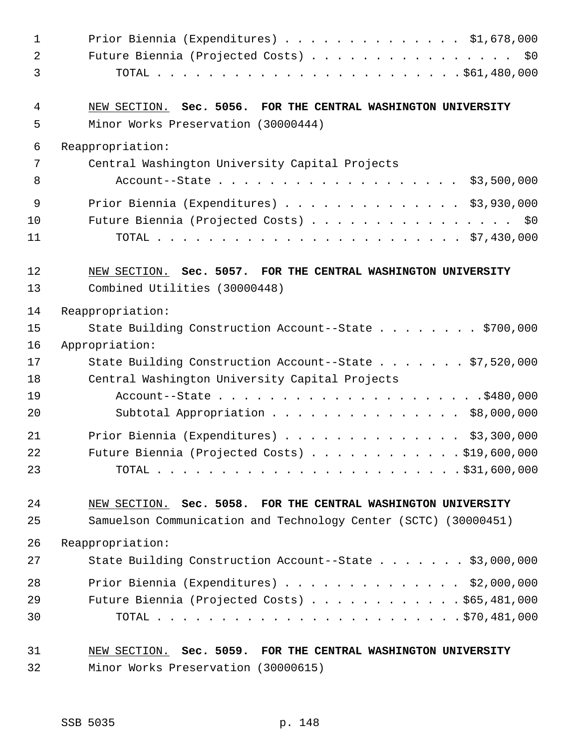| $\mathbf{1}$   | Prior Biennia (Expenditures) \$1,678,000                        |
|----------------|-----------------------------------------------------------------|
| $\overline{a}$ | Future Biennia (Projected Costs) \$0                            |
| 3              |                                                                 |
| 4              | NEW SECTION. Sec. 5056. FOR THE CENTRAL WASHINGTON UNIVERSITY   |
| 5              | Minor Works Preservation (30000444)                             |
| 6              | Reappropriation:                                                |
| 7              | Central Washington University Capital Projects                  |
| 8              | Account--State \$3,500,000                                      |
| 9              | Prior Biennia (Expenditures) \$3,930,000                        |
| 10             | Future Biennia (Projected Costs) \$0                            |
| 11             |                                                                 |
| 12             | NEW SECTION. Sec. 5057. FOR THE CENTRAL WASHINGTON UNIVERSITY   |
| 13             | Combined Utilities (30000448)                                   |
| 14             | Reappropriation:                                                |
| 15             | State Building Construction Account--State \$700,000            |
| 16             | Appropriation:                                                  |
| 17             | State Building Construction Account--State \$7,520,000          |
| 18             | Central Washington University Capital Projects                  |
| 19             |                                                                 |
| 20             | Subtotal Appropriation \$8,000,000                              |
| 21             | Prior Biennia (Expenditures) $\ldots$ \$3,300,000               |
| 22             | Future Biennia (Projected Costs) $\ldots$ \$19,600,000          |
| 23             |                                                                 |
| 24             | NEW SECTION. Sec. 5058. FOR THE CENTRAL WASHINGTON UNIVERSITY   |
| 25             | Samuelson Communication and Technology Center (SCTC) (30000451) |
| 26             | Reappropriation:                                                |
| 27             | State Building Construction Account--State \$3,000,000          |
| 28             | Prior Biennia (Expenditures) $\ldots$ \$2,000,000               |
| 29             | Future Biennia (Projected Costs) \$65,481,000                   |
| 30             |                                                                 |
| 31             | NEW SECTION. Sec. 5059. FOR THE CENTRAL WASHINGTON UNIVERSITY   |
| 32             | Minor Works Preservation (30000615)                             |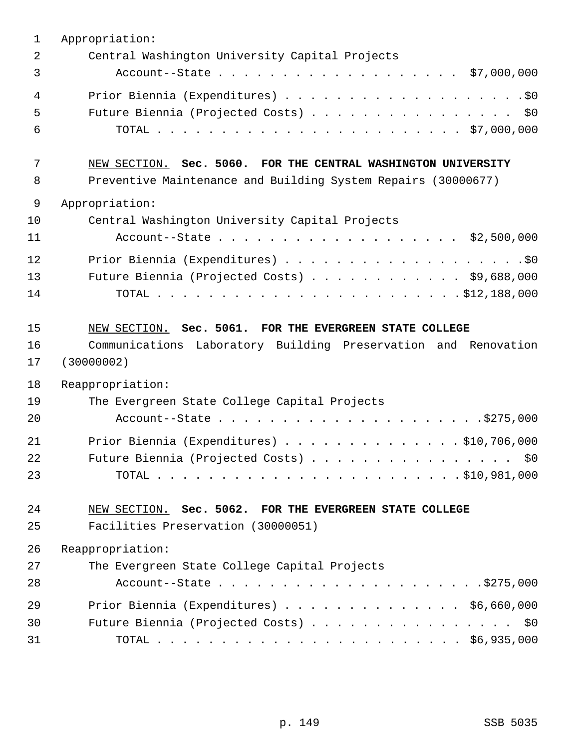| $\mathbf{1}$ | Appropriation:                                                 |
|--------------|----------------------------------------------------------------|
| 2            | Central Washington University Capital Projects                 |
| 3            |                                                                |
| 4            |                                                                |
| 5            | Future Biennia (Projected Costs) \$0                           |
| 6            |                                                                |
| 7            | NEW SECTION. Sec. 5060. FOR THE CENTRAL WASHINGTON UNIVERSITY  |
| 8            | Preventive Maintenance and Building System Repairs (30000677)  |
| 9            | Appropriation:                                                 |
| 10           | Central Washington University Capital Projects                 |
| 11           | Account--State \$2,500,000                                     |
| 12           |                                                                |
| 13           | Future Biennia (Projected Costs) $\ldots$ \$9,688,000          |
| 14           |                                                                |
| 15           | NEW SECTION. Sec. 5061. FOR THE EVERGREEN STATE COLLEGE        |
| 16           | Communications Laboratory Building Preservation and Renovation |
| 17           | (30000002)                                                     |
| 18           | Reappropriation:                                               |
| 19           | The Evergreen State College Capital Projects                   |
| 20           |                                                                |
| 21           | Prior Biennia (Expenditures) \$10,706,000                      |
| 22           | Future Biennia (Projected Costs) \$0                           |
| 23           |                                                                |
| 24           | NEW SECTION. Sec. 5062. FOR THE EVERGREEN STATE COLLEGE        |
| 25           | Facilities Preservation (30000051)                             |
| 26           | Reappropriation:                                               |
| 27           | The Evergreen State College Capital Projects                   |
| 28           |                                                                |
| 29           | Prior Biennia (Expenditures) \$6,660,000                       |
| 30           | Future Biennia (Projected Costs) \$0                           |
| 31           |                                                                |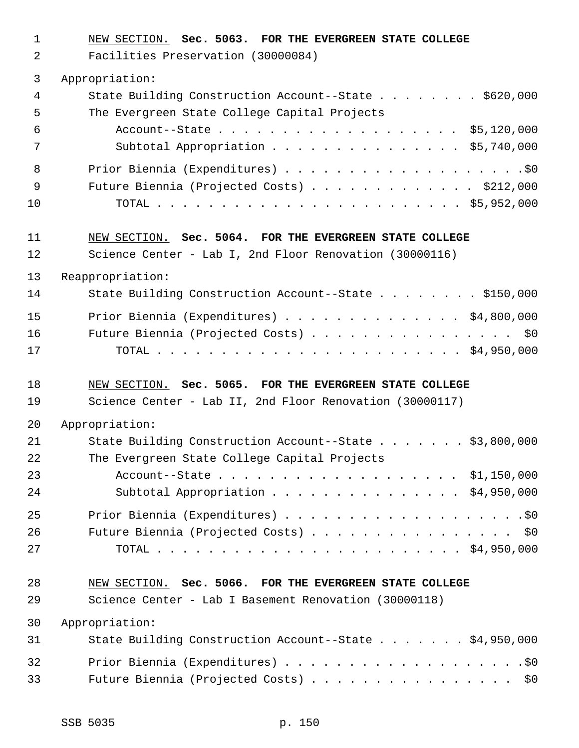1 NEW SECTION. **Sec. 5063. FOR THE EVERGREEN STATE COLLEGE** 2 Facilities Preservation (30000084) 3 Appropriation: 4 State Building Construction Account--State . . . . . . . . \$620,000 5 The Evergreen State College Capital Projects 6 Account--State . . . . . . . . . . . . . . . . . . . \$5,120,000 7 Subtotal Appropriation . . . . . . . . . . . . . . . \$5,740,000 8 Prior Biennia (Expenditures) . . . . . . . . . . . . . . . . . . .\$0 9 Future Biennia (Projected Costs) . . . . . . . . . . . . . \$212,000 10 TOTAL . . . . . . . . . . . . . . . . . . . . . . . . \$5,952,000 11 NEW SECTION. **Sec. 5064. FOR THE EVERGREEN STATE COLLEGE** 12 Science Center - Lab I, 2nd Floor Renovation (30000116) 13 Reappropriation: 14 State Building Construction Account--State . . . . . . . \$150,000 15 Prior Biennia (Expenditures) . . . . . . . . . . . . . . \$4,800,000 16 Future Biennia (Projected Costs) . . . . . . . . . . . . . . . . \$0 17 TOTAL . . . . . . . . . . . . . . . . . . . . . . . . \$4,950,000 18 NEW SECTION. **Sec. 5065. FOR THE EVERGREEN STATE COLLEGE** 19 Science Center - Lab II, 2nd Floor Renovation (30000117) 20 Appropriation: 21 State Building Construction Account--State . . . . . . . \$3,800,000 22 The Evergreen State College Capital Projects 23 Account--State . . . . . . . . . . . . . . . . . . . \$1,150,000 24 Subtotal Appropriation . . . . . . . . . . . . . . . \$4,950,000 25 Prior Biennia (Expenditures) . . . . . . . . . . . . . . . . . . .\$0 26 Future Biennia (Projected Costs) . . . . . . . . . . . . . . . . \$0 27 TOTAL . . . . . . . . . . . . . . . . . . . . . . . . \$4,950,000 28 NEW SECTION. **Sec. 5066. FOR THE EVERGREEN STATE COLLEGE** 29 Science Center - Lab I Basement Renovation (30000118) 30 Appropriation: 31 State Building Construction Account--State . . . . . . . \$4,950,000 32 Prior Biennia (Expenditures) . . . . . . . . . . . . . . . . . . .\$0 33 Future Biennia (Projected Costs) . . . . . . . . . . . . . . . . \$0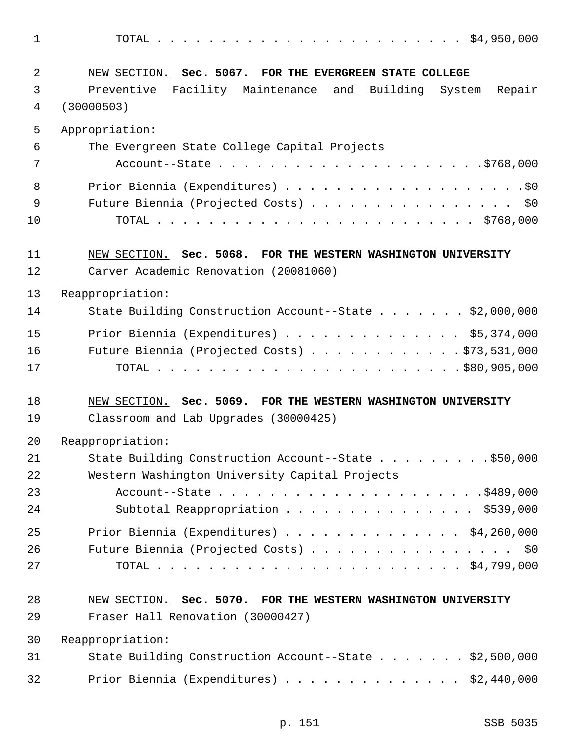1 TOTAL . . . . . . . . . . . . . . . . . . . . . . . . \$4,950,000 2 NEW SECTION. **Sec. 5067. FOR THE EVERGREEN STATE COLLEGE** 3 Preventive Facility Maintenance and Building System Repair 4 (30000503) 5 Appropriation: 6 The Evergreen State College Capital Projects 7 Account--State . . . . . . . . . . . . . . . . . . . . .\$768,000 8 Prior Biennia (Expenditures) . . . . . . . . . . . . . . . . . . .\$0 9 Future Biennia (Projected Costs) . . . . . . . . . . . . . . . . \$0 10 TOTAL . . . . . . . . . . . . . . . . . . . . . . . . . \$768,000 11 NEW SECTION. **Sec. 5068. FOR THE WESTERN WASHINGTON UNIVERSITY** 12 Carver Academic Renovation (20081060) 13 Reappropriation: 14 State Building Construction Account--State . . . . . . \$2,000,000 15 Prior Biennia (Expenditures) . . . . . . . . . . . . . . \$5,374,000 16 Future Biennia (Projected Costs) . . . . . . . . . . . . \$73,531,000 17 TOTAL . . . . . . . . . . . . . . . . . . . . . . . . \$80,905,000 18 NEW SECTION. **Sec. 5069. FOR THE WESTERN WASHINGTON UNIVERSITY** 19 Classroom and Lab Upgrades (30000425) 20 Reappropriation: 21 State Building Construction Account--State . . . . . . . . . \$50,000 22 Western Washington University Capital Projects 23 Account--State . . . . . . . . . . . . . . . . . . . . .\$489,000 24 Subtotal Reappropriation . . . . . . . . . . . . . . \$539,000 25 Prior Biennia (Expenditures) . . . . . . . . . . . . . . \$4,260,000 26 Future Biennia (Projected Costs) . . . . . . . . . . . . . . . . \$0 27 TOTAL . . . . . . . . . . . . . . . . . . . . . . . . \$4,799,000 28 NEW SECTION. **Sec. 5070. FOR THE WESTERN WASHINGTON UNIVERSITY** 29 Fraser Hall Renovation (30000427) 30 Reappropriation: 31 State Building Construction Account--State . . . . . . . \$2,500,000 32 Prior Biennia (Expenditures) . . . . . . . . . . . . . . \$2,440,000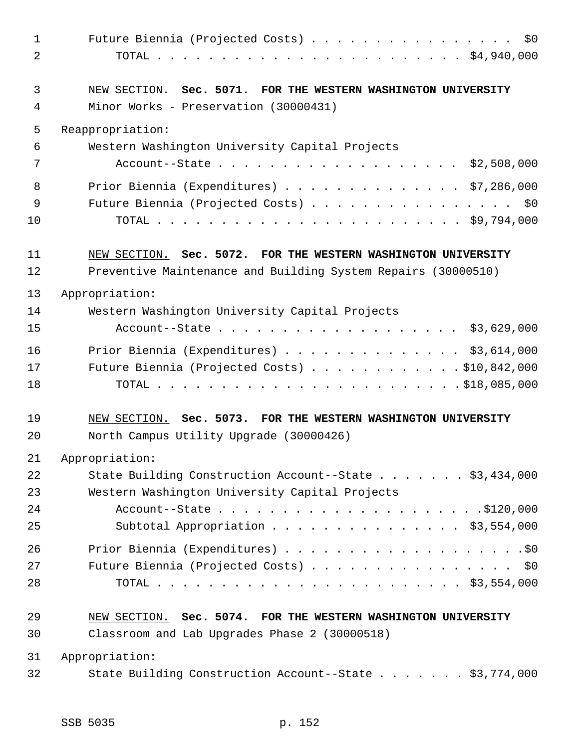| $\mathbf{1}$<br>2 | Future Biennia (Projected Costs)<br>\$0                                                                |
|-------------------|--------------------------------------------------------------------------------------------------------|
| 3<br>4            | NEW SECTION. Sec. 5071. FOR THE WESTERN WASHINGTON UNIVERSITY<br>Minor Works - Preservation (30000431) |
| 5                 | Reappropriation:                                                                                       |
| 6                 | Western Washington University Capital Projects                                                         |
| 7                 | Account--State \$2,508,000                                                                             |
| 8<br>9<br>10      | Prior Biennia (Expenditures) $\ldots$ \$7,286,000<br>Future Biennia (Projected Costs) \$0              |
| 11                | NEW SECTION. Sec. 5072. FOR THE WESTERN WASHINGTON UNIVERSITY                                          |
| 12                | Preventive Maintenance and Building System Repairs (30000510)                                          |
| 13                | Appropriation:                                                                                         |
| 14                | Western Washington University Capital Projects                                                         |
| 15                | Account--State \$3,629,000                                                                             |
| 16                | Prior Biennia (Expenditures) \$3,614,000                                                               |
| 17                | Future Biennia (Projected Costs) \$10,842,000                                                          |
| 18                |                                                                                                        |
| 19                | NEW SECTION. Sec. 5073. FOR THE WESTERN WASHINGTON UNIVERSITY                                          |
| 20                | North Campus Utility Upgrade (30000426)                                                                |
| 21                | Appropriation:                                                                                         |
| 22                | State Building Construction Account--State \$3,434,000                                                 |
| 23                | Western Washington University Capital Projects                                                         |
| 24                |                                                                                                        |
| 25                | Subtotal Appropriation \$3,554,000                                                                     |
| 26                |                                                                                                        |
| 27                | Future Biennia (Projected Costs) \$0                                                                   |
| 28                |                                                                                                        |
| 29                | NEW SECTION. Sec. 5074. FOR THE WESTERN WASHINGTON UNIVERSITY                                          |
| 30                | Classroom and Lab Upgrades Phase 2 (30000518)                                                          |
| 31                | Appropriation:                                                                                         |
| 32                | State Building Construction Account--State \$3,774,000                                                 |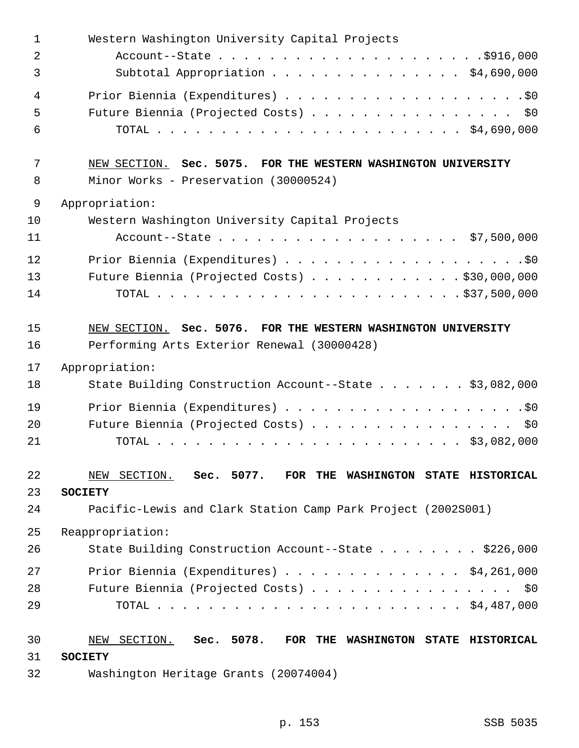| $\mathbf 1$    | Western Washington University Capital Projects                 |
|----------------|----------------------------------------------------------------|
| $\overline{2}$ |                                                                |
| 3              | Subtotal Appropriation \$4,690,000                             |
| $\overline{4}$ |                                                                |
| 5              | Future Biennia (Projected Costs) \$0                           |
| 6              |                                                                |
| 7              | NEW SECTION. Sec. 5075. FOR THE WESTERN WASHINGTON UNIVERSITY  |
| 8              | Minor Works - Preservation (30000524)                          |
| 9              | Appropriation:                                                 |
| 10             | Western Washington University Capital Projects                 |
| 11             | Account--State \$7,500,000                                     |
| 12             |                                                                |
| 13             | Future Biennia (Projected Costs) \$30,000,000                  |
| 14             |                                                                |
| 15             | NEW SECTION. Sec. 5076. FOR THE WESTERN WASHINGTON UNIVERSITY  |
| 16             | Performing Arts Exterior Renewal (30000428)                    |
| 17             | Appropriation:                                                 |
| 18             | State Building Construction Account--State \$3,082,000         |
| 19             |                                                                |
| 20             | Future Biennia (Projected Costs) \$0                           |
| 21             |                                                                |
| 22             | NEW SECTION. Sec. 5077. FOR THE WASHINGTON STATE HISTORICAL    |
| 23             | <b>SOCIETY</b>                                                 |
| 24             | Pacific-Lewis and Clark Station Camp Park Project (2002S001)   |
| 25             | Reappropriation:                                               |
| 26             | State Building Construction Account--State \$226,000           |
| 27             | Prior Biennia (Expenditures) \$4,261,000                       |
| 28             | Future Biennia (Projected Costs) \$0                           |
| 29             |                                                                |
| 30             | SECTION. Sec. 5078. FOR THE WASHINGTON STATE HISTORICAL<br>NEW |
| 31             | <b>SOCIETY</b>                                                 |
| 32             | Washington Heritage Grants (20074004)                          |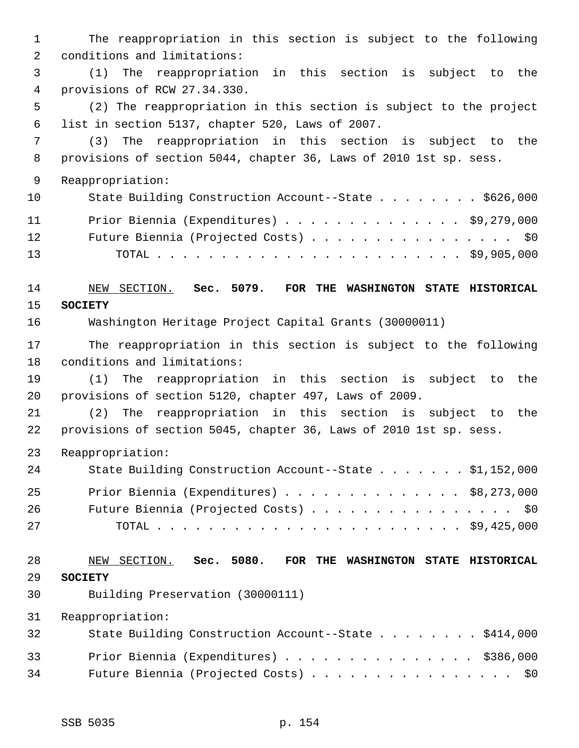1 The reappropriation in this section is subject to the following 2 conditions and limitations: 3 (1) The reappropriation in this section is subject to the 4 provisions of RCW 27.34.330. 5 (2) The reappropriation in this section is subject to the project 6 list in section 5137, chapter 520, Laws of 2007. 7 (3) The reappropriation in this section is subject to the 8 provisions of section 5044, chapter 36, Laws of 2010 1st sp. sess. 9 Reappropriation: 10 State Building Construction Account--State . . . . . . . \$626,000 11 Prior Biennia (Expenditures) . . . . . . . . . . . . . . \$9,279,000 12 Future Biennia (Projected Costs) . . . . . . . . . . . . . . . \$0 13 TOTAL . . . . . . . . . . . . . . . . . . . . . . . . \$9,905,000 14 NEW SECTION. **Sec. 5079. FOR THE WASHINGTON STATE HISTORICAL** 15 **SOCIETY** 16 Washington Heritage Project Capital Grants (30000011) 17 The reappropriation in this section is subject to the following 18 conditions and limitations: 19 (1) The reappropriation in this section is subject to the 20 provisions of section 5120, chapter 497, Laws of 2009. 21 (2) The reappropriation in this section is subject to the 22 provisions of section 5045, chapter 36, Laws of 2010 1st sp. sess. 23 Reappropriation: 24 State Building Construction Account--State . . . . . . \$1,152,000 25 Prior Biennia (Expenditures) . . . . . . . . . . . . . . \$8,273,000 26 Future Biennia (Projected Costs) . . . . . . . . . . . . . . . \$0 27 TOTAL . . . . . . . . . . . . . . . . . . . . . . . . \$9,425,000 28 NEW SECTION. **Sec. 5080. FOR THE WASHINGTON STATE HISTORICAL** 29 **SOCIETY** 30 Building Preservation (30000111) 31 Reappropriation: 32 State Building Construction Account--State . . . . . . . \$414,000 33 Prior Biennia (Expenditures) . . . . . . . . . . . . . . . \$386,000 34 Future Biennia (Projected Costs) . . . . . . . . . . . . . . . \$0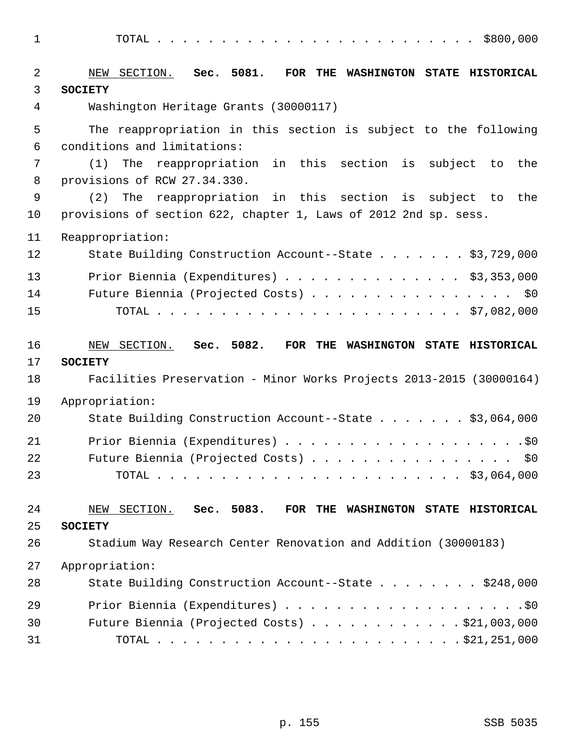1 TOTAL . . . . . . . . . . . . . . . . . . . . . . . . . \$800,000

| 2              | Sec. 5081.<br>SECTION.<br>NEW<br>FOR THE WASHINGTON STATE HISTORICAL |
|----------------|----------------------------------------------------------------------|
| 3              | <b>SOCIETY</b>                                                       |
| $\overline{4}$ | Washington Heritage Grants (30000117)                                |
| 5              | The reappropriation in this section is subject to the following      |
| 6              | conditions and limitations:                                          |
| 7              | reappropriation in this section is subject to<br>(1)<br>The<br>the   |
| 8              | provisions of RCW 27.34.330.                                         |
| 9              | (2)<br>The<br>reappropriation in this section is subject to<br>the   |
| 10             | provisions of section 622, chapter 1, Laws of 2012 2nd sp. sess.     |
| 11             | Reappropriation:                                                     |
| 12             | State Building Construction Account--State \$3,729,000               |
| 13             | Prior Biennia (Expenditures) \$3,353,000                             |
| 14             | Future Biennia (Projected Costs) \$0                                 |
| 15             |                                                                      |
|                |                                                                      |
| 16             | Sec. 5082.<br>NEW SECTION.<br>FOR THE WASHINGTON STATE HISTORICAL    |
| 17             | <b>SOCIETY</b>                                                       |
| 18             | Facilities Preservation - Minor Works Projects 2013-2015 (30000164)  |
| 19             | Appropriation:                                                       |
| 20             | State Building Construction Account--State \$3,064,000               |
| 21             |                                                                      |
| 22             | Future Biennia (Projected Costs)<br>\$0                              |
| 23             |                                                                      |
|                |                                                                      |
| 24             | NEW SECTION. Sec. 5083. FOR THE WASHINGTON STATE HISTORICAL          |
| 25             | <b>SOCIETY</b>                                                       |
| 26             | Stadium Way Research Center Renovation and Addition (30000183)       |
| 27             | Appropriation:                                                       |
| 28             | State Building Construction Account--State \$248,000                 |
| 29             |                                                                      |
| 30             | Future Biennia (Projected Costs) \$21,003,000                        |
| 31             |                                                                      |
|                |                                                                      |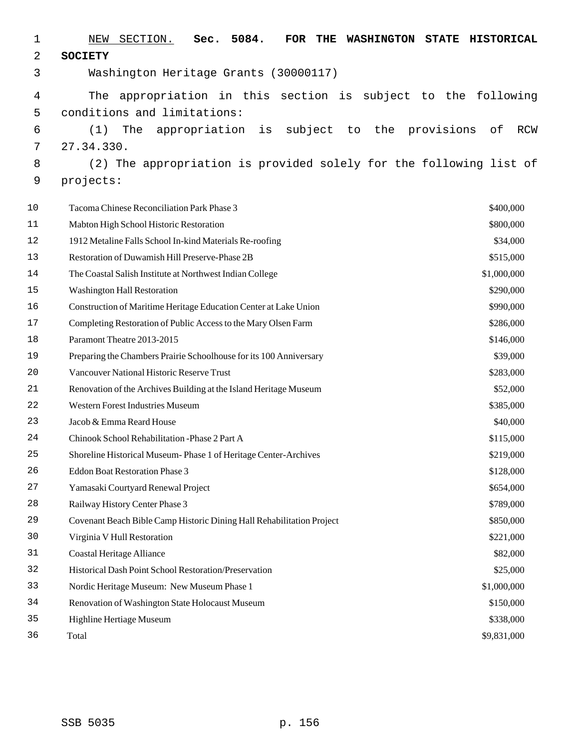| 1  | 5084.<br>NEW<br>SECTION.<br>Sec.<br>FOR<br>THE                        | WASHINGTON STATE HISTORICAL |
|----|-----------------------------------------------------------------------|-----------------------------|
| 2  | <b>SOCIETY</b>                                                        |                             |
| 3  | Washington Heritage Grants (30000117)                                 |                             |
| 4  | appropriation in this section is subject to the following<br>The      |                             |
| 5  | conditions and limitations:                                           |                             |
| 6  | appropriation<br>the provisions<br>(1)<br>The<br>is<br>subject<br>to  | оf<br>RCW                   |
| 7  | 27.34.330.                                                            |                             |
| 8  | (2) The appropriation is provided solely for the following list of    |                             |
| 9  | projects:                                                             |                             |
| 10 | Tacoma Chinese Reconciliation Park Phase 3                            | \$400,000                   |
| 11 | Mabton High School Historic Restoration                               | \$800,000                   |
| 12 | 1912 Metaline Falls School In-kind Materials Re-roofing               | \$34,000                    |
| 13 | Restoration of Duwamish Hill Preserve-Phase 2B                        | \$515,000                   |
| 14 | The Coastal Salish Institute at Northwest Indian College              | \$1,000,000                 |
| 15 | <b>Washington Hall Restoration</b>                                    | \$290,000                   |
| 16 | Construction of Maritime Heritage Education Center at Lake Union      | \$990,000                   |
| 17 | Completing Restoration of Public Access to the Mary Olsen Farm        | \$286,000                   |
| 18 | Paramont Theatre 2013-2015                                            | \$146,000                   |
| 19 | Preparing the Chambers Prairie Schoolhouse for its 100 Anniversary    | \$39,000                    |
| 20 | Vancouver National Historic Reserve Trust                             | \$283,000                   |
| 21 | Renovation of the Archives Building at the Island Heritage Museum     | \$52,000                    |
| 22 | <b>Western Forest Industries Museum</b>                               | \$385,000                   |
| 23 | Jacob & Emma Reard House                                              | \$40,000                    |
| 24 | Chinook School Rehabilitation -Phase 2 Part A                         | \$115,000                   |
| 25 | Shoreline Historical Museum-Phase 1 of Heritage Center-Archives       | \$219,000                   |
| 26 | Eddon Boat Restoration Phase 3                                        | \$128,000                   |
| 27 | Yamasaki Courtyard Renewal Project                                    | \$654,000                   |
| 28 | Railway History Center Phase 3                                        | \$789,000                   |
| 29 | Covenant Beach Bible Camp Historic Dining Hall Rehabilitation Project | \$850,000                   |
| 30 | Virginia V Hull Restoration                                           | \$221,000                   |
| 31 | <b>Coastal Heritage Alliance</b>                                      | \$82,000                    |
| 32 | Historical Dash Point School Restoration/Preservation                 | \$25,000                    |
| 33 | Nordic Heritage Museum: New Museum Phase 1                            | \$1,000,000                 |
| 34 | Renovation of Washington State Holocaust Museum                       | \$150,000                   |
| 35 | Highline Hertiage Museum                                              | \$338,000                   |
| 36 | Total                                                                 | \$9,831,000                 |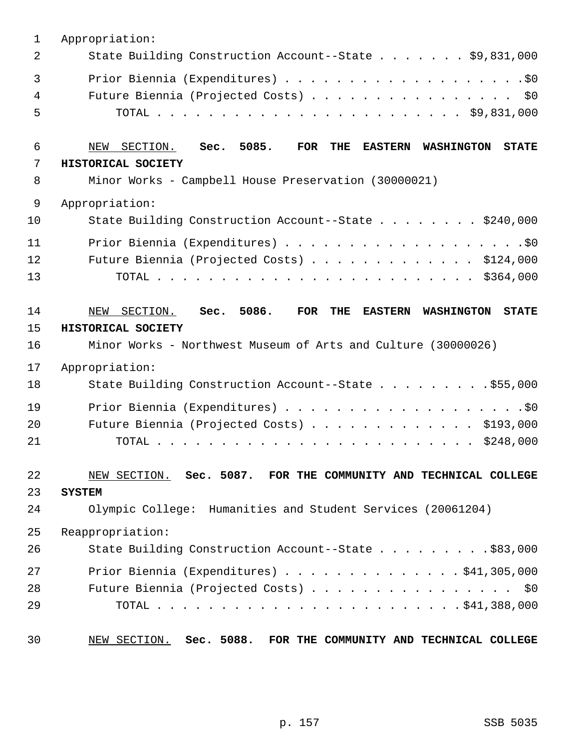| $\mathbf{1}$   | Appropriation:                                                                                                                                                            |
|----------------|---------------------------------------------------------------------------------------------------------------------------------------------------------------------------|
| 2              | State Building Construction Account--State \$9,831,000                                                                                                                    |
| 3<br>4<br>5    | Future Biennia (Projected Costs) \$0                                                                                                                                      |
| 6              | NEW SECTION. Sec. 5085.<br><b>THE</b><br>FOR<br><b>EASTERN</b><br><b>STATE</b><br><b>WASHINGTON</b>                                                                       |
| 7              | HISTORICAL SOCIETY                                                                                                                                                        |
| 8              | Minor Works - Campbell House Preservation (30000021)                                                                                                                      |
| $\mathsf 9$    | Appropriation:                                                                                                                                                            |
| 10             | State Building Construction Account--State \$240,000                                                                                                                      |
| 11             |                                                                                                                                                                           |
| 12             | Future Biennia (Projected Costs) \$124,000                                                                                                                                |
| 13             |                                                                                                                                                                           |
| 14<br>15<br>16 | SECTION. Sec. 5086. FOR<br><b>THE</b><br>WASHINGTON STATE<br>NEW<br><b>EASTERN</b><br>HISTORICAL SOCIETY<br>Minor Works - Northwest Museum of Arts and Culture (30000026) |
|                |                                                                                                                                                                           |
| 17             | Appropriation:                                                                                                                                                            |
| 18             | State Building Construction Account--State \$55,000                                                                                                                       |
| 19             |                                                                                                                                                                           |
| 20             | Future Biennia (Projected Costs) \$193,000                                                                                                                                |
| 21             |                                                                                                                                                                           |
| 22<br>23<br>24 | NEW SECTION. Sec. 5087. FOR THE COMMUNITY AND TECHNICAL COLLEGE<br><b>SYSTEM</b><br>Olympic College: Humanities and Student Services (20061204)                           |
| 25             | Reappropriation:                                                                                                                                                          |
| 26             | State Building Construction Account--State \$83,000                                                                                                                       |
| 27             | Prior Biennia (Expenditures) $\ldots$ 941, 305, 000                                                                                                                       |
| 28             | Future Biennia (Projected Costs) \$0                                                                                                                                      |
| 29             |                                                                                                                                                                           |
| 30             | NEW SECTION. Sec. 5088. FOR THE COMMUNITY AND TECHNICAL COLLEGE                                                                                                           |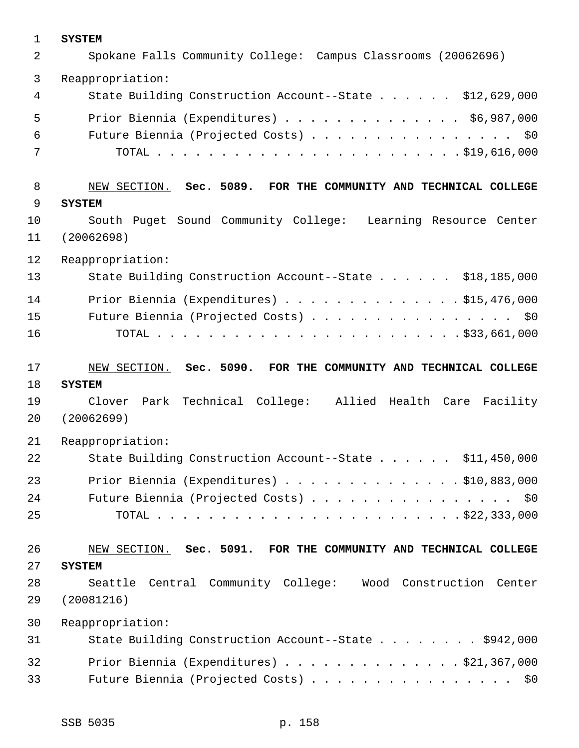| $\mathbf{1}$ | <b>SYSTEM</b>                                                   |
|--------------|-----------------------------------------------------------------|
| 2            | Spokane Falls Community College: Campus Classrooms (20062696)   |
| 3            | Reappropriation:                                                |
| 4            | State Building Construction Account--State \$12,629,000         |
| 5            | Prior Biennia (Expenditures) \$6,987,000                        |
| 6            | Future Biennia (Projected Costs) \$0                            |
| 7            |                                                                 |
| 8            | NEW SECTION. Sec. 5089. FOR THE COMMUNITY AND TECHNICAL COLLEGE |
| 9            | <b>SYSTEM</b>                                                   |
| 10           | South Puget Sound Community College: Learning Resource Center   |
| 11           | (20062698)                                                      |
| 12           | Reappropriation:                                                |
| 13           | State Building Construction Account--State \$18,185,000         |
| 14           | Prior Biennia (Expenditures) \$15,476,000                       |
| 15           | Future Biennia (Projected Costs) \$0                            |
| 16           |                                                                 |
| 17           | NEW SECTION. Sec. 5090. FOR THE COMMUNITY AND TECHNICAL COLLEGE |
| 18           | <b>SYSTEM</b>                                                   |
| 19           | Clover Park Technical College: Allied Health Care Facility      |
| 20           | (20062699)                                                      |
| 21           | Reappropriation:                                                |
| 22           | State Building Construction Account--State \$11,450,000         |
| 23           | Prior Biennia (Expenditures) $\ldots$ 910,883,000               |
| 24           |                                                                 |
| 25           | Future Biennia (Projected Costs) \$0                            |
|              |                                                                 |
| 26           | NEW SECTION. Sec. 5091. FOR THE COMMUNITY AND TECHNICAL COLLEGE |
| 27           | <b>SYSTEM</b>                                                   |
| 28           | Seattle Central Community College: Wood Construction Center     |
| 29           | (20081216)                                                      |
| 30           | Reappropriation:                                                |
| 31           | State Building Construction Account--State \$942,000            |
| 32           | Prior Biennia (Expenditures) $\ldots$ \$21,367,000              |
| 33           | Future Biennia (Projected Costs) \$0                            |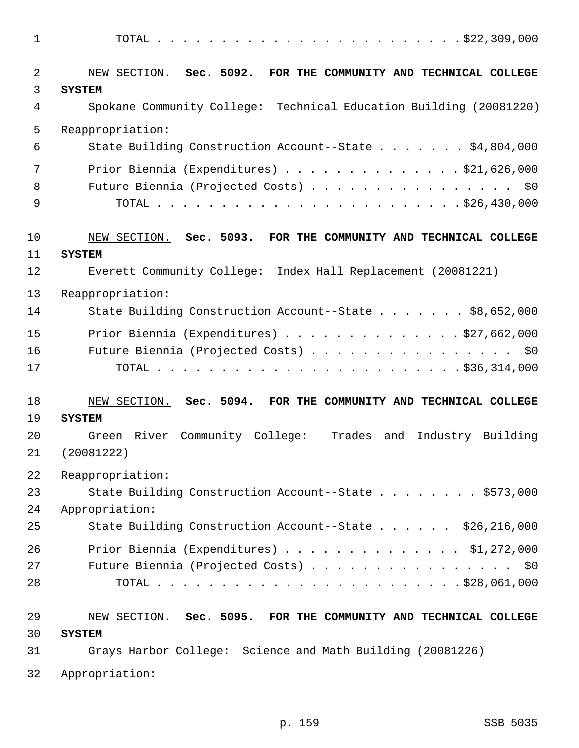| $\mathbf 1$  |                                                                      |
|--------------|----------------------------------------------------------------------|
| 2            | NEW SECTION. Sec. 5092. FOR THE COMMUNITY AND TECHNICAL COLLEGE      |
| $\mathsf{3}$ | <b>SYSTEM</b>                                                        |
| 4            | Spokane Community College: Technical Education Building (20081220)   |
| 5            | Reappropriation:                                                     |
| 6            | State Building Construction Account--State \$4,804,000               |
| 7            | Prior Biennia (Expenditures) \$21,626,000                            |
| 8            | Future Biennia (Projected Costs) \$0                                 |
| 9            |                                                                      |
| 10           | NEW SECTION. Sec. 5093. FOR THE COMMUNITY AND TECHNICAL COLLEGE      |
| 11           | <b>SYSTEM</b>                                                        |
| 12           | Everett Community College: Index Hall Replacement (20081221)         |
| 13           | Reappropriation:                                                     |
| 14           | State Building Construction Account--State \$8,652,000               |
| 15           | Prior Biennia (Expenditures) $\ldots$ \$27,662,000                   |
| 16           | Future Biennia (Projected Costs) \$0                                 |
| 17           |                                                                      |
| 18           | NEW SECTION. Sec. 5094. FOR THE COMMUNITY AND TECHNICAL COLLEGE      |
| 19           | <b>SYSTEM</b>                                                        |
| 20           | Green River Community College:<br>Trades<br>and<br>Industry Building |
| 21           | (20081222)                                                           |
| 22           | Reappropriation:                                                     |
| 23           | State Building Construction Account--State \$573,000                 |
| 24           | Appropriation:                                                       |
| 25           | State Building Construction Account--State \$26,216,000              |
| 26           | Prior Biennia (Expenditures) $\ldots$ \$1,272,000                    |
| 27           | Future Biennia (Projected Costs) \$0                                 |
| 28           |                                                                      |
| 29           | NEW SECTION. Sec. 5095. FOR THE COMMUNITY AND TECHNICAL COLLEGE      |
| 30           | <b>SYSTEM</b>                                                        |
| 31           | Grays Harbor College: Science and Math Building (20081226)           |

32 Appropriation: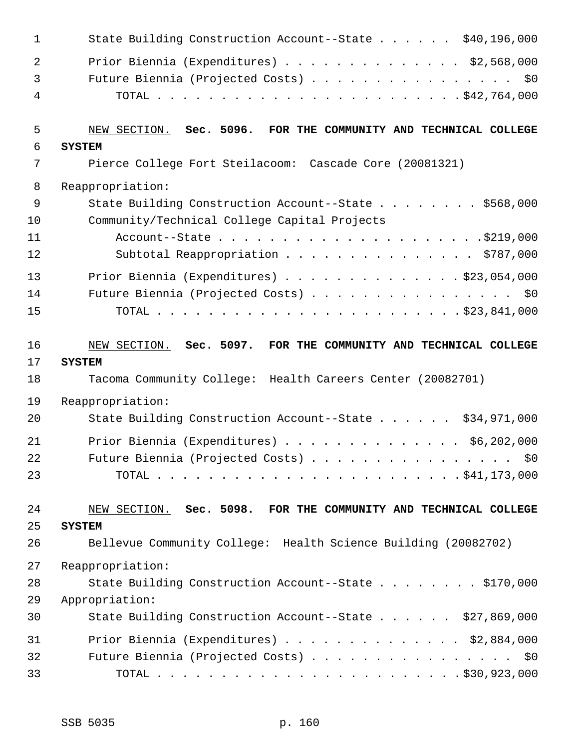| $\mathbf 1$ | State Building Construction Account--State \$40,196,000         |
|-------------|-----------------------------------------------------------------|
| 2           | Prior Biennia (Expenditures) \$2,568,000                        |
| 3           | Future Biennia (Projected Costs) \$0                            |
| 4           |                                                                 |
| 5           | NEW SECTION. Sec. 5096. FOR THE COMMUNITY AND TECHNICAL COLLEGE |
| 6           | <b>SYSTEM</b>                                                   |
| 7           | Pierce College Fort Steilacoom: Cascade Core (20081321)         |
| 8           | Reappropriation:                                                |
| 9           | State Building Construction Account--State \$568,000            |
| 10          | Community/Technical College Capital Projects                    |
| 11          |                                                                 |
| 12          | Subtotal Reappropriation \$787,000                              |
| 13          | Prior Biennia (Expenditures) \$23,054,000                       |
| 14          | Future Biennia (Projected Costs) \$0                            |
| 15          |                                                                 |
| 16          | NEW SECTION. Sec. 5097. FOR THE COMMUNITY AND TECHNICAL COLLEGE |
| 17          | <b>SYSTEM</b>                                                   |
| 18          | Tacoma Community College: Health Careers Center (20082701)      |
| 19          | Reappropriation:                                                |
| 20          | State Building Construction Account--State \$34,971,000         |
| 21          | Prior Biennia (Expenditures) $\ldots$ \$6,202,000               |
| 22          | Future Biennia (Projected Costs) \$0                            |
| 23          |                                                                 |
| 24          | NEW SECTION. Sec. 5098. FOR THE COMMUNITY AND TECHNICAL COLLEGE |
| 25          | <b>SYSTEM</b>                                                   |
| 26          | Bellevue Community College: Health Science Building (20082702)  |
| 27          | Reappropriation:                                                |
| 28          | State Building Construction Account--State \$170,000            |
| 29          | Appropriation:                                                  |
| 30          | State Building Construction Account--State \$27,869,000         |
| 31          | Prior Biennia (Expenditures) $\ldots$ \$2,884,000               |
| 32          | Future Biennia (Projected Costs) \$0                            |
| 33          |                                                                 |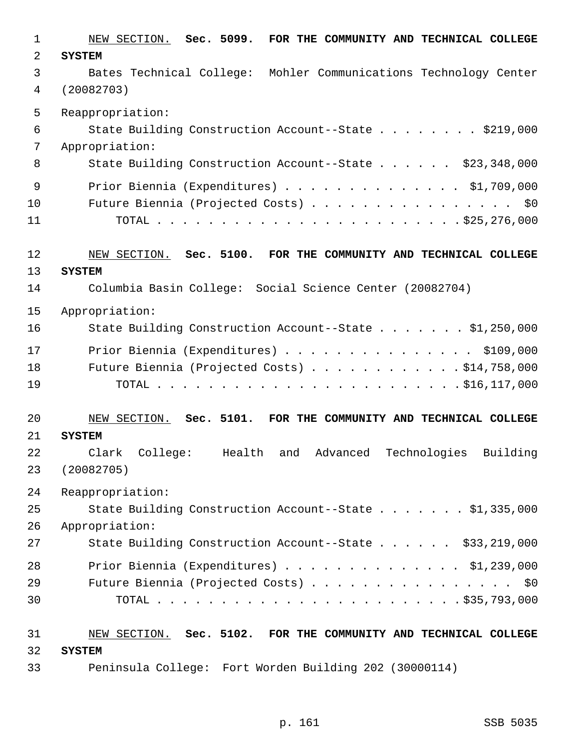| $\mathbf{1}$ | NEW SECTION. Sec. 5099. FOR THE COMMUNITY AND TECHNICAL COLLEGE            |
|--------------|----------------------------------------------------------------------------|
| 2            | <b>SYSTEM</b>                                                              |
| 3            | Bates Technical College: Mohler Communications Technology Center           |
| 4            | (20082703)                                                                 |
| 5            | Reappropriation:                                                           |
| 6            | State Building Construction Account--State \$219,000                       |
| 7            | Appropriation:                                                             |
| 8            | State Building Construction Account--State \$23,348,000                    |
| 9            | Prior Biennia (Expenditures) \$1,709,000                                   |
| 10           | Future Biennia (Projected Costs) \$0                                       |
| 11           |                                                                            |
| 12           | NEW SECTION. Sec. 5100. FOR THE COMMUNITY AND TECHNICAL COLLEGE            |
| 13           | <b>SYSTEM</b>                                                              |
| 14           | Columbia Basin College: Social Science Center (20082704)                   |
| 15           | Appropriation:                                                             |
| 16           | State Building Construction Account--State \$1,250,000                     |
| 17           | Prior Biennia (Expenditures) \$109,000                                     |
| 18           | Future Biennia (Projected Costs) \$14,758,000                              |
| 19           |                                                                            |
| 20           | NEW SECTION. Sec. 5101. FOR THE COMMUNITY AND TECHNICAL COLLEGE            |
| 21           | <b>SYSTEM</b>                                                              |
| 22           | Technologies<br>Building<br>Clark<br>College:<br>Health<br>Advanced<br>and |
| 23           | (20082705)                                                                 |
| 24           | Reappropriation:                                                           |
| 25           | State Building Construction Account--State \$1,335,000                     |
| 26           | Appropriation:                                                             |
| 27           | State Building Construction Account--State \$33,219,000                    |
| 28           | Prior Biennia (Expenditures) \$1,239,000                                   |
| 29           | Future Biennia (Projected Costs) \$0                                       |
| 30           |                                                                            |
| 31           | NEW SECTION. Sec. 5102. FOR THE COMMUNITY AND TECHNICAL COLLEGE            |
| 32           | <b>SYSTEM</b>                                                              |
| 33           | Peninsula College: Fort Worden Building 202 (30000114)                     |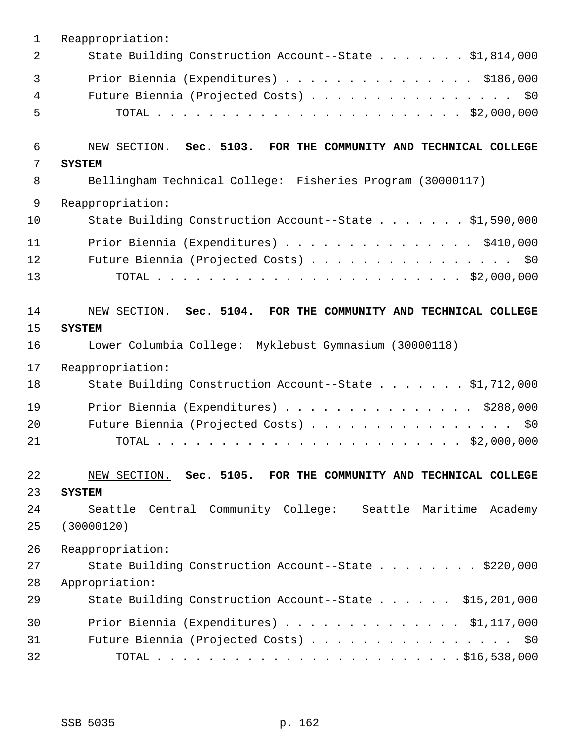| 1  | Reappropriation:                                                |
|----|-----------------------------------------------------------------|
| 2  | State Building Construction Account--State \$1,814,000          |
| 3  | Prior Biennia (Expenditures) \$186,000                          |
| 4  | Future Biennia (Projected Costs) \$0                            |
| 5  |                                                                 |
| 6  | NEW SECTION. Sec. 5103. FOR THE COMMUNITY AND TECHNICAL COLLEGE |
| 7  | <b>SYSTEM</b>                                                   |
| 8  | Bellingham Technical College: Fisheries Program (30000117)      |
| 9  | Reappropriation:                                                |
| 10 | State Building Construction Account--State \$1,590,000          |
| 11 | Prior Biennia (Expenditures) \$410,000                          |
| 12 | Future Biennia (Projected Costs) \$0                            |
| 13 |                                                                 |
| 14 | NEW SECTION. Sec. 5104. FOR THE COMMUNITY AND TECHNICAL COLLEGE |
| 15 | <b>SYSTEM</b>                                                   |
| 16 | Lower Columbia College: Myklebust Gymnasium (30000118)          |
| 17 | Reappropriation:                                                |
| 18 | State Building Construction Account--State \$1,712,000          |
| 19 | Prior Biennia (Expenditures) \$288,000                          |
| 20 | Future Biennia (Projected Costs)<br>\$0                         |
| 21 |                                                                 |
| 22 | NEW SECTION. Sec. 5105. FOR THE COMMUNITY AND TECHNICAL COLLEGE |
| 23 | <b>SYSTEM</b>                                                   |
| 24 | Seattle Central Community College: Seattle Maritime Academy     |
| 25 | (30000120)                                                      |
| 26 | Reappropriation:                                                |
| 27 | State Building Construction Account--State \$220,000            |
| 28 | Appropriation:                                                  |
| 29 | State Building Construction Account--State \$15,201,000         |
| 30 | Prior Biennia (Expenditures) \$1,117,000                        |
| 31 | Future Biennia (Projected Costs) \$0                            |
| 32 |                                                                 |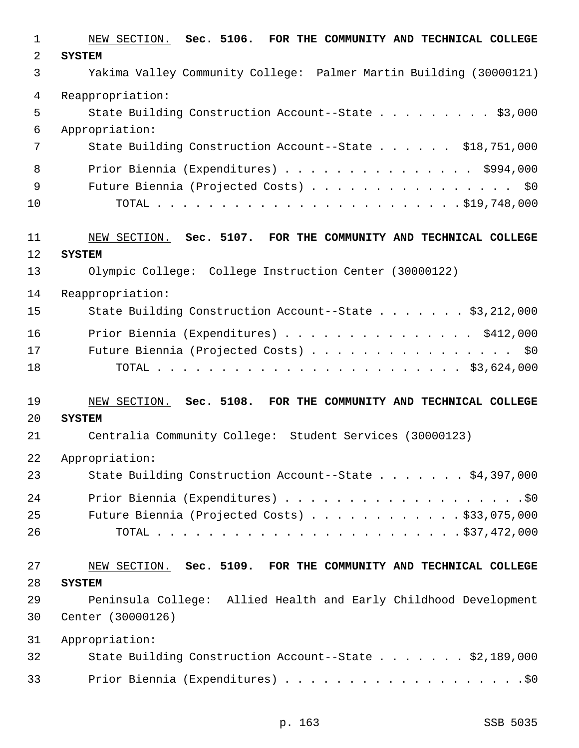| 1              | NEW SECTION. Sec. 5106. FOR THE COMMUNITY AND TECHNICAL COLLEGE    |
|----------------|--------------------------------------------------------------------|
| $\overline{a}$ | <b>SYSTEM</b>                                                      |
| 3              | Yakima Valley Community College: Palmer Martin Building (30000121) |
| 4              | Reappropriation:                                                   |
| 5              | State Building Construction Account--State \$3,000                 |
| 6              | Appropriation:                                                     |
| 7              | State Building Construction Account--State \$18,751,000            |
| 8              | Prior Biennia (Expenditures) \$994,000                             |
| 9              | Future Biennia (Projected Costs) \$0                               |
| 10             |                                                                    |
| 11             | NEW SECTION. Sec. 5107. FOR THE COMMUNITY AND TECHNICAL COLLEGE    |
| 12             | <b>SYSTEM</b>                                                      |
| 13             | Olympic College: College Instruction Center (30000122)             |
| 14             | Reappropriation:                                                   |
| 15             | State Building Construction Account--State \$3,212,000             |
| 16             | Prior Biennia (Expenditures) \$412,000                             |
| 17             | Future Biennia (Projected Costs) \$0                               |
| 18             |                                                                    |
| 19             | NEW SECTION. Sec. 5108. FOR THE COMMUNITY AND TECHNICAL COLLEGE    |
| 20             | <b>SYSTEM</b>                                                      |
| 21             | Centralia Community College: Student Services (30000123)           |
| 22             | Appropriation:                                                     |
| 23             | State Building Construction Account--State \$4,397,000             |
| 24             |                                                                    |
| 25             | Future Biennia (Projected Costs) \$33,075,000                      |
| 26             |                                                                    |
| 27             | NEW SECTION. Sec. 5109. FOR THE COMMUNITY AND TECHNICAL COLLEGE    |
| 28             | <b>SYSTEM</b>                                                      |
| 29             | Peninsula College: Allied Health and Early Childhood Development   |
| 30             | Center (30000126)                                                  |
| 31             | Appropriation:                                                     |
| 32             | State Building Construction Account--State \$2,189,000             |
| 33             |                                                                    |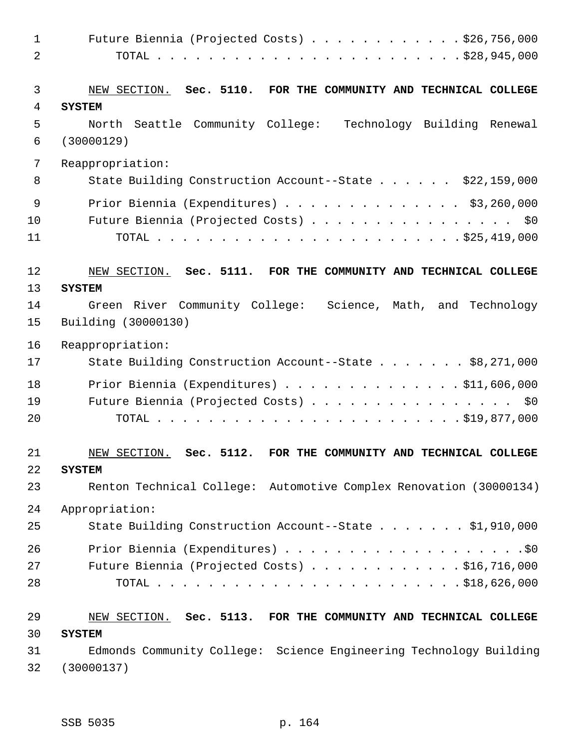| $\mathbf{1}$   | Future Biennia (Projected Costs) $\ldots$ \$26,756,000                           |
|----------------|----------------------------------------------------------------------------------|
| $\overline{a}$ |                                                                                  |
| 3<br>4         | NEW SECTION. Sec. 5110. FOR THE COMMUNITY AND TECHNICAL COLLEGE<br><b>SYSTEM</b> |
| 5              | North Seattle Community College: Technology Building Renewal                     |
| 6              | (30000129)                                                                       |
| 7              | Reappropriation:                                                                 |
| 8              | State Building Construction Account--State \$22,159,000                          |
| 9              | Prior Biennia (Expenditures) \$3,260,000                                         |
| 10             | Future Biennia (Projected Costs) \$0                                             |
| 11             |                                                                                  |
| 12             | NEW SECTION. Sec. 5111. FOR THE COMMUNITY AND TECHNICAL COLLEGE                  |
| 13             | <b>SYSTEM</b>                                                                    |
| 14             | Green River Community College: Science, Math, and Technology                     |
| 15             | Building (30000130)                                                              |
| 16             | Reappropriation:                                                                 |
| 17             | State Building Construction Account--State \$8,271,000                           |
| 18             | Prior Biennia (Expenditures) \$11,606,000                                        |
| 19             | Future Biennia (Projected Costs) \$0                                             |
| 20             |                                                                                  |
| 21             | Sec. 5112.<br>FOR THE COMMUNITY AND TECHNICAL COLLEGE<br>NEW SECTION.            |
| 22             | <b>SYSTEM</b>                                                                    |
| 23             | Renton Technical College: Automotive Complex Renovation (30000134)               |
| 24             | Appropriation:                                                                   |
| 25             | State Building Construction Account--State \$1,910,000                           |
| 26             |                                                                                  |
| 27             | Future Biennia (Projected Costs) $\ldots$ \$16,716,000                           |
| 28             |                                                                                  |
| 29             | NEW SECTION. Sec. 5113. FOR THE COMMUNITY AND TECHNICAL COLLEGE                  |
| 30             | <b>SYSTEM</b>                                                                    |
| 31             | Edmonds Community College: Science Engineering Technology Building               |
| 32             | (30000137)                                                                       |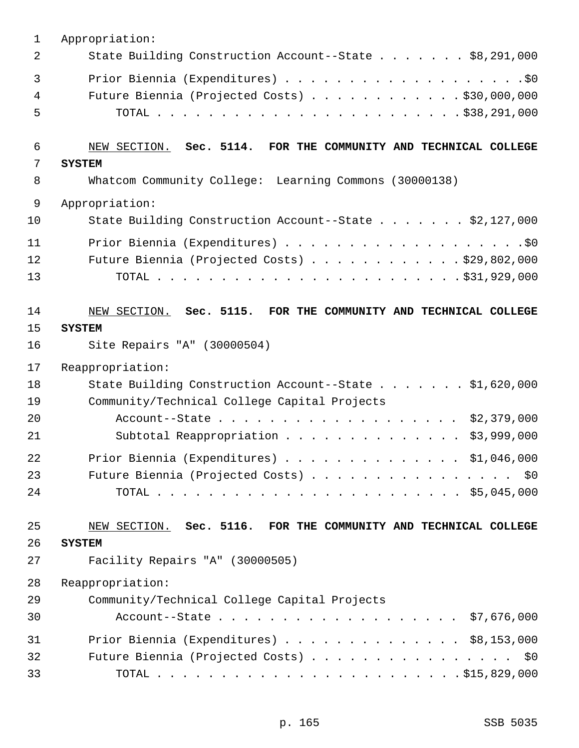| $\mathbf{1}$   | Appropriation:                                                                                                  |
|----------------|-----------------------------------------------------------------------------------------------------------------|
| 2              | State Building Construction Account--State \$8,291,000                                                          |
| 3              |                                                                                                                 |
| 4              | Future Biennia (Projected Costs) \$30,000,000                                                                   |
| 5              |                                                                                                                 |
| 6              | NEW SECTION. Sec. 5114. FOR THE COMMUNITY AND TECHNICAL COLLEGE                                                 |
| 7              | <b>SYSTEM</b>                                                                                                   |
| 8              | Whatcom Community College: Learning Commons (30000138)                                                          |
| 9              | Appropriation:                                                                                                  |
| 10             | State Building Construction Account--State \$2,127,000                                                          |
| 11             |                                                                                                                 |
| 12             | Future Biennia (Projected Costs) \$29,802,000                                                                   |
| 13             |                                                                                                                 |
| 14<br>15<br>16 | NEW SECTION. Sec. 5115. FOR THE COMMUNITY AND TECHNICAL COLLEGE<br><b>SYSTEM</b><br>Site Repairs "A" (30000504) |
| 17             | Reappropriation:                                                                                                |
| 18<br>19       | State Building Construction Account--State \$1,620,000<br>Community/Technical College Capital Projects          |
| 20             | Account--State \$2,379,000                                                                                      |
| 21             | \$3,999,000<br>Subtotal Reappropriation                                                                         |
| 22             | Prior Biennia (Expenditures) $\ldots$ \$1,046,000                                                               |
| 23             | Future Biennia (Projected Costs)<br>\$0                                                                         |
| 24             |                                                                                                                 |
| 25             | NEW SECTION. Sec. 5116. FOR THE COMMUNITY AND TECHNICAL COLLEGE                                                 |
| 26             | <b>SYSTEM</b>                                                                                                   |
| 27             | Facility Repairs "A" (30000505)                                                                                 |
| 28             | Reappropriation:                                                                                                |
| 29             | Community/Technical College Capital Projects                                                                    |
| 30             | Account--State \$7,676,000                                                                                      |
| 31             | Prior Biennia (Expenditures) $\ldots$ \$8,153,000                                                               |
| 32             | Future Biennia (Projected Costs)<br>\$0                                                                         |
| 33             |                                                                                                                 |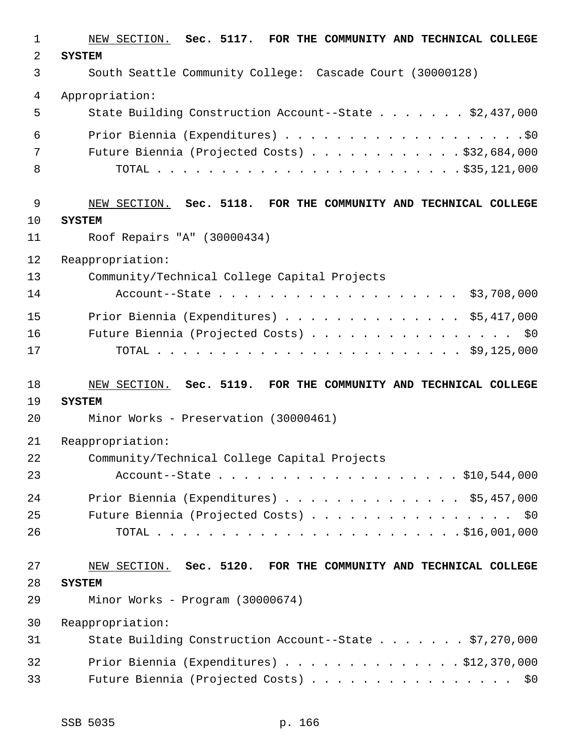| $\mathbf{1}$   | NEW SECTION. Sec. 5117. FOR THE COMMUNITY AND TECHNICAL COLLEGE |
|----------------|-----------------------------------------------------------------|
| $\overline{2}$ | <b>SYSTEM</b>                                                   |
| 3              | South Seattle Community College: Cascade Court (30000128)       |
| $\overline{4}$ | Appropriation:                                                  |
| 5              | State Building Construction Account--State \$2,437,000          |
| 6              |                                                                 |
| 7              | Future Biennia (Projected Costs) $\ldots$ \$32,684,000          |
| 8              |                                                                 |
| $\mathsf 9$    | NEW SECTION. Sec. 5118. FOR THE COMMUNITY AND TECHNICAL COLLEGE |
| 10             | <b>SYSTEM</b>                                                   |
| 11             | Roof Repairs "A" (30000434)                                     |
| 12             | Reappropriation:                                                |
| 13             | Community/Technical College Capital Projects                    |
| 14             | Account--State \$3,708,000                                      |
| 15             | Prior Biennia (Expenditures) $\ldots$ \$5,417,000               |
| 16             | Future Biennia (Projected Costs) \$0                            |
| 17             |                                                                 |
|                |                                                                 |
| 18             | NEW SECTION. Sec. 5119. FOR THE COMMUNITY AND TECHNICAL COLLEGE |
| 19             | <b>SYSTEM</b>                                                   |
| 20             | Minor Works - Preservation (30000461)                           |
| 21             | Reappropriation:                                                |
| 22             | Community/Technical College Capital Projects                    |
| 23             | Account--State \$10,544,000                                     |
| 24             | Prior Biennia (Expenditures) $\ldots$ \$5,457,000               |
| 25             | Future Biennia (Projected Costs) \$0                            |
| 26             |                                                                 |
| 27             | NEW SECTION. Sec. 5120. FOR THE COMMUNITY AND TECHNICAL COLLEGE |
| 28             | <b>SYSTEM</b>                                                   |
| 29             | Minor Works - Program (30000674)                                |
| 30             | Reappropriation:                                                |
| 31             | State Building Construction Account--State \$7,270,000          |
| 32             | Prior Biennia (Expenditures) $\ldots$ \$12,370,000              |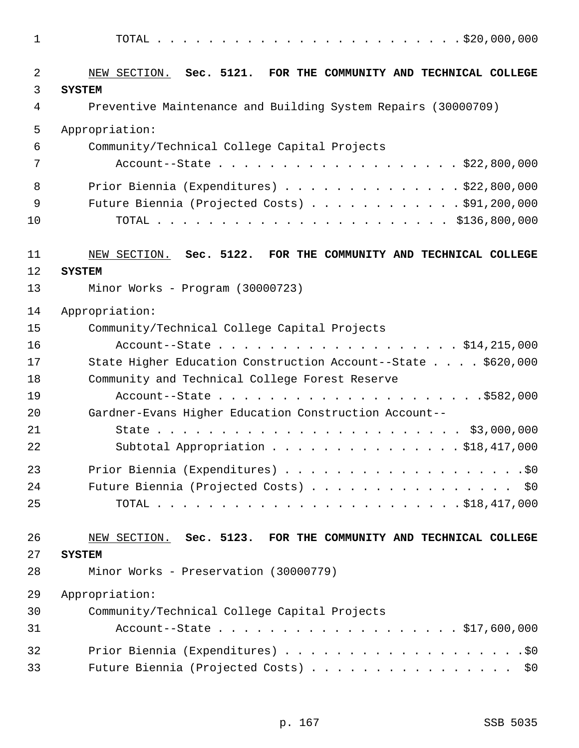| $\mathbf 1$ |                                                                                  |
|-------------|----------------------------------------------------------------------------------|
| 2<br>3      | NEW SECTION. Sec. 5121. FOR THE COMMUNITY AND TECHNICAL COLLEGE<br><b>SYSTEM</b> |
| 4           | Preventive Maintenance and Building System Repairs (30000709)                    |
| 5           | Appropriation:                                                                   |
| 6           | Community/Technical College Capital Projects                                     |
| 7           | Account--State \$22,800,000                                                      |
| 8           | Prior Biennia (Expenditures) \$22,800,000                                        |
| 9           | Future Biennia (Projected Costs) \$91,200,000                                    |
| 10          |                                                                                  |
| 11<br>12    | NEW SECTION. Sec. 5122. FOR THE COMMUNITY AND TECHNICAL COLLEGE<br><b>SYSTEM</b> |
| 13          | Minor Works - Program (30000723)                                                 |
| 14          | Appropriation:                                                                   |
| 15          | Community/Technical College Capital Projects                                     |
| 16          | Account--State \$14,215,000                                                      |
| 17          | State Higher Education Construction Account--State \$620,000                     |
| 18          | Community and Technical College Forest Reserve                                   |
| 19          |                                                                                  |
| 20          | Gardner-Evans Higher Education Construction Account--                            |
| 21          |                                                                                  |
| 22          | Subtotal Appropriation \$18,417,000                                              |
| 23          |                                                                                  |
| 24          | Future Biennia (Projected Costs) \$0                                             |
| 25          |                                                                                  |
| 26          | NEW SECTION. Sec. 5123. FOR THE COMMUNITY AND TECHNICAL COLLEGE                  |
| 27          | <b>SYSTEM</b>                                                                    |
| 28          | Minor Works - Preservation (30000779)                                            |
| 29          | Appropriation:                                                                   |
| 30          | Community/Technical College Capital Projects                                     |
| 31          |                                                                                  |
| 32          |                                                                                  |
| 33          | Future Biennia (Projected Costs) \$0                                             |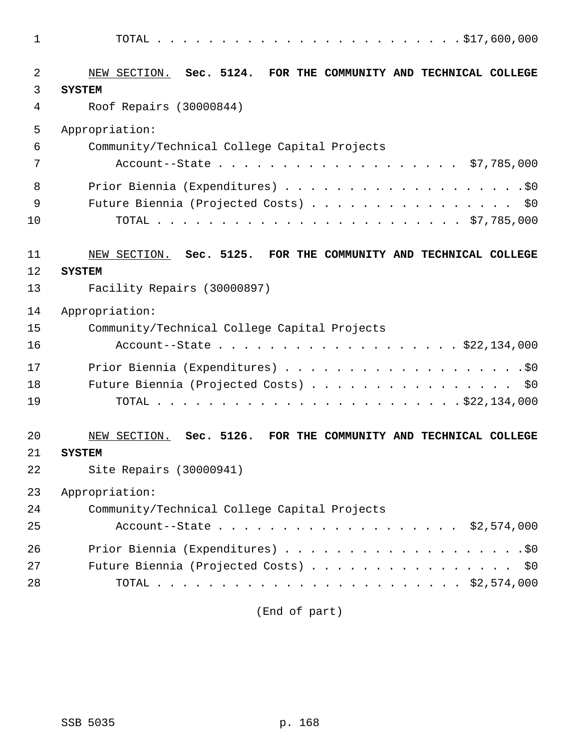| 1      |                                                                                  |
|--------|----------------------------------------------------------------------------------|
| 2<br>3 | NEW SECTION. Sec. 5124. FOR THE COMMUNITY AND TECHNICAL COLLEGE<br><b>SYSTEM</b> |
| 4      | Roof Repairs (30000844)                                                          |
| 5      | Appropriation:                                                                   |
| 6      | Community/Technical College Capital Projects                                     |
| 7      |                                                                                  |
| 8      |                                                                                  |
| 9      | Future Biennia (Projected Costs) \$0                                             |
| 10     |                                                                                  |
| 11     | NEW SECTION. Sec. 5125. FOR THE COMMUNITY AND TECHNICAL COLLEGE                  |
| 12     | <b>SYSTEM</b>                                                                    |
| 13     | Facility Repairs (30000897)                                                      |
| 14     | Appropriation:                                                                   |
| 15     | Community/Technical College Capital Projects                                     |
| 16     | Account--State \$22,134,000                                                      |
| 17     |                                                                                  |
| 18     | Future Biennia (Projected Costs) \$0                                             |
| 19     |                                                                                  |
| 20     | NEW SECTION. Sec. 5126. FOR THE COMMUNITY AND TECHNICAL COLLEGE                  |
| 21     | <b>SYSTEM</b>                                                                    |
| 22     | Site Repairs (30000941)                                                          |
| 23     | Appropriation:                                                                   |
| 24     | Community/Technical College Capital Projects                                     |
| 25     | Account--State \$2,574,000                                                       |
| 26     |                                                                                  |
| 27     | Future Biennia (Projected Costs) \$0                                             |
| 28     |                                                                                  |

(End of part)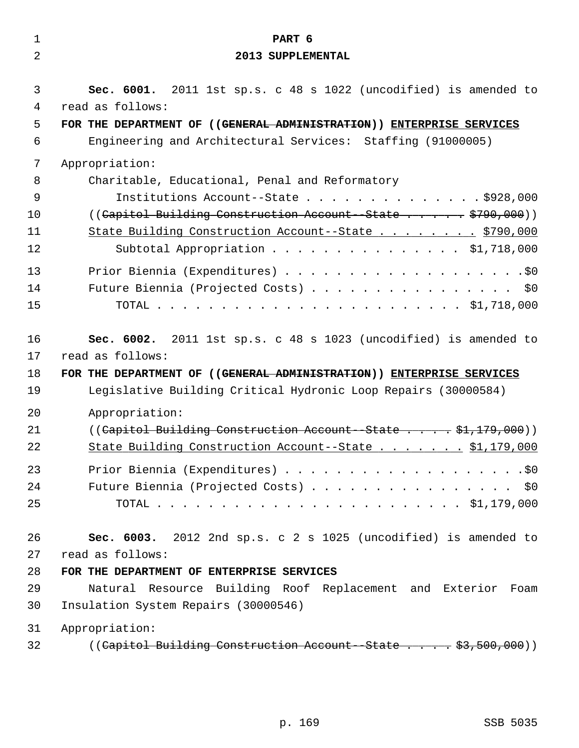| $\mathbf 1$    | PART 6                                                               |
|----------------|----------------------------------------------------------------------|
| $\overline{2}$ | 2013 SUPPLEMENTAL                                                    |
| 3              | Sec. 6001. 2011 1st sp.s. c 48 s 1022 (uncodified) is amended to     |
| 4              | read as follows:                                                     |
| 5              | FOR THE DEPARTMENT OF ((GENERAL ADMINISTRATION)) ENTERPRISE SERVICES |
| 6              | Engineering and Architectural Services: Staffing (91000005)          |
| 7              | Appropriation:                                                       |
| 8              | Charitable, Educational, Penal and Reformatory                       |
| 9              | Institutions Account--State $\ldots$ \$928,000                       |
| 10             | ((Capitol Building Construction Account--State \$790,000))           |
| 11             | State Building Construction Account--State \$790,000                 |
| 12             | Subtotal Appropriation \$1,718,000                                   |
| 13             |                                                                      |
| 14             | Future Biennia (Projected Costs) \$0                                 |
| 15             |                                                                      |
| 16             | Sec. 6002. 2011 1st sp.s. c 48 s 1023 (uncodified) is amended to     |
| 17             | read as follows:                                                     |
| 18             | FOR THE DEPARTMENT OF ((GENERAL ADMINISTRATION)) ENTERPRISE SERVICES |
| 19             | Legislative Building Critical Hydronic Loop Repairs (30000584)       |
| 20             | Appropriation:                                                       |
| 21             | ((Capitol Building Construction Account--State \$1,179,000))         |
| 22             | State Building Construction Account--State \$1,179,000               |
| 23             |                                                                      |
| 24             | Future Biennia (Projected Costs) \$0                                 |
| 25             |                                                                      |
| 26             | Sec. 6003. 2012 2nd sp.s. c 2 s 1025 (uncodified) is amended to      |
| 27             | read as follows:                                                     |
| 28             | FOR THE DEPARTMENT OF ENTERPRISE SERVICES                            |
| 29             | Natural Resource Building Roof Replacement and Exterior Foam         |
| 30             | Insulation System Repairs (30000546)                                 |
| 31             | Appropriation:                                                       |
| 32             | ((Capitol Building Construction Account--State \$3,500,000))         |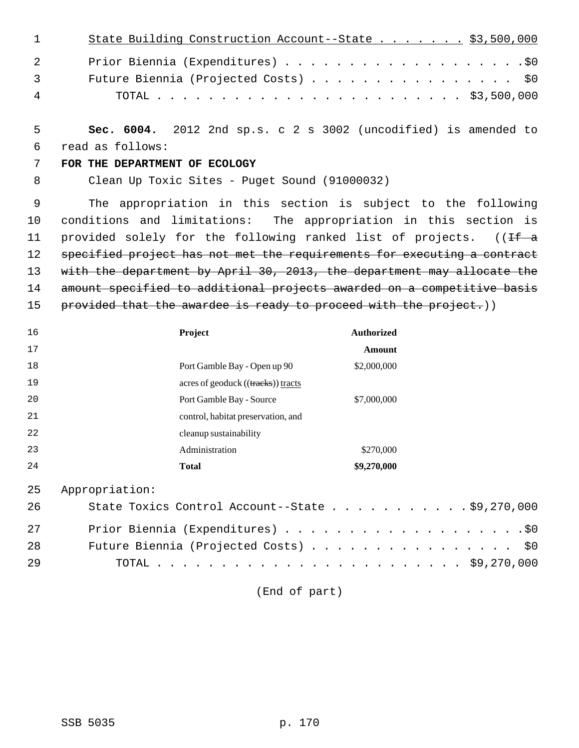| $\sim$ 1 $\sim$ $\sim$ | State Building Construction Account--State \$3,500,000 |  |
|------------------------|--------------------------------------------------------|--|
| 2                      |                                                        |  |
| $\overline{3}$         | Future Biennia (Projected Costs) \$0                   |  |
| 4                      |                                                        |  |

 5 **Sec. 6004.** 2012 2nd sp.s. c 2 s 3002 (uncodified) is amended to 6 read as follows:

## 7 **FOR THE DEPARTMENT OF ECOLOGY**

8 Clean Up Toxic Sites - Puget Sound (91000032)

 9 The appropriation in this section is subject to the following 10 conditions and limitations: The appropriation in this section is 11 provided solely for the following ranked list of projects.  $($  (If a 12 specified project has not met the requirements for executing a contract 13 with the department by April 30, 2013, the department may allocate the 14 amount specified to additional projects awarded on a competitive basis 15 provided that the awardee is ready to proceed with the project.))

| 16 | Project                            | <b>Authorized</b> |
|----|------------------------------------|-------------------|
| 17 |                                    | <b>Amount</b>     |
| 18 | Port Gamble Bay - Open up 90       | \$2,000,000       |
| 19 | acres of geoduck ((tracks)) tracts |                   |
| 20 | Port Gamble Bay - Source           | \$7,000,000       |
| 21 | control, habitat preservation, and |                   |
| 22 | cleanup sustainability             |                   |
| 23 | Administration                     | \$270,000         |
| 24 | <b>Total</b>                       | \$9,270,000       |

25 Appropriation:

| 26 | State Toxics Control Account--State \$9,270,000 |
|----|-------------------------------------------------|
| 27 |                                                 |
| 28 | Future Biennia (Projected Costs) \$0            |
| 29 |                                                 |

(End of part)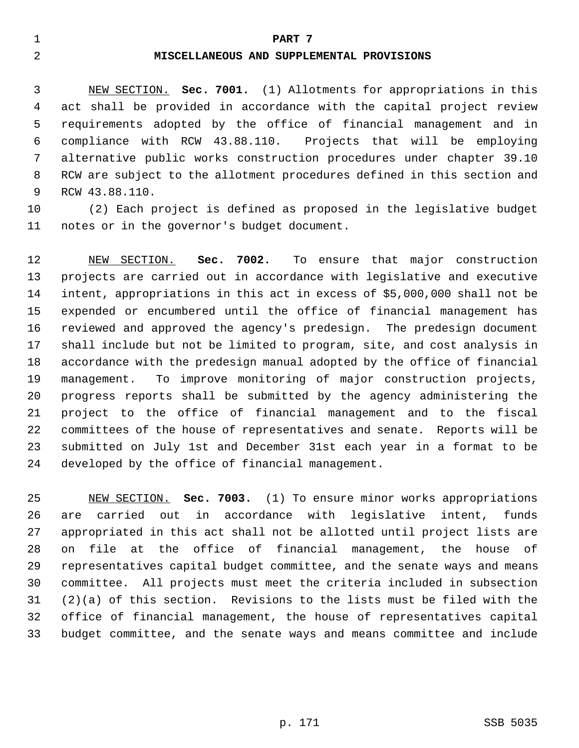## 1 **PART 7**

## 2 **MISCELLANEOUS AND SUPPLEMENTAL PROVISIONS**

 3 NEW SECTION. **Sec. 7001.** (1) Allotments for appropriations in this 4 act shall be provided in accordance with the capital project review 5 requirements adopted by the office of financial management and in 6 compliance with RCW 43.88.110. Projects that will be employing 7 alternative public works construction procedures under chapter 39.10 8 RCW are subject to the allotment procedures defined in this section and 9 RCW 43.88.110.

10 (2) Each project is defined as proposed in the legislative budget 11 notes or in the governor's budget document.

12 NEW SECTION. **Sec. 7002.** To ensure that major construction 13 projects are carried out in accordance with legislative and executive 14 intent, appropriations in this act in excess of \$5,000,000 shall not be 15 expended or encumbered until the office of financial management has 16 reviewed and approved the agency's predesign. The predesign document 17 shall include but not be limited to program, site, and cost analysis in 18 accordance with the predesign manual adopted by the office of financial 19 management. To improve monitoring of major construction projects, 20 progress reports shall be submitted by the agency administering the 21 project to the office of financial management and to the fiscal 22 committees of the house of representatives and senate. Reports will be 23 submitted on July 1st and December 31st each year in a format to be 24 developed by the office of financial management.

25 NEW SECTION. **Sec. 7003.** (1) To ensure minor works appropriations 26 are carried out in accordance with legislative intent, funds 27 appropriated in this act shall not be allotted until project lists are 28 on file at the office of financial management, the house of 29 representatives capital budget committee, and the senate ways and means 30 committee. All projects must meet the criteria included in subsection 31 (2)(a) of this section. Revisions to the lists must be filed with the 32 office of financial management, the house of representatives capital 33 budget committee, and the senate ways and means committee and include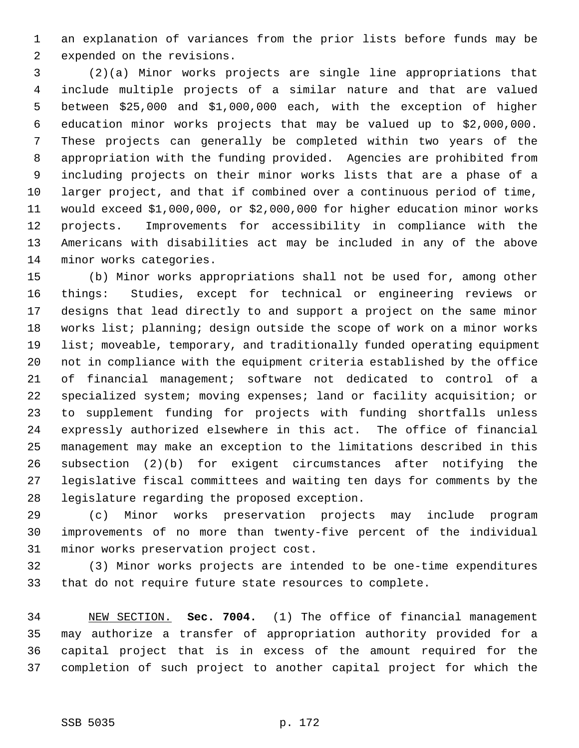1 an explanation of variances from the prior lists before funds may be 2 expended on the revisions.

 3 (2)(a) Minor works projects are single line appropriations that 4 include multiple projects of a similar nature and that are valued 5 between \$25,000 and \$1,000,000 each, with the exception of higher 6 education minor works projects that may be valued up to \$2,000,000. 7 These projects can generally be completed within two years of the 8 appropriation with the funding provided. Agencies are prohibited from 9 including projects on their minor works lists that are a phase of a 10 larger project, and that if combined over a continuous period of time, 11 would exceed \$1,000,000, or \$2,000,000 for higher education minor works 12 projects. Improvements for accessibility in compliance with the 13 Americans with disabilities act may be included in any of the above 14 minor works categories.

15 (b) Minor works appropriations shall not be used for, among other 16 things: Studies, except for technical or engineering reviews or 17 designs that lead directly to and support a project on the same minor 18 works list; planning; design outside the scope of work on a minor works 19 list; moveable, temporary, and traditionally funded operating equipment 20 not in compliance with the equipment criteria established by the office 21 of financial management; software not dedicated to control of a 22 specialized system; moving expenses; land or facility acquisition; or 23 to supplement funding for projects with funding shortfalls unless 24 expressly authorized elsewhere in this act. The office of financial 25 management may make an exception to the limitations described in this 26 subsection (2)(b) for exigent circumstances after notifying the 27 legislative fiscal committees and waiting ten days for comments by the 28 legislature regarding the proposed exception.

29 (c) Minor works preservation projects may include program 30 improvements of no more than twenty-five percent of the individual 31 minor works preservation project cost.

32 (3) Minor works projects are intended to be one-time expenditures 33 that do not require future state resources to complete.

34 NEW SECTION. **Sec. 7004.** (1) The office of financial management 35 may authorize a transfer of appropriation authority provided for a 36 capital project that is in excess of the amount required for the 37 completion of such project to another capital project for which the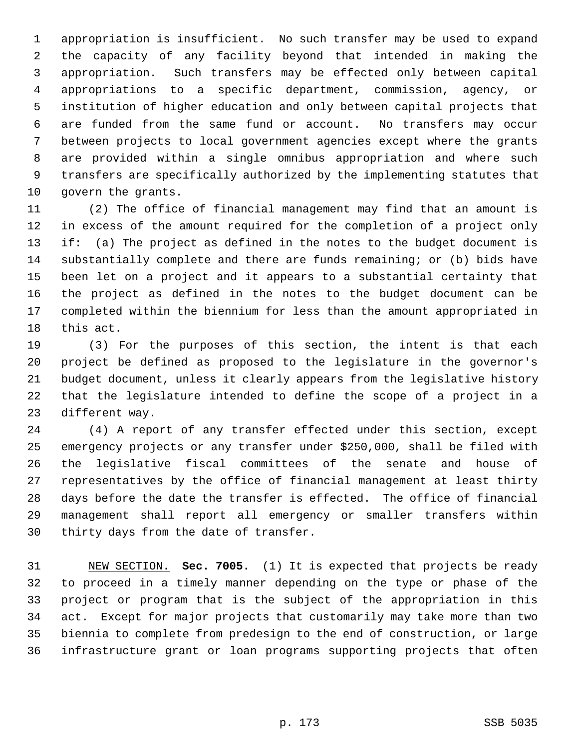1 appropriation is insufficient. No such transfer may be used to expand 2 the capacity of any facility beyond that intended in making the 3 appropriation. Such transfers may be effected only between capital 4 appropriations to a specific department, commission, agency, or 5 institution of higher education and only between capital projects that 6 are funded from the same fund or account. No transfers may occur 7 between projects to local government agencies except where the grants 8 are provided within a single omnibus appropriation and where such 9 transfers are specifically authorized by the implementing statutes that 10 govern the grants.

11 (2) The office of financial management may find that an amount is 12 in excess of the amount required for the completion of a project only 13 if: (a) The project as defined in the notes to the budget document is 14 substantially complete and there are funds remaining; or (b) bids have 15 been let on a project and it appears to a substantial certainty that 16 the project as defined in the notes to the budget document can be 17 completed within the biennium for less than the amount appropriated in 18 this act.

19 (3) For the purposes of this section, the intent is that each 20 project be defined as proposed to the legislature in the governor's 21 budget document, unless it clearly appears from the legislative history 22 that the legislature intended to define the scope of a project in a 23 different way.

24 (4) A report of any transfer effected under this section, except 25 emergency projects or any transfer under \$250,000, shall be filed with 26 the legislative fiscal committees of the senate and house of 27 representatives by the office of financial management at least thirty 28 days before the date the transfer is effected. The office of financial 29 management shall report all emergency or smaller transfers within 30 thirty days from the date of transfer.

31 NEW SECTION. **Sec. 7005.** (1) It is expected that projects be ready 32 to proceed in a timely manner depending on the type or phase of the 33 project or program that is the subject of the appropriation in this 34 act. Except for major projects that customarily may take more than two 35 biennia to complete from predesign to the end of construction, or large 36 infrastructure grant or loan programs supporting projects that often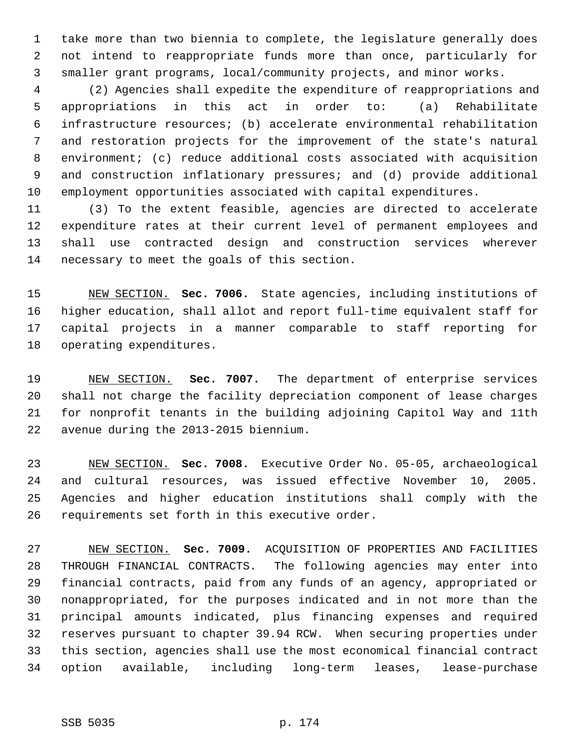1 take more than two biennia to complete, the legislature generally does 2 not intend to reappropriate funds more than once, particularly for 3 smaller grant programs, local/community projects, and minor works.

 4 (2) Agencies shall expedite the expenditure of reappropriations and 5 appropriations in this act in order to: (a) Rehabilitate 6 infrastructure resources; (b) accelerate environmental rehabilitation 7 and restoration projects for the improvement of the state's natural 8 environment; (c) reduce additional costs associated with acquisition 9 and construction inflationary pressures; and (d) provide additional 10 employment opportunities associated with capital expenditures.

11 (3) To the extent feasible, agencies are directed to accelerate 12 expenditure rates at their current level of permanent employees and 13 shall use contracted design and construction services wherever 14 necessary to meet the goals of this section.

15 NEW SECTION. **Sec. 7006.** State agencies, including institutions of 16 higher education, shall allot and report full-time equivalent staff for 17 capital projects in a manner comparable to staff reporting for 18 operating expenditures.

19 NEW SECTION. **Sec. 7007.** The department of enterprise services 20 shall not charge the facility depreciation component of lease charges 21 for nonprofit tenants in the building adjoining Capitol Way and 11th 22 avenue during the 2013-2015 biennium.

23 NEW SECTION. **Sec. 7008.** Executive Order No. 05-05, archaeological 24 and cultural resources, was issued effective November 10, 2005. 25 Agencies and higher education institutions shall comply with the 26 requirements set forth in this executive order.

27 NEW SECTION. **Sec. 7009.** ACQUISITION OF PROPERTIES AND FACILITIES 28 THROUGH FINANCIAL CONTRACTS. The following agencies may enter into 29 financial contracts, paid from any funds of an agency, appropriated or 30 nonappropriated, for the purposes indicated and in not more than the 31 principal amounts indicated, plus financing expenses and required 32 reserves pursuant to chapter 39.94 RCW. When securing properties under 33 this section, agencies shall use the most economical financial contract 34 option available, including long-term leases, lease-purchase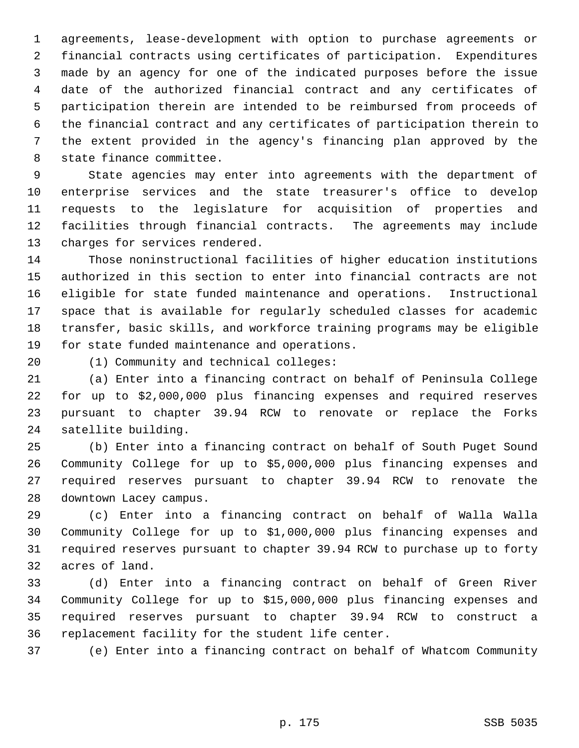1 agreements, lease-development with option to purchase agreements or 2 financial contracts using certificates of participation. Expenditures 3 made by an agency for one of the indicated purposes before the issue 4 date of the authorized financial contract and any certificates of 5 participation therein are intended to be reimbursed from proceeds of 6 the financial contract and any certificates of participation therein to 7 the extent provided in the agency's financing plan approved by the 8 state finance committee.

 9 State agencies may enter into agreements with the department of 10 enterprise services and the state treasurer's office to develop 11 requests to the legislature for acquisition of properties and 12 facilities through financial contracts. The agreements may include 13 charges for services rendered.

14 Those noninstructional facilities of higher education institutions 15 authorized in this section to enter into financial contracts are not 16 eligible for state funded maintenance and operations. Instructional 17 space that is available for regularly scheduled classes for academic 18 transfer, basic skills, and workforce training programs may be eligible 19 for state funded maintenance and operations.

20 (1) Community and technical colleges:

21 (a) Enter into a financing contract on behalf of Peninsula College 22 for up to \$2,000,000 plus financing expenses and required reserves 23 pursuant to chapter 39.94 RCW to renovate or replace the Forks 24 satellite building.

25 (b) Enter into a financing contract on behalf of South Puget Sound 26 Community College for up to \$5,000,000 plus financing expenses and 27 required reserves pursuant to chapter 39.94 RCW to renovate the 28 downtown Lacey campus.

29 (c) Enter into a financing contract on behalf of Walla Walla 30 Community College for up to \$1,000,000 plus financing expenses and 31 required reserves pursuant to chapter 39.94 RCW to purchase up to forty 32 acres of land.

33 (d) Enter into a financing contract on behalf of Green River 34 Community College for up to \$15,000,000 plus financing expenses and 35 required reserves pursuant to chapter 39.94 RCW to construct a 36 replacement facility for the student life center.

37 (e) Enter into a financing contract on behalf of Whatcom Community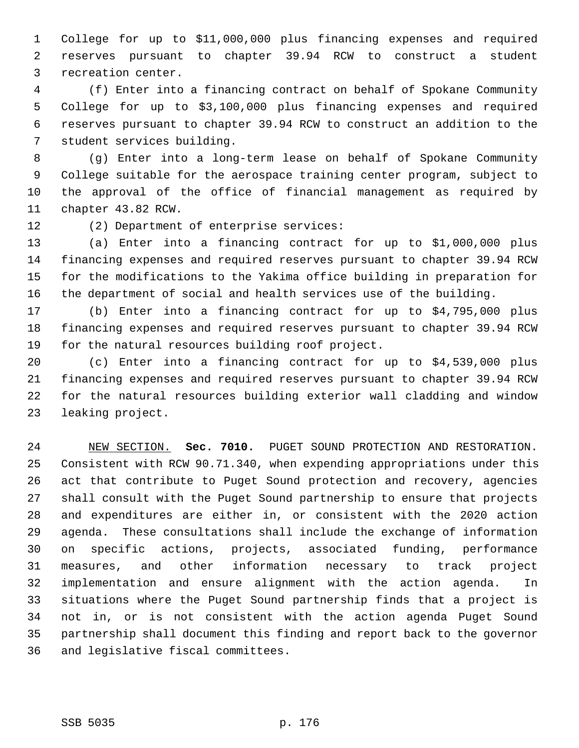1 College for up to \$11,000,000 plus financing expenses and required 2 reserves pursuant to chapter 39.94 RCW to construct a student 3 recreation center.

 4 (f) Enter into a financing contract on behalf of Spokane Community 5 College for up to \$3,100,000 plus financing expenses and required 6 reserves pursuant to chapter 39.94 RCW to construct an addition to the 7 student services building.

 8 (g) Enter into a long-term lease on behalf of Spokane Community 9 College suitable for the aerospace training center program, subject to 10 the approval of the office of financial management as required by 11 chapter 43.82 RCW.

12 (2) Department of enterprise services:

13 (a) Enter into a financing contract for up to \$1,000,000 plus 14 financing expenses and required reserves pursuant to chapter 39.94 RCW 15 for the modifications to the Yakima office building in preparation for 16 the department of social and health services use of the building.

17 (b) Enter into a financing contract for up to \$4,795,000 plus 18 financing expenses and required reserves pursuant to chapter 39.94 RCW 19 for the natural resources building roof project.

20 (c) Enter into a financing contract for up to \$4,539,000 plus 21 financing expenses and required reserves pursuant to chapter 39.94 RCW 22 for the natural resources building exterior wall cladding and window 23 leaking project.

24 NEW SECTION. **Sec. 7010.** PUGET SOUND PROTECTION AND RESTORATION. 25 Consistent with RCW 90.71.340, when expending appropriations under this 26 act that contribute to Puget Sound protection and recovery, agencies 27 shall consult with the Puget Sound partnership to ensure that projects 28 and expenditures are either in, or consistent with the 2020 action 29 agenda. These consultations shall include the exchange of information 30 on specific actions, projects, associated funding, performance 31 measures, and other information necessary to track project 32 implementation and ensure alignment with the action agenda. In 33 situations where the Puget Sound partnership finds that a project is 34 not in, or is not consistent with the action agenda Puget Sound 35 partnership shall document this finding and report back to the governor 36 and legislative fiscal committees.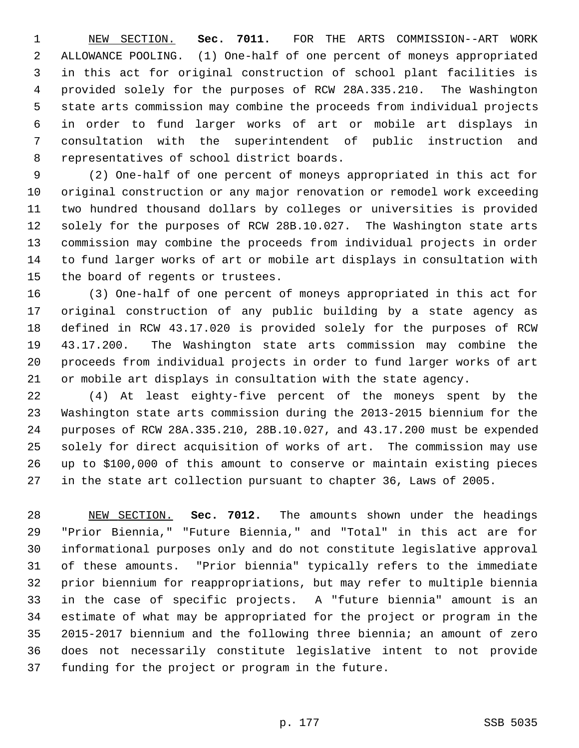1 NEW SECTION. **Sec. 7011.** FOR THE ARTS COMMISSION--ART WORK 2 ALLOWANCE POOLING. (1) One-half of one percent of moneys appropriated 3 in this act for original construction of school plant facilities is 4 provided solely for the purposes of RCW 28A.335.210. The Washington 5 state arts commission may combine the proceeds from individual projects 6 in order to fund larger works of art or mobile art displays in 7 consultation with the superintendent of public instruction and 8 representatives of school district boards.

 9 (2) One-half of one percent of moneys appropriated in this act for 10 original construction or any major renovation or remodel work exceeding 11 two hundred thousand dollars by colleges or universities is provided 12 solely for the purposes of RCW 28B.10.027. The Washington state arts 13 commission may combine the proceeds from individual projects in order 14 to fund larger works of art or mobile art displays in consultation with 15 the board of regents or trustees.

16 (3) One-half of one percent of moneys appropriated in this act for 17 original construction of any public building by a state agency as 18 defined in RCW 43.17.020 is provided solely for the purposes of RCW 19 43.17.200. The Washington state arts commission may combine the 20 proceeds from individual projects in order to fund larger works of art 21 or mobile art displays in consultation with the state agency.

22 (4) At least eighty-five percent of the moneys spent by the 23 Washington state arts commission during the 2013-2015 biennium for the 24 purposes of RCW 28A.335.210, 28B.10.027, and 43.17.200 must be expended 25 solely for direct acquisition of works of art. The commission may use 26 up to \$100,000 of this amount to conserve or maintain existing pieces 27 in the state art collection pursuant to chapter 36, Laws of 2005.

28 NEW SECTION. **Sec. 7012.** The amounts shown under the headings 29 "Prior Biennia," "Future Biennia," and "Total" in this act are for 30 informational purposes only and do not constitute legislative approval 31 of these amounts. "Prior biennia" typically refers to the immediate 32 prior biennium for reappropriations, but may refer to multiple biennia 33 in the case of specific projects. A "future biennia" amount is an 34 estimate of what may be appropriated for the project or program in the 35 2015-2017 biennium and the following three biennia; an amount of zero 36 does not necessarily constitute legislative intent to not provide 37 funding for the project or program in the future.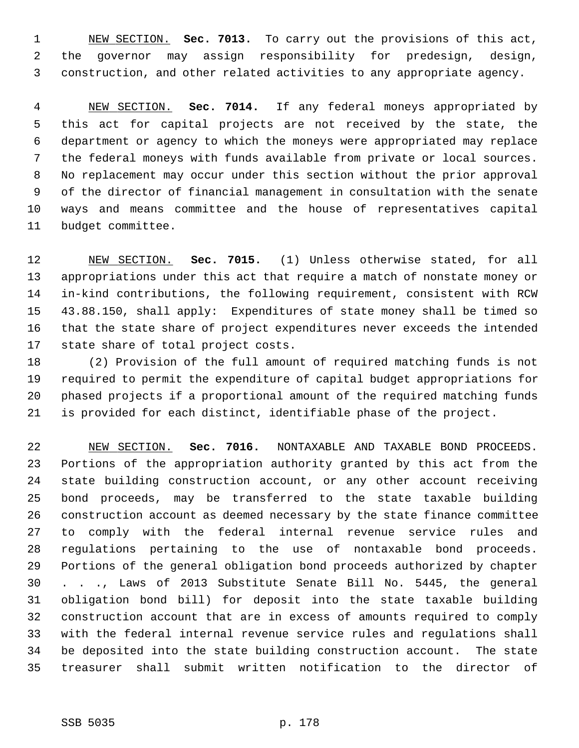1 NEW SECTION. **Sec. 7013.** To carry out the provisions of this act, 2 the governor may assign responsibility for predesign, design, 3 construction, and other related activities to any appropriate agency.

 4 NEW SECTION. **Sec. 7014.** If any federal moneys appropriated by 5 this act for capital projects are not received by the state, the 6 department or agency to which the moneys were appropriated may replace 7 the federal moneys with funds available from private or local sources. 8 No replacement may occur under this section without the prior approval 9 of the director of financial management in consultation with the senate 10 ways and means committee and the house of representatives capital 11 budget committee.

12 NEW SECTION. **Sec. 7015.** (1) Unless otherwise stated, for all 13 appropriations under this act that require a match of nonstate money or 14 in-kind contributions, the following requirement, consistent with RCW 15 43.88.150, shall apply: Expenditures of state money shall be timed so 16 that the state share of project expenditures never exceeds the intended 17 state share of total project costs.

18 (2) Provision of the full amount of required matching funds is not 19 required to permit the expenditure of capital budget appropriations for 20 phased projects if a proportional amount of the required matching funds 21 is provided for each distinct, identifiable phase of the project.

22 NEW SECTION. **Sec. 7016.** NONTAXABLE AND TAXABLE BOND PROCEEDS. 23 Portions of the appropriation authority granted by this act from the 24 state building construction account, or any other account receiving 25 bond proceeds, may be transferred to the state taxable building 26 construction account as deemed necessary by the state finance committee 27 to comply with the federal internal revenue service rules and 28 regulations pertaining to the use of nontaxable bond proceeds. 29 Portions of the general obligation bond proceeds authorized by chapter 30 . . ., Laws of 2013 Substitute Senate Bill No. 5445, the general 31 obligation bond bill) for deposit into the state taxable building 32 construction account that are in excess of amounts required to comply 33 with the federal internal revenue service rules and regulations shall 34 be deposited into the state building construction account. The state 35 treasurer shall submit written notification to the director of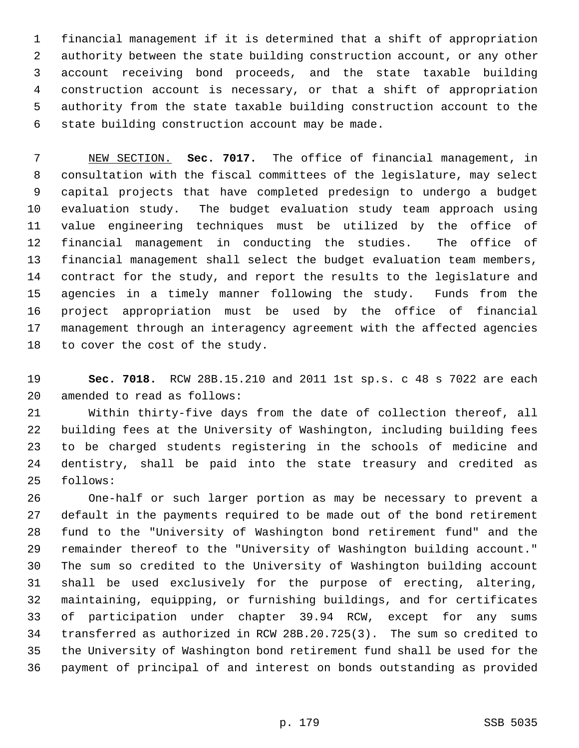1 financial management if it is determined that a shift of appropriation 2 authority between the state building construction account, or any other 3 account receiving bond proceeds, and the state taxable building 4 construction account is necessary, or that a shift of appropriation 5 authority from the state taxable building construction account to the 6 state building construction account may be made.

 7 NEW SECTION. **Sec. 7017.** The office of financial management, in 8 consultation with the fiscal committees of the legislature, may select 9 capital projects that have completed predesign to undergo a budget 10 evaluation study. The budget evaluation study team approach using 11 value engineering techniques must be utilized by the office of 12 financial management in conducting the studies. The office of 13 financial management shall select the budget evaluation team members, 14 contract for the study, and report the results to the legislature and 15 agencies in a timely manner following the study. Funds from the 16 project appropriation must be used by the office of financial 17 management through an interagency agreement with the affected agencies 18 to cover the cost of the study.

19 **Sec. 7018.** RCW 28B.15.210 and 2011 1st sp.s. c 48 s 7022 are each 20 amended to read as follows:

21 Within thirty-five days from the date of collection thereof, all 22 building fees at the University of Washington, including building fees 23 to be charged students registering in the schools of medicine and 24 dentistry, shall be paid into the state treasury and credited as 25 follows:

26 One-half or such larger portion as may be necessary to prevent a 27 default in the payments required to be made out of the bond retirement 28 fund to the "University of Washington bond retirement fund" and the 29 remainder thereof to the "University of Washington building account." 30 The sum so credited to the University of Washington building account 31 shall be used exclusively for the purpose of erecting, altering, 32 maintaining, equipping, or furnishing buildings, and for certificates 33 of participation under chapter 39.94 RCW, except for any sums 34 transferred as authorized in RCW 28B.20.725(3). The sum so credited to 35 the University of Washington bond retirement fund shall be used for the 36 payment of principal of and interest on bonds outstanding as provided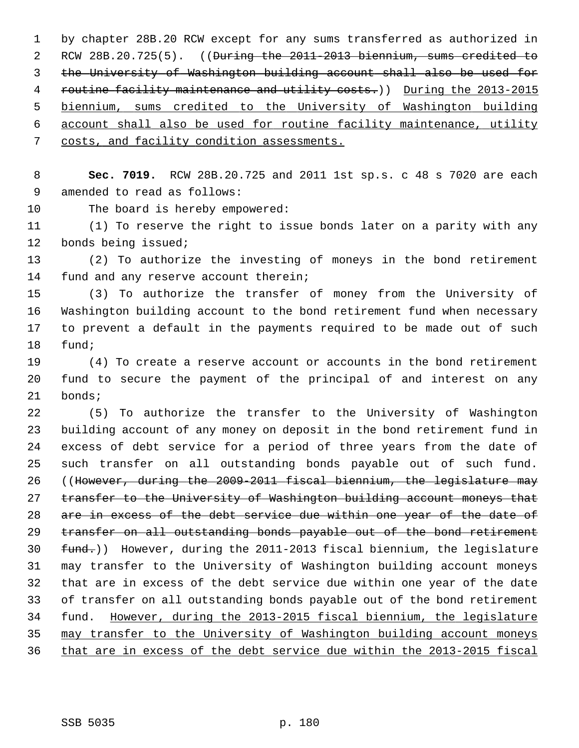1 by chapter 28B.20 RCW except for any sums transferred as authorized in 2 RCW 28B.20.725(5). ((During the 2011-2013 biennium, sums credited to 3 the University of Washington building account shall also be used for 4 routine facility maintenance and utility costs.)) During the 2013-2015 5 biennium, sums credited to the University of Washington building 6 account shall also be used for routine facility maintenance, utility 7 costs, and facility condition assessments.

 8 **Sec. 7019.** RCW 28B.20.725 and 2011 1st sp.s. c 48 s 7020 are each 9 amended to read as follows:

10 The board is hereby empowered:

11 (1) To reserve the right to issue bonds later on a parity with any 12 bonds being issued;

13 (2) To authorize the investing of moneys in the bond retirement 14 fund and any reserve account therein;

15 (3) To authorize the transfer of money from the University of 16 Washington building account to the bond retirement fund when necessary 17 to prevent a default in the payments required to be made out of such 18 fund;

19 (4) To create a reserve account or accounts in the bond retirement 20 fund to secure the payment of the principal of and interest on any 21 bonds;

22 (5) To authorize the transfer to the University of Washington 23 building account of any money on deposit in the bond retirement fund in 24 excess of debt service for a period of three years from the date of 25 such transfer on all outstanding bonds payable out of such fund. 26 ((However, during the 2009-2011 fiscal biennium, the legislature may 27 transfer to the University of Washington building account moneys that 28 are in excess of the debt service due within one year of the date of 29 transfer on all outstanding bonds payable out of the bond retirement 30 fund.)) However, during the 2011-2013 fiscal biennium, the legislature 31 may transfer to the University of Washington building account moneys 32 that are in excess of the debt service due within one year of the date 33 of transfer on all outstanding bonds payable out of the bond retirement 34 fund. However, during the 2013-2015 fiscal biennium, the legislature 35 may transfer to the University of Washington building account moneys 36 that are in excess of the debt service due within the 2013-2015 fiscal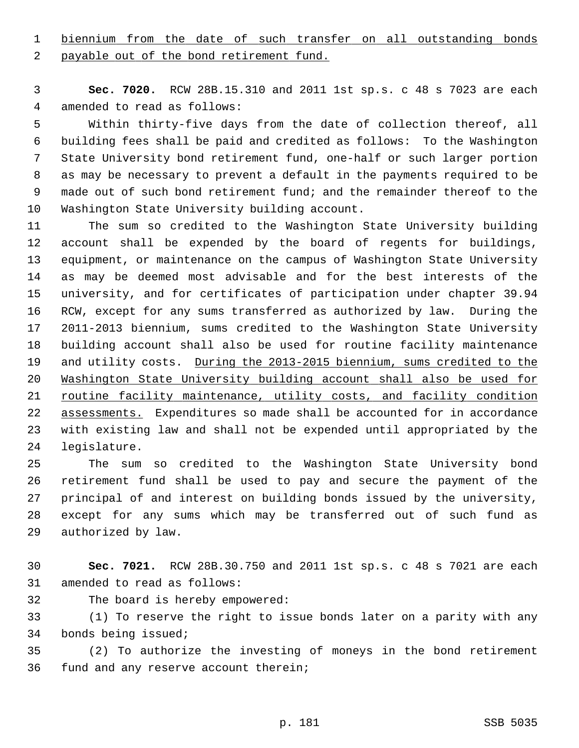1 biennium from the date of such transfer on all outstanding bonds

2 payable out of the bond retirement fund.

 3 **Sec. 7020.** RCW 28B.15.310 and 2011 1st sp.s. c 48 s 7023 are each 4 amended to read as follows:

 5 Within thirty-five days from the date of collection thereof, all 6 building fees shall be paid and credited as follows: To the Washington 7 State University bond retirement fund, one-half or such larger portion 8 as may be necessary to prevent a default in the payments required to be 9 made out of such bond retirement fund; and the remainder thereof to the 10 Washington State University building account.

11 The sum so credited to the Washington State University building 12 account shall be expended by the board of regents for buildings, 13 equipment, or maintenance on the campus of Washington State University 14 as may be deemed most advisable and for the best interests of the 15 university, and for certificates of participation under chapter 39.94 16 RCW, except for any sums transferred as authorized by law. During the 17 2011-2013 biennium, sums credited to the Washington State University 18 building account shall also be used for routine facility maintenance 19 and utility costs. During the 2013-2015 biennium, sums credited to the 20 Washington State University building account shall also be used for 21 routine facility maintenance, utility costs, and facility condition 22 assessments. Expenditures so made shall be accounted for in accordance 23 with existing law and shall not be expended until appropriated by the 24 legislature.

25 The sum so credited to the Washington State University bond 26 retirement fund shall be used to pay and secure the payment of the 27 principal of and interest on building bonds issued by the university, 28 except for any sums which may be transferred out of such fund as 29 authorized by law.

30 **Sec. 7021.** RCW 28B.30.750 and 2011 1st sp.s. c 48 s 7021 are each 31 amended to read as follows:

32 The board is hereby empowered:

33 (1) To reserve the right to issue bonds later on a parity with any 34 bonds being issued;

35 (2) To authorize the investing of moneys in the bond retirement 36 fund and any reserve account therein;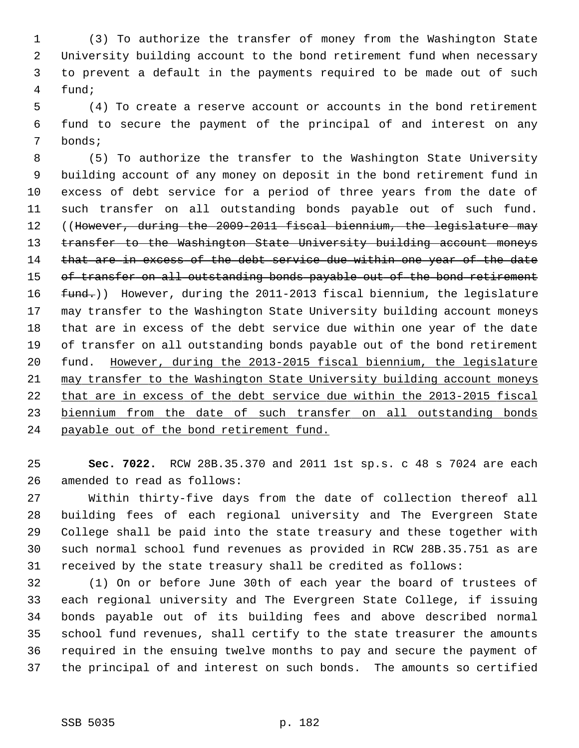1 (3) To authorize the transfer of money from the Washington State 2 University building account to the bond retirement fund when necessary 3 to prevent a default in the payments required to be made out of such 4 fund;

 5 (4) To create a reserve account or accounts in the bond retirement 6 fund to secure the payment of the principal of and interest on any 7 bonds;

 8 (5) To authorize the transfer to the Washington State University 9 building account of any money on deposit in the bond retirement fund in 10 excess of debt service for a period of three years from the date of 11 such transfer on all outstanding bonds payable out of such fund. 12 ((However, during the 2009-2011 fiscal biennium, the legislature may 13 transfer to the Washington State University building account moneys 14 that are in excess of the debt service due within one year of the date 15 of transfer on all outstanding bonds payable out of the bond retirement 16 fund.)) However, during the 2011-2013 fiscal biennium, the legislature 17 may transfer to the Washington State University building account moneys 18 that are in excess of the debt service due within one year of the date 19 of transfer on all outstanding bonds payable out of the bond retirement 20 fund. However, during the 2013-2015 fiscal biennium, the legislature 21 may transfer to the Washington State University building account moneys 22 that are in excess of the debt service due within the 2013-2015 fiscal 23 biennium from the date of such transfer on all outstanding bonds 24 payable out of the bond retirement fund.

25 **Sec. 7022.** RCW 28B.35.370 and 2011 1st sp.s. c 48 s 7024 are each 26 amended to read as follows:

27 Within thirty-five days from the date of collection thereof all 28 building fees of each regional university and The Evergreen State 29 College shall be paid into the state treasury and these together with 30 such normal school fund revenues as provided in RCW 28B.35.751 as are 31 received by the state treasury shall be credited as follows:

32 (1) On or before June 30th of each year the board of trustees of 33 each regional university and The Evergreen State College, if issuing 34 bonds payable out of its building fees and above described normal 35 school fund revenues, shall certify to the state treasurer the amounts 36 required in the ensuing twelve months to pay and secure the payment of 37 the principal of and interest on such bonds. The amounts so certified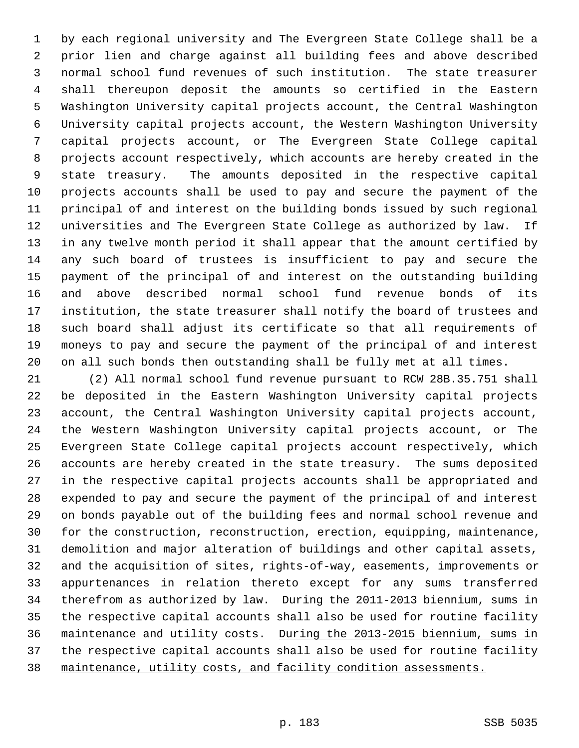1 by each regional university and The Evergreen State College shall be a 2 prior lien and charge against all building fees and above described 3 normal school fund revenues of such institution. The state treasurer 4 shall thereupon deposit the amounts so certified in the Eastern 5 Washington University capital projects account, the Central Washington 6 University capital projects account, the Western Washington University 7 capital projects account, or The Evergreen State College capital 8 projects account respectively, which accounts are hereby created in the 9 state treasury. The amounts deposited in the respective capital 10 projects accounts shall be used to pay and secure the payment of the 11 principal of and interest on the building bonds issued by such regional 12 universities and The Evergreen State College as authorized by law. If 13 in any twelve month period it shall appear that the amount certified by 14 any such board of trustees is insufficient to pay and secure the 15 payment of the principal of and interest on the outstanding building 16 and above described normal school fund revenue bonds of its 17 institution, the state treasurer shall notify the board of trustees and 18 such board shall adjust its certificate so that all requirements of 19 moneys to pay and secure the payment of the principal of and interest 20 on all such bonds then outstanding shall be fully met at all times.

21 (2) All normal school fund revenue pursuant to RCW 28B.35.751 shall 22 be deposited in the Eastern Washington University capital projects 23 account, the Central Washington University capital projects account, 24 the Western Washington University capital projects account, or The 25 Evergreen State College capital projects account respectively, which 26 accounts are hereby created in the state treasury. The sums deposited 27 in the respective capital projects accounts shall be appropriated and 28 expended to pay and secure the payment of the principal of and interest 29 on bonds payable out of the building fees and normal school revenue and 30 for the construction, reconstruction, erection, equipping, maintenance, 31 demolition and major alteration of buildings and other capital assets, 32 and the acquisition of sites, rights-of-way, easements, improvements or 33 appurtenances in relation thereto except for any sums transferred 34 therefrom as authorized by law. During the 2011-2013 biennium, sums in 35 the respective capital accounts shall also be used for routine facility 36 maintenance and utility costs. During the 2013-2015 biennium, sums in 37 the respective capital accounts shall also be used for routine facility 38 maintenance, utility costs, and facility condition assessments.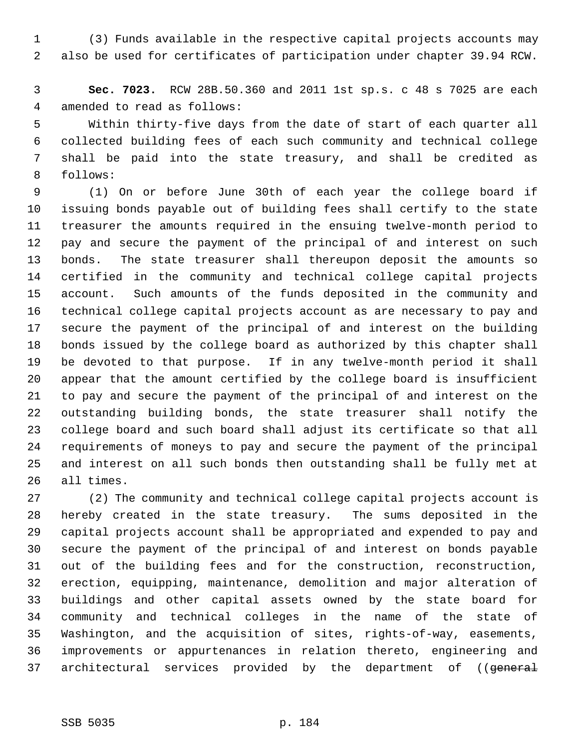1 (3) Funds available in the respective capital projects accounts may 2 also be used for certificates of participation under chapter 39.94 RCW.

 3 **Sec. 7023.** RCW 28B.50.360 and 2011 1st sp.s. c 48 s 7025 are each 4 amended to read as follows:

 5 Within thirty-five days from the date of start of each quarter all 6 collected building fees of each such community and technical college 7 shall be paid into the state treasury, and shall be credited as 8 follows:

 9 (1) On or before June 30th of each year the college board if 10 issuing bonds payable out of building fees shall certify to the state 11 treasurer the amounts required in the ensuing twelve-month period to 12 pay and secure the payment of the principal of and interest on such 13 bonds. The state treasurer shall thereupon deposit the amounts so 14 certified in the community and technical college capital projects 15 account. Such amounts of the funds deposited in the community and 16 technical college capital projects account as are necessary to pay and 17 secure the payment of the principal of and interest on the building 18 bonds issued by the college board as authorized by this chapter shall 19 be devoted to that purpose. If in any twelve-month period it shall 20 appear that the amount certified by the college board is insufficient 21 to pay and secure the payment of the principal of and interest on the 22 outstanding building bonds, the state treasurer shall notify the 23 college board and such board shall adjust its certificate so that all 24 requirements of moneys to pay and secure the payment of the principal 25 and interest on all such bonds then outstanding shall be fully met at 26 all times.

27 (2) The community and technical college capital projects account is 28 hereby created in the state treasury. The sums deposited in the 29 capital projects account shall be appropriated and expended to pay and 30 secure the payment of the principal of and interest on bonds payable 31 out of the building fees and for the construction, reconstruction, 32 erection, equipping, maintenance, demolition and major alteration of 33 buildings and other capital assets owned by the state board for 34 community and technical colleges in the name of the state of 35 Washington, and the acquisition of sites, rights-of-way, easements, 36 improvements or appurtenances in relation thereto, engineering and 37 architectural services provided by the department of ((general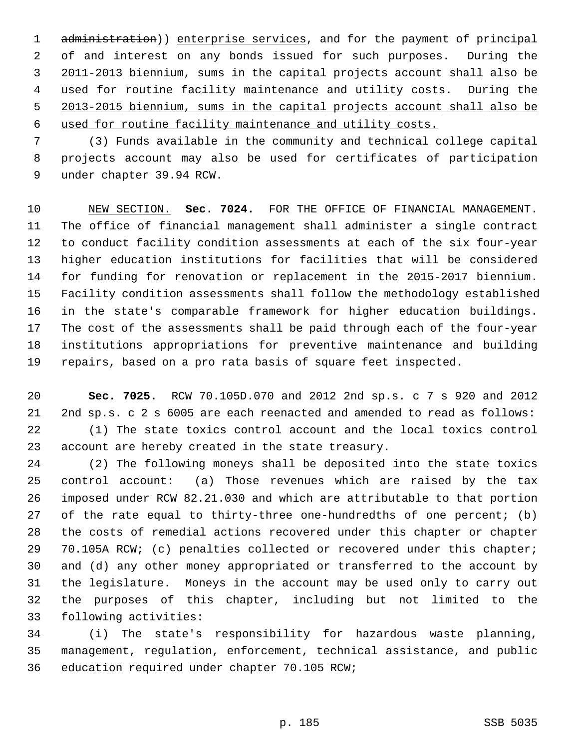1 administration)) enterprise services, and for the payment of principal 2 of and interest on any bonds issued for such purposes. During the 3 2011-2013 biennium, sums in the capital projects account shall also be 4 used for routine facility maintenance and utility costs. During the 5 2013-2015 biennium, sums in the capital projects account shall also be 6 used for routine facility maintenance and utility costs.

 7 (3) Funds available in the community and technical college capital 8 projects account may also be used for certificates of participation 9 under chapter 39.94 RCW.

10 NEW SECTION. **Sec. 7024.** FOR THE OFFICE OF FINANCIAL MANAGEMENT. 11 The office of financial management shall administer a single contract 12 to conduct facility condition assessments at each of the six four-year 13 higher education institutions for facilities that will be considered 14 for funding for renovation or replacement in the 2015-2017 biennium. 15 Facility condition assessments shall follow the methodology established 16 in the state's comparable framework for higher education buildings. 17 The cost of the assessments shall be paid through each of the four-year 18 institutions appropriations for preventive maintenance and building 19 repairs, based on a pro rata basis of square feet inspected.

20 **Sec. 7025.** RCW 70.105D.070 and 2012 2nd sp.s. c 7 s 920 and 2012 21 2nd sp.s. c 2 s 6005 are each reenacted and amended to read as follows: 22 (1) The state toxics control account and the local toxics control 23 account are hereby created in the state treasury.

24 (2) The following moneys shall be deposited into the state toxics 25 control account: (a) Those revenues which are raised by the tax 26 imposed under RCW 82.21.030 and which are attributable to that portion 27 of the rate equal to thirty-three one-hundredths of one percent; (b) 28 the costs of remedial actions recovered under this chapter or chapter 29 70.105A RCW; (c) penalties collected or recovered under this chapter; 30 and (d) any other money appropriated or transferred to the account by 31 the legislature. Moneys in the account may be used only to carry out 32 the purposes of this chapter, including but not limited to the 33 following activities:

34 (i) The state's responsibility for hazardous waste planning, 35 management, regulation, enforcement, technical assistance, and public 36 education required under chapter 70.105 RCW;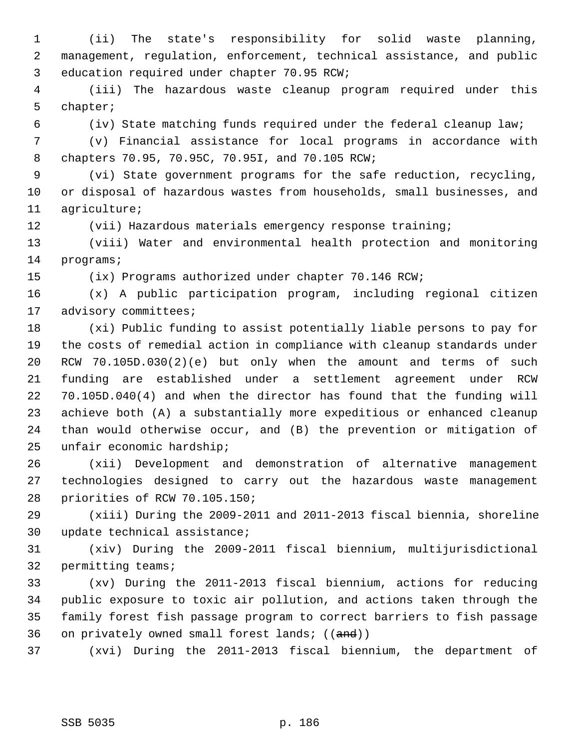1 (ii) The state's responsibility for solid waste planning, 2 management, regulation, enforcement, technical assistance, and public 3 education required under chapter 70.95 RCW;

 4 (iii) The hazardous waste cleanup program required under this 5 chapter;

6 (iv) State matching funds required under the federal cleanup law;

 7 (v) Financial assistance for local programs in accordance with 8 chapters 70.95, 70.95C, 70.95I, and 70.105 RCW;

 9 (vi) State government programs for the safe reduction, recycling, 10 or disposal of hazardous wastes from households, small businesses, and 11 agriculture;

12 (vii) Hazardous materials emergency response training;

13 (viii) Water and environmental health protection and monitoring 14 programs;

15 (ix) Programs authorized under chapter 70.146 RCW;

16 (x) A public participation program, including regional citizen 17 advisory committees;

18 (xi) Public funding to assist potentially liable persons to pay for 19 the costs of remedial action in compliance with cleanup standards under 20 RCW 70.105D.030(2)(e) but only when the amount and terms of such 21 funding are established under a settlement agreement under RCW 22 70.105D.040(4) and when the director has found that the funding will 23 achieve both (A) a substantially more expeditious or enhanced cleanup 24 than would otherwise occur, and (B) the prevention or mitigation of 25 unfair economic hardship;

26 (xii) Development and demonstration of alternative management 27 technologies designed to carry out the hazardous waste management 28 priorities of RCW 70.105.150;

29 (xiii) During the 2009-2011 and 2011-2013 fiscal biennia, shoreline 30 update technical assistance;

31 (xiv) During the 2009-2011 fiscal biennium, multijurisdictional 32 permitting teams;

33 (xv) During the 2011-2013 fiscal biennium, actions for reducing 34 public exposure to toxic air pollution, and actions taken through the 35 family forest fish passage program to correct barriers to fish passage 36 on privately owned small forest lands;  $((and))$ 

37 (xvi) During the 2011-2013 fiscal biennium, the department of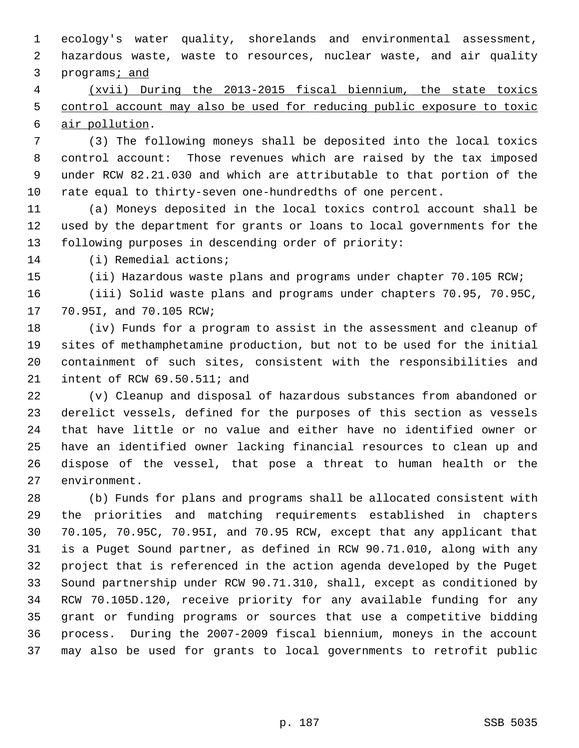1 ecology's water quality, shorelands and environmental assessment, 2 hazardous waste, waste to resources, nuclear waste, and air quality 3 programs; and

 4 (xvii) During the 2013-2015 fiscal biennium, the state toxics 5 control account may also be used for reducing public exposure to toxic 6 air pollution.

 7 (3) The following moneys shall be deposited into the local toxics 8 control account: Those revenues which are raised by the tax imposed 9 under RCW 82.21.030 and which are attributable to that portion of the 10 rate equal to thirty-seven one-hundredths of one percent.

11 (a) Moneys deposited in the local toxics control account shall be 12 used by the department for grants or loans to local governments for the 13 following purposes in descending order of priority:

14 (i) Remedial actions;

15 (ii) Hazardous waste plans and programs under chapter 70.105 RCW;

16 (iii) Solid waste plans and programs under chapters 70.95, 70.95C, 17 70.95I, and 70.105 RCW;

18 (iv) Funds for a program to assist in the assessment and cleanup of 19 sites of methamphetamine production, but not to be used for the initial 20 containment of such sites, consistent with the responsibilities and 21 intent of RCW 69.50.511; and

22 (v) Cleanup and disposal of hazardous substances from abandoned or 23 derelict vessels, defined for the purposes of this section as vessels 24 that have little or no value and either have no identified owner or 25 have an identified owner lacking financial resources to clean up and 26 dispose of the vessel, that pose a threat to human health or the 27 environment.

28 (b) Funds for plans and programs shall be allocated consistent with 29 the priorities and matching requirements established in chapters 30 70.105, 70.95C, 70.95I, and 70.95 RCW, except that any applicant that 31 is a Puget Sound partner, as defined in RCW 90.71.010, along with any 32 project that is referenced in the action agenda developed by the Puget 33 Sound partnership under RCW 90.71.310, shall, except as conditioned by 34 RCW 70.105D.120, receive priority for any available funding for any 35 grant or funding programs or sources that use a competitive bidding 36 process. During the 2007-2009 fiscal biennium, moneys in the account 37 may also be used for grants to local governments to retrofit public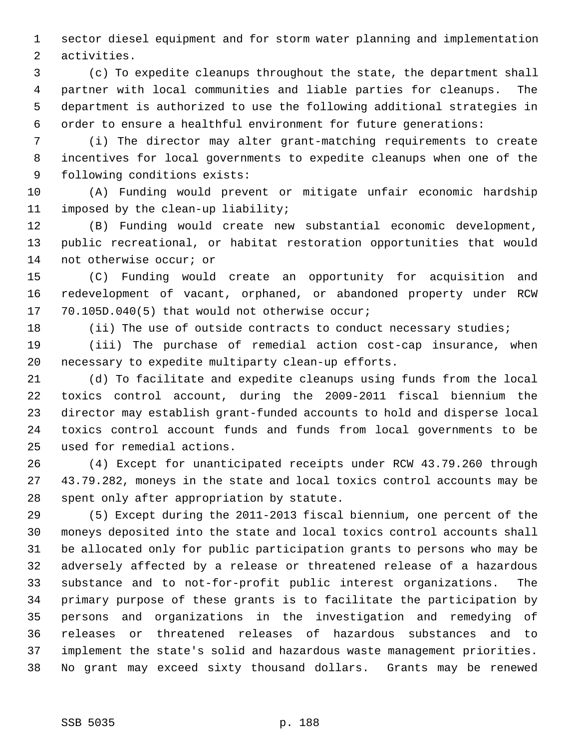1 sector diesel equipment and for storm water planning and implementation 2 activities.

 3 (c) To expedite cleanups throughout the state, the department shall 4 partner with local communities and liable parties for cleanups. The 5 department is authorized to use the following additional strategies in 6 order to ensure a healthful environment for future generations:

 7 (i) The director may alter grant-matching requirements to create 8 incentives for local governments to expedite cleanups when one of the 9 following conditions exists:

10 (A) Funding would prevent or mitigate unfair economic hardship 11 imposed by the clean-up liability;

12 (B) Funding would create new substantial economic development, 13 public recreational, or habitat restoration opportunities that would 14 not otherwise occur; or

15 (C) Funding would create an opportunity for acquisition and 16 redevelopment of vacant, orphaned, or abandoned property under RCW 17 70.105D.040(5) that would not otherwise occur;

18 (ii) The use of outside contracts to conduct necessary studies;

19 (iii) The purchase of remedial action cost-cap insurance, when 20 necessary to expedite multiparty clean-up efforts.

21 (d) To facilitate and expedite cleanups using funds from the local 22 toxics control account, during the 2009-2011 fiscal biennium the 23 director may establish grant-funded accounts to hold and disperse local 24 toxics control account funds and funds from local governments to be 25 used for remedial actions.

26 (4) Except for unanticipated receipts under RCW 43.79.260 through 27 43.79.282, moneys in the state and local toxics control accounts may be 28 spent only after appropriation by statute.

29 (5) Except during the 2011-2013 fiscal biennium, one percent of the 30 moneys deposited into the state and local toxics control accounts shall 31 be allocated only for public participation grants to persons who may be 32 adversely affected by a release or threatened release of a hazardous 33 substance and to not-for-profit public interest organizations. The 34 primary purpose of these grants is to facilitate the participation by 35 persons and organizations in the investigation and remedying of 36 releases or threatened releases of hazardous substances and to 37 implement the state's solid and hazardous waste management priorities. 38 No grant may exceed sixty thousand dollars. Grants may be renewed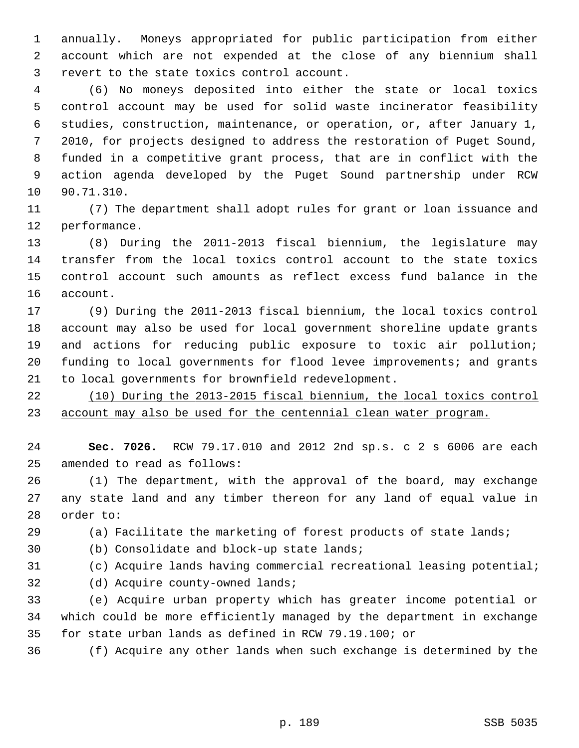1 annually. Moneys appropriated for public participation from either 2 account which are not expended at the close of any biennium shall 3 revert to the state toxics control account.

 4 (6) No moneys deposited into either the state or local toxics 5 control account may be used for solid waste incinerator feasibility 6 studies, construction, maintenance, or operation, or, after January 1, 7 2010, for projects designed to address the restoration of Puget Sound, 8 funded in a competitive grant process, that are in conflict with the 9 action agenda developed by the Puget Sound partnership under RCW 10 90.71.310.

11 (7) The department shall adopt rules for grant or loan issuance and 12 performance.

13 (8) During the 2011-2013 fiscal biennium, the legislature may 14 transfer from the local toxics control account to the state toxics 15 control account such amounts as reflect excess fund balance in the 16 account.

17 (9) During the 2011-2013 fiscal biennium, the local toxics control 18 account may also be used for local government shoreline update grants 19 and actions for reducing public exposure to toxic air pollution; 20 funding to local governments for flood levee improvements; and grants 21 to local governments for brownfield redevelopment.

22 (10) During the 2013-2015 fiscal biennium, the local toxics control 23 account may also be used for the centennial clean water program.

24 **Sec. 7026.** RCW 79.17.010 and 2012 2nd sp.s. c 2 s 6006 are each 25 amended to read as follows:

26 (1) The department, with the approval of the board, may exchange 27 any state land and any timber thereon for any land of equal value in 28 order to:

29 (a) Facilitate the marketing of forest products of state lands;

30 (b) Consolidate and block-up state lands;

31 (c) Acquire lands having commercial recreational leasing potential;

32 (d) Acquire county-owned lands;

33 (e) Acquire urban property which has greater income potential or 34 which could be more efficiently managed by the department in exchange 35 for state urban lands as defined in RCW 79.19.100; or

36 (f) Acquire any other lands when such exchange is determined by the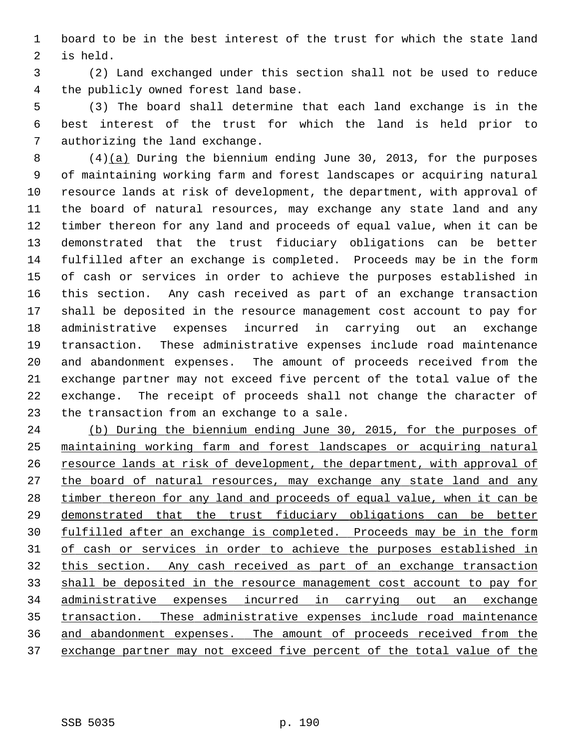1 board to be in the best interest of the trust for which the state land 2 is held.

 3 (2) Land exchanged under this section shall not be used to reduce 4 the publicly owned forest land base.

 5 (3) The board shall determine that each land exchange is in the 6 best interest of the trust for which the land is held prior to 7 authorizing the land exchange.

 8 (4)(a) During the biennium ending June 30, 2013, for the purposes 9 of maintaining working farm and forest landscapes or acquiring natural 10 resource lands at risk of development, the department, with approval of 11 the board of natural resources, may exchange any state land and any 12 timber thereon for any land and proceeds of equal value, when it can be 13 demonstrated that the trust fiduciary obligations can be better 14 fulfilled after an exchange is completed. Proceeds may be in the form 15 of cash or services in order to achieve the purposes established in 16 this section. Any cash received as part of an exchange transaction 17 shall be deposited in the resource management cost account to pay for 18 administrative expenses incurred in carrying out an exchange 19 transaction. These administrative expenses include road maintenance 20 and abandonment expenses. The amount of proceeds received from the 21 exchange partner may not exceed five percent of the total value of the 22 exchange. The receipt of proceeds shall not change the character of 23 the transaction from an exchange to a sale.

 (b) During the biennium ending June 30, 2015, for the purposes of maintaining working farm and forest landscapes or acquiring natural resource lands at risk of development, the department, with approval of the board of natural resources, may exchange any state land and any timber thereon for any land and proceeds of equal value, when it can be demonstrated that the trust fiduciary obligations can be better fulfilled after an exchange is completed. Proceeds may be in the form of cash or services in order to achieve the purposes established in this section. Any cash received as part of an exchange transaction shall be deposited in the resource management cost account to pay for administrative expenses incurred in carrying out an exchange transaction. These administrative expenses include road maintenance and abandonment expenses. The amount of proceeds received from the exchange partner may not exceed five percent of the total value of the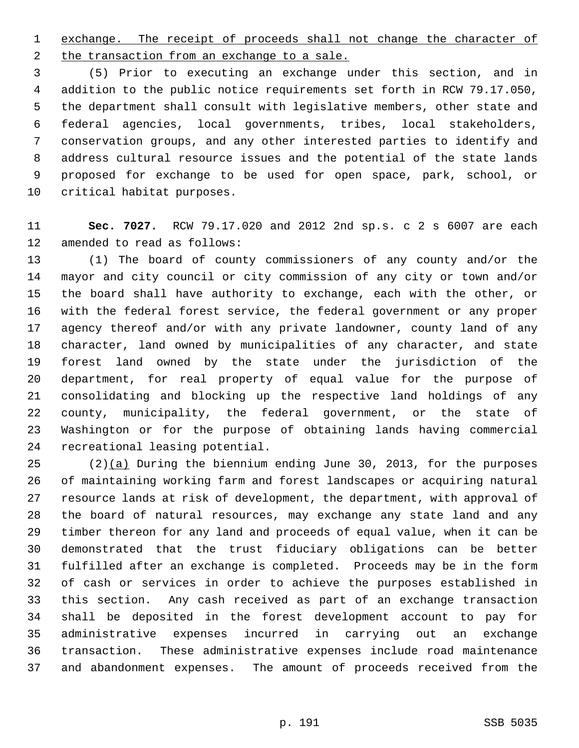1 exchange. The receipt of proceeds shall not change the character of 2 the transaction from an exchange to a sale.

 3 (5) Prior to executing an exchange under this section, and in 4 addition to the public notice requirements set forth in RCW 79.17.050, 5 the department shall consult with legislative members, other state and 6 federal agencies, local governments, tribes, local stakeholders, 7 conservation groups, and any other interested parties to identify and 8 address cultural resource issues and the potential of the state lands 9 proposed for exchange to be used for open space, park, school, or 10 critical habitat purposes.

11 **Sec. 7027.** RCW 79.17.020 and 2012 2nd sp.s. c 2 s 6007 are each 12 amended to read as follows:

13 (1) The board of county commissioners of any county and/or the 14 mayor and city council or city commission of any city or town and/or 15 the board shall have authority to exchange, each with the other, or 16 with the federal forest service, the federal government or any proper 17 agency thereof and/or with any private landowner, county land of any 18 character, land owned by municipalities of any character, and state 19 forest land owned by the state under the jurisdiction of the 20 department, for real property of equal value for the purpose of 21 consolidating and blocking up the respective land holdings of any 22 county, municipality, the federal government, or the state of 23 Washington or for the purpose of obtaining lands having commercial 24 recreational leasing potential.

25 (2)(a) During the biennium ending June 30, 2013, for the purposes 26 of maintaining working farm and forest landscapes or acquiring natural 27 resource lands at risk of development, the department, with approval of 28 the board of natural resources, may exchange any state land and any 29 timber thereon for any land and proceeds of equal value, when it can be 30 demonstrated that the trust fiduciary obligations can be better 31 fulfilled after an exchange is completed. Proceeds may be in the form 32 of cash or services in order to achieve the purposes established in 33 this section. Any cash received as part of an exchange transaction 34 shall be deposited in the forest development account to pay for 35 administrative expenses incurred in carrying out an exchange 36 transaction. These administrative expenses include road maintenance 37 and abandonment expenses. The amount of proceeds received from the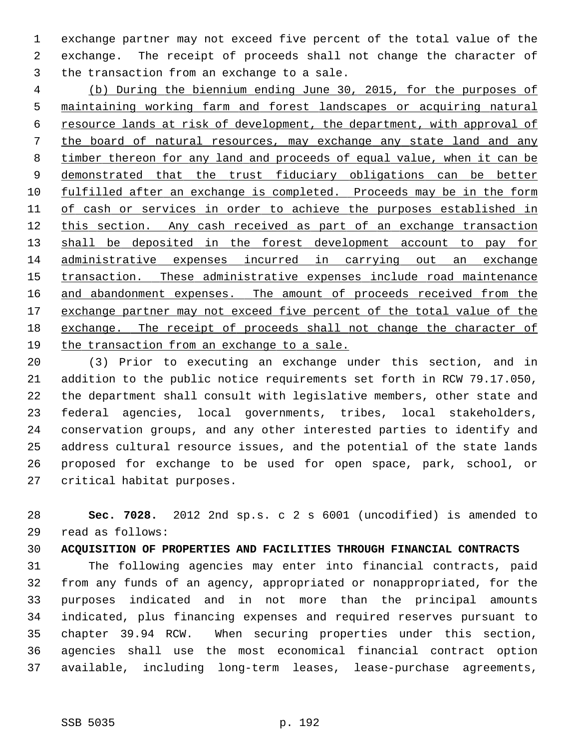1 exchange partner may not exceed five percent of the total value of the 2 exchange. The receipt of proceeds shall not change the character of 3 the transaction from an exchange to a sale.

 (b) During the biennium ending June 30, 2015, for the purposes of maintaining working farm and forest landscapes or acquiring natural resource lands at risk of development, the department, with approval of the board of natural resources, may exchange any state land and any timber thereon for any land and proceeds of equal value, when it can be 9 demonstrated that the trust fiduciary obligations can be better 10 fulfilled after an exchange is completed. Proceeds may be in the form of cash or services in order to achieve the purposes established in this section. Any cash received as part of an exchange transaction 13 shall be deposited in the forest development account to pay for administrative expenses incurred in carrying out an exchange transaction. These administrative expenses include road maintenance 16 and abandonment expenses. The amount of proceeds received from the exchange partner may not exceed five percent of the total value of the exchange. The receipt of proceeds shall not change the character of the transaction from an exchange to a sale.

20 (3) Prior to executing an exchange under this section, and in 21 addition to the public notice requirements set forth in RCW 79.17.050, 22 the department shall consult with legislative members, other state and 23 federal agencies, local governments, tribes, local stakeholders, 24 conservation groups, and any other interested parties to identify and 25 address cultural resource issues, and the potential of the state lands 26 proposed for exchange to be used for open space, park, school, or 27 critical habitat purposes.

28 **Sec. 7028.** 2012 2nd sp.s. c 2 s 6001 (uncodified) is amended to 29 read as follows:

30 **ACQUISITION OF PROPERTIES AND FACILITIES THROUGH FINANCIAL CONTRACTS**

31 The following agencies may enter into financial contracts, paid 32 from any funds of an agency, appropriated or nonappropriated, for the 33 purposes indicated and in not more than the principal amounts 34 indicated, plus financing expenses and required reserves pursuant to 35 chapter 39.94 RCW. When securing properties under this section, 36 agencies shall use the most economical financial contract option 37 available, including long-term leases, lease-purchase agreements,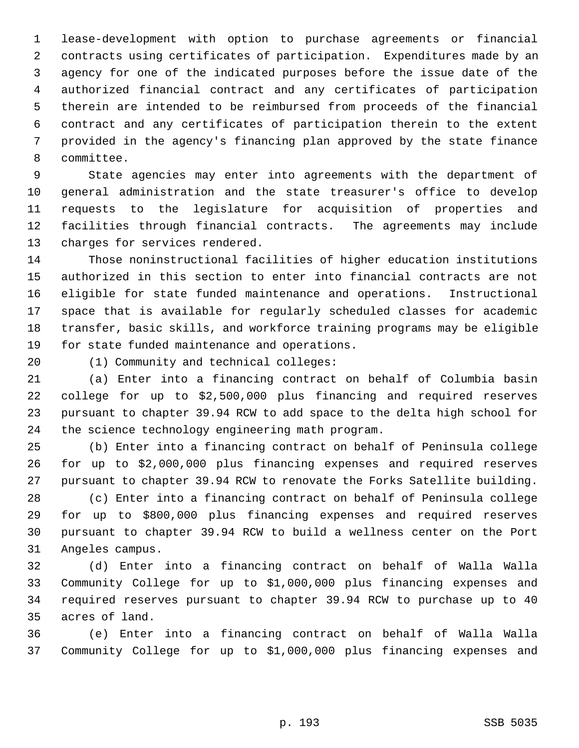1 lease-development with option to purchase agreements or financial 2 contracts using certificates of participation. Expenditures made by an 3 agency for one of the indicated purposes before the issue date of the 4 authorized financial contract and any certificates of participation 5 therein are intended to be reimbursed from proceeds of the financial 6 contract and any certificates of participation therein to the extent 7 provided in the agency's financing plan approved by the state finance 8 committee.

 9 State agencies may enter into agreements with the department of 10 general administration and the state treasurer's office to develop 11 requests to the legislature for acquisition of properties and 12 facilities through financial contracts. The agreements may include 13 charges for services rendered.

14 Those noninstructional facilities of higher education institutions 15 authorized in this section to enter into financial contracts are not 16 eligible for state funded maintenance and operations. Instructional 17 space that is available for regularly scheduled classes for academic 18 transfer, basic skills, and workforce training programs may be eligible 19 for state funded maintenance and operations.

20 (1) Community and technical colleges:

21 (a) Enter into a financing contract on behalf of Columbia basin 22 college for up to \$2,500,000 plus financing and required reserves 23 pursuant to chapter 39.94 RCW to add space to the delta high school for 24 the science technology engineering math program.

25 (b) Enter into a financing contract on behalf of Peninsula college 26 for up to \$2,000,000 plus financing expenses and required reserves 27 pursuant to chapter 39.94 RCW to renovate the Forks Satellite building.

28 (c) Enter into a financing contract on behalf of Peninsula college 29 for up to \$800,000 plus financing expenses and required reserves 30 pursuant to chapter 39.94 RCW to build a wellness center on the Port 31 Angeles campus.

32 (d) Enter into a financing contract on behalf of Walla Walla 33 Community College for up to \$1,000,000 plus financing expenses and 34 required reserves pursuant to chapter 39.94 RCW to purchase up to 40 35 acres of land.

36 (e) Enter into a financing contract on behalf of Walla Walla 37 Community College for up to \$1,000,000 plus financing expenses and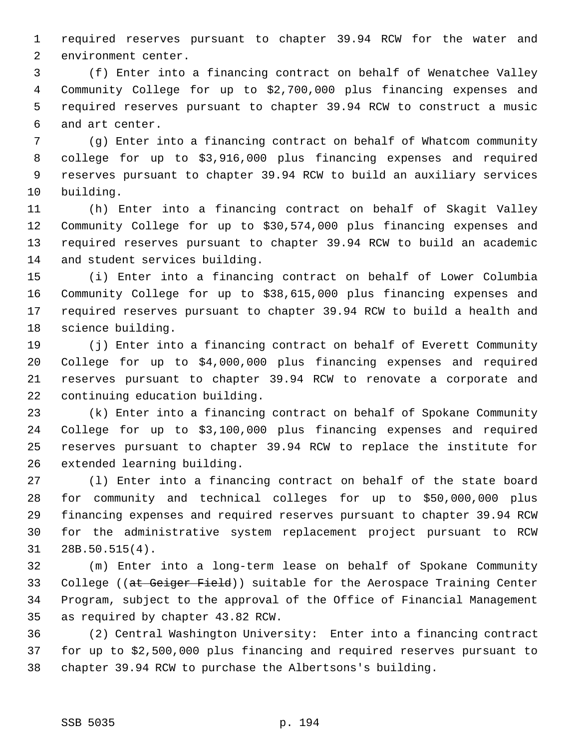1 required reserves pursuant to chapter 39.94 RCW for the water and 2 environment center.

 3 (f) Enter into a financing contract on behalf of Wenatchee Valley 4 Community College for up to \$2,700,000 plus financing expenses and 5 required reserves pursuant to chapter 39.94 RCW to construct a music 6 and art center.

 7 (g) Enter into a financing contract on behalf of Whatcom community 8 college for up to \$3,916,000 plus financing expenses and required 9 reserves pursuant to chapter 39.94 RCW to build an auxiliary services 10 building.

11 (h) Enter into a financing contract on behalf of Skagit Valley 12 Community College for up to \$30,574,000 plus financing expenses and 13 required reserves pursuant to chapter 39.94 RCW to build an academic 14 and student services building.

15 (i) Enter into a financing contract on behalf of Lower Columbia 16 Community College for up to \$38,615,000 plus financing expenses and 17 required reserves pursuant to chapter 39.94 RCW to build a health and 18 science building.

19 (j) Enter into a financing contract on behalf of Everett Community 20 College for up to \$4,000,000 plus financing expenses and required 21 reserves pursuant to chapter 39.94 RCW to renovate a corporate and 22 continuing education building.

23 (k) Enter into a financing contract on behalf of Spokane Community 24 College for up to \$3,100,000 plus financing expenses and required 25 reserves pursuant to chapter 39.94 RCW to replace the institute for 26 extended learning building.

27 (l) Enter into a financing contract on behalf of the state board 28 for community and technical colleges for up to \$50,000,000 plus 29 financing expenses and required reserves pursuant to chapter 39.94 RCW 30 for the administrative system replacement project pursuant to RCW 31 28B.50.515(4).

32 (m) Enter into a long-term lease on behalf of Spokane Community 33 College ((at Geiger Field)) suitable for the Aerospace Training Center 34 Program, subject to the approval of the Office of Financial Management 35 as required by chapter 43.82 RCW.

36 (2) Central Washington University: Enter into a financing contract 37 for up to \$2,500,000 plus financing and required reserves pursuant to 38 chapter 39.94 RCW to purchase the Albertsons's building.

## SSB 5035 p. 194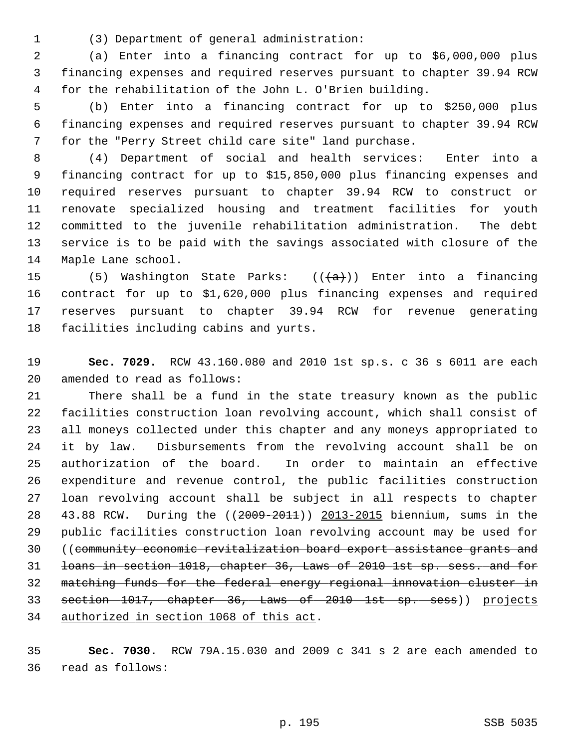1 (3) Department of general administration:

 2 (a) Enter into a financing contract for up to \$6,000,000 plus 3 financing expenses and required reserves pursuant to chapter 39.94 RCW 4 for the rehabilitation of the John L. O'Brien building.

 5 (b) Enter into a financing contract for up to \$250,000 plus 6 financing expenses and required reserves pursuant to chapter 39.94 RCW 7 for the "Perry Street child care site" land purchase.

 8 (4) Department of social and health services: Enter into a 9 financing contract for up to \$15,850,000 plus financing expenses and 10 required reserves pursuant to chapter 39.94 RCW to construct or 11 renovate specialized housing and treatment facilities for youth 12 committed to the juvenile rehabilitation administration. The debt 13 service is to be paid with the savings associated with closure of the 14 Maple Lane school.

15 (5) Washington State Parks:  $((a + b))$  Enter into a financing 16 contract for up to \$1,620,000 plus financing expenses and required 17 reserves pursuant to chapter 39.94 RCW for revenue generating 18 facilities including cabins and yurts.

19 **Sec. 7029.** RCW 43.160.080 and 2010 1st sp.s. c 36 s 6011 are each 20 amended to read as follows:

21 There shall be a fund in the state treasury known as the public 22 facilities construction loan revolving account, which shall consist of 23 all moneys collected under this chapter and any moneys appropriated to 24 it by law. Disbursements from the revolving account shall be on 25 authorization of the board. In order to maintain an effective 26 expenditure and revenue control, the public facilities construction 27 loan revolving account shall be subject in all respects to chapter 28 43.88 RCW. During the ((2009-2011)) 2013-2015 biennium, sums in the 29 public facilities construction loan revolving account may be used for 30 ((community economic revitalization board export assistance grants and 31 loans in section 1018, chapter 36, Laws of 2010 1st sp. sess. and for 32 matching funds for the federal energy regional innovation cluster in 33 section 1017, chapter 36, Laws of 2010 1st sp. sess)) projects 34 authorized in section 1068 of this act.

35 **Sec. 7030.** RCW 79A.15.030 and 2009 c 341 s 2 are each amended to 36 read as follows: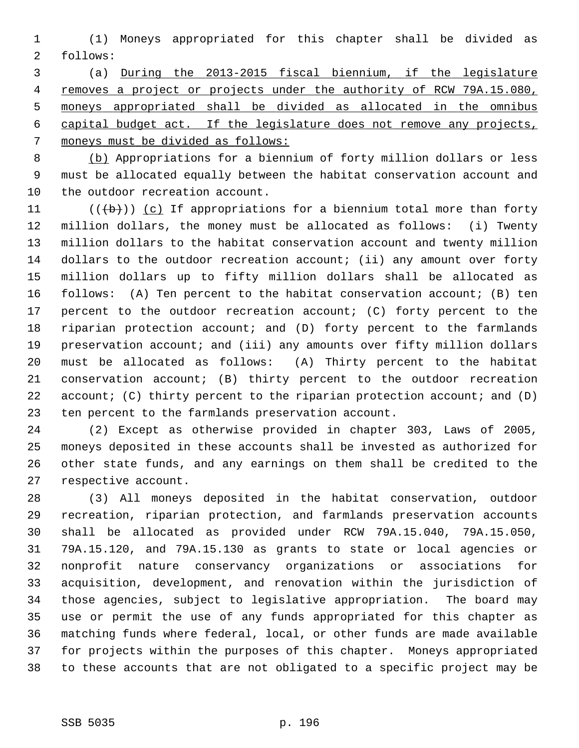1 (1) Moneys appropriated for this chapter shall be divided as 2 follows:

 3 (a) During the 2013-2015 fiscal biennium, if the legislature removes a project or projects under the authority of RCW 79A.15.080, moneys appropriated shall be divided as allocated in the omnibus capital budget act. If the legislature does not remove any projects, moneys must be divided as follows:

 8 (b) Appropriations for a biennium of forty million dollars or less 9 must be allocated equally between the habitat conservation account and 10 the outdoor recreation account.

11  $((\n+ b))$  (c) If appropriations for a biennium total more than forty 12 million dollars, the money must be allocated as follows: (i) Twenty 13 million dollars to the habitat conservation account and twenty million 14 dollars to the outdoor recreation account; (ii) any amount over forty 15 million dollars up to fifty million dollars shall be allocated as 16 follows: (A) Ten percent to the habitat conservation account; (B) ten 17 percent to the outdoor recreation account; (C) forty percent to the 18 riparian protection account; and (D) forty percent to the farmlands 19 preservation account; and (iii) any amounts over fifty million dollars 20 must be allocated as follows: (A) Thirty percent to the habitat 21 conservation account; (B) thirty percent to the outdoor recreation 22 account; (C) thirty percent to the riparian protection account; and (D) 23 ten percent to the farmlands preservation account.

24 (2) Except as otherwise provided in chapter 303, Laws of 2005, 25 moneys deposited in these accounts shall be invested as authorized for 26 other state funds, and any earnings on them shall be credited to the 27 respective account.

28 (3) All moneys deposited in the habitat conservation, outdoor 29 recreation, riparian protection, and farmlands preservation accounts 30 shall be allocated as provided under RCW 79A.15.040, 79A.15.050, 31 79A.15.120, and 79A.15.130 as grants to state or local agencies or 32 nonprofit nature conservancy organizations or associations for 33 acquisition, development, and renovation within the jurisdiction of 34 those agencies, subject to legislative appropriation. The board may 35 use or permit the use of any funds appropriated for this chapter as 36 matching funds where federal, local, or other funds are made available 37 for projects within the purposes of this chapter. Moneys appropriated 38 to these accounts that are not obligated to a specific project may be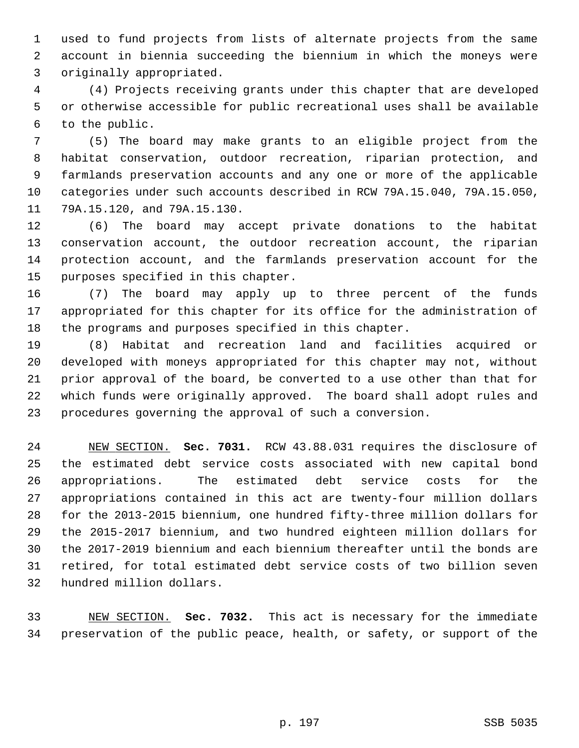1 used to fund projects from lists of alternate projects from the same 2 account in biennia succeeding the biennium in which the moneys were 3 originally appropriated.

 4 (4) Projects receiving grants under this chapter that are developed 5 or otherwise accessible for public recreational uses shall be available 6 to the public.

 7 (5) The board may make grants to an eligible project from the 8 habitat conservation, outdoor recreation, riparian protection, and 9 farmlands preservation accounts and any one or more of the applicable 10 categories under such accounts described in RCW 79A.15.040, 79A.15.050, 11 79A.15.120, and 79A.15.130.

12 (6) The board may accept private donations to the habitat 13 conservation account, the outdoor recreation account, the riparian 14 protection account, and the farmlands preservation account for the 15 purposes specified in this chapter.

16 (7) The board may apply up to three percent of the funds 17 appropriated for this chapter for its office for the administration of 18 the programs and purposes specified in this chapter.

19 (8) Habitat and recreation land and facilities acquired or 20 developed with moneys appropriated for this chapter may not, without 21 prior approval of the board, be converted to a use other than that for 22 which funds were originally approved. The board shall adopt rules and 23 procedures governing the approval of such a conversion.

24 NEW SECTION. **Sec. 7031.** RCW 43.88.031 requires the disclosure of 25 the estimated debt service costs associated with new capital bond 26 appropriations. The estimated debt service costs for the 27 appropriations contained in this act are twenty-four million dollars 28 for the 2013-2015 biennium, one hundred fifty-three million dollars for 29 the 2015-2017 biennium, and two hundred eighteen million dollars for 30 the 2017-2019 biennium and each biennium thereafter until the bonds are 31 retired, for total estimated debt service costs of two billion seven 32 hundred million dollars.

33 NEW SECTION. **Sec. 7032.** This act is necessary for the immediate 34 preservation of the public peace, health, or safety, or support of the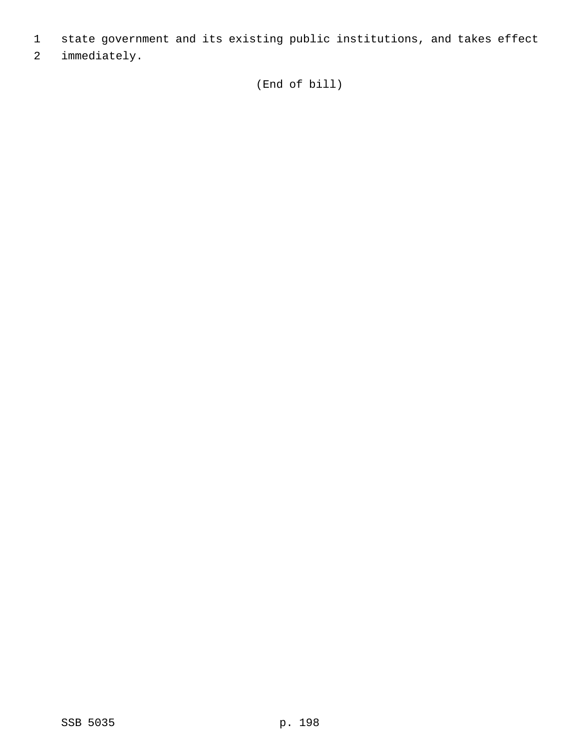- 1 state government and its existing public institutions, and takes effect
- 2 immediately.

(End of bill)